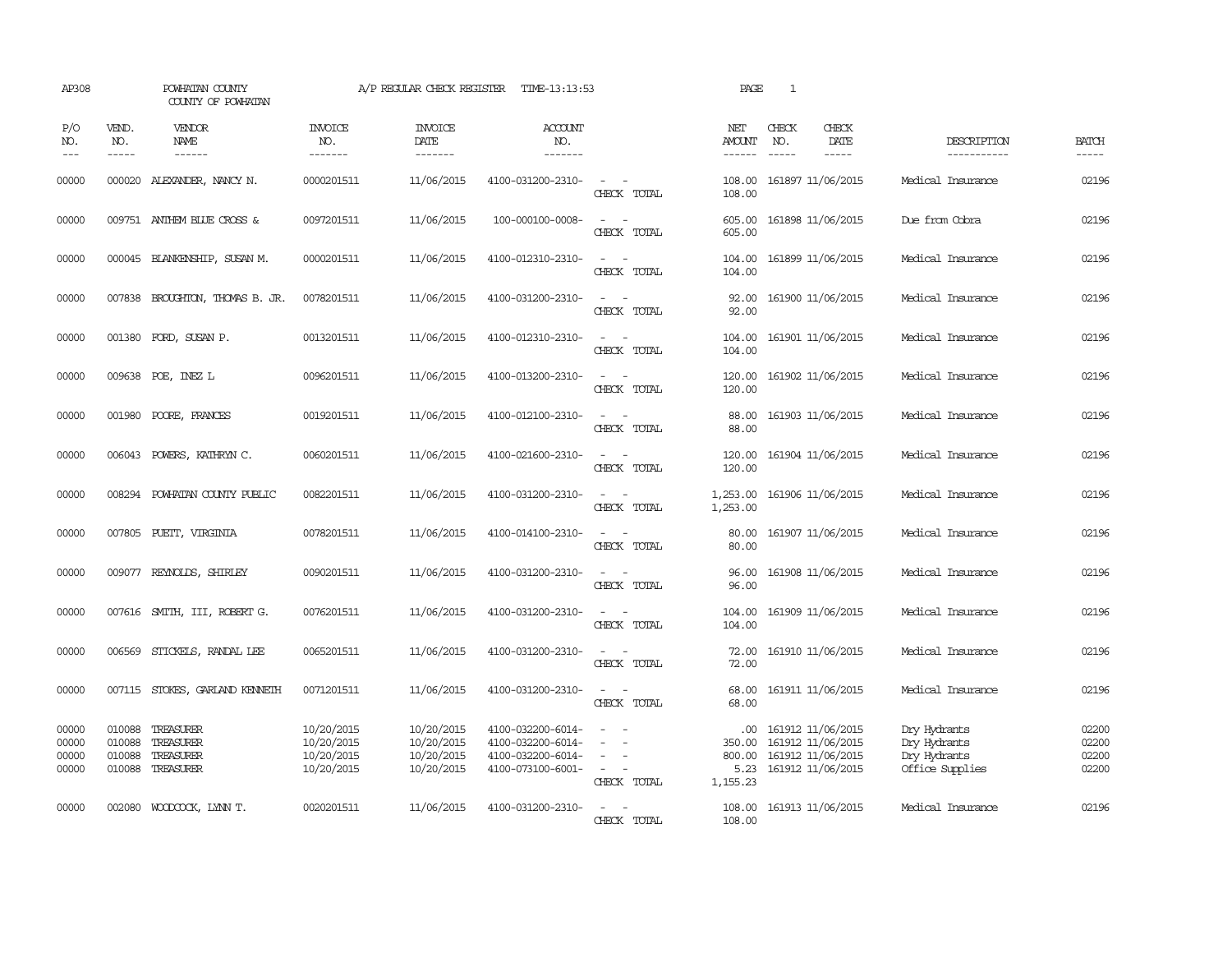| AP308                            |                               | POWHATAN COUNTY<br>COUNTY OF POWHATAN                                                                                                                                                                                                                                                                                                                                                                                                                                                               |                                                      | A/P REGULAR CHECK REGISTER                           | TIME-13:13:53                                                                    |                                                            | PAGE                                         | $\mathbf{1}$                                                                     |                              |                                                                 |                                  |
|----------------------------------|-------------------------------|-----------------------------------------------------------------------------------------------------------------------------------------------------------------------------------------------------------------------------------------------------------------------------------------------------------------------------------------------------------------------------------------------------------------------------------------------------------------------------------------------------|------------------------------------------------------|------------------------------------------------------|----------------------------------------------------------------------------------|------------------------------------------------------------|----------------------------------------------|----------------------------------------------------------------------------------|------------------------------|-----------------------------------------------------------------|----------------------------------|
| P/O<br>NO.<br>$ -$               | VEND.<br>NO.<br>$\frac{1}{2}$ | VENDOR<br><b>NAME</b><br>$\frac{1}{2} \left( \frac{1}{2} \right) \left( \frac{1}{2} \right) \left( \frac{1}{2} \right) \left( \frac{1}{2} \right) \left( \frac{1}{2} \right) \left( \frac{1}{2} \right) \left( \frac{1}{2} \right) \left( \frac{1}{2} \right) \left( \frac{1}{2} \right) \left( \frac{1}{2} \right) \left( \frac{1}{2} \right) \left( \frac{1}{2} \right) \left( \frac{1}{2} \right) \left( \frac{1}{2} \right) \left( \frac{1}{2} \right) \left( \frac{1}{2} \right) \left( \frac$ | <b>INVOICE</b><br>NO.<br>-------                     | <b>INVOICE</b><br>DATE<br>-------                    | <b>ACCOUNT</b><br>NO.<br>-------                                                 |                                                            | NET<br>AMOUNT<br>------                      | CHECK<br>NO.                                                                     | CHECK<br>DATE<br>$- - - - -$ | DESCRIPTION<br>-----------                                      | <b>BATCH</b><br>-----            |
| 00000                            | 000020                        | ALEXANDER, NANCY N.                                                                                                                                                                                                                                                                                                                                                                                                                                                                                 | 0000201511                                           | 11/06/2015                                           | 4100-031200-2310-                                                                | $\overline{\phantom{a}}$<br>CHECK TOTAL                    | 108.00<br>108.00                             | 161897 11/06/2015                                                                |                              | Medical Insurance                                               | 02196                            |
| 00000                            |                               | 009751 ANTHEM BLUE CROSS &                                                                                                                                                                                                                                                                                                                                                                                                                                                                          | 0097201511                                           | 11/06/2015                                           | 100-000100-0008-                                                                 | $\sim$<br>$\sim$<br>CHECK TOTAL                            | 605.00<br>605.00                             | 161898 11/06/2015                                                                |                              | Due from Cobra                                                  | 02196                            |
| 00000                            |                               | 000045 BLANKENSHIP, SUSAN M.                                                                                                                                                                                                                                                                                                                                                                                                                                                                        | 0000201511                                           | 11/06/2015                                           | 4100-012310-2310-                                                                | $\sim$<br>$\sim$<br>CHECK TOTAL                            | 104.00<br>104.00                             | 161899 11/06/2015                                                                |                              | Medical Insurance                                               | 02196                            |
| 00000                            |                               | 007838 BROUGHTON, THOMAS B. JR.                                                                                                                                                                                                                                                                                                                                                                                                                                                                     | 0078201511                                           | 11/06/2015                                           | 4100-031200-2310-                                                                | $\sim$<br>$\sim$<br>CHECK TOTAL                            | 92.00<br>92.00                               | 161900 11/06/2015                                                                |                              | Medical Insurance                                               | 02196                            |
| 00000                            |                               | 001380 FORD, SUSAN P.                                                                                                                                                                                                                                                                                                                                                                                                                                                                               | 0013201511                                           | 11/06/2015                                           | 4100-012310-2310-                                                                | $\omega_{\rm{max}}$ and $\omega_{\rm{max}}$<br>CHECK TOTAL | 104.00<br>104.00                             | 161901 11/06/2015                                                                |                              | Medical Insurance                                               | 02196                            |
| 00000                            |                               | 009638 POE, INEZ L                                                                                                                                                                                                                                                                                                                                                                                                                                                                                  | 0096201511                                           | 11/06/2015                                           | 4100-013200-2310-                                                                | $\equiv$<br>$\sim$<br>CHECK TOTAL                          | 120.00<br>120.00                             | 161902 11/06/2015                                                                |                              | Medical Insurance                                               | 02196                            |
| 00000                            | 001980                        | POORE, FRANCES                                                                                                                                                                                                                                                                                                                                                                                                                                                                                      | 0019201511                                           | 11/06/2015                                           | 4100-012100-2310-                                                                | $\sim$ $\sim$<br>CHECK TOTAL                               | 88.00<br>88.00                               | 161903 11/06/2015                                                                |                              | Medical Insurance                                               | 02196                            |
| 00000                            |                               | 006043 POWERS, KATHRYN C.                                                                                                                                                                                                                                                                                                                                                                                                                                                                           | 0060201511                                           | 11/06/2015                                           | 4100-021600-2310-                                                                | $ -$<br>CHECK TOTAL                                        | 120.00<br>120.00                             | 161904 11/06/2015                                                                |                              | Medical Insurance                                               | 02196                            |
| 00000                            |                               | 008294 POWHATAN COUNTY PUBLIC                                                                                                                                                                                                                                                                                                                                                                                                                                                                       | 0082201511                                           | 11/06/2015                                           | 4100-031200-2310-                                                                | $\sim$ $ -$<br>CHECK TOTAL                                 | 1,253.00<br>1,253.00                         | 161906 11/06/2015                                                                |                              | Medical Insurance                                               | 02196                            |
| 00000                            |                               | 007805 PUETT, VIRGINIA                                                                                                                                                                                                                                                                                                                                                                                                                                                                              | 0078201511                                           | 11/06/2015                                           | 4100-014100-2310-                                                                | $ -$<br>CHECK TOTAL                                        | 80.00<br>80.00                               | 161907 11/06/2015                                                                |                              | Medical Insurance                                               | 02196                            |
| 00000                            |                               | 009077 REYNOLDS, SHIRLEY                                                                                                                                                                                                                                                                                                                                                                                                                                                                            | 0090201511                                           | 11/06/2015                                           | 4100-031200-2310-                                                                | $\equiv$<br>CHECK TOTAL                                    | 96.00<br>96.00                               | 161908 11/06/2015                                                                |                              | Medical Insurance                                               | 02196                            |
| 00000                            |                               | 007616 SMITH, III, ROBERT G.                                                                                                                                                                                                                                                                                                                                                                                                                                                                        | 0076201511                                           | 11/06/2015                                           | 4100-031200-2310-                                                                | $\overline{\phantom{a}}$<br>$\sim$<br>CHECK TOTAL          | 104.00<br>104.00                             | 161909 11/06/2015                                                                |                              | Medical Insurance                                               | 02196                            |
| 00000                            | 006569                        | STICKELS, RANDAL LEE                                                                                                                                                                                                                                                                                                                                                                                                                                                                                | 0065201511                                           | 11/06/2015                                           | 4100-031200-2310-                                                                | $\sim$ $ \sim$<br>CHECK TOTAL                              | 72.00<br>72.00                               | 161910 11/06/2015                                                                |                              | Medical Insurance                                               | 02196                            |
| 00000                            |                               | 007115 STOKES, GARLAND KENNETH                                                                                                                                                                                                                                                                                                                                                                                                                                                                      | 0071201511                                           | 11/06/2015                                           | 4100-031200-2310-                                                                | $\equiv$<br>$\sim$<br>CHECK TOTAL                          | 68.00<br>68.00                               | 161911 11/06/2015                                                                |                              | Medical Insurance                                               | 02196                            |
| 00000<br>00000<br>00000<br>00000 | 010088<br>010088<br>010088    | TREASURER<br>TREASURER<br>TREASURER<br>010088 TREASURER                                                                                                                                                                                                                                                                                                                                                                                                                                             | 10/20/2015<br>10/20/2015<br>10/20/2015<br>10/20/2015 | 10/20/2015<br>10/20/2015<br>10/20/2015<br>10/20/2015 | 4100-032200-6014-<br>4100-032200-6014-<br>4100-032200-6014-<br>4100-073100-6001- | $\overline{\phantom{a}}$<br>$\sim$<br>CHECK TOTAL          | .00.<br>350.00<br>800.00<br>5.23<br>1,155.23 | 161912 11/06/2015<br>161912 11/06/2015<br>161912 11/06/2015<br>161912 11/06/2015 |                              | Dry Hydrants<br>Dry Hydrants<br>Dry Hydrants<br>Office Supplies | 02200<br>02200<br>02200<br>02200 |
| 00000                            |                               | 002080 WOODCOCK, LYNN T.                                                                                                                                                                                                                                                                                                                                                                                                                                                                            | 0020201511                                           | 11/06/2015                                           | 4100-031200-2310-                                                                | $\sim$<br>CHECK TOTAL                                      | 108.00<br>108.00                             | 161913 11/06/2015                                                                |                              | Medical Insurance                                               | 02196                            |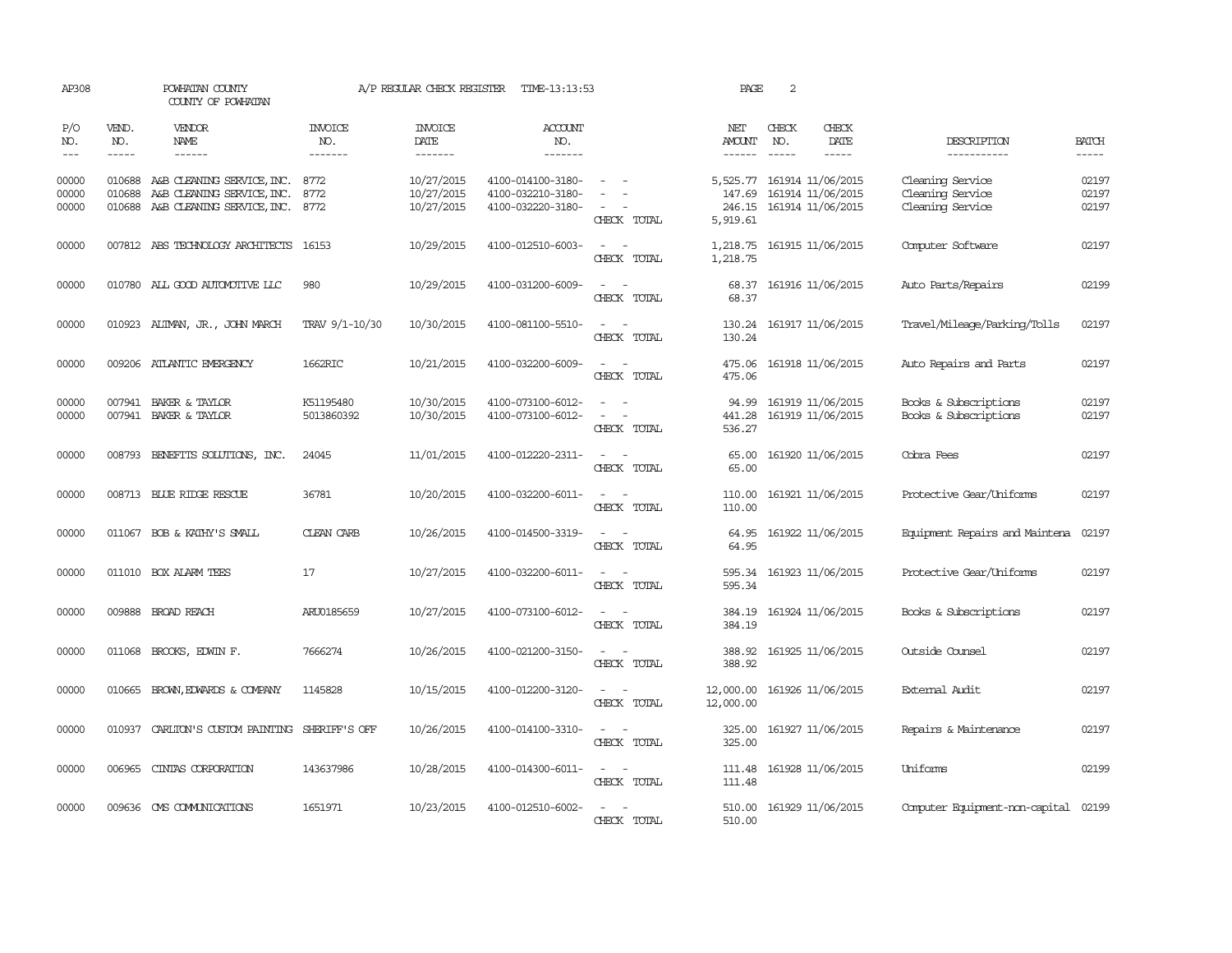| AP308                   |                               | POWHATAN COUNTY<br>COUNTY OF POWHATAN                                                       |                           | A/P REGULAR CHECK REGISTER             | TIME-13:13:53                                               |                                                                     | PAGE                                     | 2                                                           |                        |                                                          |                             |
|-------------------------|-------------------------------|---------------------------------------------------------------------------------------------|---------------------------|----------------------------------------|-------------------------------------------------------------|---------------------------------------------------------------------|------------------------------------------|-------------------------------------------------------------|------------------------|----------------------------------------------------------|-----------------------------|
| P/O<br>NO.<br>$ -$      | VEND.<br>NO.<br>$\frac{1}{2}$ | VENDOR<br>NAME<br>------                                                                    | INVOICE<br>NO.<br>------- | <b>INVOICE</b><br>DATE<br>-------      | <b>ACCOUNT</b><br>NO.<br>-------                            |                                                                     | NET<br><b>AMOUNT</b>                     | CHECK<br>NO.                                                | CHECK<br>DATE<br>----- | DESCRIPTION<br>-----------                               | <b>BATCH</b><br>$- - - - -$ |
| 00000<br>00000<br>00000 | 010688<br>010688<br>010688    | A&B CLEANING SERVICE, INC.<br>A&B CLEANING SERVICE, INC.<br>A&B CLEANING SERVICE, INC. 8772 | 8772<br>8772              | 10/27/2015<br>10/27/2015<br>10/27/2015 | 4100-014100-3180-<br>4100-032210-3180-<br>4100-032220-3180- | $\overline{\phantom{a}}$<br>CHECK TOTAL                             | 5,525.77<br>147.69<br>246.15<br>5,919.61 | 161914 11/06/2015<br>161914 11/06/2015<br>161914 11/06/2015 |                        | Cleaning Service<br>Cleaning Service<br>Cleaning Service | 02197<br>02197<br>02197     |
| 00000                   |                               | 007812 ABS TECHNOLOGY ARCHITECTS                                                            | 16153                     | 10/29/2015                             | 4100-012510-6003-                                           | $\overline{\phantom{a}}$<br>$\overline{\phantom{a}}$<br>CHECK TOTAL | 1,218.75<br>1,218.75                     | 161915 11/06/2015                                           |                        | Computer Software                                        | 02197                       |
| 00000                   |                               | 010780 ALL GOOD AUTOMOTIVE LLC                                                              | 980                       | 10/29/2015                             | 4100-031200-6009-                                           | $\omega_{\rm{max}}$ , $\omega_{\rm{max}}$<br>CHECK TOTAL            | 68.37<br>68.37                           | 161916 11/06/2015                                           |                        | Auto Parts/Repairs                                       | 02199                       |
| 00000                   |                               | 010923 ALIMAN, JR., JOHN MARCH                                                              | TRAV 9/1-10/30            | 10/30/2015                             | 4100-081100-5510-                                           | $\sim$ $\sim$<br>CHECK TOTAL                                        | 130.24<br>130.24                         | 161917 11/06/2015                                           |                        | Travel/Mileage/Parking/Tolls                             | 02197                       |
| 00000                   |                               | 009206 ATLANTIC EMERGENCY                                                                   | 1662RIC                   | 10/21/2015                             | 4100-032200-6009-                                           | $\sim$<br>CHECK TOTAL                                               | 475.06<br>475.06                         | 161918 11/06/2015                                           |                        | Auto Repairs and Parts                                   | 02197                       |
| 00000<br>00000          |                               | 007941 BAKER & TAYLOR<br>007941 BAKER & TAYLOR                                              | K51195480<br>5013860392   | 10/30/2015<br>10/30/2015               | 4100-073100-6012-<br>4100-073100-6012-                      | $\sim$ $ \sim$<br>CHECK TOTAL                                       | 441.28<br>536.27                         | 94.99 161919 11/06/2015                                     | 161919 11/06/2015      | Books & Subscriptions<br>Books & Subscriptions           | 02197<br>02197              |
| 00000                   |                               | 008793 BENEFITS SOLUTIONS, INC.                                                             | 24045                     | 11/01/2015                             | 4100-012220-2311-                                           | $\sim$ $\sim$<br>CHECK TOTAL                                        | 65.00<br>65.00                           | 161920 11/06/2015                                           |                        | Cobra Fees                                               | 02197                       |
| 00000                   |                               | 008713 BLUE RIDGE RESCUE                                                                    | 36781                     | 10/20/2015                             | 4100-032200-6011-                                           | $\sim$ $ \sim$<br>CHECK TOTAL                                       | 110.00<br>110.00                         | 161921 11/06/2015                                           |                        | Protective Gear/Uniforms                                 | 02197                       |
| 00000                   |                               | 011067 BOB & KATHY'S SMALL                                                                  | <b>CLEAN CARB</b>         | 10/26/2015                             | 4100-014500-3319-                                           | $\sim$ $\sim$<br>CHECK TOTAL                                        | 64.95<br>64.95                           | 161922 11/06/2015                                           |                        | Equipment Repairs and Maintena                           | 02197                       |
| 00000                   |                               | 011010 BOX ALARM TEES                                                                       | 17                        | 10/27/2015                             | 4100-032200-6011-                                           | $\sim$<br>CHECK TOTAL                                               | 595.34<br>595.34                         | 161923 11/06/2015                                           |                        | Protective Gear/Uniforms                                 | 02197                       |
| 00000                   |                               | 009888 BROAD REACH                                                                          | ARU0185659                | 10/27/2015                             | 4100-073100-6012-                                           | $\overline{\phantom{a}}$<br>$\overline{\phantom{a}}$<br>CHECK TOTAL | 384.19<br>384.19                         |                                                             | 161924 11/06/2015      | Books & Subscriptions                                    | 02197                       |
| 00000                   | 011068                        | BROOKS, EDWIN F.                                                                            | 7666274                   | 10/26/2015                             | 4100-021200-3150-                                           | $\sim$<br>$\sim$<br>CHECK TOTAL                                     | 388.92<br>388.92                         |                                                             | 161925 11/06/2015      | Outside Counsel                                          | 02197                       |
| 00000                   | 010665                        | BROWN, EDWARDS & COMPANY                                                                    | 1145828                   | 10/15/2015                             | 4100-012200-3120-                                           | $\overline{\phantom{a}}$<br>$\sim$<br>CHECK TOTAL                   | 12,000.00<br>12,000.00                   |                                                             | 161926 11/06/2015      | Extemal Audit                                            | 02197                       |
| 00000                   | 010937                        | CARLION'S CUSTOM PAINTING                                                                   | SHERIFF'S OFF             | 10/26/2015                             | 4100-014100-3310-                                           | $\sim$ $ \sim$<br>CHECK TOTAL                                       | 325.00<br>325.00                         |                                                             | 161927 11/06/2015      | Repairs & Maintenance                                    | 02197                       |
| 00000                   | 006965                        | CINIAS CORPORATION                                                                          | 143637986                 | 10/28/2015                             | 4100-014300-6011-                                           | $\sim$ $\sim$<br>CHECK TOTAL                                        | 111.48<br>111.48                         | 161928 11/06/2015                                           |                        | Uniforms                                                 | 02199                       |
| 00000                   |                               | 009636 CMS COMMUNICATIONS                                                                   | 1651971                   | 10/23/2015                             | 4100-012510-6002-                                           | CHECK TOTAL                                                         | 510.00<br>510.00                         | 161929 11/06/2015                                           |                        | Computer Equipment-non-capital 02199                     |                             |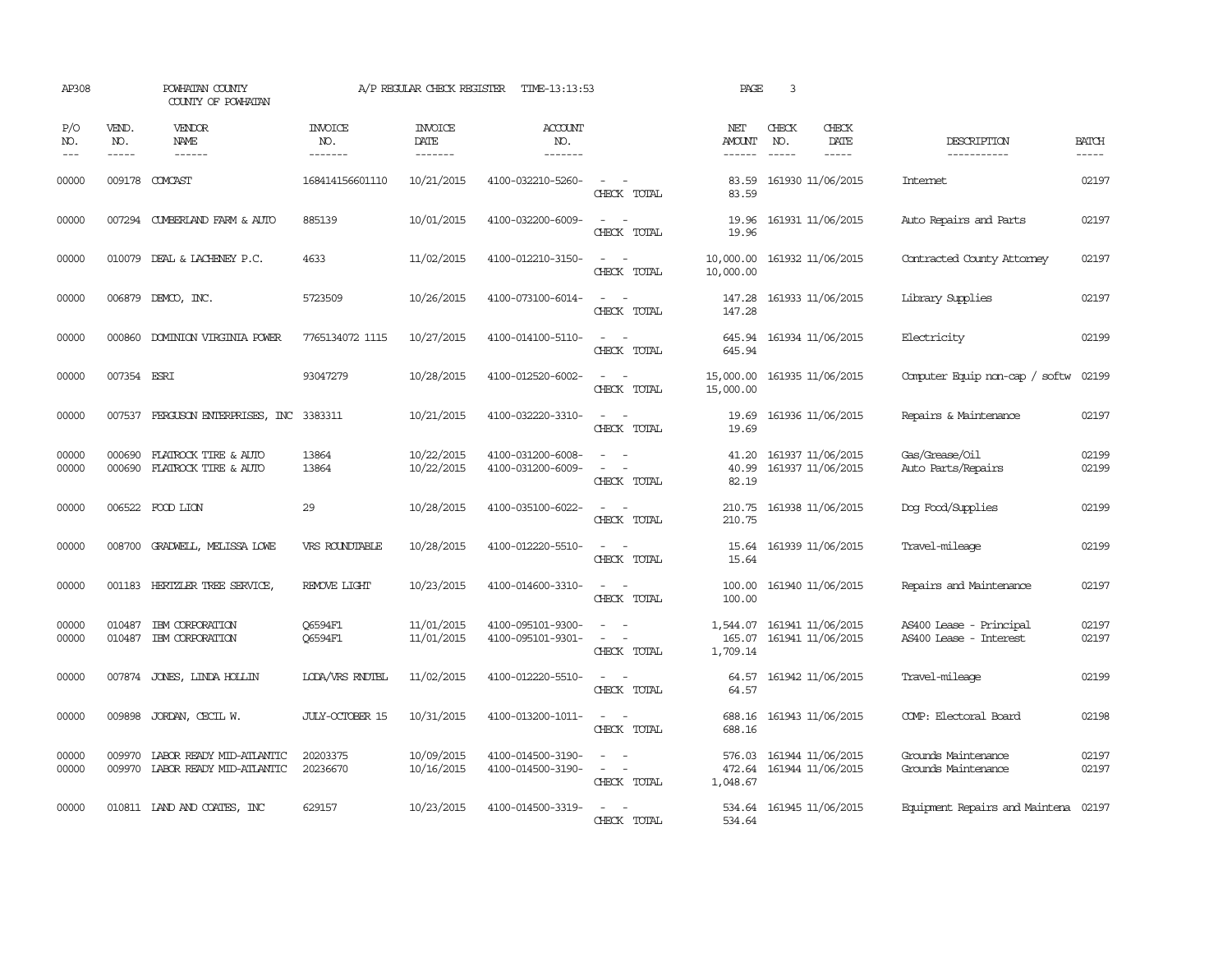| AP308               |                               | POWHATAN COUNTY<br>COUNTY OF POWHATAN                       |                                  | A/P REGULAR CHECK REGISTER                | TIME-13:13:53                          |                                                                                                                                                 | PAGE                           | 3                           |                                               |                                                   |                |
|---------------------|-------------------------------|-------------------------------------------------------------|----------------------------------|-------------------------------------------|----------------------------------------|-------------------------------------------------------------------------------------------------------------------------------------------------|--------------------------------|-----------------------------|-----------------------------------------------|---------------------------------------------------|----------------|
| P/O<br>NO.<br>$---$ | VEND.<br>NO.<br>$\frac{1}{2}$ | <b>VENDOR</b><br>NAME<br>$- - - - - -$                      | <b>INVOICE</b><br>NO.<br>------- | <b>INVOICE</b><br>DATE<br>$- - - - - - -$ | ACCOUNT<br>NO.<br>-------              |                                                                                                                                                 | NET<br><b>AMOUNT</b><br>------ | CHECK<br>NO.<br>$- - - - -$ | CHECK<br>DATE<br>$\frac{1}{2}$                | DESCRIPTION<br>-----------                        | <b>BATCH</b>   |
| 00000               |                               | 009178 COMCAST                                              | 168414156601110                  | 10/21/2015                                | 4100-032210-5260-                      | $\sim$<br>CHECK TOTAL                                                                                                                           | 83.59<br>83.59                 |                             | 161930 11/06/2015                             | Internet                                          | 02197          |
| 00000               |                               | 007294 CUMBERLAND FARM & AUTO                               | 885139                           | 10/01/2015                                | 4100-032200-6009-                      | CHECK TOTAL                                                                                                                                     | 19.96<br>19.96                 |                             | 161931 11/06/2015                             | Auto Repairs and Parts                            | 02197          |
| 00000               | 010079                        | DEAL & LACHENEY P.C.                                        | 4633                             | 11/02/2015                                | 4100-012210-3150-                      | $\sim$<br>CHECK TOTAL                                                                                                                           | 10,000.00<br>10,000.00         |                             | 161932 11/06/2015                             | Contracted County Attomey                         | 02197          |
| 00000               | 006879                        | DEMCO, INC.                                                 | 5723509                          | 10/26/2015                                | 4100-073100-6014-                      | $\sim$<br>$\sim$<br>CHECK TOTAL                                                                                                                 | 147.28<br>147.28               |                             | 161933 11/06/2015                             | Library Supplies                                  | 02197          |
| 00000               | 000860                        | DOMINION VIRGINIA POWER                                     | 7765134072 1115                  | 10/27/2015                                | 4100-014100-5110-                      | $\sim$<br>$\sim$<br>CHECK TOTAL                                                                                                                 | 645.94<br>645.94               |                             | 161934 11/06/2015                             | Electricity                                       | 02199          |
| 00000               | 007354 ESRI                   |                                                             | 93047279                         | 10/28/2015                                | 4100-012520-6002-                      | $\sim$ 100 $\sim$<br>CHECK TOTAL                                                                                                                | 15,000.00<br>15,000.00         |                             | 161935 11/06/2015                             | Computer Equip non-cap / softw                    | 02199          |
| 00000               |                               | 007537 FERGUSON ENTERPRISES, INC 3383311                    |                                  | 10/21/2015                                | 4100-032220-3310-                      | $\frac{1}{2} \left( \frac{1}{2} \right) \left( \frac{1}{2} \right) = \frac{1}{2} \left( \frac{1}{2} \right)$<br>CHECK TOTAL                     | 19.69<br>19.69                 |                             | 161936 11/06/2015                             | Repairs & Maintenance                             | 02197          |
| 00000<br>00000      | 000690                        | FLATROCK TIRE & AUTO<br>000690 FLATROCK TIRE & AUTO         | 13864<br>13864                   | 10/22/2015<br>10/22/2015                  | 4100-031200-6008-<br>4100-031200-6009- | $\frac{1}{2} \left( \frac{1}{2} \right) \left( \frac{1}{2} \right) = \frac{1}{2} \left( \frac{1}{2} \right)$<br>$\sim$<br>$\sim$<br>CHECK TOTAL | 41.20<br>40.99<br>82.19        |                             | 161937 11/06/2015<br>161937 11/06/2015        | Gas/Grease/Oil<br>Auto Parts/Repairs              | 02199<br>02199 |
| 00000               |                               | 006522 FOOD LION                                            | 29                               | 10/28/2015                                | 4100-035100-6022-                      | $\overline{\phantom{a}}$<br>CHECK TOTAL                                                                                                         | 210.75<br>210.75               |                             | 161938 11/06/2015                             | Dog Food/Supplies                                 | 02199          |
| 00000               | 008700                        | GRADWELL, MELISSA LOWE                                      | VRS ROUNDTABLE                   | 10/28/2015                                | 4100-012220-5510-                      | $\sim$<br>$\sim$<br>CHECK TOTAL                                                                                                                 | 15.64<br>15.64                 |                             | 161939 11/06/2015                             | Travel-mileage                                    | 02199          |
| 00000               |                               | 001183 HERTZLER TREE SERVICE,                               | REMOVE LIGHT                     | 10/23/2015                                | 4100-014600-3310-                      | $\omega_{\rm{max}}$ and $\omega_{\rm{max}}$<br>CHECK TOTAL                                                                                      | 100.00<br>100.00               |                             | 161940 11/06/2015                             | Repairs and Maintenance                           | 02197          |
| 00000<br>00000      | 010487<br>010487              | IBM CORPORATION<br>IBM CORPORATION                          | 06594F1<br>Q6594F1               | 11/01/2015<br>11/01/2015                  | 4100-095101-9300-<br>4100-095101-9301- | $\sim$ 100 $\sim$<br>CHECK TOTAL                                                                                                                | 1,544.07<br>1,709.14           |                             | 161941 11/06/2015<br>165.07 161941 11/06/2015 | AS400 Lease - Principal<br>AS400 Lease - Interest | 02197<br>02197 |
| 00000               |                               | 007874 JONES, LINDA HOLLIN                                  | LODA/VRS RNDTBL                  | 11/02/2015                                | 4100-012220-5510-                      | $\sim$<br>CHECK TOTAL                                                                                                                           | 64.57                          |                             | 64.57 161942 11/06/2015                       | Travel-mileage                                    | 02199          |
| 00000               | 009898                        | JORDAN, CECIL W.                                            | <b>JULY-OCTOBER 15</b>           | 10/31/2015                                | 4100-013200-1011-                      | CHECK TOTAL                                                                                                                                     | 688.16<br>688.16               |                             | 161943 11/06/2015                             | COMP: Electoral Board                             | 02198          |
| 00000<br>00000      | 009970                        | LABOR READY MID-ATLANTIC<br>009970 LABOR READY MID-ATLANTIC | 20203375<br>20236670             | 10/09/2015<br>10/16/2015                  | 4100-014500-3190-<br>4100-014500-3190- | $\overline{\phantom{a}}$<br>$\sim$<br>$\omega_{\rm{max}}$ and $\omega_{\rm{max}}$<br>CHECK TOTAL                                                | 576.03<br>1,048.67             |                             | 161944 11/06/2015<br>472.64 161944 11/06/2015 | Grounds Maintenance<br>Grounds Maintenance        | 02197<br>02197 |
| 00000               |                               | 010811 IAND AND COATES, INC                                 | 629157                           | 10/23/2015                                | 4100-014500-3319-                      | $\sim$<br>CHECK TOTAL                                                                                                                           | 534.64                         |                             | 534.64 161945 11/06/2015                      | Equipment Repairs and Maintena 02197              |                |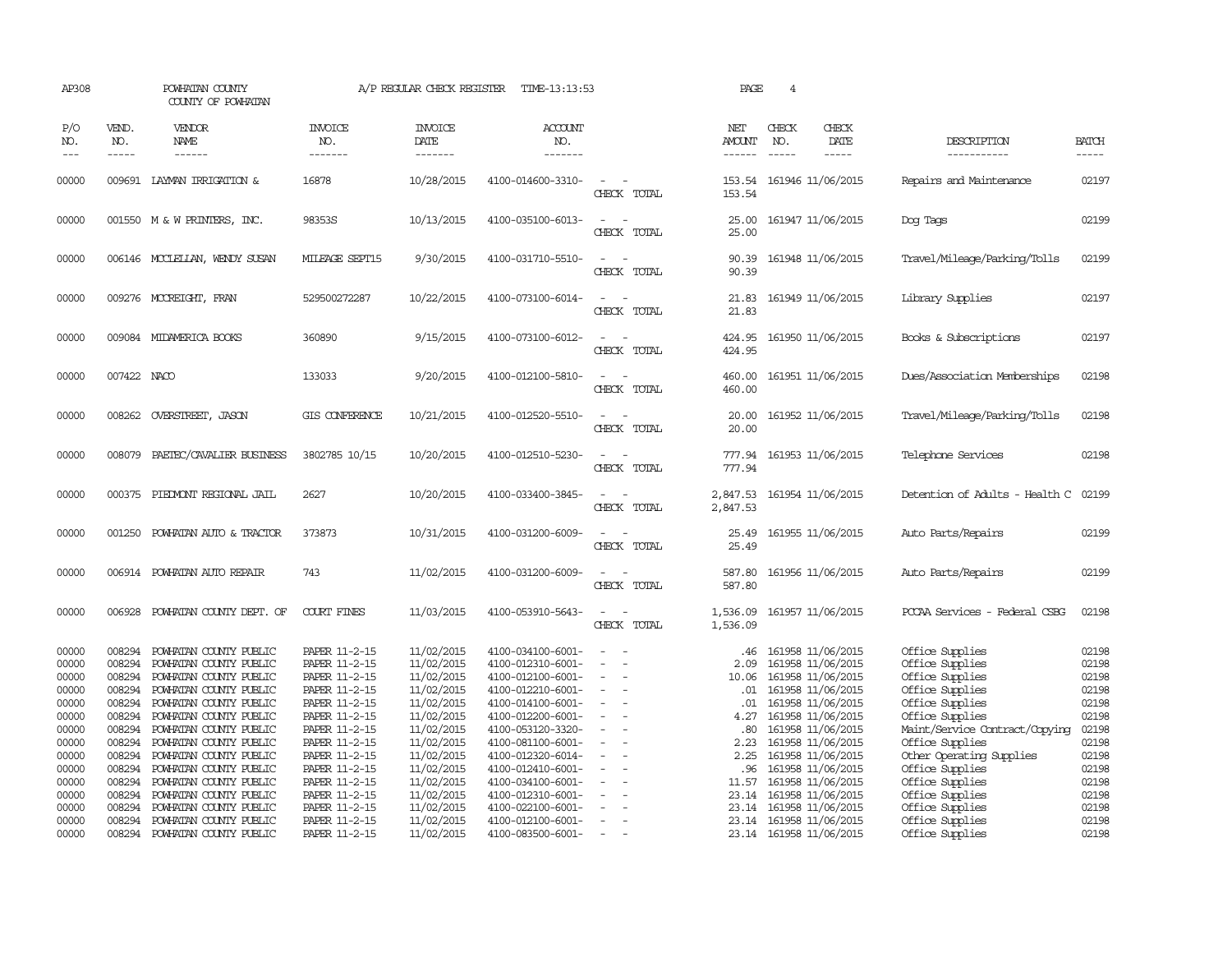| AP308                                                                                                                                                                                                                                                                                                                                                                                                      |                                                                                                                                          | POWHATAN COUNTY<br>COUNTY OF POWHATAN                                                                                                                                                                                                                                                                                                                                    |                                                                                                                                                                                                                                            | A/P REGULAR CHECK REGISTER                                                                                                                                                                       | TIME-13:13:53                                                                                                                                                                                                                                                                                      |                                         | PAGE                                                                                       | $\overline{4}$                |                                                                                                                                                                                                                                                                                                                |                                                                                                                                                                                                                                                                                                |                                                                                                                            |
|------------------------------------------------------------------------------------------------------------------------------------------------------------------------------------------------------------------------------------------------------------------------------------------------------------------------------------------------------------------------------------------------------------|------------------------------------------------------------------------------------------------------------------------------------------|--------------------------------------------------------------------------------------------------------------------------------------------------------------------------------------------------------------------------------------------------------------------------------------------------------------------------------------------------------------------------|--------------------------------------------------------------------------------------------------------------------------------------------------------------------------------------------------------------------------------------------|--------------------------------------------------------------------------------------------------------------------------------------------------------------------------------------------------|----------------------------------------------------------------------------------------------------------------------------------------------------------------------------------------------------------------------------------------------------------------------------------------------------|-----------------------------------------|--------------------------------------------------------------------------------------------|-------------------------------|----------------------------------------------------------------------------------------------------------------------------------------------------------------------------------------------------------------------------------------------------------------------------------------------------------------|------------------------------------------------------------------------------------------------------------------------------------------------------------------------------------------------------------------------------------------------------------------------------------------------|----------------------------------------------------------------------------------------------------------------------------|
| P/O<br>NO.<br>$\frac{1}{2} \frac{1}{2} \frac{1}{2} \frac{1}{2} \frac{1}{2} \frac{1}{2} \frac{1}{2} \frac{1}{2} \frac{1}{2} \frac{1}{2} \frac{1}{2} \frac{1}{2} \frac{1}{2} \frac{1}{2} \frac{1}{2} \frac{1}{2} \frac{1}{2} \frac{1}{2} \frac{1}{2} \frac{1}{2} \frac{1}{2} \frac{1}{2} \frac{1}{2} \frac{1}{2} \frac{1}{2} \frac{1}{2} \frac{1}{2} \frac{1}{2} \frac{1}{2} \frac{1}{2} \frac{1}{2} \frac{$ | VEND.<br>NO.<br>$- - - - -$                                                                                                              | VENDOR<br>NAME<br>------                                                                                                                                                                                                                                                                                                                                                 | <b>INVOICE</b><br>NO.<br>-------                                                                                                                                                                                                           | <b>INVOICE</b><br>DATE<br>-------                                                                                                                                                                | <b>ACCOUNT</b><br>NO.<br>-------                                                                                                                                                                                                                                                                   |                                         | NET<br><b>AMOUNT</b><br>------                                                             | CHECK<br>NO.<br>$\frac{1}{2}$ | CHECK<br>DATE<br>-----                                                                                                                                                                                                                                                                                         | DESCRIPTION<br>-----------                                                                                                                                                                                                                                                                     | <b>BATCH</b><br>$- - - - -$                                                                                                |
| 00000                                                                                                                                                                                                                                                                                                                                                                                                      |                                                                                                                                          | 009691 LAYMAN IRRIGATION &                                                                                                                                                                                                                                                                                                                                               | 16878                                                                                                                                                                                                                                      | 10/28/2015                                                                                                                                                                                       | 4100-014600-3310-                                                                                                                                                                                                                                                                                  | $\overline{\phantom{a}}$<br>CHECK TOTAL | 153.54                                                                                     |                               | 153.54 161946 11/06/2015                                                                                                                                                                                                                                                                                       | Repairs and Maintenance                                                                                                                                                                                                                                                                        | 02197                                                                                                                      |
| 00000                                                                                                                                                                                                                                                                                                                                                                                                      |                                                                                                                                          | 001550 M & W PRINTERS, INC.                                                                                                                                                                                                                                                                                                                                              | 98353S                                                                                                                                                                                                                                     | 10/13/2015                                                                                                                                                                                       | 4100-035100-6013-                                                                                                                                                                                                                                                                                  | CHECK TOTAL                             | 25.00<br>25.00                                                                             |                               | 161947 11/06/2015                                                                                                                                                                                                                                                                                              | Dog Tags                                                                                                                                                                                                                                                                                       | 02199                                                                                                                      |
| 00000                                                                                                                                                                                                                                                                                                                                                                                                      |                                                                                                                                          | 006146 MCCLELLAN, WENDY SUSAN                                                                                                                                                                                                                                                                                                                                            | MILEAGE SEPT15                                                                                                                                                                                                                             | 9/30/2015                                                                                                                                                                                        | 4100-031710-5510-                                                                                                                                                                                                                                                                                  | CHECK TOTAL                             | 90.39<br>90.39                                                                             |                               | 161948 11/06/2015                                                                                                                                                                                                                                                                                              | Travel/Mileage/Parking/Tolls                                                                                                                                                                                                                                                                   | 02199                                                                                                                      |
| 00000                                                                                                                                                                                                                                                                                                                                                                                                      |                                                                                                                                          | 009276 MCCREIGHT, FRAN                                                                                                                                                                                                                                                                                                                                                   | 529500272287                                                                                                                                                                                                                               | 10/22/2015                                                                                                                                                                                       | 4100-073100-6014-                                                                                                                                                                                                                                                                                  | $\equiv$<br>CHECK TOTAL                 | 21.83                                                                                      |                               | 21.83 161949 11/06/2015                                                                                                                                                                                                                                                                                        | Library Supplies                                                                                                                                                                                                                                                                               | 02197                                                                                                                      |
| 00000                                                                                                                                                                                                                                                                                                                                                                                                      |                                                                                                                                          | 009084 MIDAMERICA BOOKS                                                                                                                                                                                                                                                                                                                                                  | 360890                                                                                                                                                                                                                                     | 9/15/2015                                                                                                                                                                                        | 4100-073100-6012-                                                                                                                                                                                                                                                                                  | CHECK TOTAL                             | 424.95<br>424.95                                                                           |                               | 161950 11/06/2015                                                                                                                                                                                                                                                                                              | Books & Subscriptions                                                                                                                                                                                                                                                                          | 02197                                                                                                                      |
| 00000                                                                                                                                                                                                                                                                                                                                                                                                      | 007422 NACO                                                                                                                              |                                                                                                                                                                                                                                                                                                                                                                          | 133033                                                                                                                                                                                                                                     | 9/20/2015                                                                                                                                                                                        | 4100-012100-5810-                                                                                                                                                                                                                                                                                  | CHECK TOTAL                             | 460.00<br>460.00                                                                           |                               | 161951 11/06/2015                                                                                                                                                                                                                                                                                              | Dues/Association Memberships                                                                                                                                                                                                                                                                   | 02198                                                                                                                      |
| 00000                                                                                                                                                                                                                                                                                                                                                                                                      | 008262                                                                                                                                   | OVERSIREET, JASON                                                                                                                                                                                                                                                                                                                                                        | GIS CONFERENCE                                                                                                                                                                                                                             | 10/21/2015                                                                                                                                                                                       | 4100-012520-5510-                                                                                                                                                                                                                                                                                  | CHECK TOTAL                             | 20.00<br>20.00                                                                             |                               | 161952 11/06/2015                                                                                                                                                                                                                                                                                              | Travel/Mileage/Parking/Tolls                                                                                                                                                                                                                                                                   | 02198                                                                                                                      |
| 00000                                                                                                                                                                                                                                                                                                                                                                                                      | 008079                                                                                                                                   | PAETEC/CAVALIER BUSINESS                                                                                                                                                                                                                                                                                                                                                 | 3802785 10/15                                                                                                                                                                                                                              | 10/20/2015                                                                                                                                                                                       | 4100-012510-5230-                                                                                                                                                                                                                                                                                  | CHECK TOTAL                             | 777.94<br>777.94                                                                           |                               | 161953 11/06/2015                                                                                                                                                                                                                                                                                              | Telephone Services                                                                                                                                                                                                                                                                             | 02198                                                                                                                      |
| 00000                                                                                                                                                                                                                                                                                                                                                                                                      | 000375                                                                                                                                   | PIEDMONT REGIONAL JAIL                                                                                                                                                                                                                                                                                                                                                   | 2627                                                                                                                                                                                                                                       | 10/20/2015                                                                                                                                                                                       | 4100-033400-3845-                                                                                                                                                                                                                                                                                  | CHECK TOTAL                             | 2,847.53<br>2,847.53                                                                       |                               | 161954 11/06/2015                                                                                                                                                                                                                                                                                              | Detention of Adults - Health C                                                                                                                                                                                                                                                                 | 02199                                                                                                                      |
| 00000                                                                                                                                                                                                                                                                                                                                                                                                      | 001250                                                                                                                                   | POWHATAN AUTO & TRACTOR                                                                                                                                                                                                                                                                                                                                                  | 373873                                                                                                                                                                                                                                     | 10/31/2015                                                                                                                                                                                       | 4100-031200-6009-                                                                                                                                                                                                                                                                                  | CHECK TOTAL                             | 25.49<br>25.49                                                                             |                               | 161955 11/06/2015                                                                                                                                                                                                                                                                                              | Auto Parts/Repairs                                                                                                                                                                                                                                                                             | 02199                                                                                                                      |
| 00000                                                                                                                                                                                                                                                                                                                                                                                                      | 006914                                                                                                                                   | POWHATAN AUTO REPAIR                                                                                                                                                                                                                                                                                                                                                     | 743                                                                                                                                                                                                                                        | 11/02/2015                                                                                                                                                                                       | 4100-031200-6009-                                                                                                                                                                                                                                                                                  | CHECK TOTAL                             | 587.80<br>587.80                                                                           |                               | 161956 11/06/2015                                                                                                                                                                                                                                                                                              | Auto Parts/Repairs                                                                                                                                                                                                                                                                             | 02199                                                                                                                      |
| 00000                                                                                                                                                                                                                                                                                                                                                                                                      | 006928                                                                                                                                   | POWHATAN COUNTY DEPT. OF                                                                                                                                                                                                                                                                                                                                                 | <b>COURT FINES</b>                                                                                                                                                                                                                         | 11/03/2015                                                                                                                                                                                       | 4100-053910-5643-                                                                                                                                                                                                                                                                                  | CHECK TOTAL                             | 1,536.09<br>1,536.09                                                                       |                               | 161957 11/06/2015                                                                                                                                                                                                                                                                                              | PCCAA Services - Federal CSBG                                                                                                                                                                                                                                                                  | 02198                                                                                                                      |
| 00000<br>00000<br>00000<br>00000<br>00000<br>00000<br>00000<br>00000<br>00000<br>00000<br>00000<br>00000<br>00000<br>00000                                                                                                                                                                                                                                                                                 | 008294<br>008294<br>008294<br>008294<br>008294<br>008294<br>008294<br>008294<br>008294<br>008294<br>008294<br>008294<br>008294<br>008294 | POWHATAN COUNTY PUBLIC<br>POWHATAN COUNTY PUBLIC<br>POWHATAN COUNTY PUBLIC<br>POWHATAN COUNTY PUBLIC<br>POWHATAN COUNTY PUBLIC<br>POWHATAN COUNTY PUBLIC<br>POWHATAN COUNTY PUBLIC<br>POWHATAN COUNTY PUBLIC<br>POWHATAN COUNTY PUBLIC<br>POWHATAN COUNTY PUBLIC<br>POWHATAN COUNTY PUBLIC<br>POWHATAN COUNTY PUBLIC<br>POWHATAN COUNTY PUBLIC<br>POWHATAN COUNTY PUBLIC | PAPER 11-2-15<br>PAPER 11-2-15<br>PAPER 11-2-15<br>PAPER 11-2-15<br>PAPER 11-2-15<br>PAPER 11-2-15<br>PAPER 11-2-15<br>PAPER 11-2-15<br>PAPER 11-2-15<br>PAPER 11-2-15<br>PAPER 11-2-15<br>PAPER 11-2-15<br>PAPER 11-2-15<br>PAPER 11-2-15 | 11/02/2015<br>11/02/2015<br>11/02/2015<br>11/02/2015<br>11/02/2015<br>11/02/2015<br>11/02/2015<br>11/02/2015<br>11/02/2015<br>11/02/2015<br>11/02/2015<br>11/02/2015<br>11/02/2015<br>11/02/2015 | 4100-034100-6001-<br>4100-012310-6001-<br>4100-012100-6001-<br>4100-012210-6001-<br>4100-014100-6001-<br>4100-012200-6001-<br>4100-053120-3320-<br>4100-081100-6001-<br>4100-012320-6014-<br>4100-012410-6001-<br>4100-034100-6001-<br>4100-012310-6001-<br>4100-022100-6001-<br>4100-012100-6001- | $\overline{\phantom{a}}$<br>$\sim$      | .46<br>2.09<br>10.06<br>.01<br>.01<br>4.27<br>.80<br>2.23<br>2.25<br>.96<br>11.57<br>23.14 |                               | 161958 11/06/2015<br>161958 11/06/2015<br>161958 11/06/2015<br>161958 11/06/2015<br>161958 11/06/2015<br>161958 11/06/2015<br>161958 11/06/2015<br>161958 11/06/2015<br>161958 11/06/2015<br>161958 11/06/2015<br>161958 11/06/2015<br>23.14 161958 11/06/2015<br>161958 11/06/2015<br>23.14 161958 11/06/2015 | Office Supplies<br>Office Supplies<br>Office Supplies<br>Office Supplies<br>Office Supplies<br>Office Supplies<br>Maint/Service Contract/Copying<br>Office Supplies<br>Other Operating Supplies<br>Office Supplies<br>Office Supplies<br>Office Supplies<br>Office Supplies<br>Office Supplies | 02198<br>02198<br>02198<br>02198<br>02198<br>02198<br>02198<br>02198<br>02198<br>02198<br>02198<br>02198<br>02198<br>02198 |
| 00000                                                                                                                                                                                                                                                                                                                                                                                                      |                                                                                                                                          | 008294 POWHATAN COUNTY PUBLIC                                                                                                                                                                                                                                                                                                                                            | PAPER 11-2-15                                                                                                                                                                                                                              | 11/02/2015                                                                                                                                                                                       | 4100-083500-6001-                                                                                                                                                                                                                                                                                  | $\overline{\phantom{a}}$                |                                                                                            |                               | 23.14 161958 11/06/2015                                                                                                                                                                                                                                                                                        | Office Supplies                                                                                                                                                                                                                                                                                | 02198                                                                                                                      |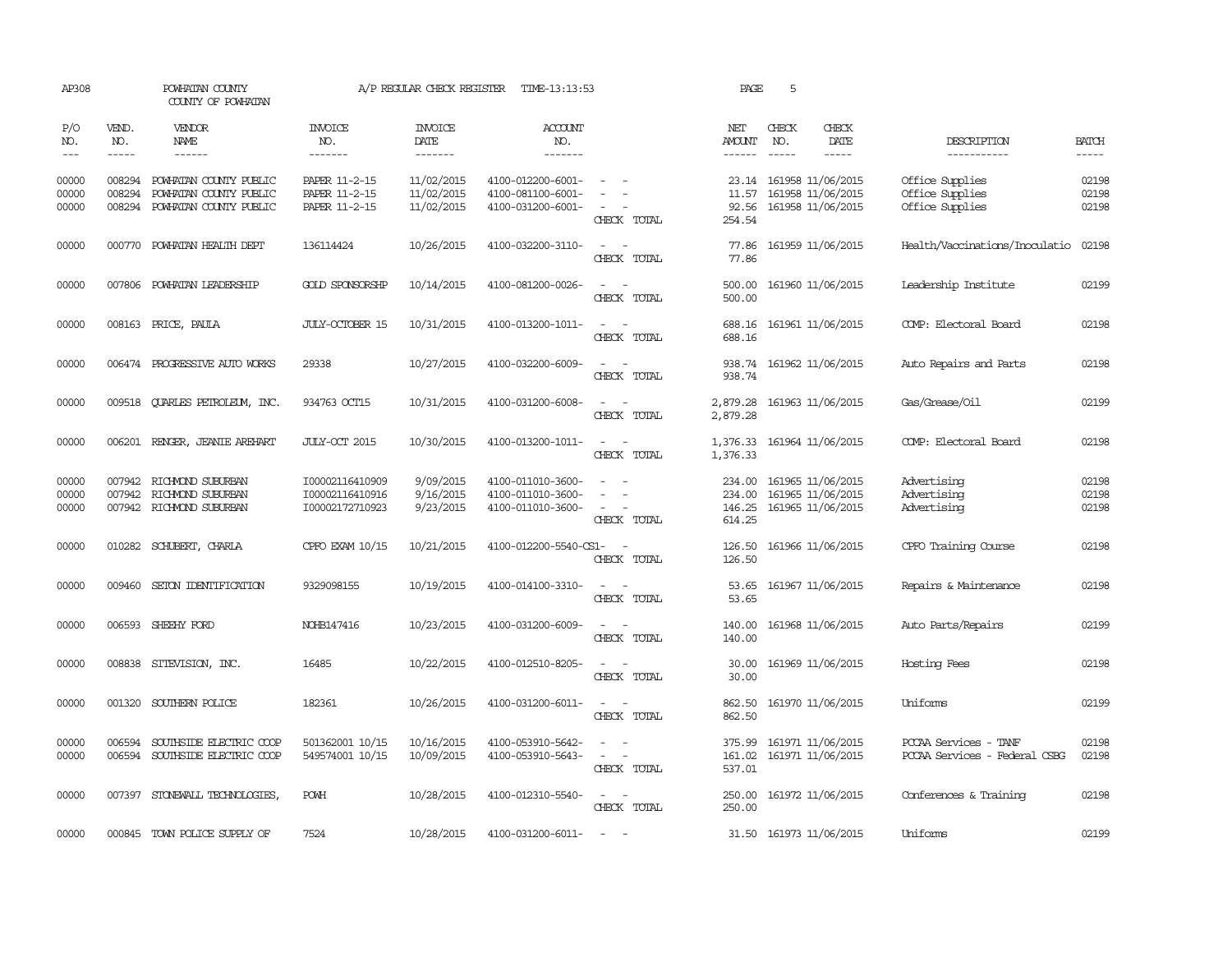| AP308                   |                             | POWHATAN COUNTY<br>COUNTY OF POWHATAN                                      |                                                       | A/P REGULAR CHECK REGISTER               | TIME-13:13:53                                               |                                                                                                                             | PAGE                                   | 5                           |                                                                   |                                                        |                         |
|-------------------------|-----------------------------|----------------------------------------------------------------------------|-------------------------------------------------------|------------------------------------------|-------------------------------------------------------------|-----------------------------------------------------------------------------------------------------------------------------|----------------------------------------|-----------------------------|-------------------------------------------------------------------|--------------------------------------------------------|-------------------------|
| P/O<br>NO.<br>$---$     | VEND.<br>NO.<br>$- - - - -$ | <b>VENDOR</b><br>NAME<br>$- - - - - -$                                     | <b>INVOICE</b><br>NO.<br>-------                      | <b>INVOICE</b><br><b>DATE</b><br>------- | <b>ACCOUNT</b><br>NO.<br>-------                            |                                                                                                                             | NET<br><b>AMOUNT</b><br>------         | CHECK<br>NO.<br>$- - - - -$ | CHECK<br>DATE<br>$- - - - -$                                      | DESCRIPTION<br>-----------                             | <b>BATCH</b><br>-----   |
| 00000<br>00000<br>00000 | 008294<br>008294<br>008294  | POWHATAN COUNTY PUBLIC<br>POWHATAN COUNTY PUBLIC<br>POWHATAN COUNTY PUBLIC | PAPER 11-2-15<br>PAPER 11-2-15<br>PAPER 11-2-15       | 11/02/2015<br>11/02/2015<br>11/02/2015   | 4100-012200-6001-<br>4100-081100-6001-<br>4100-031200-6001- | $\equiv$<br>CHECK TOTAL                                                                                                     | 11.57<br>92.56<br>254.54               |                             | 23.14 161958 11/06/2015<br>161958 11/06/2015<br>161958 11/06/2015 | Office Supplies<br>Office Supplies<br>Office Supplies  | 02198<br>02198<br>02198 |
| 00000                   | 000770                      | POWHATAN HEALTH DEPT                                                       | 136114424                                             | 10/26/2015                               | 4100-032200-3110-                                           | CHECK TOTAL                                                                                                                 | 77.86<br>77.86                         |                             | 161959 11/06/2015                                                 | Health/Vaccinations/Inoculatio                         | 02198                   |
| 00000                   | 007806                      | POWHATAN LEADERSHIP                                                        | <b>GOLD SPONSORSHP</b>                                | 10/14/2015                               | 4100-081200-0026-                                           | CHECK TOTAL                                                                                                                 | 500.00<br>500.00                       |                             | 161960 11/06/2015                                                 | Leadership Institute                                   | 02199                   |
| 00000                   | 008163                      | PRICE, PAULA                                                               | JULY-OCTOBER 15                                       | 10/31/2015                               | 4100-013200-1011-                                           | CHECK TOTAL                                                                                                                 | 688.16<br>688.16                       |                             | 161961 11/06/2015                                                 | COMP: Electoral Board                                  | 02198                   |
| 00000                   |                             | 006474 PROGRESSIVE AUTO WORKS                                              | 29338                                                 | 10/27/2015                               | 4100-032200-6009-                                           | $\sim$<br>CHECK TOTAL                                                                                                       | 938.74<br>938.74                       |                             | 161962 11/06/2015                                                 | Auto Repairs and Parts                                 | 02198                   |
| 00000                   | 009518                      | QUARLES PETROLEUM, INC.                                                    | 934763 OCT15                                          | 10/31/2015                               | 4100-031200-6008-                                           | $\equiv$<br>CHECK TOTAL                                                                                                     | 2,879.28<br>2,879.28                   |                             | 161963 11/06/2015                                                 | Gas/Grease/Oil                                         | 02199                   |
| 00000                   |                             | 006201 RENGER, JEANIE AREHART                                              | JULY-OCT 2015                                         | 10/30/2015                               | 4100-013200-1011-                                           | $\sim$ 100 $\mu$<br>$\sim$<br>CHECK TOTAL                                                                                   | 1,376.33 161964 11/06/2015<br>1,376.33 |                             |                                                                   | COMP: Electoral Board                                  | 02198                   |
| 00000<br>00000<br>00000 | 007942<br>007942            | RICHMOND SUBURBAN<br>RICHMOND SUBURBAN<br>007942 RICHMOND SUBURBAN         | I00002116410909<br>100002116410916<br>I00002172710923 | 9/09/2015<br>9/16/2015<br>9/23/2015      | 4100-011010-3600-<br>4100-011010-3600-<br>4100-011010-3600- | $\sim$<br>$\overline{\phantom{a}}$<br>CHECK TOTAL                                                                           | 234.00<br>234.00<br>146.25<br>614.25   |                             | 161965 11/06/2015<br>161965 11/06/2015<br>161965 11/06/2015       | Advertising<br>Advertising<br>Advertising              | 02198<br>02198<br>02198 |
| 00000                   | 010282                      | SCHUBERT, CHARLA                                                           | CPFO EXAM 10/15                                       | 10/21/2015                               | 4100-012200-5540-CS1-                                       | $\sim$<br>CHECK TOTAL                                                                                                       | 126.50<br>126.50                       |                             | 161966 11/06/2015                                                 | CPFO Training Course                                   | 02198                   |
| 00000                   | 009460                      | SETON IDENTIFICATION                                                       | 9329098155                                            | 10/19/2015                               | 4100-014100-3310-                                           | $\equiv$<br>CHECK TOTAL                                                                                                     | 53.65<br>53.65                         |                             | 161967 11/06/2015                                                 | Repairs & Maintenance                                  | 02198                   |
| 00000                   |                             | 006593 SHEEHY FORD                                                         | NOHB147416                                            | 10/23/2015                               | 4100-031200-6009-                                           | $\sim$<br>CHECK TOTAL                                                                                                       | 140.00<br>140.00                       |                             | 161968 11/06/2015                                                 | Auto Parts/Repairs                                     | 02199                   |
| 00000                   |                             | 008838 SITEVISION, INC.                                                    | 16485                                                 | 10/22/2015                               | 4100-012510-8205-                                           | $\sim$<br>CHECK TOTAL                                                                                                       | 30.00<br>30.00                         |                             | 161969 11/06/2015                                                 | Hosting Fees                                           | 02198                   |
| 00000                   |                             | 001320 SOUTHERN POLICE                                                     | 182361                                                | 10/26/2015                               | 4100-031200-6011-                                           | $\frac{1}{2} \left( \frac{1}{2} \right) \left( \frac{1}{2} \right) = \frac{1}{2} \left( \frac{1}{2} \right)$<br>CHECK TOTAL | 862.50<br>862.50                       |                             | 161970 11/06/2015                                                 | Uniforms                                               | 02199                   |
| 00000<br>00000          | 006594                      | SOUTHSIDE ELECTRIC COOP<br>006594 SOUTHSIDE ELECTRIC COOP                  | 501362001 10/15<br>549574001 10/15                    | 10/16/2015<br>10/09/2015                 | 4100-053910-5642-<br>4100-053910-5643-                      | $\sim$<br>CHECK TOTAL                                                                                                       | 375.99<br>537.01                       |                             | 161971 11/06/2015<br>161.02 161971 11/06/2015                     | PCCAA Services - TANF<br>PCCAA Services - Federal CSBG | 02198<br>02198          |
| 00000                   |                             | 007397 STONEWALL TECHNOLOGIES                                              | <b>POWH</b>                                           | 10/28/2015                               | 4100-012310-5540-                                           | $\sim$<br>CHECK TOTAL                                                                                                       | 250.00<br>250.00                       |                             | 161972 11/06/2015                                                 | Conferences & Training                                 | 02198                   |
| 00000                   |                             | 000845 TOWN POLICE SUPPLY OF                                               | 7524                                                  | 10/28/2015                               | 4100-031200-6011-                                           | $\sim$                                                                                                                      |                                        |                             | 31.50 161973 11/06/2015                                           | Uniforms                                               | 02199                   |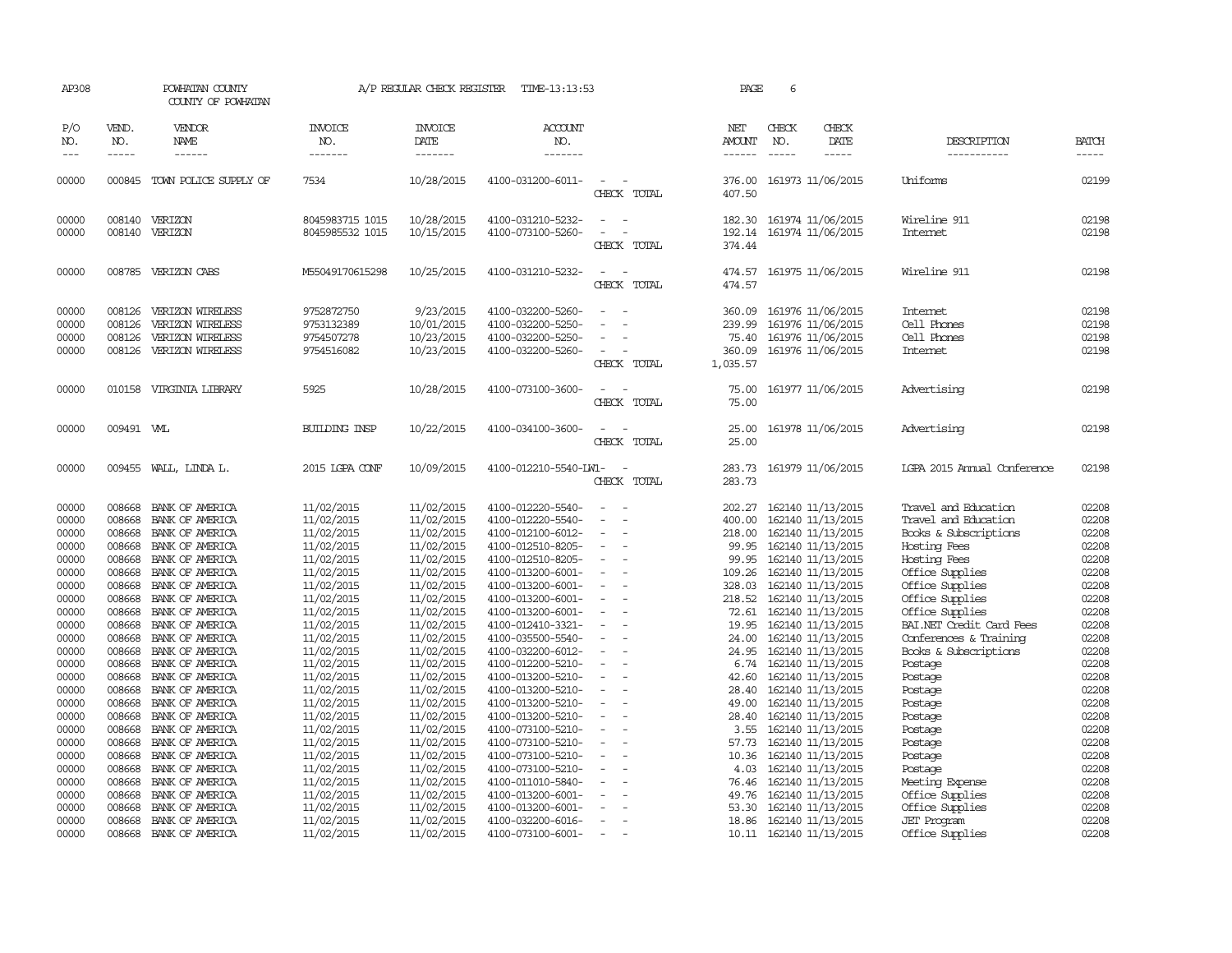| AP308                                                                                                                                                                                                                |                                                                                                                                                                                                                          | POWHATAN COUNTY<br>COUNTY OF POWHATAN                                                                                                                                                                                                                                                                                                                                                                                                                                              |                                                                                                                                                                                                                                                                                                                                              | A/P REGULAR CHECK REGISTER                                                                                                                                                                                                                                                                                                                   | TIME-13:13:53                                                                                                                                                                                                                                                                                                                                                                                                                                                                                                        |                                                        | PAGE                                                                                                                                                                                                           | 6                             |                                                                                                                                                                                                                                                                                                                                                                                                                                                                                                 |                                                                                                                                                                                                                                                                                                                                                                                                           |                                                                                                                                                                                                                      |
|----------------------------------------------------------------------------------------------------------------------------------------------------------------------------------------------------------------------|--------------------------------------------------------------------------------------------------------------------------------------------------------------------------------------------------------------------------|------------------------------------------------------------------------------------------------------------------------------------------------------------------------------------------------------------------------------------------------------------------------------------------------------------------------------------------------------------------------------------------------------------------------------------------------------------------------------------|----------------------------------------------------------------------------------------------------------------------------------------------------------------------------------------------------------------------------------------------------------------------------------------------------------------------------------------------|----------------------------------------------------------------------------------------------------------------------------------------------------------------------------------------------------------------------------------------------------------------------------------------------------------------------------------------------|----------------------------------------------------------------------------------------------------------------------------------------------------------------------------------------------------------------------------------------------------------------------------------------------------------------------------------------------------------------------------------------------------------------------------------------------------------------------------------------------------------------------|--------------------------------------------------------|----------------------------------------------------------------------------------------------------------------------------------------------------------------------------------------------------------------|-------------------------------|-------------------------------------------------------------------------------------------------------------------------------------------------------------------------------------------------------------------------------------------------------------------------------------------------------------------------------------------------------------------------------------------------------------------------------------------------------------------------------------------------|-----------------------------------------------------------------------------------------------------------------------------------------------------------------------------------------------------------------------------------------------------------------------------------------------------------------------------------------------------------------------------------------------------------|----------------------------------------------------------------------------------------------------------------------------------------------------------------------------------------------------------------------|
| P/O<br>NO.<br>$---$                                                                                                                                                                                                  | VEND.<br>NO.<br>$- - - - -$                                                                                                                                                                                              | VENDOR<br>NAME<br>------                                                                                                                                                                                                                                                                                                                                                                                                                                                           | <b>INVOICE</b><br>NO.<br>-------                                                                                                                                                                                                                                                                                                             | <b>INVOICE</b><br>DATE<br>-------                                                                                                                                                                                                                                                                                                            | <b>ACCOUNT</b><br>NO.<br>-------                                                                                                                                                                                                                                                                                                                                                                                                                                                                                     |                                                        | NET<br>AMOUNT<br>------                                                                                                                                                                                        | CHECK<br>NO.<br>$\frac{1}{2}$ | CHECK<br>DATE<br>$- - - - -$                                                                                                                                                                                                                                                                                                                                                                                                                                                                    | DESCRIPTION<br>-----------                                                                                                                                                                                                                                                                                                                                                                                | <b>BATCH</b><br>$- - - - -$                                                                                                                                                                                          |
| 00000                                                                                                                                                                                                                |                                                                                                                                                                                                                          | 000845 TOWN POLICE SUPPLY OF                                                                                                                                                                                                                                                                                                                                                                                                                                                       | 7534                                                                                                                                                                                                                                                                                                                                         | 10/28/2015                                                                                                                                                                                                                                                                                                                                   | 4100-031200-6011-                                                                                                                                                                                                                                                                                                                                                                                                                                                                                                    | $\overline{\phantom{a}}$<br>CHECK TOTAL                | 376.00<br>407.50                                                                                                                                                                                               |                               | 161973 11/06/2015                                                                                                                                                                                                                                                                                                                                                                                                                                                                               | Uniforms                                                                                                                                                                                                                                                                                                                                                                                                  | 02199                                                                                                                                                                                                                |
| 00000<br>00000                                                                                                                                                                                                       | 008140                                                                                                                                                                                                                   | 008140 VERIZON<br>VERIZON                                                                                                                                                                                                                                                                                                                                                                                                                                                          | 8045983715 1015<br>8045985532 1015                                                                                                                                                                                                                                                                                                           | 10/28/2015<br>10/15/2015                                                                                                                                                                                                                                                                                                                     | 4100-031210-5232-<br>4100-073100-5260-                                                                                                                                                                                                                                                                                                                                                                                                                                                                               | CHECK TOTAL                                            | 182.30<br>192.14<br>374.44                                                                                                                                                                                     |                               | 161974 11/06/2015<br>161974 11/06/2015                                                                                                                                                                                                                                                                                                                                                                                                                                                          | Wireline 911<br>Internet                                                                                                                                                                                                                                                                                                                                                                                  | 02198<br>02198                                                                                                                                                                                                       |
| 00000                                                                                                                                                                                                                |                                                                                                                                                                                                                          | 008785 VERIZON CABS                                                                                                                                                                                                                                                                                                                                                                                                                                                                | M55049170615298                                                                                                                                                                                                                                                                                                                              | 10/25/2015                                                                                                                                                                                                                                                                                                                                   | 4100-031210-5232-                                                                                                                                                                                                                                                                                                                                                                                                                                                                                                    | CHECK TOTAL                                            | 474.57<br>474.57                                                                                                                                                                                               |                               | 161975 11/06/2015                                                                                                                                                                                                                                                                                                                                                                                                                                                                               | Wireline 911                                                                                                                                                                                                                                                                                                                                                                                              | 02198                                                                                                                                                                                                                |
| 00000<br>00000<br>00000<br>00000                                                                                                                                                                                     | 008126<br>008126<br>008126<br>008126                                                                                                                                                                                     | VERIZON WIRELESS<br>VERIZON WIRELESS<br>VERIZON WIRELESS<br>VERIZON WIRELESS                                                                                                                                                                                                                                                                                                                                                                                                       | 9752872750<br>9753132389<br>9754507278<br>9754516082                                                                                                                                                                                                                                                                                         | 9/23/2015<br>10/01/2015<br>10/23/2015<br>10/23/2015                                                                                                                                                                                                                                                                                          | 4100-032200-5260-<br>4100-032200-5250-<br>4100-032200-5250-<br>4100-032200-5260-                                                                                                                                                                                                                                                                                                                                                                                                                                     | $\equiv$<br>CHECK TOTAL                                | 360.09<br>239.99<br>75.40<br>360.09<br>1,035.57                                                                                                                                                                |                               | 161976 11/06/2015<br>161976 11/06/2015<br>161976 11/06/2015<br>161976 11/06/2015                                                                                                                                                                                                                                                                                                                                                                                                                | Internet<br>Cell Phones<br>Cell Phones<br>Internet                                                                                                                                                                                                                                                                                                                                                        | 02198<br>02198<br>02198<br>02198                                                                                                                                                                                     |
| 00000                                                                                                                                                                                                                |                                                                                                                                                                                                                          | 010158 VIRGINIA LIBRARY                                                                                                                                                                                                                                                                                                                                                                                                                                                            | 5925                                                                                                                                                                                                                                                                                                                                         | 10/28/2015                                                                                                                                                                                                                                                                                                                                   | 4100-073100-3600-                                                                                                                                                                                                                                                                                                                                                                                                                                                                                                    | CHECK TOTAL                                            | 75.00<br>75.00                                                                                                                                                                                                 |                               | 161977 11/06/2015                                                                                                                                                                                                                                                                                                                                                                                                                                                                               | Advertising                                                                                                                                                                                                                                                                                                                                                                                               | 02198                                                                                                                                                                                                                |
| 00000                                                                                                                                                                                                                | 009491 WL                                                                                                                                                                                                                |                                                                                                                                                                                                                                                                                                                                                                                                                                                                                    | <b>BUILDING INSP</b>                                                                                                                                                                                                                                                                                                                         | 10/22/2015                                                                                                                                                                                                                                                                                                                                   | 4100-034100-3600-                                                                                                                                                                                                                                                                                                                                                                                                                                                                                                    | CHECK TOTAL                                            | 25.00<br>25.00                                                                                                                                                                                                 |                               | 161978 11/06/2015                                                                                                                                                                                                                                                                                                                                                                                                                                                                               | Advertising                                                                                                                                                                                                                                                                                                                                                                                               | 02198                                                                                                                                                                                                                |
| 00000                                                                                                                                                                                                                |                                                                                                                                                                                                                          | 009455 WALL, LINDA L.                                                                                                                                                                                                                                                                                                                                                                                                                                                              | 2015 LGPA CONF                                                                                                                                                                                                                                                                                                                               | 10/09/2015                                                                                                                                                                                                                                                                                                                                   | 4100-012210-5540-LW1-                                                                                                                                                                                                                                                                                                                                                                                                                                                                                                | CHECK TOTAL                                            | 283.73<br>283.73                                                                                                                                                                                               |                               | 161979 11/06/2015                                                                                                                                                                                                                                                                                                                                                                                                                                                                               | <b>IGPA 2015 Annual Conference</b>                                                                                                                                                                                                                                                                                                                                                                        | 02198                                                                                                                                                                                                                |
| 00000<br>00000<br>00000<br>00000<br>00000<br>00000<br>00000<br>00000<br>00000<br>00000<br>00000<br>00000<br>00000<br>00000<br>00000<br>00000<br>00000<br>00000<br>00000<br>00000<br>00000<br>00000<br>00000<br>00000 | 008668<br>008668<br>008668<br>008668<br>008668<br>008668<br>008668<br>008668<br>008668<br>008668<br>008668<br>008668<br>008668<br>008668<br>008668<br>008668<br>008668<br>008668<br>008668<br>008668<br>008668<br>008668 | 008668 BANK OF AMERICA<br>BANK OF AMERICA<br>BANK OF AMERICA<br>BANK OF AMERICA<br>BANK OF AMERICA<br>BANK OF AMERICA<br>BANK OF AMERICA<br>BANK OF AMERICA<br>BANK OF AMERICA<br>BANK OF AMERICA<br>BANK OF AMERICA<br>BANK OF AMERICA<br>BANK OF AMERICA<br>BANK OF AMERICA<br>BANK OF AMERICA<br>BANK OF AMERICA<br>BANK OF AMERICA<br>BANK OF AMERICA<br>BANK OF AMERICA<br>008668 BANK OF AMERICA<br>BANK OF AMERICA<br>BANK OF AMERICA<br>BANK OF AMERICA<br>BANK OF AMERICA | 11/02/2015<br>11/02/2015<br>11/02/2015<br>11/02/2015<br>11/02/2015<br>11/02/2015<br>11/02/2015<br>11/02/2015<br>11/02/2015<br>11/02/2015<br>11/02/2015<br>11/02/2015<br>11/02/2015<br>11/02/2015<br>11/02/2015<br>11/02/2015<br>11/02/2015<br>11/02/2015<br>11/02/2015<br>11/02/2015<br>11/02/2015<br>11/02/2015<br>11/02/2015<br>11/02/2015 | 11/02/2015<br>11/02/2015<br>11/02/2015<br>11/02/2015<br>11/02/2015<br>11/02/2015<br>11/02/2015<br>11/02/2015<br>11/02/2015<br>11/02/2015<br>11/02/2015<br>11/02/2015<br>11/02/2015<br>11/02/2015<br>11/02/2015<br>11/02/2015<br>11/02/2015<br>11/02/2015<br>11/02/2015<br>11/02/2015<br>11/02/2015<br>11/02/2015<br>11/02/2015<br>11/02/2015 | 4100-012220-5540-<br>4100-012220-5540-<br>4100-012100-6012-<br>4100-012510-8205-<br>4100-012510-8205-<br>4100-013200-6001-<br>4100-013200-6001-<br>4100-013200-6001-<br>4100-013200-6001-<br>4100-012410-3321-<br>4100-035500-5540-<br>4100-032200-6012-<br>4100-012200-5210-<br>4100-013200-5210-<br>4100-013200-5210-<br>4100-013200-5210-<br>4100-013200-5210-<br>4100-073100-5210-<br>4100-073100-5210-<br>4100-073100-5210-<br>4100-073100-5210-<br>4100-011010-5840-<br>4100-013200-6001-<br>4100-013200-6001- | $\sim$<br>$\equiv$<br>$\equiv$<br>$\equiv$<br>$\equiv$ | 202.27<br>400.00<br>218.00<br>99.95<br>99.95<br>109.26<br>328.03<br>218.52<br>72.61<br>19.95<br>24.00<br>24.95<br>6.74<br>42.60<br>28.40<br>49.00<br>28.40<br>3.55<br>57.73<br>10.36<br>4.03<br>76.46<br>49.76 |                               | 162140 11/13/2015<br>162140 11/13/2015<br>162140 11/13/2015<br>162140 11/13/2015<br>162140 11/13/2015<br>162140 11/13/2015<br>162140 11/13/2015<br>162140 11/13/2015<br>162140 11/13/2015<br>162140 11/13/2015<br>162140 11/13/2015<br>162140 11/13/2015<br>162140 11/13/2015<br>162140 11/13/2015<br>162140 11/13/2015<br>162140 11/13/2015<br>162140 11/13/2015<br>162140 11/13/2015<br>162140 11/13/2015<br>162140 11/13/2015<br>162140 11/13/2015<br>162140 11/13/2015<br>162140 11/13/2015 | Travel and Education<br>Travel and Education<br>Books & Subscriptions<br>Hosting Fees<br>Hosting Fees<br>Office Supplies<br>Office Supplies<br>Office Supplies<br>Office Supplies<br>BAI.NET Credit Card Fees<br>Conferences & Training<br>Books & Subscriptions<br>Postage<br>Postage<br>Postage<br>Postage<br>Postage<br>Postage<br>Postage<br>Postage<br>Postage<br>Meeting Expense<br>Office Supplies | 02208<br>02208<br>02208<br>02208<br>02208<br>02208<br>02208<br>02208<br>02208<br>02208<br>02208<br>02208<br>02208<br>02208<br>02208<br>02208<br>02208<br>02208<br>02208<br>02208<br>02208<br>02208<br>02208<br>02208 |
| 00000<br>00000                                                                                                                                                                                                       | 008668                                                                                                                                                                                                                   | BANK OF AMERICA<br>008668 BANK OF AMERICA                                                                                                                                                                                                                                                                                                                                                                                                                                          | 11/02/2015<br>11/02/2015                                                                                                                                                                                                                                                                                                                     | 11/02/2015<br>11/02/2015                                                                                                                                                                                                                                                                                                                     | 4100-032200-6016-<br>4100-073100-6001-                                                                                                                                                                                                                                                                                                                                                                                                                                                                               | $\overline{\phantom{a}}$                               | 53.30<br>18.86                                                                                                                                                                                                 |                               | 162140 11/13/2015<br>162140 11/13/2015<br>10.11 162140 11/13/2015                                                                                                                                                                                                                                                                                                                                                                                                                               | Office Supplies<br><b>JET</b> Program<br>Office Supplies                                                                                                                                                                                                                                                                                                                                                  | 02208<br>02208                                                                                                                                                                                                       |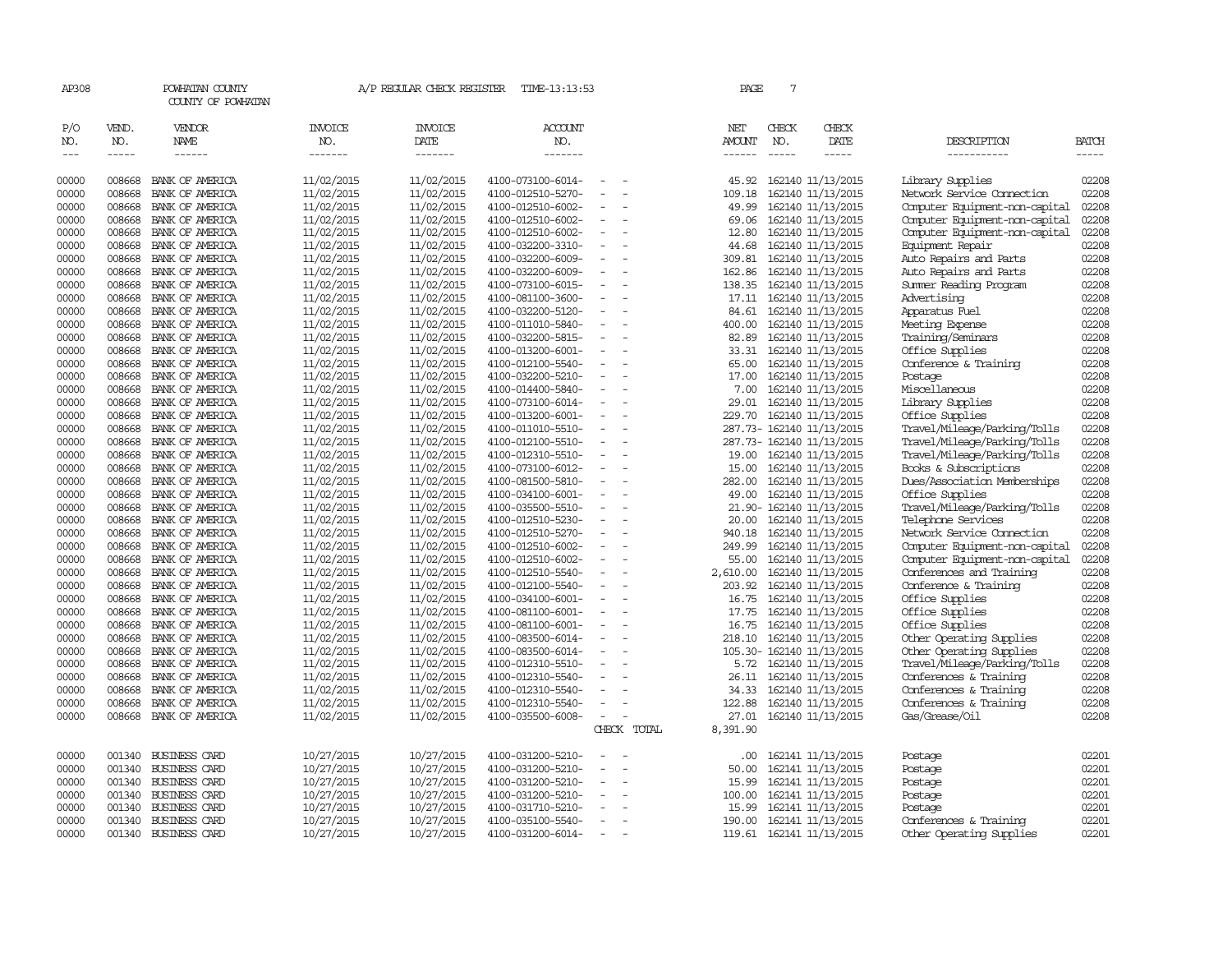| AP308                 |                          | POWHATAN COUNTY<br>COUNTY OF POWHATAN  |                                  | A/P REGULAR CHECK REGISTER        | TIME-13:13:53                          |                                      |             | PAGE                                  | 7                             |                                        |                                                       |                             |
|-----------------------|--------------------------|----------------------------------------|----------------------------------|-----------------------------------|----------------------------------------|--------------------------------------|-------------|---------------------------------------|-------------------------------|----------------------------------------|-------------------------------------------------------|-----------------------------|
| P/O<br>NO.<br>$- - -$ | VEND.<br>NO.<br>$\cdots$ | VENDOR<br><b>NAME</b><br>$- - - - - -$ | <b>INVOICE</b><br>NO.<br>------- | <b>INVOICE</b><br>DATE<br>------- | <b>ACCOUNT</b><br>NO.<br>--------      |                                      |             | NET<br><b>AMOUNT</b><br>$- - - - - -$ | CHECK<br>NO.<br>$\frac{1}{2}$ | CHECK<br>DATE<br>$- - - - -$           | DESCRIPTION<br>-----------                            | <b>BATCH</b><br>$- - - - -$ |
| 00000                 | 008668                   | BANK OF AMERICA                        | 11/02/2015                       | 11/02/2015                        | 4100-073100-6014-                      |                                      |             | 45.92                                 |                               | 162140 11/13/2015                      | Library Supplies                                      | 02208                       |
| 00000                 | 008668                   | BANK OF AMERICA                        | 11/02/2015                       | 11/02/2015                        | 4100-012510-5270-                      |                                      |             | 109.18                                |                               | 162140 11/13/2015                      | Network Service Connection                            | 02208                       |
| 00000                 | 008668                   | BANK OF AMERICA                        | 11/02/2015                       | 11/02/2015                        | 4100-012510-6002-                      | $\equiv$                             |             | 49.99                                 |                               | 162140 11/13/2015                      | Computer Equipment-non-capital                        | 02208                       |
| 00000                 | 008668                   | BANK OF AMERICA                        | 11/02/2015                       | 11/02/2015                        | 4100-012510-6002-                      | $\equiv$                             |             | 69.06                                 |                               | 162140 11/13/2015                      | Computer Equipment-non-capital                        | 02208                       |
| 00000                 | 008668                   | BANK OF AMERICA                        | 11/02/2015                       | 11/02/2015                        | 4100-012510-6002-                      | $\equiv$                             |             | 12.80                                 |                               | 162140 11/13/2015                      | Computer Equipment-non-capital                        | 02208                       |
| 00000                 | 008668                   | BANK OF AMERICA                        | 11/02/2015                       | 11/02/2015                        | 4100-032200-3310-                      | $\equiv$                             |             | 44.68                                 |                               | 162140 11/13/2015                      | Equipment Repair                                      | 02208                       |
| 00000                 | 008668                   | BANK OF AMERICA                        | 11/02/2015                       | 11/02/2015                        | 4100-032200-6009-                      | $\overline{\phantom{a}}$             |             | 309.81                                |                               | 162140 11/13/2015                      | Auto Repairs and Parts                                | 02208                       |
| 00000                 | 008668                   | BANK OF AMERICA                        | 11/02/2015                       | 11/02/2015                        | 4100-032200-6009-                      |                                      |             | 162.86                                |                               | 162140 11/13/2015                      | Auto Repairs and Parts                                | 02208                       |
| 00000                 | 008668                   | BANK OF AMERICA                        | 11/02/2015                       | 11/02/2015                        | 4100-073100-6015-                      |                                      |             | 138.35                                |                               | 162140 11/13/2015                      | Summer Reading Program                                | 02208                       |
| 00000                 | 008668                   | BANK OF AMERICA                        | 11/02/2015                       | 11/02/2015                        | 4100-081100-3600-                      | $\overline{\phantom{a}}$             |             |                                       |                               | 17.11 162140 11/13/2015                | Advertising                                           | 02208                       |
| 00000                 | 008668                   | BANK OF AMERICA                        | 11/02/2015                       | 11/02/2015                        | 4100-032200-5120-                      | $\equiv$                             |             | 84.61                                 |                               | 162140 11/13/2015                      | Apparatus Fuel                                        | 02208                       |
| 00000                 | 008668                   | BANK OF AMERICA                        | 11/02/2015                       | 11/02/2015                        | 4100-011010-5840-                      | $\equiv$                             |             | 400.00                                |                               | 162140 11/13/2015                      | Meeting Expense                                       | 02208                       |
| 00000                 | 008668                   | BANK OF AMERICA                        | 11/02/2015                       | 11/02/2015                        | 4100-032200-5815-                      | $\equiv$                             |             | 82.89                                 |                               | 162140 11/13/2015                      | Training/Seminars                                     | 02208                       |
| 00000                 | 008668                   | BANK OF AMERICA                        | 11/02/2015                       | 11/02/2015                        | 4100-013200-6001-                      | $\overline{\phantom{a}}$             |             | 33.31                                 |                               | 162140 11/13/2015                      | Office Supplies                                       | 02208                       |
| 00000                 | 008668                   | BANK OF AMERICA                        | 11/02/2015                       | 11/02/2015                        | 4100-012100-5540-                      | $\overline{\phantom{a}}$             |             | 65.00                                 |                               | 162140 11/13/2015                      | Conference & Training                                 | 02208                       |
| 00000                 | 008668                   | BANK OF AMERICA                        | 11/02/2015                       | 11/02/2015                        | 4100-032200-5210-                      |                                      |             | 17.00                                 |                               | 162140 11/13/2015                      | Postage                                               | 02208                       |
| 00000                 | 008668                   | BANK OF AMERICA                        | 11/02/2015                       | 11/02/2015                        | 4100-014400-5840-                      | $\equiv$                             |             | 7.00                                  |                               | 162140 11/13/2015                      | Miscellaneous                                         | 02208                       |
| 00000                 | 008668                   | BANK OF AMERICA                        | 11/02/2015                       | 11/02/2015                        | 4100-073100-6014-                      | $\equiv$                             |             | 29.01                                 |                               | 162140 11/13/2015                      | Library Supplies                                      | 02208                       |
| 00000                 | 008668                   | BANK OF AMERICA                        | 11/02/2015                       | 11/02/2015                        | 4100-013200-6001-                      | $\equiv$                             |             | 229.70                                |                               | 162140 11/13/2015                      | Office Supplies                                       | 02208                       |
| 00000                 | 008668                   | BANK OF AMERICA                        | 11/02/2015                       | 11/02/2015                        | 4100-011010-5510-                      | $\overline{\phantom{a}}$             |             |                                       |                               | 287.73- 162140 11/13/2015              | Travel/Mileage/Parking/Tolls                          | 02208                       |
| 00000<br>00000        | 008668<br>008668         | BANK OF AMERICA<br>BANK OF AMERICA     | 11/02/2015                       | 11/02/2015                        | 4100-012100-5510-<br>4100-012310-5510- | $\equiv$<br>$\overline{\phantom{a}}$ |             |                                       |                               | 287.73- 162140 11/13/2015              | Travel/Mileage/Parking/Tolls                          | 02208<br>02208              |
| 00000                 | 008668                   | BANK OF AMERICA                        | 11/02/2015                       | 11/02/2015<br>11/02/2015          | 4100-073100-6012-                      |                                      |             | 19.00<br>15.00                        |                               | 162140 11/13/2015<br>162140 11/13/2015 | Travel/Mileage/Parking/Tolls                          | 02208                       |
| 00000                 | 008668                   | BANK OF AMERICA                        | 11/02/2015<br>11/02/2015         | 11/02/2015                        | 4100-081500-5810-                      | $\equiv$                             |             | 282.00                                |                               | 162140 11/13/2015                      | Books & Subscriptions<br>Dues/Association Memberships | 02208                       |
| 00000                 | 008668                   | BANK OF AMERICA                        | 11/02/2015                       | 11/02/2015                        | 4100-034100-6001-                      | $\equiv$                             |             | 49.00                                 |                               | 162140 11/13/2015                      | Office Supplies                                       | 02208                       |
| 00000                 | 008668                   | BANK OF AMERICA                        | 11/02/2015                       | 11/02/2015                        | 4100-035500-5510-                      | $\equiv$                             |             |                                       |                               | 21.90- 162140 11/13/2015               | Travel/Mileage/Parking/Tolls                          | 02208                       |
| 00000                 | 008668                   | BANK OF AMERICA                        | 11/02/2015                       | 11/02/2015                        | 4100-012510-5230-                      | $\overline{\phantom{a}}$             |             | 20.00                                 |                               | 162140 11/13/2015                      | Telephone Services                                    | 02208                       |
| 00000                 | 008668                   | BANK OF AMERICA                        | 11/02/2015                       | 11/02/2015                        | 4100-012510-5270-                      | $\overline{\phantom{a}}$             |             | 940.18                                |                               | 162140 11/13/2015                      | Network Service Connection                            | 02208                       |
| 00000                 | 008668                   | BANK OF AMERICA                        | 11/02/2015                       | 11/02/2015                        | 4100-012510-6002-                      | $\overline{\phantom{a}}$             |             | 249.99                                |                               | 162140 11/13/2015                      | Computer Equipment-non-capital                        | 02208                       |
| 00000                 | 008668                   | BANK OF AMERICA                        | 11/02/2015                       | 11/02/2015                        | 4100-012510-6002-                      |                                      |             | 55.00                                 |                               | 162140 11/13/2015                      | Computer Equipment-non-capital                        | 02208                       |
| 00000                 | 008668                   | BANK OF AMERICA                        | 11/02/2015                       | 11/02/2015                        | 4100-012510-5540-                      | $\overline{\phantom{a}}$             |             | 2,610.00                              |                               | 162140 11/13/2015                      | Conferences and Training                              | 02208                       |
| 00000                 | 008668                   | BANK OF AMERICA                        | 11/02/2015                       | 11/02/2015                        | 4100-012100-5540-                      | $\equiv$                             |             | 203.92                                |                               | 162140 11/13/2015                      | Conference & Training                                 | 02208                       |
| 00000                 | 008668                   | BANK OF AMERICA                        | 11/02/2015                       | 11/02/2015                        | 4100-034100-6001-                      | $\equiv$                             |             | 16.75                                 |                               | 162140 11/13/2015                      | Office Supplies                                       | 02208                       |
| 00000                 | 008668                   | BANK OF AMERICA                        | 11/02/2015                       | 11/02/2015                        | 4100-081100-6001-                      | $\overline{\phantom{a}}$             |             | 17.75                                 |                               | 162140 11/13/2015                      | Office Supplies                                       | 02208                       |
| 00000                 | 008668                   | BANK OF AMERICA                        | 11/02/2015                       | 11/02/2015                        | 4100-081100-6001-                      | $\overline{\phantom{a}}$             |             | 16.75                                 |                               | 162140 11/13/2015                      | Office Supplies                                       | 02208                       |
| 00000                 | 008668                   | BANK OF AMERICA                        | 11/02/2015                       | 11/02/2015                        | 4100-083500-6014-                      | $\overline{\phantom{a}}$             |             | 218.10                                |                               | 162140 11/13/2015                      | Other Operating Supplies                              | 02208                       |
| 00000                 | 008668                   | BANK OF AMERICA                        | 11/02/2015                       | 11/02/2015                        | 4100-083500-6014-                      | $\overline{\phantom{a}}$             |             |                                       |                               | 105.30- 162140 11/13/2015              | Other Operating Supplies                              | 02208                       |
| 00000                 | 008668                   | BANK OF AMERICA                        | 11/02/2015                       | 11/02/2015                        | 4100-012310-5510-                      | $\sim$                               |             | 5.72                                  |                               | 162140 11/13/2015                      | Travel/Mileage/Parking/Tolls                          | 02208                       |
| 00000                 | 008668                   | BANK OF AMERICA                        | 11/02/2015                       | 11/02/2015                        | 4100-012310-5540-                      | $\overline{\phantom{a}}$             |             | 26.11                                 |                               | 162140 11/13/2015                      | Conferences & Training                                | 02208                       |
| 00000                 | 008668                   | BANK OF AMERICA                        | 11/02/2015                       | 11/02/2015                        | 4100-012310-5540-                      |                                      |             | 34.33                                 |                               | 162140 11/13/2015                      | Conferences & Training                                | 02208                       |
| 00000                 | 008668                   | BANK OF AMERICA                        | 11/02/2015                       | 11/02/2015                        | 4100-012310-5540-                      | $\equiv$                             |             | 122.88                                |                               | 162140 11/13/2015                      | Conferences & Training                                | 02208                       |
| 00000                 | 008668                   | BANK OF AMERICA                        | 11/02/2015                       | 11/02/2015                        | 4100-035500-6008-                      | $\overline{\phantom{a}}$             |             | 27.01                                 |                               | 162140 11/13/2015                      | Gas/Grease/Oil                                        | 02208                       |
|                       |                          |                                        |                                  |                                   |                                        |                                      | CHECK TOTAL | 8,391.90                              |                               |                                        |                                                       |                             |
| 00000                 | 001340                   | <b>BUSINESS CARD</b>                   | 10/27/2015                       | 10/27/2015                        | 4100-031200-5210-                      |                                      |             | .00.                                  |                               | 162141 11/13/2015                      | Postage                                               | 02201                       |
| 00000                 | 001340                   | <b>BUSINESS CARD</b>                   | 10/27/2015                       | 10/27/2015                        | 4100-031200-5210-                      | $\equiv$                             |             | 50.00                                 |                               | 162141 11/13/2015                      | Postage                                               | 02201                       |
| 00000                 | 001340                   | BUSINESS CARD                          | 10/27/2015                       | 10/27/2015                        | 4100-031200-5210-                      | $\equiv$                             |             | 15.99                                 |                               | 162141 11/13/2015                      | Postage                                               | 02201                       |
| 00000                 | 001340                   | <b>BUSINESS CARD</b>                   | 10/27/2015                       | 10/27/2015                        | 4100-031200-5210-                      | $\sim$                               |             | 100.00                                |                               | 162141 11/13/2015                      | Postage                                               | 02201                       |
| 00000                 | 001340                   | <b>BUSINESS CARD</b>                   | 10/27/2015                       | 10/27/2015                        | 4100-031710-5210-                      | $\overline{\phantom{a}}$             |             | 15.99                                 |                               | 162141 11/13/2015                      | Postage                                               | 02201                       |
| 00000                 | 001340                   | <b>BUSINESS CARD</b>                   | 10/27/2015                       | 10/27/2015                        | 4100-035100-5540-                      | $\overline{\phantom{a}}$             |             | 190.00                                |                               | 162141 11/13/2015                      | Conferences & Training                                | 02201                       |
| 00000                 | 001340                   | <b>BUSINESS CARD</b>                   | 10/27/2015                       | 10/27/2015                        | 4100-031200-6014-                      | $\sim$                               |             | 119.61                                |                               | 162141 11/13/2015                      | Other Operating Supplies                              | 02201                       |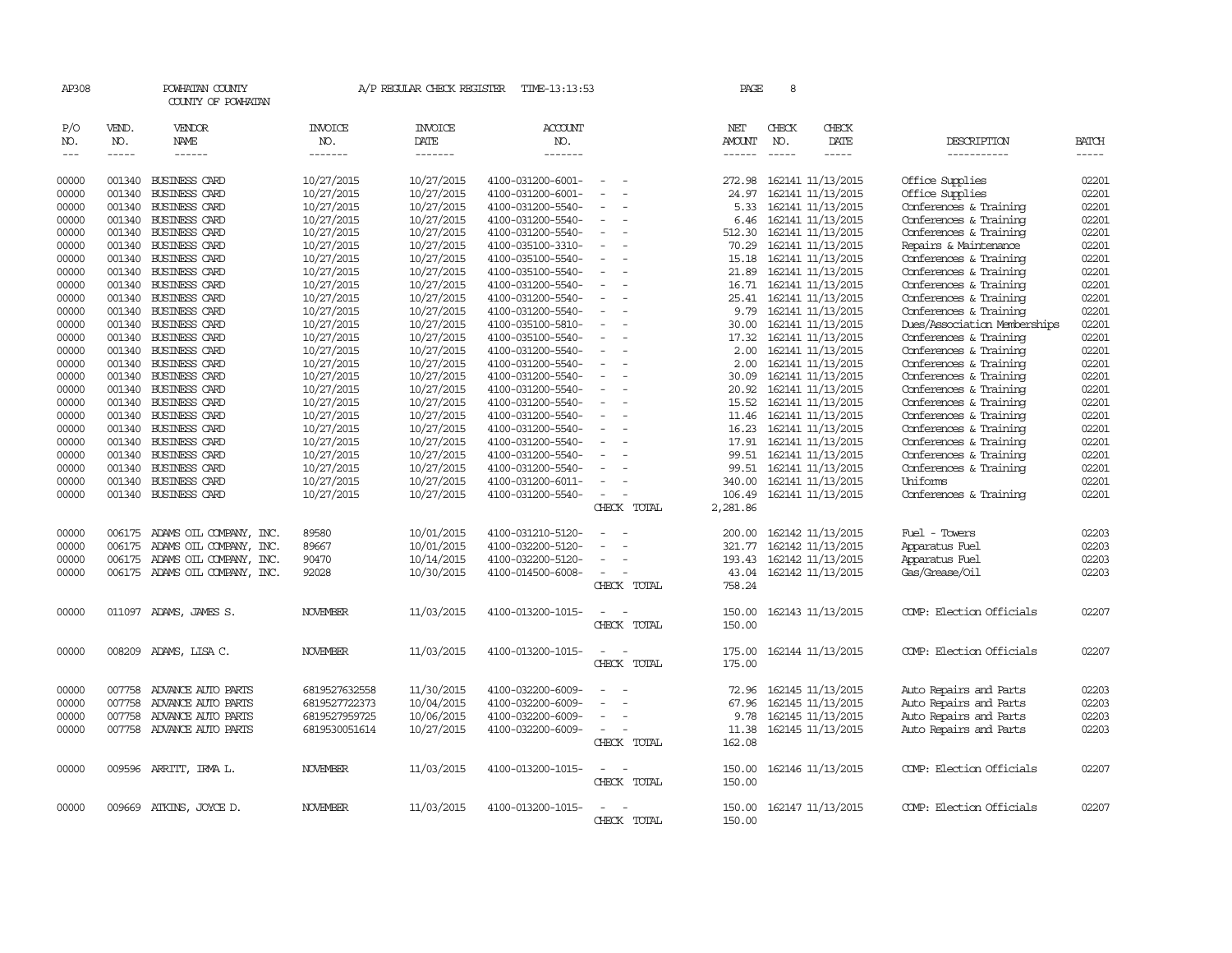| AP308                       |                       | POWHATAN COUNTY<br>COUNTY OF POWHATAN  |                                  | A/P REGULAR CHECK REGISTER        | TIME-13:13:53                    |                                      | PAGE                           | 8                           |                          |                              |                          |
|-----------------------------|-----------------------|----------------------------------------|----------------------------------|-----------------------------------|----------------------------------|--------------------------------------|--------------------------------|-----------------------------|--------------------------|------------------------------|--------------------------|
| P/O<br>NO.<br>$\frac{1}{2}$ | VEND.<br>NO.<br>----- | VENDOR<br><b>NAME</b><br>$- - - - - -$ | <b>INVOICE</b><br>NO.<br>------- | <b>INVOICE</b><br>DATE<br>------- | <b>ACCOUNT</b><br>NO.<br>------- |                                      | NET<br>AMOUNT<br>$- - - - - -$ | CHECK<br>NO.<br>$- - - - -$ | CHECK<br>DATE<br>-----   | DESCRIPTION<br>___________   | <b>BATCH</b><br>$\cdots$ |
| 00000                       |                       | 001340 BUSINESS CARD                   | 10/27/2015                       | 10/27/2015                        | 4100-031200-6001-                | $\overline{\phantom{a}}$             | 272.98                         |                             | 162141 11/13/2015        | Office Supplies              | 02201                    |
| 00000                       | 001340                | <b>BUSINESS CARD</b>                   | 10/27/2015                       | 10/27/2015                        | 4100-031200-6001-                | $\overline{\phantom{a}}$<br>$\sim$   | 24.97                          |                             | 162141 11/13/2015        | Office Supplies              | 02201                    |
| 00000                       |                       | 001340 BUSINESS CARD                   | 10/27/2015                       | 10/27/2015                        | 4100-031200-5540-                |                                      | 5.33                           |                             | 162141 11/13/2015        | Conferences & Training       | 02201                    |
| 00000                       |                       | 001340 BUSINESS CARD                   | 10/27/2015                       | 10/27/2015                        | 4100-031200-5540-                | $\equiv$                             | 6.46                           |                             | 162141 11/13/2015        | Conferences & Training       | 02201                    |
| 00000                       |                       | 001340 BUSINESS CARD                   | 10/27/2015                       | 10/27/2015                        | 4100-031200-5540-                |                                      | 512.30                         |                             | 162141 11/13/2015        | Conferences & Training       | 02201                    |
| 00000                       |                       | 001340 BUSINESS CARD                   | 10/27/2015                       | 10/27/2015                        | 4100-035100-3310-                | $\overline{\phantom{a}}$             | 70.29                          |                             | 162141 11/13/2015        | Repairs & Maintenance        | 02201                    |
| 00000                       |                       | 001340 BUSINESS CARD                   | 10/27/2015                       | 10/27/2015                        | 4100-035100-5540-                |                                      | 15.18                          |                             | 162141 11/13/2015        | Conferences & Training       | 02201                    |
| 00000                       |                       | 001340 BUSINESS CARD                   | 10/27/2015                       | 10/27/2015                        | 4100-035100-5540-                |                                      | 21.89                          |                             | 162141 11/13/2015        | Conferences & Training       | 02201                    |
| 00000                       |                       | 001340 BUSINESS CARD                   | 10/27/2015                       | 10/27/2015                        | 4100-031200-5540-                | $\equiv$<br>$\overline{\phantom{a}}$ | 16.71                          |                             | 162141 11/13/2015        | Conferences & Training       | 02201                    |
| 00000                       |                       | 001340 BUSINESS CARD                   | 10/27/2015                       | 10/27/2015                        | 4100-031200-5540-                | $\overline{\phantom{a}}$             | 25.41                          |                             | 162141 11/13/2015        | Conferences & Training       | 02201                    |
| 00000                       |                       | 001340 BUSINESS CARD                   | 10/27/2015                       | 10/27/2015                        | 4100-031200-5540-                |                                      | 9.79                           |                             | 162141 11/13/2015        | Conferences & Training       | 02201                    |
| 00000                       |                       | 001340 BUSINESS CARD                   | 10/27/2015                       | 10/27/2015                        | 4100-035100-5810-                | $\equiv$<br>$\overline{\phantom{a}}$ | 30.00                          |                             | 162141 11/13/2015        | Dues/Association Memberships | 02201                    |
| 00000                       |                       | 001340 BUSINESS CARD                   | 10/27/2015                       | 10/27/2015                        | 4100-035100-5540-                | $\sim$                               | 17.32                          |                             | 162141 11/13/2015        | Conferences & Training       | 02201                    |
| 00000                       |                       | 001340 BUSINESS CARD                   | 10/27/2015                       | 10/27/2015                        | 4100-031200-5540-                |                                      | 2.00                           |                             | 162141 11/13/2015        | Conferences & Training       | 02201                    |
| 00000                       |                       | 001340 BUSINESS CARD                   | 10/27/2015                       | 10/27/2015                        | 4100-031200-5540-                | $\overline{\phantom{a}}$             | 2.00                           |                             | 162141 11/13/2015        | Conferences & Training       | 02201                    |
| 00000                       |                       | 001340 BUSINESS CARD                   | 10/27/2015                       | 10/27/2015                        | 4100-031200-5540-                | $\omega$                             | 30.09                          |                             | 162141 11/13/2015        | Conferences & Training       | 02201                    |
| 00000                       |                       | 001340 BUSINESS CARD                   | 10/27/2015                       | 10/27/2015                        | 4100-031200-5540-                |                                      | 20.92                          |                             | 162141 11/13/2015        | Conferences & Training       | 02201                    |
| 00000                       |                       | 001340 BUSINESS CARD                   | 10/27/2015                       | 10/27/2015                        | 4100-031200-5540-                |                                      | 15.52                          |                             | 162141 11/13/2015        | Conferences & Training       | 02201                    |
| 00000                       |                       | 001340 BUSINESS CARD                   | 10/27/2015                       | 10/27/2015                        | 4100-031200-5540-                | $\overline{\phantom{a}}$             | 11.46                          |                             | 162141 11/13/2015        | Conferences & Training       | 02201                    |
| 00000                       |                       | 001340 BUSINESS CARD                   | 10/27/2015                       | 10/27/2015                        | 4100-031200-5540-                |                                      | 16.23                          |                             | 162141 11/13/2015        | Conferences & Training       | 02201                    |
| 00000                       |                       | 001340 BUSINESS CARD                   | 10/27/2015                       | 10/27/2015                        | 4100-031200-5540-                |                                      | 17.91                          |                             | 162141 11/13/2015        | Conferences & Training       | 02201                    |
| 00000                       |                       | 001340 BUSINESS CARD                   | 10/27/2015                       | 10/27/2015                        | 4100-031200-5540-                | $\overline{\phantom{a}}$             | 99.51                          |                             | 162141 11/13/2015        | Conferences & Training       | 02201                    |
| 00000                       |                       | 001340 BUSINESS CARD                   | 10/27/2015                       | 10/27/2015                        | 4100-031200-5540-                |                                      | 99.51                          |                             | 162141 11/13/2015        | Conferences & Training       | 02201                    |
| 00000                       |                       | 001340 BUSINESS CARD                   | 10/27/2015                       | 10/27/2015                        | 4100-031200-6011-                |                                      | 340.00                         |                             | 162141 11/13/2015        | Uniforms                     | 02201                    |
| 00000                       |                       | 001340 BUSINESS CARD                   | 10/27/2015                       | 10/27/2015                        | 4100-031200-5540-                | $\sim$                               | 106.49                         |                             | 162141 11/13/2015        | Conferences & Training       | 02201                    |
|                             |                       |                                        |                                  |                                   |                                  | CHECK TOTAL                          | 2,281.86                       |                             |                          |                              |                          |
| 00000                       |                       | 006175 ADAMS OIL COMPANY, INC.         | 89580                            | 10/01/2015                        | 4100-031210-5120-                |                                      | 200.00                         |                             | 162142 11/13/2015        | Fuel - Towers                | 02203                    |
| 00000                       | 006175                | ADAMS OIL COMPANY, INC.                | 89667                            | 10/01/2015                        | 4100-032200-5120-                |                                      | 321.77                         |                             | 162142 11/13/2015        | Apparatus Fuel               | 02203                    |
| 00000                       |                       | 006175 ADAMS OIL COMPANY, INC.         | 90470                            | 10/14/2015                        | 4100-032200-5120-                |                                      | 193.43                         |                             | 162142 11/13/2015        | Apparatus Fuel               | 02203                    |
| 00000                       |                       | 006175 ADAMS OIL COMPANY, INC.         | 92028                            | 10/30/2015                        | 4100-014500-6008-                | $\equiv$                             | 43.04                          |                             | 162142 11/13/2015        | Gas/Grease/Oil               | 02203                    |
|                             |                       |                                        |                                  |                                   |                                  | CHECK TOTAL                          | 758.24                         |                             |                          |                              |                          |
| 00000                       |                       | 011097 ADAMS, JAMES S.                 | <b>NOVEMBER</b>                  | 11/03/2015                        | 4100-013200-1015-                | $\overline{\phantom{a}}$             | 150.00                         |                             | 162143 11/13/2015        | COMP: Election Officials     | 02207                    |
|                             |                       |                                        |                                  |                                   |                                  | CHECK TOTAL                          | 150.00                         |                             |                          |                              |                          |
| 00000                       |                       | 008209 ADAMS, LISA C.                  | NOVEMBER                         | 11/03/2015                        | 4100-013200-1015-                | $\sim$ $-$                           | 175.00                         |                             | 162144 11/13/2015        | COMP: Election Officials     | 02207                    |
|                             |                       |                                        |                                  |                                   |                                  | CHECK TOTAL                          | 175.00                         |                             |                          |                              |                          |
| 00000                       | 007758                | ADVANCE AUTO PARTS                     | 6819527632558                    | 11/30/2015                        | 4100-032200-6009-                |                                      | 72.96                          |                             | 162145 11/13/2015        | Auto Repairs and Parts       | 02203                    |
| 00000                       | 007758                | ADVANCE AUTO PARTS                     | 6819527722373                    | 10/04/2015                        | 4100-032200-6009-                |                                      | 67.96                          |                             | 162145 11/13/2015        | Auto Repairs and Parts       | 02203                    |
| 00000                       | 007758                | ADVANCE AUTO PARTS                     | 6819527959725                    | 10/06/2015                        | 4100-032200-6009-                |                                      | 9.78                           |                             | 162145 11/13/2015        | Auto Repairs and Parts       | 02203                    |
| 00000                       |                       | 007758 ADVANCE AUTO PARTS              | 6819530051614                    | 10/27/2015                        | 4100-032200-6009-                | $\equiv$<br>$\overline{\phantom{a}}$ | 11.38                          |                             | 162145 11/13/2015        | Auto Repairs and Parts       | 02203                    |
|                             |                       |                                        |                                  |                                   |                                  | CHECK TOTAL                          | 162.08                         |                             |                          |                              |                          |
| 00000                       |                       | 009596 ARRITT, IRMA L.                 | <b>NOVEMBER</b>                  | 11/03/2015                        | 4100-013200-1015-                | $\overline{\phantom{a}}$             |                                |                             | 150.00 162146 11/13/2015 | COMP: Election Officials     | 02207                    |
|                             |                       |                                        |                                  |                                   |                                  | CHECK TOTAL                          | 150.00                         |                             |                          |                              |                          |
| 00000                       |                       | 009669 ATKINS, JOYCE D.                | <b>NOVEMBER</b>                  | 11/03/2015                        | 4100-013200-1015-                |                                      | 150.00                         |                             | 162147 11/13/2015        | COMP: Election Officials     | 02207                    |
|                             |                       |                                        |                                  |                                   |                                  | CHECK TOTAL                          | 150.00                         |                             |                          |                              |                          |
|                             |                       |                                        |                                  |                                   |                                  |                                      |                                |                             |                          |                              |                          |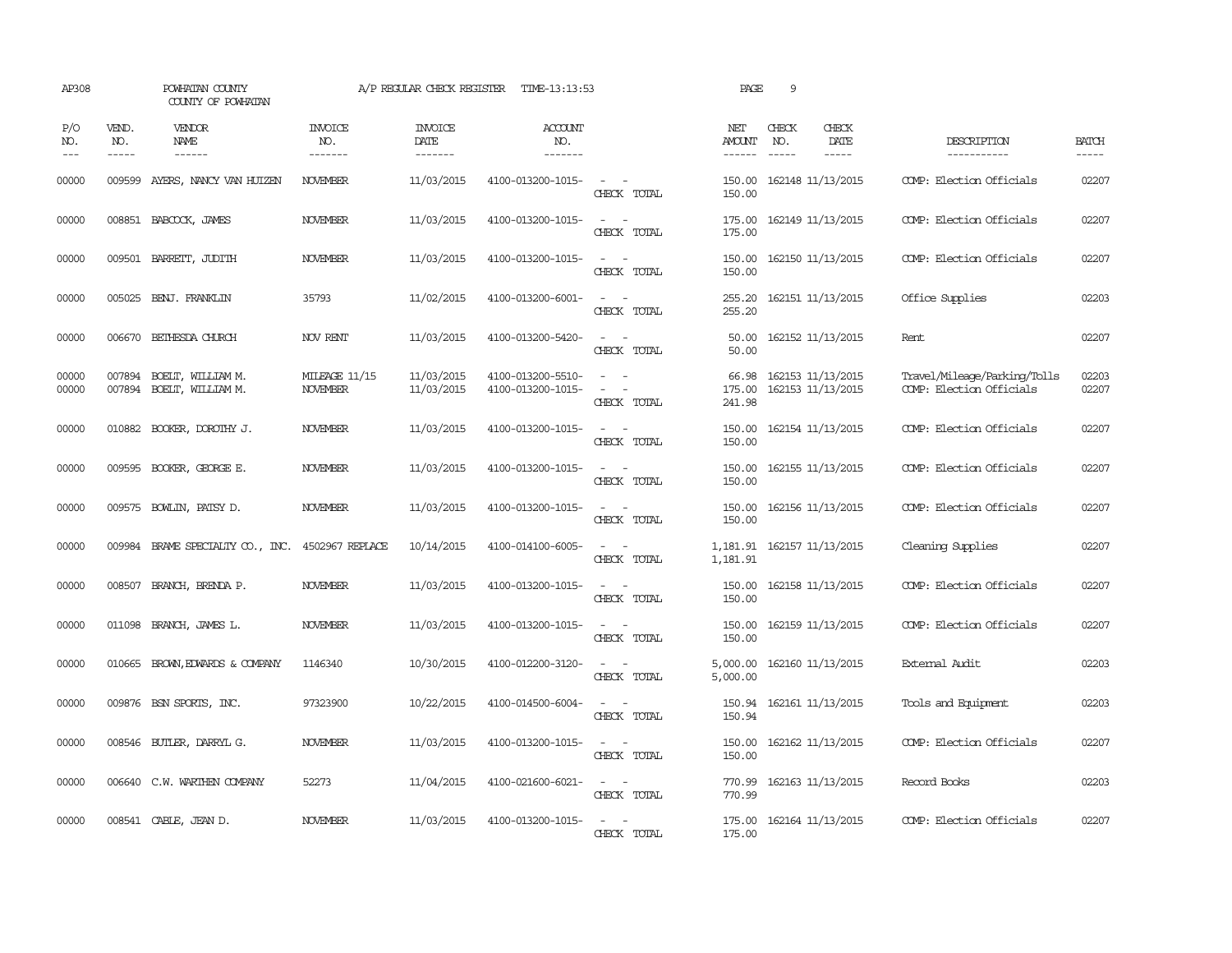| AP308              |                             | POWHATAN COUNTY<br>COUNTY OF POWHATAN            |                                         | A/P REGULAR CHECK REGISTER        | TIME-13:13:53                          |                                                                                                                             | PAGE                                      | 9            |                                        |                                                          |                       |
|--------------------|-----------------------------|--------------------------------------------------|-----------------------------------------|-----------------------------------|----------------------------------------|-----------------------------------------------------------------------------------------------------------------------------|-------------------------------------------|--------------|----------------------------------------|----------------------------------------------------------|-----------------------|
| P/O<br>NO.<br>$--$ | VEND.<br>NO.<br>$- - - - -$ | VENDOR<br>NAME<br>$- - - - - -$                  | <b>INVOICE</b><br>NO.<br>--------       | <b>INVOICE</b><br>DATE<br>------- | ACCOUNT<br>NO.<br>-------              |                                                                                                                             | NET<br>AMOUNT<br>$- - - - - -$            | CHECK<br>NO. | CHECK<br>DATE<br>$- - - - -$           | DESCRIPTION<br>-----------                               | <b>BATCH</b><br>----- |
| 00000              | 009599                      | AYERS, NANCY VAN HUIZEN                          | <b>NOVEMBER</b>                         | 11/03/2015                        | 4100-013200-1015-                      | $\sim$<br>CHECK TOTAL                                                                                                       | 150.00<br>150.00                          |              | 162148 11/13/2015                      | COMP: Election Officials                                 | 02207                 |
| 00000              |                             | 008851 BABCOCK, JAMES                            | <b>NOVEMBER</b>                         | 11/03/2015                        | 4100-013200-1015-                      | $\sim$ .<br>$\sim$<br>CHECK TOTAL                                                                                           | 175.00<br>175.00                          |              | 162149 11/13/2015                      | COMP: Election Officials                                 | 02207                 |
| 00000              | 009501                      | BARREIT, JUDITH                                  | <b>NOVEMBER</b>                         | 11/03/2015                        | 4100-013200-1015-                      | $\sim$<br>$\sim$<br>CHECK TOTAL                                                                                             | 150.00<br>150.00                          |              | 162150 11/13/2015                      | COMP: Election Officials                                 | 02207                 |
| 00000              |                             | 005025 BENJ. FRANKLIN                            | 35793                                   | 11/02/2015                        | 4100-013200-6001-                      | $\sim$<br>$\sim$<br>CHECK TOTAL                                                                                             | 255.20<br>255.20                          |              | 162151 11/13/2015                      | Office Supplies                                          | 02203                 |
| 00000              |                             | 006670 BETHESDA CHURCH                           | NOV RENT                                | 11/03/2015                        | 4100-013200-5420-                      | $\overline{\phantom{a}}$<br>$\overline{\phantom{a}}$<br>CHECK TOTAL                                                         | 50.00<br>50.00                            |              | 162152 11/13/2015                      | Rent                                                     | 02207                 |
| 00000<br>00000     | 007894<br>007894            | BOELT, WILLIAM M.<br>BOELT, WILLIAM M.           | <b>MILEAGE 11/15</b><br><b>NOVEMBER</b> | 11/03/2015<br>11/03/2015          | 4100-013200-5510-<br>4100-013200-1015- | $\overline{\phantom{a}}$<br>CHECK TOTAL                                                                                     | 66.98<br>175.00<br>241.98                 |              | 162153 11/13/2015<br>162153 11/13/2015 | Travel/Mileage/Parking/Tolls<br>COMP: Election Officials | 02203<br>02207        |
| 00000              |                             | 010882 BOOKER, DOROTHY J.                        | <b>NOVEMBER</b>                         | 11/03/2015                        | 4100-013200-1015-                      | CHECK TOTAL                                                                                                                 | 150.00<br>150.00                          |              | 162154 11/13/2015                      | COMP: Election Officials                                 | 02207                 |
| 00000              | 009595                      | BOOKER, GEORGE E.                                | <b>NOVEMBER</b>                         | 11/03/2015                        | 4100-013200-1015-                      | $\overline{\phantom{a}}$<br>CHECK TOTAL                                                                                     | 150.00<br>150.00                          |              | 162155 11/13/2015                      | COMP: Election Officials                                 | 02207                 |
| 00000              |                             | 009575 BOWLIN, PATSY D.                          | <b>NOVEMBER</b>                         | 11/03/2015                        | 4100-013200-1015-                      | $\overline{\phantom{a}}$<br>CHECK TOTAL                                                                                     | 150.00<br>150.00                          |              | 162156 11/13/2015                      | COMP: Election Officials                                 | 02207                 |
| 00000              |                             | 009984 BRAME SPECIALIY CO., INC. 4502967 REPLACE |                                         | 10/14/2015                        | 4100-014100-6005-                      | $\overline{\phantom{a}}$<br>CHECK TOTAL                                                                                     | 1, 181.91  162157  11/13/2015<br>1,181.91 |              |                                        | Cleaning Supplies                                        | 02207                 |
| 00000              | 008507                      | BRANCH, BRENDA P.                                | <b>NOVEMBER</b>                         | 11/03/2015                        | 4100-013200-1015-                      | $\sim$ $\sim$<br>$\sim$<br>CHECK TOTAL                                                                                      | 150.00<br>150.00                          |              | 162158 11/13/2015                      | COMP: Election Officials                                 | 02207                 |
| 00000              |                             | 011098 BRANCH, JAMES L.                          | <b>NOVEMBER</b>                         | 11/03/2015                        | 4100-013200-1015-                      | $\equiv$<br>$\sim$<br>CHECK TOTAL                                                                                           | 150.00<br>150.00                          |              | 162159 11/13/2015                      | COMP: Election Officials                                 | 02207                 |
| 00000              |                             | 010665 BROWN, EDWARDS & COMPANY                  | 1146340                                 | 10/30/2015                        | 4100-012200-3120-                      | $\sim$<br>$\overline{\phantom{a}}$<br>CHECK TOTAL                                                                           | 5,000.00<br>5,000.00                      |              | 162160 11/13/2015                      | External Audit                                           | 02203                 |
| 00000              |                             | 009876 BSN SPORTS, INC.                          | 97323900                                | 10/22/2015                        | 4100-014500-6004-                      | $\overline{\phantom{a}}$<br>$\overline{\phantom{a}}$<br>CHECK TOTAL                                                         | 150.94<br>150.94                          |              | 162161 11/13/2015                      | Tools and Equipment                                      | 02203                 |
| 00000              |                             | 008546 BUTLER, DARRYL G.                         | <b>NOVEMBER</b>                         | 11/03/2015                        | 4100-013200-1015-                      | $\sim$<br>$\sim$<br>CHECK TOTAL                                                                                             | 150.00<br>150.00                          |              | 162162 11/13/2015                      | COMP: Election Officials                                 | 02207                 |
| 00000              |                             | 006640 C.W. WARTHEN COMPANY                      | 52273                                   | 11/04/2015                        | 4100-021600-6021-                      | $\frac{1}{2} \left( \frac{1}{2} \right) \left( \frac{1}{2} \right) = \frac{1}{2} \left( \frac{1}{2} \right)$<br>CHECK TOTAL | 770.99<br>770.99                          |              | 162163 11/13/2015                      | Record Books                                             | 02203                 |
| 00000              |                             | 008541 CABLE, JEAN D.                            | <b>NOVEMBER</b>                         | 11/03/2015                        | 4100-013200-1015-                      | $\overline{\phantom{a}}$<br>CHECK TOTAL                                                                                     | 175.00<br>175.00                          |              | 162164 11/13/2015                      | COMP: Election Officials                                 | 02207                 |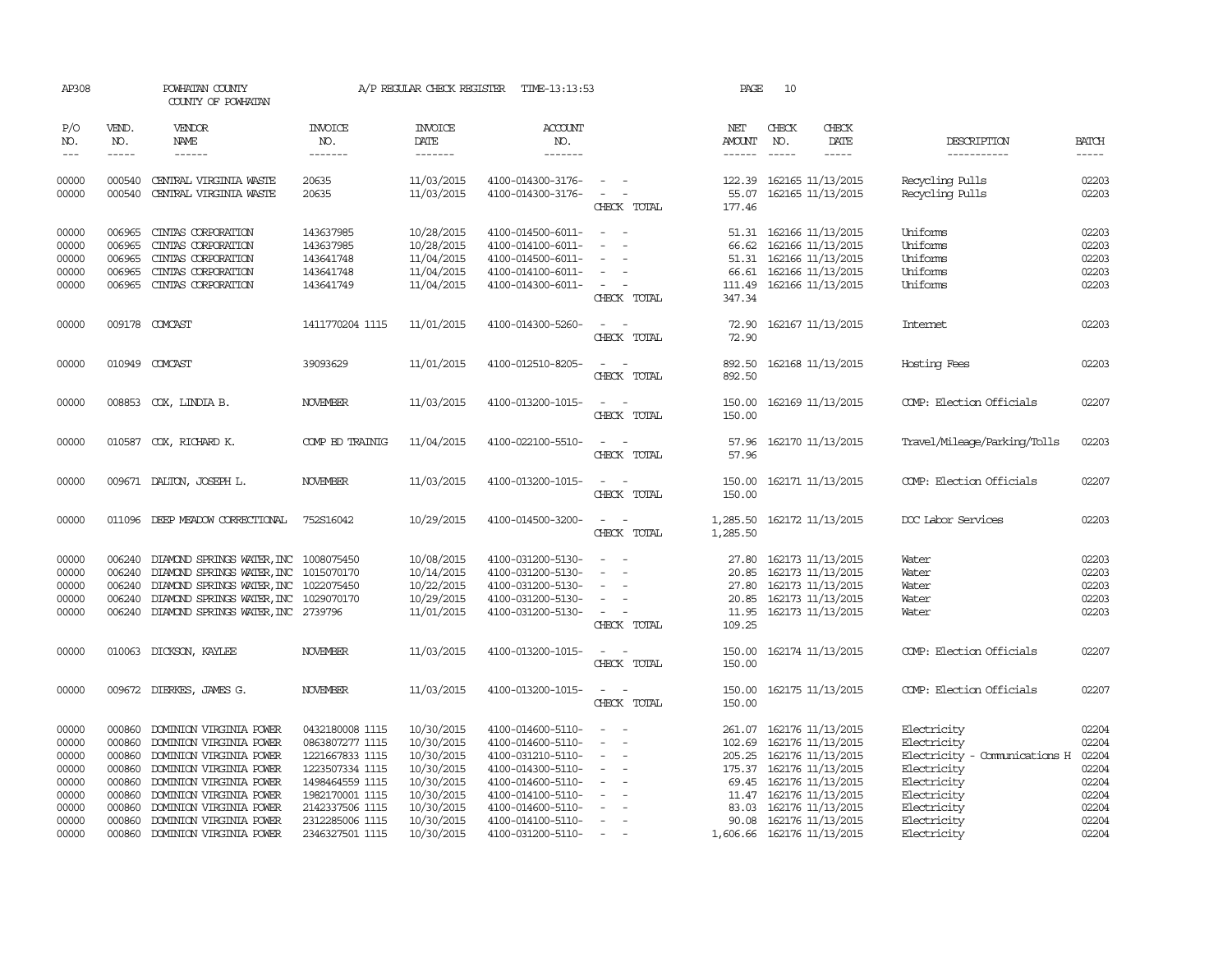| AP308                                                                         |                                                                              | POWHATAN COUNTY<br>COUNTY OF POWHATAN                                                                                                                                                                                                                  |                                                                                                                                                                         | A/P REGULAR CHECK REGISTER                                                                                                 | TIME-13:13:53                                                                                                                                                                             |                                                                                                                                                                          | PAGE                                        | 10                                   |                                                                                                                                                                                                                                            |                                                                                                                                                       |                                                                               |
|-------------------------------------------------------------------------------|------------------------------------------------------------------------------|--------------------------------------------------------------------------------------------------------------------------------------------------------------------------------------------------------------------------------------------------------|-------------------------------------------------------------------------------------------------------------------------------------------------------------------------|----------------------------------------------------------------------------------------------------------------------------|-------------------------------------------------------------------------------------------------------------------------------------------------------------------------------------------|--------------------------------------------------------------------------------------------------------------------------------------------------------------------------|---------------------------------------------|--------------------------------------|--------------------------------------------------------------------------------------------------------------------------------------------------------------------------------------------------------------------------------------------|-------------------------------------------------------------------------------------------------------------------------------------------------------|-------------------------------------------------------------------------------|
| P/O<br>NO.<br>$\frac{1}{2}$                                                   | VEND.<br>NO.                                                                 | VENDOR<br>NAME<br>------                                                                                                                                                                                                                               | INVOICE<br>NO.<br>-------                                                                                                                                               | <b>INVOICE</b><br>DATE<br>-------                                                                                          | <b>ACCOUNT</b><br>NO.<br>-------                                                                                                                                                          |                                                                                                                                                                          | NET<br>AMOUNT                               | CHECK<br>NO.<br>$\cdots\cdots\cdots$ | CHECK<br>DATE<br>-----                                                                                                                                                                                                                     | DESCRIPTION<br>-----------                                                                                                                            | <b>BATCH</b><br>$- - - - -$                                                   |
| 00000<br>00000                                                                | 000540<br>000540                                                             | CENTRAL VIRGINIA WASTE<br>CENTRAL VIRGINIA WASTE                                                                                                                                                                                                       | 20635<br>20635                                                                                                                                                          | 11/03/2015<br>11/03/2015                                                                                                   | 4100-014300-3176-<br>4100-014300-3176-                                                                                                                                                    | $\sim$ $ -$<br>$\omega_{\rm{max}}$ and $\omega_{\rm{max}}$<br>CHECK TOTAL                                                                                                | 55.07<br>177.46                             |                                      | 122.39 162165 11/13/2015<br>162165 11/13/2015                                                                                                                                                                                              | Recycling Pulls<br>Recycling Pulls                                                                                                                    | 02203<br>02203                                                                |
| 00000<br>00000<br>00000<br>00000<br>00000                                     | 006965<br>006965<br>006965<br>006965<br>006965                               | CINIAS CORPORATION<br>CINTAS CORPORATION<br>CINIAS CORPORATION<br>CINIAS CORPORATION<br>CINIAS CORPORATION                                                                                                                                             | 143637985<br>143637985<br>143641748<br>143641748<br>143641749                                                                                                           | 10/28/2015<br>10/28/2015<br>11/04/2015<br>11/04/2015<br>11/04/2015                                                         | 4100-014500-6011-<br>4100-014100-6011-<br>4100-014500-6011-<br>4100-014100-6011-<br>4100-014300-6011-                                                                                     | $\sim$<br>$\sim$<br>$\overline{\phantom{a}}$<br>$\sim$<br>$\sim$<br>$\sim$<br>CHECK TOTAL                                                                                | 66.62<br>51.31<br>66.61<br>111.49<br>347.34 |                                      | 51.31 162166 11/13/2015<br>162166 11/13/2015<br>162166 11/13/2015<br>162166 11/13/2015<br>162166 11/13/2015                                                                                                                                | Uniforms<br>Uniforms<br>Uniforms<br>Uniforms<br>Uniforms                                                                                              | 02203<br>02203<br>02203<br>02203<br>02203                                     |
| 00000                                                                         |                                                                              | 009178 COMCAST                                                                                                                                                                                                                                         | 1411770204 1115                                                                                                                                                         | 11/01/2015                                                                                                                 | 4100-014300-5260-                                                                                                                                                                         | $\sim$<br>CHECK TOTAL                                                                                                                                                    | 72.90                                       |                                      | 72.90 162167 11/13/2015                                                                                                                                                                                                                    | Internet                                                                                                                                              | 02203                                                                         |
| 00000                                                                         |                                                                              | 010949 COMCAST                                                                                                                                                                                                                                         | 39093629                                                                                                                                                                | 11/01/2015                                                                                                                 | 4100-012510-8205-                                                                                                                                                                         | $\sim$<br>$\overline{\phantom{a}}$<br>CHECK TOTAL                                                                                                                        | 892.50<br>892.50                            |                                      | 162168 11/13/2015                                                                                                                                                                                                                          | Hosting Fees                                                                                                                                          | 02203                                                                         |
| 00000                                                                         |                                                                              | 008853 COX, LINDIA B.                                                                                                                                                                                                                                  | NOVEMBER                                                                                                                                                                | 11/03/2015                                                                                                                 | 4100-013200-1015-                                                                                                                                                                         | $\sim$<br>$\sim$<br>CHECK TOTAL                                                                                                                                          | 150.00<br>150.00                            |                                      | 162169 11/13/2015                                                                                                                                                                                                                          | COMP: Election Officials                                                                                                                              | 02207                                                                         |
| 00000                                                                         |                                                                              | 010587 COX, RICHARD K.                                                                                                                                                                                                                                 | COMP BD TRAINIG                                                                                                                                                         | 11/04/2015                                                                                                                 | 4100-022100-5510-                                                                                                                                                                         | $\overline{a}$<br>$\sim$<br>CHECK TOTAL                                                                                                                                  | 57.96<br>57.96                              |                                      | 162170 11/13/2015                                                                                                                                                                                                                          | Travel/Mileage/Parking/Tolls                                                                                                                          | 02203                                                                         |
| 00000                                                                         |                                                                              | 009671 DALTON, JOSEPH L.                                                                                                                                                                                                                               | <b>NOVEMBER</b>                                                                                                                                                         | 11/03/2015                                                                                                                 | 4100-013200-1015-                                                                                                                                                                         | $\overline{\phantom{0}}$<br>CHECK TOTAL                                                                                                                                  | 150.00<br>150.00                            |                                      | 162171 11/13/2015                                                                                                                                                                                                                          | COMP: Election Officials                                                                                                                              | 02207                                                                         |
| 00000                                                                         |                                                                              | 011096 DEEP MEADOW CORRECTIONAL                                                                                                                                                                                                                        | 752S16042                                                                                                                                                               | 10/29/2015                                                                                                                 | 4100-014500-3200-                                                                                                                                                                         | $\sim$<br>CHECK TOTAL                                                                                                                                                    | 1,285.50<br>1,285.50                        |                                      | 162172 11/13/2015                                                                                                                                                                                                                          | DOC Labor Services                                                                                                                                    | 02203                                                                         |
| 00000<br>00000<br>00000<br>00000<br>00000                                     | 006240                                                                       | 006240 DIAMOND SPRINGS WATER, INC 1008075450<br>DIAMOND SPRINGS WATER, INC<br>006240 DIAMOND SPRINGS WATER, INC<br>006240 DIAMOND SPRINGS WATER, INC 1029070170<br>006240 DIAMOND SPRINGS WATER, INC 2739796                                           | 1015070170<br>1022075450                                                                                                                                                | 10/08/2015<br>10/14/2015<br>10/22/2015<br>10/29/2015<br>11/01/2015                                                         | 4100-031200-5130-<br>4100-031200-5130-<br>4100-031200-5130-<br>4100-031200-5130-<br>4100-031200-5130-                                                                                     | $\sim$<br>$\sim$<br>$\sim$<br>$\overline{\phantom{a}}$<br>$\sim$<br>CHECK TOTAL                                                                                          | 20.85<br>11.95<br>109.25                    |                                      | 27.80 162173 11/13/2015<br>162173 11/13/2015<br>27.80 162173 11/13/2015<br>20.85 162173 11/13/2015<br>162173 11/13/2015                                                                                                                    | Water<br>Water<br>Water<br>Water<br>Water                                                                                                             | 02203<br>02203<br>02203<br>02203<br>02203                                     |
| 00000                                                                         |                                                                              | 010063 DICKSON, KAYLEE                                                                                                                                                                                                                                 | <b>NOVEMBER</b>                                                                                                                                                         | 11/03/2015                                                                                                                 | 4100-013200-1015-                                                                                                                                                                         | $\sim$<br>$\sim$<br>CHECK TOTAL                                                                                                                                          | 150.00                                      |                                      | 150.00 162174 11/13/2015                                                                                                                                                                                                                   | COMP: Election Officials                                                                                                                              | 02207                                                                         |
| 00000                                                                         |                                                                              | 009672 DIERKES, JAMES G.                                                                                                                                                                                                                               | <b>NOVEMBER</b>                                                                                                                                                         | 11/03/2015                                                                                                                 | 4100-013200-1015-                                                                                                                                                                         | $\sim$<br>$\sim$<br>CHECK TOTAL                                                                                                                                          | 150.00<br>150.00                            |                                      | 162175 11/13/2015                                                                                                                                                                                                                          | COMP: Election Officials                                                                                                                              | 02207                                                                         |
| 00000<br>00000<br>00000<br>00000<br>00000<br>00000<br>00000<br>00000<br>00000 | 000860<br>000860<br>000860<br>000860<br>000860<br>000860<br>000860<br>000860 | DOMINION VIRGINIA POWER<br>DOMINION VIRGINIA POWER<br>DOMINION VIRGINIA POWER<br>DOMINION VIRGINIA POWER<br>DOMINION VIRGINIA POWER<br>DOMINION VIRGINIA POWER<br>DOMINION VIRGINIA POWER<br>DOMINION VIRGINIA POWER<br>000860 DOMINION VIRGINIA POWER | 0432180008 1115<br>0863807277 1115<br>1221667833 1115<br>1223507334 1115<br>1498464559 1115<br>1982170001 1115<br>2142337506 1115<br>2312285006 1115<br>2346327501 1115 | 10/30/2015<br>10/30/2015<br>10/30/2015<br>10/30/2015<br>10/30/2015<br>10/30/2015<br>10/30/2015<br>10/30/2015<br>10/30/2015 | 4100-014600-5110-<br>4100-014600-5110-<br>4100-031210-5110-<br>4100-014300-5110-<br>4100-014600-5110-<br>4100-014100-5110-<br>4100-014600-5110-<br>4100-014100-5110-<br>4100-031200-5110- | $\sim$<br>$\overline{\phantom{a}}$<br>$\overline{\phantom{a}}$<br>$\overline{\phantom{0}}$<br>$\equiv$<br>$\overline{\phantom{a}}$<br>$\overline{\phantom{a}}$<br>$\sim$ | 83.03<br>90.08                              |                                      | 261.07 162176 11/13/2015<br>102.69 162176 11/13/2015<br>205.25 162176 11/13/2015<br>175.37 162176 11/13/2015<br>69.45 162176 11/13/2015<br>11.47 162176 11/13/2015<br>162176 11/13/2015<br>162176 11/13/2015<br>1,606.66 162176 11/13/2015 | Electricity<br>Electricity<br>Electricity - Comunications H<br>Electricity<br>Electricity<br>Electricity<br>Electricity<br>Electricity<br>Electricity | 02204<br>02204<br>02204<br>02204<br>02204<br>02204<br>02204<br>02204<br>02204 |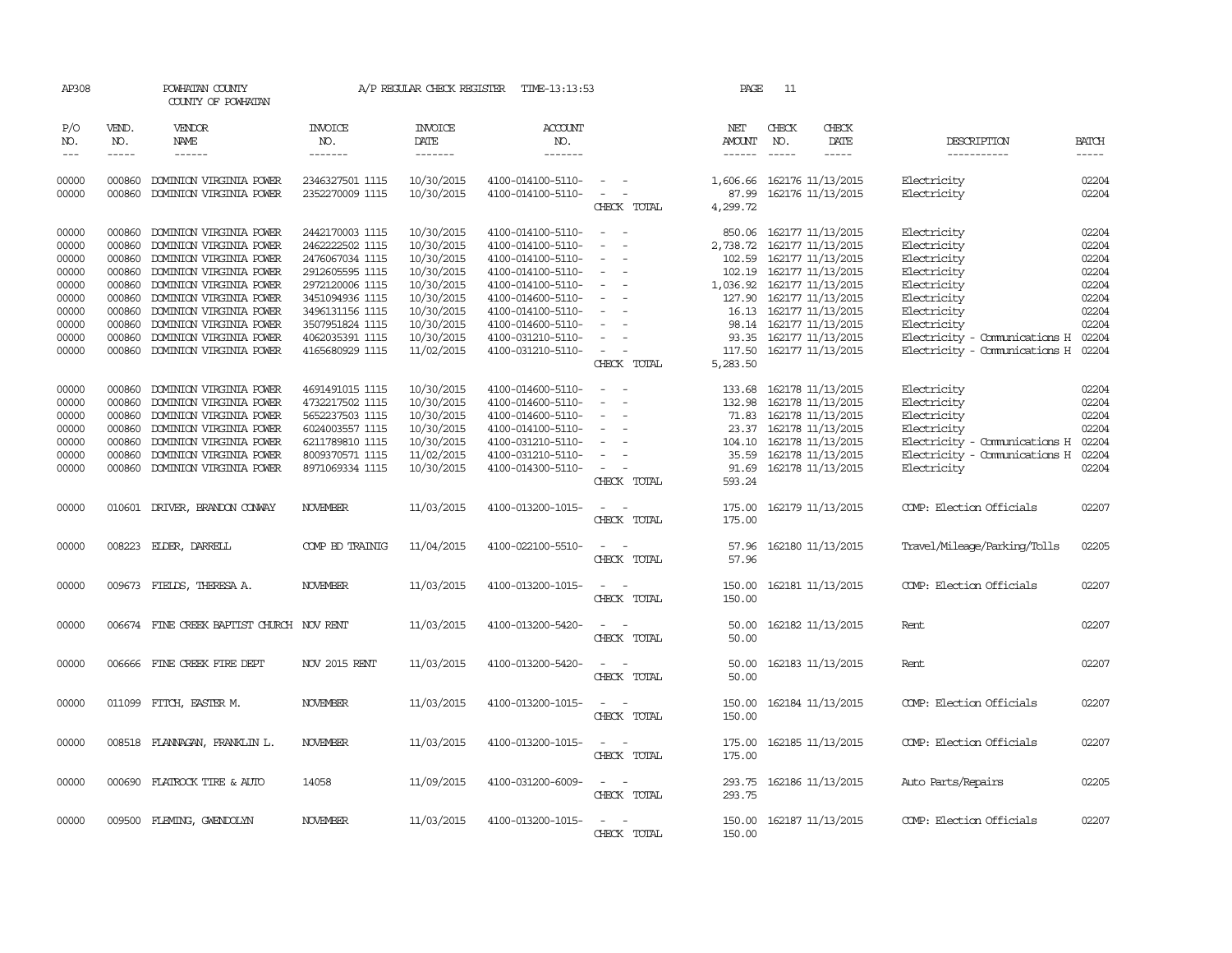| AP308          |                  | POWHATAN COUNTY<br>COUNTY OF POWHATAN              |                                    | A/P REGULAR CHECK REGISTER | TIME-13:13:53                          |                                                      | PAGE                 | 11            |                                        |                               |                |
|----------------|------------------|----------------------------------------------------|------------------------------------|----------------------------|----------------------------------------|------------------------------------------------------|----------------------|---------------|----------------------------------------|-------------------------------|----------------|
| P/O<br>NO.     | VEND.<br>NO.     | VENDOR<br>NAME                                     | <b>INVOICE</b><br>NO.              | <b>INVOICE</b><br>DATE     | ACCOUNT<br>NO.                         |                                                      | NET<br><b>AMOUNT</b> | CHECK<br>NO.  | CHECK<br>DATE                          | DESCRIPTION                   | <b>BATCH</b>   |
| $- - -$        | $\frac{1}{2}$    | ------                                             | -------                            | --------                   | --------                               |                                                      | $- - - - - -$        | $\frac{1}{2}$ | -----                                  | -----------                   | $- - - - -$    |
| 00000<br>00000 | 000860<br>000860 | DOMINION VIRGINIA POWER<br>DOMINION VIRGINIA POWER | 2346327501 1115<br>2352270009 1115 | 10/30/2015<br>10/30/2015   | 4100-014100-5110-<br>4100-014100-5110- | $\sim$ $  -$<br>$\sim$                               | 1,606.66<br>87.99    |               | 162176 11/13/2015<br>162176 11/13/2015 | Electricity<br>Electricity    | 02204<br>02204 |
|                |                  |                                                    |                                    |                            |                                        | CHECK TOTAL                                          | 4,299.72             |               |                                        |                               |                |
| 00000          | 000860           | DOMINION VIRGINIA POWER                            | 2442170003 1115                    | 10/30/2015                 | 4100-014100-5110-                      | $\sim$                                               | 850.06               |               | 162177 11/13/2015                      | Electricity                   | 02204          |
| 00000          | 000860           | DOMINION VIRGINIA POWER                            | 2462222502 1115                    | 10/30/2015                 | 4100-014100-5110-                      |                                                      | 2,738.72             |               | 162177 11/13/2015                      | Electricity                   | 02204          |
| 00000          | 000860           | DOMINION VIRGINIA POWER                            | 2476067034 1115                    | 10/30/2015                 | 4100-014100-5110-                      | $\overline{\phantom{a}}$                             | 102.59               |               | 162177 11/13/2015                      | Electricity                   | 02204          |
| 00000          | 000860           | DOMINION VIRGINIA POWER                            | 2912605595 1115                    | 10/30/2015                 | 4100-014100-5110-                      | $\equiv$                                             | 102.19               |               | 162177 11/13/2015                      | Electricity                   | 02204          |
| 00000          | 000860           | DOMINION VIRGINIA POWER                            | 2972120006 1115                    | 10/30/2015                 | 4100-014100-5110-                      | $\overline{\phantom{a}}$                             | 1,036.92             |               | 162177 11/13/2015                      | Electricity                   | 02204          |
| 00000          | 000860           | DOMINION VIRGINIA POWER                            | 3451094936 1115                    | 10/30/2015                 | 4100-014600-5110-                      | $\overline{\phantom{a}}$                             | 127.90               |               | 162177 11/13/2015                      | Electricity                   | 02204          |
| 00000          | 000860           | DOMINION VIRGINIA POWER                            | 3496131156 1115                    | 10/30/2015                 | 4100-014100-5110-                      | $\equiv$                                             | 16.13                |               | 162177 11/13/2015                      | Electricity                   | 02204          |
| 00000          | 000860           | DOMINION VIRGINIA POWER                            |                                    | 10/30/2015                 |                                        |                                                      |                      |               |                                        |                               | 02204          |
| 00000          | 000860           | DOMINION VIRGINIA POWER                            | 3507951824 1115<br>4062035391 1115 | 10/30/2015                 | 4100-014600-5110-                      |                                                      |                      |               | 98.14 162177 11/13/2015                | Electricity                   | 02204          |
|                |                  |                                                    |                                    |                            | 4100-031210-5110-                      | $\sim$                                               | 93.35                |               | 162177 11/13/2015                      | Electricity - Comunications H | 02204          |
| 00000          | 000860           | DOMINION VIRGINIA POWER                            | 4165680929 1115                    | 11/02/2015                 | 4100-031210-5110-                      |                                                      |                      |               | 117.50 162177 11/13/2015               | Electricity - Comunications H |                |
|                |                  |                                                    |                                    |                            |                                        | CHECK TOTAL                                          | 5,283.50             |               |                                        |                               |                |
| 00000          | 000860           | DOMINION VIRGINIA POWER                            | 4691491015 1115                    | 10/30/2015                 | 4100-014600-5110-                      | $\equiv$                                             | 133.68               |               | 162178 11/13/2015                      | Electricity                   | 02204          |
| 00000          | 000860           | DOMINION VIRGINIA POWER                            | 4732217502 1115                    | 10/30/2015                 | 4100-014600-5110-                      | $\overline{\phantom{a}}$<br>$\overline{\phantom{a}}$ | 132.98               |               | 162178 11/13/2015                      | Electricity                   | 02204          |
| 00000          | 000860           | DOMINION VIRGINIA POWER                            | 5652237503 1115                    | 10/30/2015                 | 4100-014600-5110-                      |                                                      | 71.83                |               | 162178 11/13/2015                      | Electricity                   | 02204          |
| 00000          | 000860           | DOMINION VIRGINIA POWER                            | 6024003557 1115                    | 10/30/2015                 | 4100-014100-5110-                      |                                                      | 23.37                |               | 162178 11/13/2015                      | Electricity                   | 02204          |
| 00000          | 000860           | DOMINION VIRGINIA POWER                            | 6211789810 1115                    | 10/30/2015                 | 4100-031210-5110-                      | $\equiv$                                             |                      |               | 104.10 162178 11/13/2015               | Electricity - Comunications H | 02204          |
| 00000          | 000860           | DOMINION VIRGINIA POWER                            | 8009370571 1115                    | 11/02/2015                 | 4100-031210-5110-                      |                                                      | 35.59                |               | 162178 11/13/2015                      | Electricity - Comunications H | 02204          |
| 00000          | 000860           | DOMINION VIRGINIA POWER                            | 8971069334 1115                    |                            | 4100-014300-5110-                      | $\overline{\phantom{a}}$                             | 91.69                |               |                                        | Electricitv                   | 02204          |
|                |                  |                                                    |                                    | 10/30/2015                 |                                        | CHECK TOTAL                                          | 593.24               |               | 162178 11/13/2015                      |                               |                |
|                |                  |                                                    |                                    |                            |                                        |                                                      |                      |               |                                        |                               |                |
| 00000          | 010601           | DRIVER, BRANDON CONWAY                             | <b>NOVEMBER</b>                    | 11/03/2015                 | 4100-013200-1015-                      |                                                      | 175.00               |               | 162179 11/13/2015                      | COMP: Election Officials      | 02207          |
|                |                  |                                                    |                                    |                            |                                        | CHECK TOTAL                                          | 175.00               |               |                                        |                               |                |
|                |                  |                                                    |                                    |                            |                                        |                                                      |                      |               |                                        |                               |                |
| 00000          | 008223           | ELDER, DARRELL                                     | COMP BD TRAINIG                    | 11/04/2015                 | 4100-022100-5510-                      |                                                      | 57.96                |               | 162180 11/13/2015                      | Travel/Mileage/Parking/Tolls  | 02205          |
|                |                  |                                                    |                                    |                            |                                        | CHECK TOTAL                                          | 57.96                |               |                                        |                               |                |
|                |                  |                                                    |                                    |                            |                                        |                                                      |                      |               |                                        |                               |                |
| 00000          | 009673           | FIELDS, THERESA A.                                 | <b>NOVEMBER</b>                    | 11/03/2015                 | 4100-013200-1015-                      |                                                      | 150.00               |               | 162181 11/13/2015                      | COMP: Election Officials      | 02207          |
|                |                  |                                                    |                                    |                            |                                        | CHECK TOTAL                                          | 150.00               |               |                                        |                               |                |
|                |                  |                                                    |                                    |                            |                                        |                                                      |                      |               |                                        |                               |                |
| 00000          |                  | 006674 FINE CREEK BAPTIST CHURCH NOV RENT          |                                    | 11/03/2015                 | 4100-013200-5420-                      | $\overline{\phantom{a}}$                             | 50.00                |               | 162182 11/13/2015                      | Rent                          | 02207          |
|                |                  |                                                    |                                    |                            |                                        | CHECK TOTAL                                          | 50.00                |               |                                        |                               |                |
|                |                  |                                                    |                                    |                            |                                        |                                                      |                      |               |                                        |                               |                |
| 00000          |                  | 006666 FINE CREEK FIRE DEPT                        | <b>NOV 2015 RENT</b>               | 11/03/2015                 | 4100-013200-5420-                      |                                                      | 50.00                |               | 162183 11/13/2015                      | Rent                          | 02207          |
|                |                  |                                                    |                                    |                            |                                        | CHECK TOTAL                                          | 50.00                |               |                                        |                               |                |
|                |                  |                                                    |                                    |                            |                                        |                                                      |                      |               |                                        |                               |                |
| 00000          |                  | 011099 FITCH, EASTER M.                            | <b>NOVEMBER</b>                    | 11/03/2015                 | 4100-013200-1015-                      | $\sim$                                               | 150.00               |               | 162184 11/13/2015                      | COMP: Election Officials      | 02207          |
|                |                  |                                                    |                                    |                            |                                        | CHECK TOTAL                                          | 150.00               |               |                                        |                               |                |
|                |                  |                                                    |                                    |                            |                                        |                                                      |                      |               |                                        |                               |                |
| 00000          |                  | 008518 FLANNAGAN, FRANKLIN L.                      | <b>NOVEMBER</b>                    | 11/03/2015                 | 4100-013200-1015-                      | $\sim$ $ \sim$                                       | 175.00               |               | 162185 11/13/2015                      | COMP: Election Officials      | 02207          |
|                |                  |                                                    |                                    |                            |                                        | CHECK TOTAL                                          | 175.00               |               |                                        |                               |                |
|                |                  |                                                    |                                    |                            |                                        |                                                      |                      |               |                                        |                               |                |
| 00000          |                  | 000690 FLATROCK TIRE & AUTO                        | 14058                              | 11/09/2015                 | 4100-031200-6009-                      | $\equiv$<br>$\sim$                                   | 293.75               |               | 162186 11/13/2015                      | Auto Parts/Repairs            | 02205          |
|                |                  |                                                    |                                    |                            |                                        | CHECK TOTAL                                          | 293.75               |               |                                        |                               |                |
|                |                  |                                                    |                                    |                            |                                        |                                                      |                      |               |                                        |                               |                |
| 00000          |                  | 009500 FLEMING, GWENDOLYN                          | <b>NOVEMBER</b>                    | 11/03/2015                 | 4100-013200-1015-                      | $\overline{\phantom{a}}$                             | 150.00               |               | 162187 11/13/2015                      | COMP: Election Officials      | 02207          |
|                |                  |                                                    |                                    |                            |                                        | CHECK TOTAL                                          | 150.00               |               |                                        |                               |                |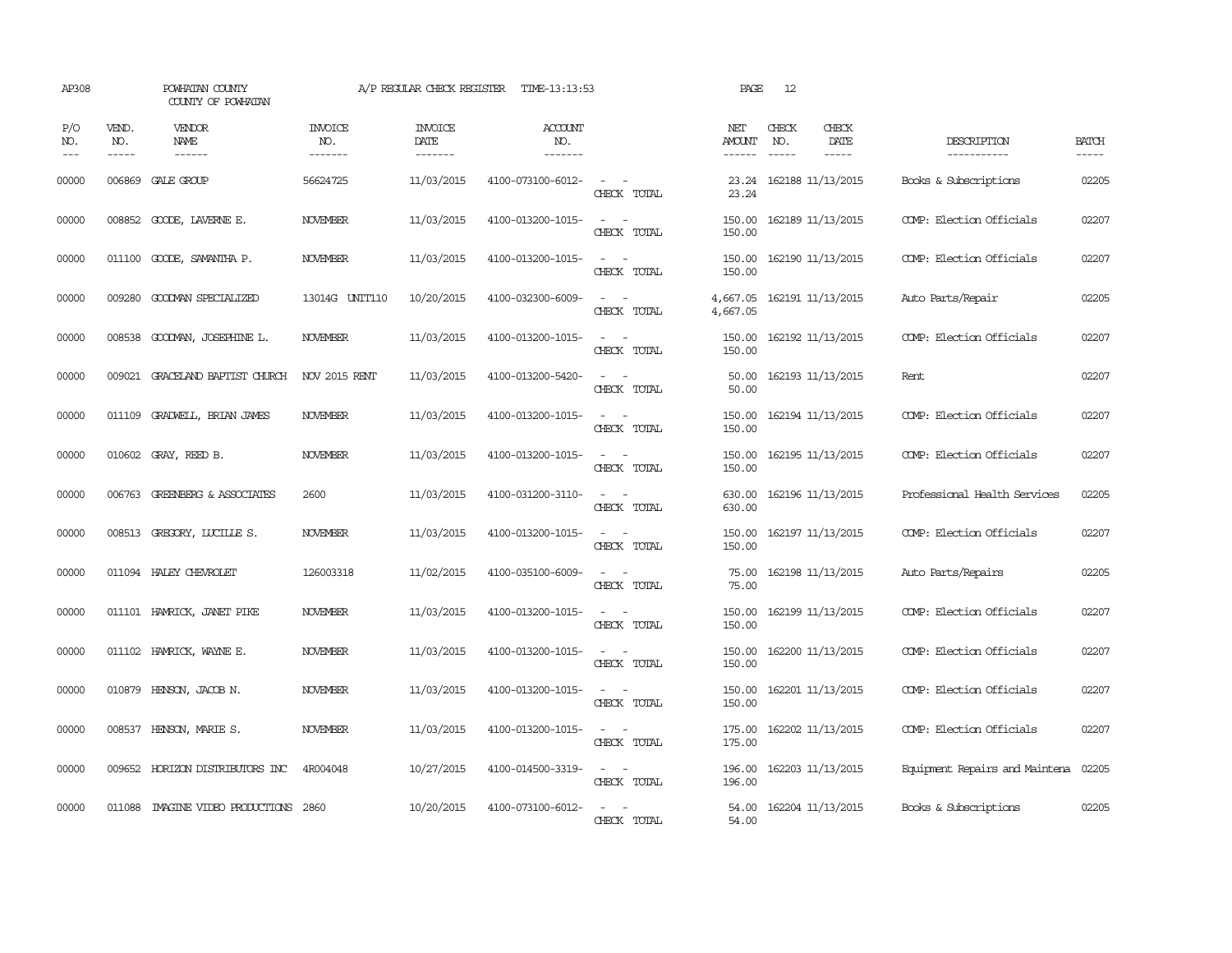| AP308                                                                                                                                                                                                                                                                                                                                                                                                      |                               | POWHATAN COUNTY<br>COUNTY OF POWHATAN         |                           | A/P REGULAR CHECK REGISTER        | TIME-13:13:53                     |                                                                                                                             | PAGE                           | 12                            |                              |                                      |                             |
|------------------------------------------------------------------------------------------------------------------------------------------------------------------------------------------------------------------------------------------------------------------------------------------------------------------------------------------------------------------------------------------------------------|-------------------------------|-----------------------------------------------|---------------------------|-----------------------------------|-----------------------------------|-----------------------------------------------------------------------------------------------------------------------------|--------------------------------|-------------------------------|------------------------------|--------------------------------------|-----------------------------|
| P/O<br>NO.<br>$\frac{1}{2} \frac{1}{2} \frac{1}{2} \frac{1}{2} \frac{1}{2} \frac{1}{2} \frac{1}{2} \frac{1}{2} \frac{1}{2} \frac{1}{2} \frac{1}{2} \frac{1}{2} \frac{1}{2} \frac{1}{2} \frac{1}{2} \frac{1}{2} \frac{1}{2} \frac{1}{2} \frac{1}{2} \frac{1}{2} \frac{1}{2} \frac{1}{2} \frac{1}{2} \frac{1}{2} \frac{1}{2} \frac{1}{2} \frac{1}{2} \frac{1}{2} \frac{1}{2} \frac{1}{2} \frac{1}{2} \frac{$ | VEND.<br>NO.<br>$\frac{1}{2}$ | <b>VENDOR</b><br><b>NAME</b><br>$- - - - - -$ | INVOICE<br>NO.<br>------- | <b>INVOICE</b><br>DATE<br>------- | ACCOUNT<br>NO.<br>$- - - - - - -$ |                                                                                                                             | NET<br><b>AMOUNT</b><br>------ | CHECK<br>NO.<br>$\frac{1}{2}$ | CHECK<br>DATE<br>$- - - - -$ | DESCRIPTION<br>-----------           | <b>BATCH</b><br>$- - - - -$ |
| 00000                                                                                                                                                                                                                                                                                                                                                                                                      | 006869                        | GALE GROUP                                    | 56624725                  | 11/03/2015                        | 4100-073100-6012-                 | CHRCK TOTAL                                                                                                                 | 23.24<br>23.24                 |                               | 162188 11/13/2015            | Books & Subscriptions                | 02205                       |
| 00000                                                                                                                                                                                                                                                                                                                                                                                                      | 008852                        | GOODE, LAVERNE E.                             | <b>NOVEMBER</b>           | 11/03/2015                        | 4100-013200-1015-                 | $\sim$<br>CHECK TOTAL                                                                                                       | 150.00<br>150.00               |                               | 162189 11/13/2015            | COMP: Election Officials             | 02207                       |
| 00000                                                                                                                                                                                                                                                                                                                                                                                                      | 011100                        | GOODE, SAMANTHA P.                            | <b>NOVEMBER</b>           | 11/03/2015                        | 4100-013200-1015-                 | $\sim$<br>CHECK TOTAL                                                                                                       | 150.00<br>150.00               |                               | 162190 11/13/2015            | COMP: Election Officials             | 02207                       |
| 00000                                                                                                                                                                                                                                                                                                                                                                                                      | 009280                        | GOODMAN SPECIALIZED                           | 13014G UNIT110            | 10/20/2015                        | 4100-032300-6009-                 | $\sim$ 100 $\mu$<br>$\overline{\phantom{a}}$<br>CHECK TOTAL                                                                 | 4,667.05<br>4,667.05           |                               | 162191 11/13/2015            | Auto Parts/Repair                    | 02205                       |
| 00000                                                                                                                                                                                                                                                                                                                                                                                                      |                               | 008538 GOODMAN, JOSEPHINE L.                  | <b>NOVEMBER</b>           | 11/03/2015                        | 4100-013200-1015-                 | $\frac{1}{2} \left( \frac{1}{2} \right) \left( \frac{1}{2} \right) = \frac{1}{2} \left( \frac{1}{2} \right)$<br>CHECK TOTAL | 150.00<br>150.00               |                               | 162192 11/13/2015            | COMP: Election Officials             | 02207                       |
| 00000                                                                                                                                                                                                                                                                                                                                                                                                      |                               | 009021 GRACELAND BAPTIST CHURCH               | <b>NOV 2015 RENT</b>      | 11/03/2015                        | 4100-013200-5420-                 | CHECK TOTAL                                                                                                                 | 50.00<br>50.00                 |                               | 162193 11/13/2015            | Rent.                                | 02207                       |
| 00000                                                                                                                                                                                                                                                                                                                                                                                                      |                               | 011109 GRADWELL, BRIAN JAMES                  | <b>NOVEMBER</b>           | 11/03/2015                        | 4100-013200-1015-                 | $\sim$ 100 $\sim$<br>CHECK TOTAL                                                                                            | 150.00<br>150.00               |                               | 162194 11/13/2015            | COMP: Election Officials             | 02207                       |
| 00000                                                                                                                                                                                                                                                                                                                                                                                                      |                               | 010602 GRAY, REED B.                          | <b>NOVEMBER</b>           | 11/03/2015                        | 4100-013200-1015-                 | $\sim$ 10 $\sim$ 10 $\sim$<br>CHECK TOTAL                                                                                   | 150.00<br>150.00               |                               | 162195 11/13/2015            | COMP: Election Officials             | 02207                       |
| 00000                                                                                                                                                                                                                                                                                                                                                                                                      | 006763                        | GREENBERG & ASSOCIATES                        | 2600                      | 11/03/2015                        | 4100-031200-3110-                 | $\sim$ 100 $\sim$<br>CHECK TOTAL                                                                                            | 630.00<br>630.00               |                               | 162196 11/13/2015            | Professional Health Services         | 02205                       |
| 00000                                                                                                                                                                                                                                                                                                                                                                                                      |                               | 008513 GREGORY, LUCILLE S.                    | <b>NOVEMBER</b>           | 11/03/2015                        | 4100-013200-1015-                 | $\sim$ 100 $\sim$<br>CHECK TOTAL                                                                                            | 150.00<br>150.00               |                               | 162197 11/13/2015            | COMP: Election Officials             | 02207                       |
| 00000                                                                                                                                                                                                                                                                                                                                                                                                      |                               | 011094 HALEY CHEVROLET                        | 126003318                 | 11/02/2015                        | 4100-035100-6009-                 | $\sim$<br>CHECK TOTAL                                                                                                       | 75.00<br>75.00                 |                               | 162198 11/13/2015            | Auto Parts/Repairs                   | 02205                       |
| 00000                                                                                                                                                                                                                                                                                                                                                                                                      |                               | 011101 HAMRICK, JANET PIKE                    | <b>NOVEMBER</b>           | 11/03/2015                        | 4100-013200-1015-                 | $\sim$<br>$\sim$<br>CHECK TOTAL                                                                                             | 150.00<br>150.00               |                               | 162199 11/13/2015            | COMP: Election Officials             | 02207                       |
| 00000                                                                                                                                                                                                                                                                                                                                                                                                      |                               | 011102 HAMRICK, WAYNE E.                      | <b>NOVEMBER</b>           | 11/03/2015                        | 4100-013200-1015-                 | $\sim$ 10 $\sim$ 10 $\sim$<br>CHECK TOTAL                                                                                   | 150.00<br>150.00               |                               | 162200 11/13/2015            | COMP: Election Officials             | 02207                       |
| 00000                                                                                                                                                                                                                                                                                                                                                                                                      | 010879                        | HENSON, JACOB N.                              | <b>NOVEMBER</b>           | 11/03/2015                        | 4100-013200-1015-                 | $\overline{\phantom{a}}$<br>$\sim$<br>CHECK TOTAL                                                                           | 150.00<br>150.00               |                               | 162201 11/13/2015            | COMP: Election Officials             | 02207                       |
| 00000                                                                                                                                                                                                                                                                                                                                                                                                      | 008537                        | HENSON, MARIE S.                              | <b>NOVEMBER</b>           | 11/03/2015                        | 4100-013200-1015-                 | $\frac{1}{2} \left( \frac{1}{2} \right) \left( \frac{1}{2} \right) = \frac{1}{2} \left( \frac{1}{2} \right)$<br>CHECK TOTAL | 175.00<br>175.00               |                               | 162202 11/13/2015            | COMP: Election Officials             | 02207                       |
| 00000                                                                                                                                                                                                                                                                                                                                                                                                      |                               | 009652 HORIZON DISTRIBUTORS INC               | 4R004048                  | 10/27/2015                        | 4100-014500-3319-                 | $\sim$ $\sim$<br>CHECK TOTAL                                                                                                | 196.00<br>196.00               |                               | 162203 11/13/2015            | Equipment Repairs and Maintena 02205 |                             |
| 00000                                                                                                                                                                                                                                                                                                                                                                                                      |                               | 011088 IMAGINE VIDEO PRODUCTIONS 2860         |                           | 10/20/2015                        | 4100-073100-6012-                 | CHECK TOTAL                                                                                                                 | 54.00<br>54.00                 |                               | 162204 11/13/2015            | Books & Subscriptions                | 02205                       |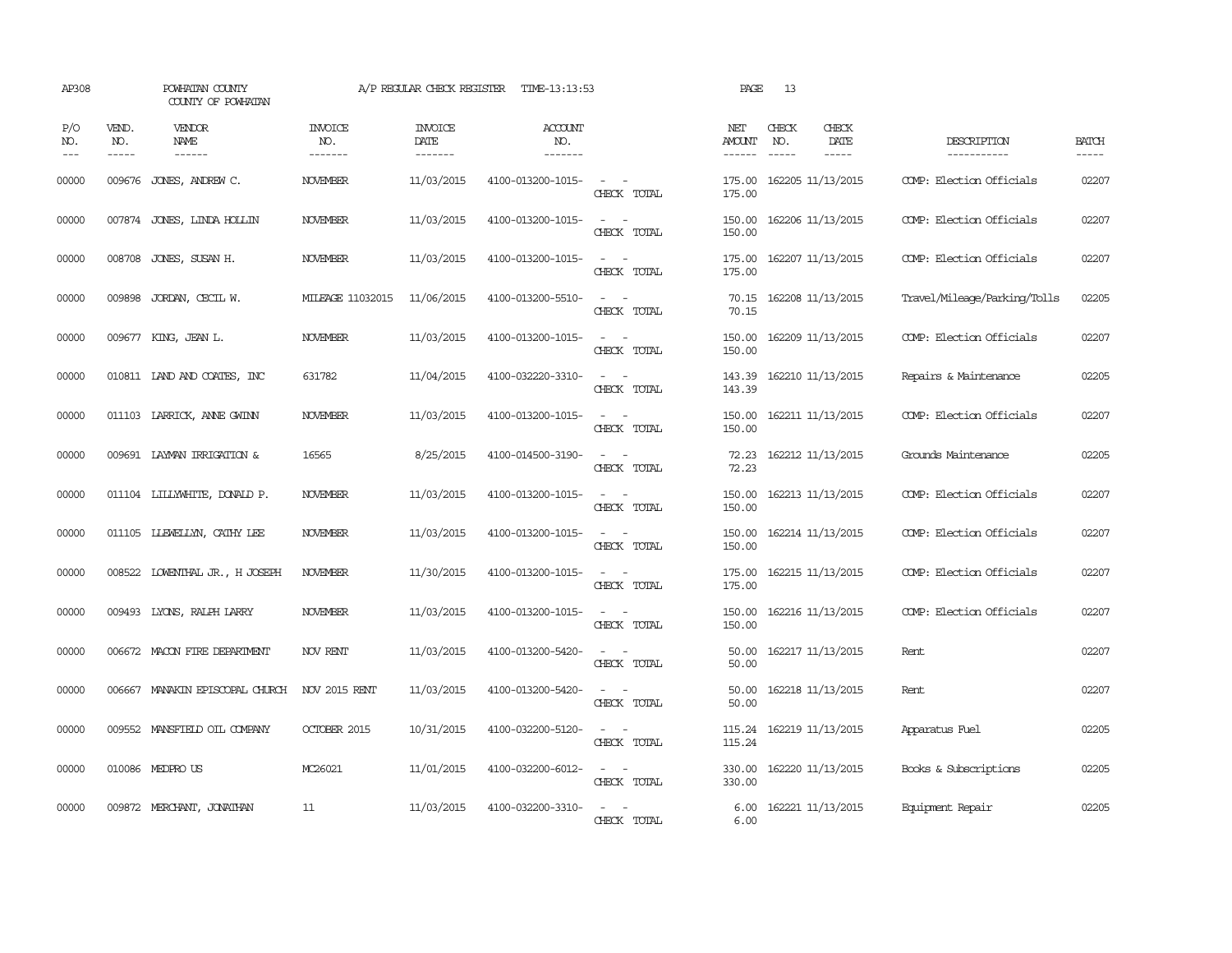| AP308               |                             | POWHATAN COUNTY<br>COUNTY OF POWHATAN  |                           | A/P REGULAR CHECK REGISTER        | TIME-13:13:53                            |                                                                                                                             | PAGE                           | 13                            |                              |                              |                       |
|---------------------|-----------------------------|----------------------------------------|---------------------------|-----------------------------------|------------------------------------------|-----------------------------------------------------------------------------------------------------------------------------|--------------------------------|-------------------------------|------------------------------|------------------------------|-----------------------|
| P/O<br>NO.<br>$---$ | VEND.<br>NO.<br>$- - - - -$ | VENDOR<br><b>NAME</b><br>$- - - - - -$ | INVOICE<br>NO.<br>------- | <b>INVOICE</b><br>DATE<br>------- | <b>ACCOUNT</b><br>NO.<br>$- - - - - - -$ |                                                                                                                             | NET<br><b>AMOUNT</b><br>------ | CHECK<br>NO.<br>$\frac{1}{2}$ | CHECK<br>DATE<br>$- - - - -$ | DESCRIPTION<br>-----------   | <b>BATCH</b><br>----- |
| 00000               |                             | 009676 JONES, ANDREW C.                | <b>NOVEMBER</b>           | 11/03/2015                        | 4100-013200-1015-                        | CHECK TOTAL                                                                                                                 | 175.00<br>175.00               |                               | 162205 11/13/2015            | COMP: Election Officials     | 02207                 |
| 00000               |                             | 007874 JONES, LINDA HOLLIN             | <b>NOVEMBER</b>           | 11/03/2015                        | 4100-013200-1015-                        | $\overline{\phantom{a}}$<br>$\sim$<br>CHECK TOTAL                                                                           | 150.00<br>150.00               |                               | 162206 11/13/2015            | COMP: Election Officials     | 02207                 |
| 00000               |                             | 008708 JONES, SUSAN H.                 | <b>NOVEMBER</b>           | 11/03/2015                        | 4100-013200-1015-                        | $\equiv$<br>$\sim$<br>CHECK TOTAL                                                                                           | 175.00<br>175.00               |                               | 162207 11/13/2015            | COMP: Election Officials     | 02207                 |
| 00000               | 009898                      | JORDAN, CECIL W.                       | MILEAGE 11032015          | 11/06/2015                        | 4100-013200-5510-                        | $\overline{\phantom{a}}$<br>$\sim$<br>CHECK TOTAL                                                                           | 70.15<br>70.15                 |                               | 162208 11/13/2015            | Travel/Mileage/Parking/Tolls | 02205                 |
| 00000               |                             | 009677 KING, JEAN L.                   | <b>NOVEMBER</b>           | 11/03/2015                        | 4100-013200-1015-                        | $\sim$<br>$\sim$<br>CHECK TOTAL                                                                                             | 150.00<br>150.00               |                               | 162209 11/13/2015            | COMP: Election Officials     | 02207                 |
| 00000               |                             | 010811 LAND AND COATES, INC            | 631782                    | 11/04/2015                        | 4100-032220-3310-                        | $\overline{\phantom{a}}$<br>CHECK TOTAL                                                                                     | 143.39<br>143.39               |                               | 162210 11/13/2015            | Repairs & Maintenance        | 02205                 |
| 00000               |                             | 011103 LARRICK, ANNE GWINN             | <b>NOVEMBER</b>           | 11/03/2015                        | 4100-013200-1015-                        | $\frac{1}{2} \left( \frac{1}{2} \right) \left( \frac{1}{2} \right) = \frac{1}{2} \left( \frac{1}{2} \right)$<br>CHECK TOTAL | 150.00<br>150.00               |                               | 162211 11/13/2015            | COMP: Election Officials     | 02207                 |
| 00000               |                             | 009691 LAYMAN IRRIGATION &             | 16565                     | 8/25/2015                         | 4100-014500-3190-                        | $\frac{1}{2} \left( \frac{1}{2} \right) \left( \frac{1}{2} \right) = \frac{1}{2} \left( \frac{1}{2} \right)$<br>CHECK TOTAL | 72.23<br>72.23                 |                               | 162212 11/13/2015            | Grounds Maintenance          | 02205                 |
| 00000               |                             | 011104 LILLYWHITE, DONALD P.           | <b>NOVEMBER</b>           | 11/03/2015                        | 4100-013200-1015-                        | $\sim$ $ \sim$<br>CHECK TOTAL                                                                                               | 150.00<br>150.00               |                               | 162213 11/13/2015            | COMP: Election Officials     | 02207                 |
| 00000               |                             | 011105 LIEWELLYN, CATHY LEE            | <b>NOVEMBER</b>           | 11/03/2015                        | 4100-013200-1015-                        | $\sim$<br>$\overline{\phantom{a}}$<br>CHECK TOTAL                                                                           | 150.00<br>150.00               |                               | 162214 11/13/2015            | COMP: Election Officials     | 02207                 |
| 00000               |                             | 008522 LOWENTHAL JR., H JOSEPH         | NOVEMBER                  | 11/30/2015                        | 4100-013200-1015-                        | $\sim$<br>$\overline{\phantom{a}}$<br>CHECK TOTAL                                                                           | 175.00<br>175.00               |                               | 162215 11/13/2015            | COMP: Election Officials     | 02207                 |
| 00000               |                             | 009493 LYONS, RALPH LARRY              | NOVEMBER                  | 11/03/2015                        | 4100-013200-1015-                        | $\sim$<br>$\overline{\phantom{a}}$<br>CHECK TOTAL                                                                           | 150.00<br>150.00               |                               | 162216 11/13/2015            | COMP: Election Officials     | 02207                 |
| 00000               |                             | 006672 MACON FIRE DEPARTMENT           | NOV RENT                  | 11/03/2015                        | 4100-013200-5420-                        | $\sim$ $\sim$<br>CHECK TOTAL                                                                                                | 50.00<br>50.00                 |                               | 162217 11/13/2015            | Rent                         | 02207                 |
| 00000               |                             | 006667 MANAKIN EPISCOPAL CHURCH        | <b>NOV 2015 RENT</b>      | 11/03/2015                        | 4100-013200-5420-                        | $\equiv$<br>$\sim$<br>CHECK TOTAL                                                                                           | 50.00<br>50.00                 |                               | 162218 11/13/2015            | Rent                         | 02207                 |
| 00000               |                             | 009552 MANSFIELD OIL COMPANY           | <b>OCTOBER 2015</b>       | 10/31/2015                        | 4100-032200-5120-                        | $\frac{1}{2} \left( \frac{1}{2} \right) \left( \frac{1}{2} \right) = \frac{1}{2} \left( \frac{1}{2} \right)$<br>CHECK TOTAL | 115.24<br>115.24               |                               | 162219 11/13/2015            | Apparatus Fuel               | 02205                 |
| 00000               |                             | 010086 MEDPRO US                       | MC26021                   | 11/01/2015                        | 4100-032200-6012-                        | $ -$<br>CHECK TOTAL                                                                                                         | 330.00<br>330.00               |                               | 162220 11/13/2015            | Books & Subscriptions        | 02205                 |
| 00000               |                             | 009872 MERCHANT, JONATHAN              | 11                        | 11/03/2015                        | 4100-032200-3310-                        | $\overline{\phantom{a}}$<br>$\overline{\phantom{a}}$<br>CHECK TOTAL                                                         | 6.00<br>6.00                   |                               | 162221 11/13/2015            | Equipment Repair             | 02205                 |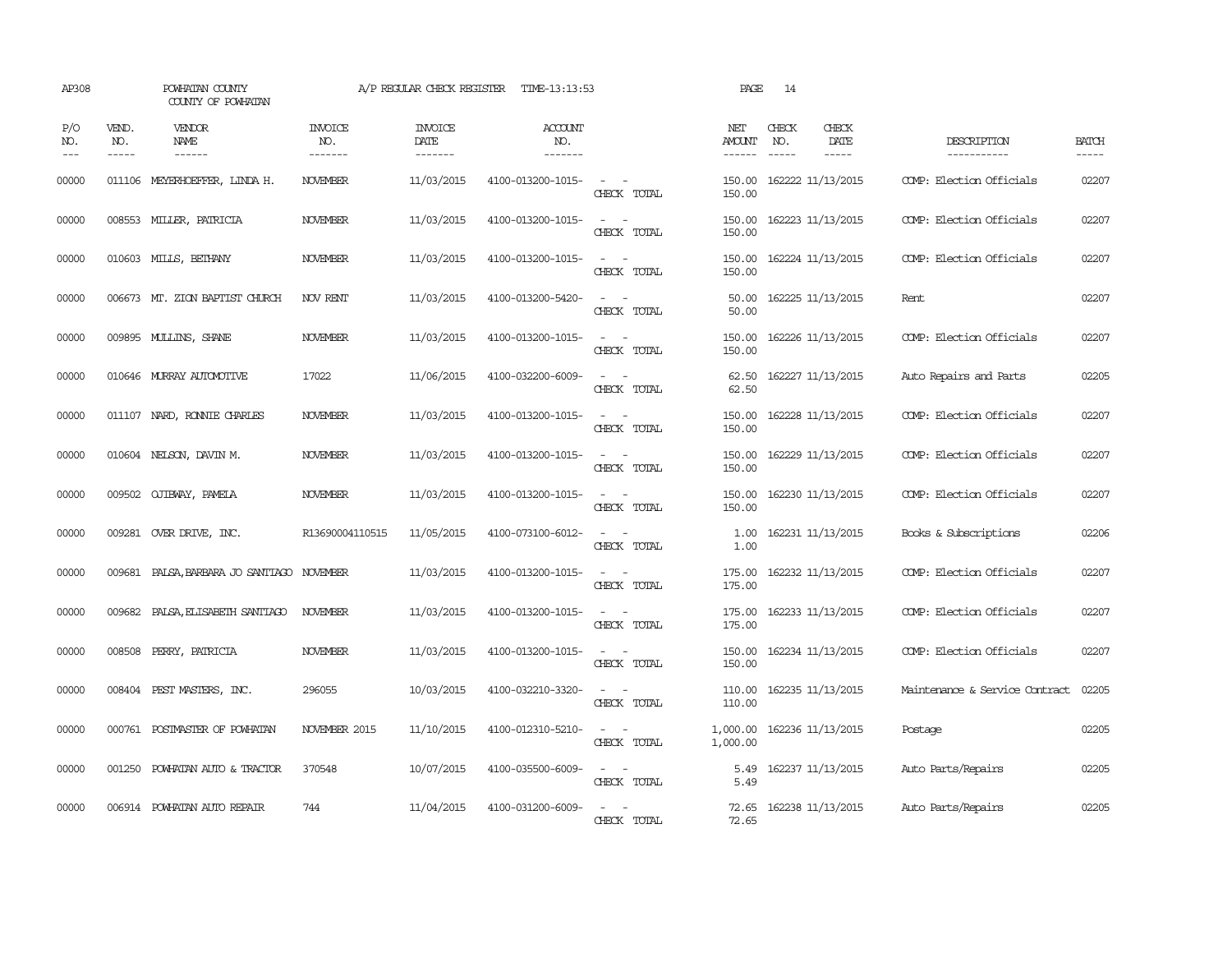| AP308               |                             | POWHATAN COUNTY<br>COUNTY OF POWHATAN |                                  | A/P REGULAR CHECK REGISTER        | TIME-13:13:53                    |                                                   | PAGE                           | 14                            |                              |                                |                       |
|---------------------|-----------------------------|---------------------------------------|----------------------------------|-----------------------------------|----------------------------------|---------------------------------------------------|--------------------------------|-------------------------------|------------------------------|--------------------------------|-----------------------|
| P/O<br>NO.<br>$---$ | VEND.<br>NO.<br>$- - - - -$ | VENDOR<br>NAME<br>$- - - - - -$       | <b>INVOICE</b><br>NO.<br>------- | <b>INVOICE</b><br>DATE<br>------- | <b>ACCOUNT</b><br>NO.<br>------- |                                                   | NET<br>AMOUNT<br>$- - - - - -$ | CHECK<br>NO.<br>$\frac{1}{2}$ | CHECK<br>DATE<br>$- - - - -$ | DESCRIPTION<br>-----------     | <b>BATCH</b><br>----- |
| 00000               | 011106                      | MEYERHOEFFER, LINDA H.                | NOVEMBER                         | 11/03/2015                        | 4100-013200-1015-                | CHECK TOTAL                                       | 150.00<br>150.00               |                               | 162222 11/13/2015            | COMP: Election Officials       | 02207                 |
| 00000               |                             | 008553 MILLER, PATRICIA               | <b>NOVEMBER</b>                  | 11/03/2015                        | 4100-013200-1015-                | $\sim$<br>$\sim$<br>CHECK TOTAL                   | 150.00<br>150.00               |                               | 162223 11/13/2015            | COMP: Election Officials       | 02207                 |
| 00000               |                             | 010603 MILLS, BETHANY                 | <b>NOVEMBER</b>                  | 11/03/2015                        | 4100-013200-1015-                | $\sim$<br>$\sim$<br>CHECK TOTAL                   | 150.00<br>150.00               |                               | 162224 11/13/2015            | COMP: Election Officials       | 02207                 |
| 00000               |                             | 006673 MT. ZION BAPTIST CHURCH        | NOV RENT                         | 11/03/2015                        | 4100-013200-5420-                | $\sim$<br>$\sim$<br>CHECK TOTAL                   | 50.00<br>50.00                 |                               | 162225 11/13/2015            | Rent                           | 02207                 |
| 00000               |                             | 009895 MULLINS, SHANE                 | <b>NOVEMBER</b>                  | 11/03/2015                        | 4100-013200-1015-                | $\sim$<br>$\sim$<br>CHECK TOTAL                   | 150.00<br>150.00               |                               | 162226 11/13/2015            | COMP: Election Officials       | 02207                 |
| 00000               |                             | 010646 MURRAY AUTOMOTTVE              | 17022                            | 11/06/2015                        | 4100-032200-6009-                | $\sim$<br>$\sim$<br>CHECK TOTAL                   | 62.50<br>62.50                 |                               | 162227 11/13/2015            | Auto Repairs and Parts         | 02205                 |
| 00000               |                             | 011107 NARD, RONNIE CHARLES           | NOVEMBER                         | 11/03/2015                        | 4100-013200-1015-                | $\sim$ $\sim$<br>CHECK TOTAL                      | 150.00<br>150.00               |                               | 162228 11/13/2015            | COMP: Election Officials       | 02207                 |
| 00000               |                             | 010604 NELSON, DAVIN M.               | <b>NOVEMBER</b>                  | 11/03/2015                        | 4100-013200-1015-                | $\sim 100$ km s $^{-1}$<br>CHECK TOTAL            | 150.00<br>150.00               |                               | 162229 11/13/2015            | COMP: Election Officials       | 02207                 |
| 00000               |                             | 009502 QJIBWAY, PAMELA                | <b>NOVEMBER</b>                  | 11/03/2015                        | 4100-013200-1015-                | $\sim$<br>$\sim$<br>CHECK TOTAL                   | 150.00<br>150.00               |                               | 162230 11/13/2015            | COMP: Election Officials       | 02207                 |
| 00000               |                             | 009281 OVER DRIVE, INC.               | R13690004110515                  | 11/05/2015                        | 4100-073100-6012-                | CHECK TOTAL                                       | 1.00<br>1.00                   |                               | 162231 11/13/2015            | Books & Subscriptions          | 02206                 |
| 00000               | 009681                      | PALSA, BARBARA JO SANTIAGO NOVEMBER   |                                  | 11/03/2015                        | 4100-013200-1015-                | $\sim$<br>$\sim$<br>CHECK TOTAL                   | 175.00<br>175.00               |                               | 162232 11/13/2015            | COMP: Election Officials       | 02207                 |
| 00000               |                             | 009682 PALSA, ELISABETH SANTIAGO      | NOVEMBER                         | 11/03/2015                        | 4100-013200-1015-                | $\sim$<br>$\sim$<br>CHECK TOTAL                   | 175.00<br>175.00               |                               | 162233 11/13/2015            | COMP: Election Officials       | 02207                 |
| 00000               |                             | 008508 PERRY, PATRICIA                | <b>NOVEMBER</b>                  | 11/03/2015                        | 4100-013200-1015-                | $\sim$ $ \sim$<br>CHECK TOTAL                     | 150.00<br>150.00               |                               | 162234 11/13/2015            | COMP: Election Officials       | 02207                 |
| 00000               |                             | 008404 PEST MASTERS, INC.             | 296055                           | 10/03/2015                        | 4100-032210-3320-                | $\sim$<br>$\overline{\phantom{a}}$<br>CHECK TOTAL | 110.00<br>110.00               |                               | 162235 11/13/2015            | Maintenance & Service Contract | 02205                 |
| 00000               |                             | 000761 POSTMASTER OF POWHATAN         | NOVEMBER 2015                    | 11/10/2015                        | 4100-012310-5210-                | $\overline{\phantom{a}}$<br>$\sim$<br>CHECK TOTAL | 1,000.00<br>1,000.00           |                               | 162236 11/13/2015            | Postage                        | 02205                 |
| 00000               |                             | 001250 POWHATAN AUTO & TRACTOR        | 370548                           | 10/07/2015                        | 4100-035500-6009-                | $\sim$ $\sim$<br>CHECK TOTAL                      | 5.49<br>5.49                   |                               | 162237 11/13/2015            | Auto Parts/Repairs             | 02205                 |
| 00000               |                             | 006914 POWHATAN AUTO REPAIR           | 744                              | 11/04/2015                        | 4100-031200-6009-                | CHECK TOTAL                                       | 72.65<br>72.65                 |                               | 162238 11/13/2015            | Auto Parts/Repairs             | 02205                 |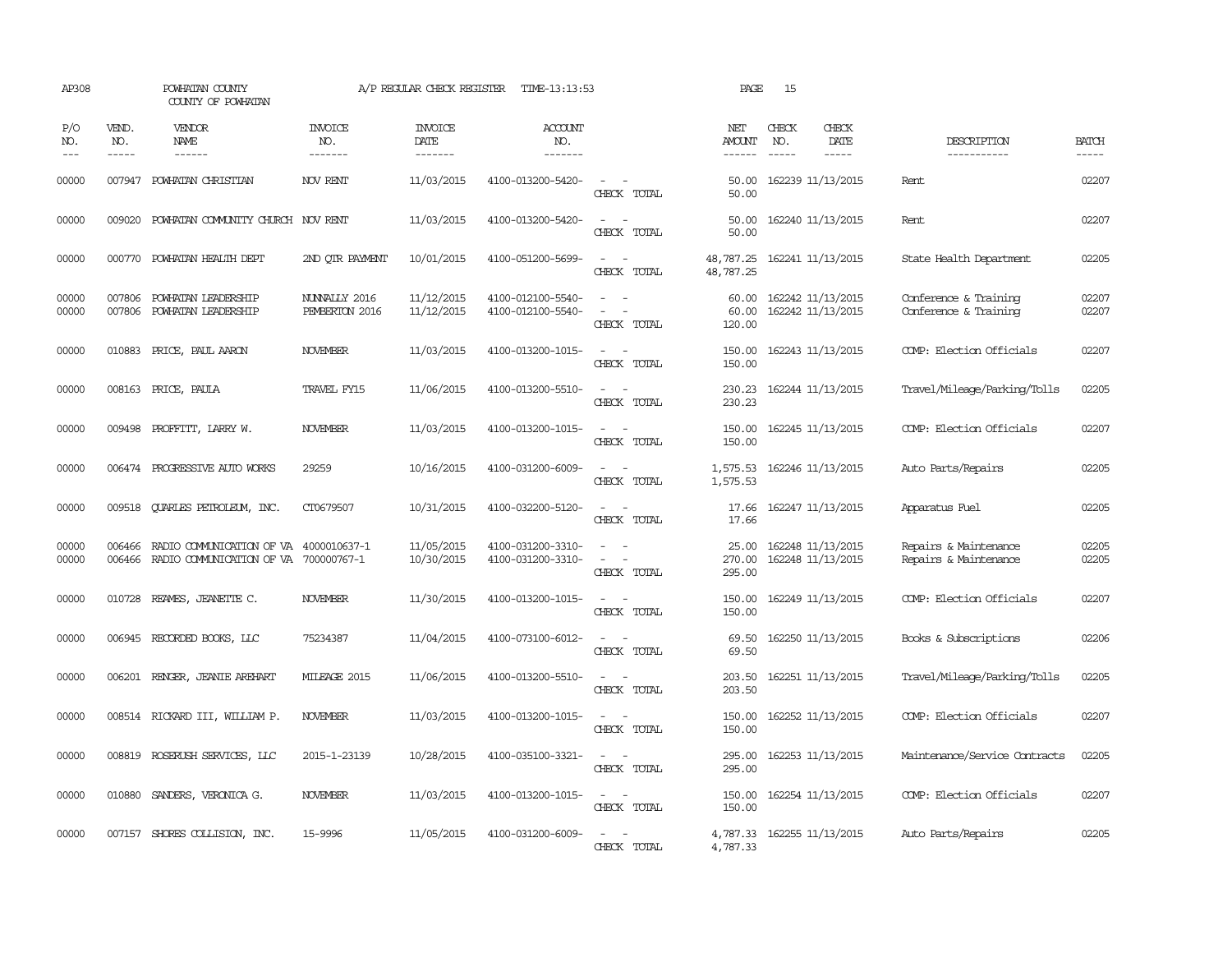| AP308                       |                             | POWHATAN COUNTY<br>COUNTY OF POWHATAN                                     |                                  | A/P REGULAR CHECK REGISTER        | TIME-13:13:53                          |                                                                     | PAGE                      | 15                            |                                        |                                                |                       |
|-----------------------------|-----------------------------|---------------------------------------------------------------------------|----------------------------------|-----------------------------------|----------------------------------------|---------------------------------------------------------------------|---------------------------|-------------------------------|----------------------------------------|------------------------------------------------|-----------------------|
| P/O<br>NO.<br>$\frac{1}{2}$ | VEND.<br>NO.<br>$- - - - -$ | VENDOR<br>NAME<br>$- - - - - -$                                           | <b>INVOICE</b><br>NO.<br>------- | <b>INVOICE</b><br>DATE<br>------- | ACCOUNT<br>NO.<br>-------              |                                                                     | NET<br>AMOUNT<br>------   | CHECK<br>NO.<br>$\frac{1}{2}$ | CHECK<br>DATE<br>$- - - - -$           | DESCRIPTION<br>-----------                     | <b>BATCH</b><br>----- |
| 00000                       |                             | 007947 POWHATAN CHRISTIAN                                                 | NOV RENT                         | 11/03/2015                        | 4100-013200-5420-                      | $\sim$ $\sim$<br>CHECK TOTAL                                        | 50.00<br>50.00            |                               | 162239 11/13/2015                      | Rent                                           | 02207                 |
| 00000                       |                             | 009020 POWHATAN COMMUNITY CHURCH NOV RENT                                 |                                  | 11/03/2015                        | 4100-013200-5420-                      | $\overline{\phantom{a}}$<br>$\overline{\phantom{a}}$<br>CHECK TOTAL | 50.00<br>50.00            |                               | 162240 11/13/2015                      | Rent                                           | 02207                 |
| 00000                       |                             | 000770 POWHATAN HEALTH DEPT                                               | 2ND OTR PAYMENT                  | 10/01/2015                        | 4100-051200-5699-                      | $\overline{\phantom{a}}$<br>$\sim$<br>CHECK TOTAL                   | 48,787.25<br>48,787.25    |                               | 162241 11/13/2015                      | State Health Department                        | 02205                 |
| 00000<br>00000              | 007806<br>007806            | POWHATAN LEADERSHIP<br>POWHATAN LEADERSHIP                                | NUNNALLY 2016<br>PEMBERTON 2016  | 11/12/2015<br>11/12/2015          | 4100-012100-5540-<br>4100-012100-5540- | CHECK TOTAL                                                         | 60.00<br>60.00<br>120.00  |                               | 162242 11/13/2015<br>162242 11/13/2015 | Conference & Training<br>Conference & Training | 02207<br>02207        |
| 00000                       | 010883                      | PRICE, PAUL AARON                                                         | <b>NOVEMBER</b>                  | 11/03/2015                        | 4100-013200-1015-                      | $\sim$<br>$\sim$<br>CHECK TOTAL                                     | 150.00<br>150.00          |                               | 162243 11/13/2015                      | COMP: Election Officials                       | 02207                 |
| 00000                       | 008163                      | PRICE, PAULA                                                              | TRAVEL FY15                      | 11/06/2015                        | 4100-013200-5510-                      | CHECK TOTAL                                                         | 230.23<br>230.23          |                               | 162244 11/13/2015                      | Travel/Mileage/Parking/Tolls                   | 02205                 |
| 00000                       |                             | 009498 PROFFITT, LARRY W.                                                 | <b>NOVEMBER</b>                  | 11/03/2015                        | 4100-013200-1015-                      | CHECK TOTAL                                                         | 150.00<br>150.00          |                               | 162245 11/13/2015                      | COMP: Election Officials                       | 02207                 |
| 00000                       |                             | 006474 PROGRESSIVE AUTO WORKS                                             | 29259                            | 10/16/2015                        | 4100-031200-6009-                      | $\overline{\phantom{a}}$<br>$\sim$<br>CHECK TOTAL                   | 1,575.53<br>1,575.53      |                               | 162246 11/13/2015                      | Auto Parts/Repairs                             | 02205                 |
| 00000                       |                             | 009518 QUARLES PETROLEUM, INC.                                            | CT0679507                        | 10/31/2015                        | 4100-032200-5120-                      | $\sim$<br>$\overline{\phantom{a}}$<br>CHECK TOTAL                   | 17.66<br>17.66            |                               | 162247 11/13/2015                      | Apparatus Fuel                                 | 02205                 |
| 00000<br>00000              | 006466                      | RADIO COMMUNICATION OF VA<br>006466 RADIO COMMUNICATION OF VA 700000767-1 | 4000010637-1                     | 11/05/2015<br>10/30/2015          | 4100-031200-3310-<br>4100-031200-3310- | $\sim$<br>$\overline{\phantom{a}}$<br>CHECK TOTAL                   | 25.00<br>270.00<br>295.00 |                               | 162248 11/13/2015<br>162248 11/13/2015 | Repairs & Maintenance<br>Repairs & Maintenance | 02205<br>02205        |
| 00000                       | 010728                      | REAMES, JEANETTE C.                                                       | <b>NOVEMBER</b>                  | 11/30/2015                        | 4100-013200-1015-                      | CHECK TOTAL                                                         | 150.00<br>150.00          |                               | 162249 11/13/2015                      | COMP: Election Officials                       | 02207                 |
| 00000                       |                             | 006945 RECORDED BOOKS, LLC                                                | 75234387                         | 11/04/2015                        | 4100-073100-6012-                      | CHECK TOTAL                                                         | 69.50<br>69.50            |                               | 162250 11/13/2015                      | Books & Subscriptions                          | 02206                 |
| 00000                       | 006201                      | RENGER, JEANIE AREHART                                                    | MILEAGE 2015                     | 11/06/2015                        | 4100-013200-5510-                      | CHECK TOTAL                                                         | 203.50<br>203.50          |                               | 162251 11/13/2015                      | Travel/Mileage/Parking/Tolls                   | 02205                 |
| 00000                       |                             | 008514 RICKARD III, WILLIAM P.                                            | NOVEMBER                         | 11/03/2015                        | 4100-013200-1015-                      | CHECK TOTAL                                                         | 150.00<br>150.00          |                               | 162252 11/13/2015                      | COMP: Election Officials                       | 02207                 |
| 00000                       |                             | 008819 ROSERUSH SERVICES, LLC                                             | 2015-1-23139                     | 10/28/2015                        | 4100-035100-3321-                      | $\overline{\phantom{a}}$<br>CHECK TOTAL                             | 295.00<br>295.00          |                               | 162253 11/13/2015                      | Maintenance/Service Contracts                  | 02205                 |
| 00000                       |                             | 010880 SANDERS, VERONICA G.                                               | <b>NOVEMBER</b>                  | 11/03/2015                        | 4100-013200-1015-                      | $\sim$<br>CHECK TOTAL                                               | 150.00<br>150.00          |                               | 162254 11/13/2015                      | COMP: Election Officials                       | 02207                 |
| 00000                       |                             | 007157 SHORES COLLISION, INC.                                             | 15-9996                          | 11/05/2015                        | 4100-031200-6009-                      | $\equiv$<br>$\overline{\phantom{a}}$<br>CHECK TOTAL                 | 4,787.33                  |                               | 4,787.33 162255 11/13/2015             | Auto Parts/Repairs                             | 02205                 |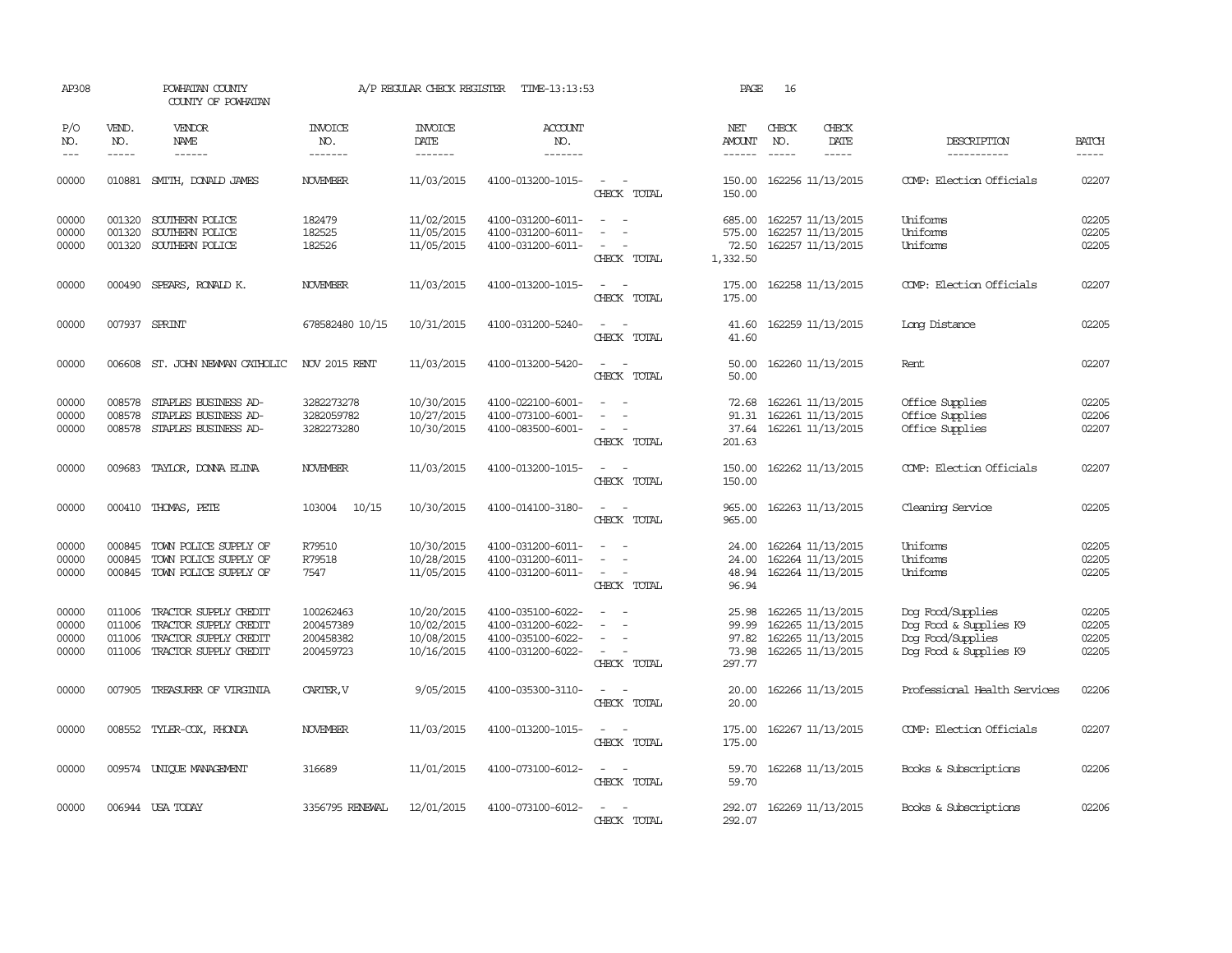| AP308                            |                            | POWHATAN COUNTY<br>COUNTY OF POWHATAN                                                                   |                                                  | A/P REGULAR CHECK REGISTER                           | TIME-13:13:53                                                                    |                                                                                         | PAGE                                         | 16                          |                                                                                  |                                                                                            |                                  |
|----------------------------------|----------------------------|---------------------------------------------------------------------------------------------------------|--------------------------------------------------|------------------------------------------------------|----------------------------------------------------------------------------------|-----------------------------------------------------------------------------------------|----------------------------------------------|-----------------------------|----------------------------------------------------------------------------------|--------------------------------------------------------------------------------------------|----------------------------------|
| P/O<br>NO.<br>$---$              | VEND.<br>NO.<br>-----      | <b>VENDOR</b><br>NAME<br>------                                                                         | <b>INVOICE</b><br>NO.<br>-------                 | <b>INVOICE</b><br>DATE<br>-------                    | <b>ACCOUNT</b><br>NO.<br>-------                                                 |                                                                                         | <b>NET</b><br><b>AMOUNT</b><br>$- - - - - -$ | CHECK<br>NO.<br>$- - - - -$ | CHECK<br>DATE<br>-----                                                           | DESCRIPTION<br>-----------                                                                 | <b>BATCH</b><br>-----            |
| 00000                            | 010881                     | SMITH, DONALD JAMES                                                                                     | <b>NOVEMBER</b>                                  | 11/03/2015                                           | 4100-013200-1015-                                                                | $\overline{\phantom{a}}$<br>$\sim$<br>CHECK TOTAL                                       | 150.00<br>150.00                             |                             | 162256 11/13/2015                                                                | COMP: Election Officials                                                                   | 02207                            |
| 00000<br>00000<br>00000          | 001320<br>001320<br>001320 | SOUTHERN POLICE<br>SOUTHERN POLICE<br>SOUTHERN POLICE                                                   | 182479<br>182525<br>182526                       | 11/02/2015<br>11/05/2015<br>11/05/2015               | 4100-031200-6011-<br>4100-031200-6011-<br>4100-031200-6011-                      | $\sim$<br>$\sim$<br>$\sim$<br>CHECK TOTAL                                               | 685.00<br>575.00<br>72.50<br>1,332.50        |                             | 162257 11/13/2015<br>162257 11/13/2015<br>162257 11/13/2015                      | Uniforms<br>Uniforms<br>Uniforms                                                           | 02205<br>02205<br>02205          |
| 00000                            |                            | 000490 SPEARS, RONALD K.                                                                                | <b>NOVEMBER</b>                                  | 11/03/2015                                           | 4100-013200-1015-                                                                | $\sim$<br>$\sim$<br>CHECK TOTAL                                                         | 175.00<br>175.00                             |                             | 162258 11/13/2015                                                                | COMP: Election Officials                                                                   | 02207                            |
| 00000                            |                            | 007937 SPRINT                                                                                           | 678582480 10/15                                  | 10/31/2015                                           | 4100-031200-5240-                                                                | $\overline{\phantom{a}}$<br>- -<br>CHECK TOTAL                                          | 41.60<br>41.60                               |                             | 162259 11/13/2015                                                                | Long Distance                                                                              | 02205                            |
| 00000                            |                            | 006608 ST. JOHN NEWMAN CATHOLIC                                                                         | NOV 2015 RENT                                    | 11/03/2015                                           | 4100-013200-5420-                                                                | $\sim$<br>CHECK TOTAL                                                                   | 50.00<br>50.00                               |                             | 162260 11/13/2015                                                                | Rent                                                                                       | 02207                            |
| 00000<br>00000<br>00000          | 008578<br>008578<br>008578 | STAPLES BUSINESS AD-<br>STAPLES BUSINESS AD-<br>STAPLES BUSINESS AD-                                    | 3282273278<br>3282059782<br>3282273280           | 10/30/2015<br>10/27/2015<br>10/30/2015               | 4100-022100-6001-<br>4100-073100-6001-<br>4100-083500-6001-                      | $\equiv$<br>$\sim$<br>CHECK TOTAL                                                       | 72.68<br>91.31<br>37.64<br>201.63            |                             | 162261 11/13/2015<br>162261 11/13/2015<br>162261 11/13/2015                      | Office Supplies<br>Office Supplies<br>Office Supplies                                      | 02205<br>02206<br>02207          |
| 00000                            |                            | 009683 TAYLOR, DONNA ELINA                                                                              | <b>NOVEMBER</b>                                  | 11/03/2015                                           | 4100-013200-1015-                                                                | $\sim$<br>$\sim$<br>CHECK TOTAL                                                         | 150.00<br>150.00                             |                             | 162262 11/13/2015                                                                | COMP: Election Officials                                                                   | 02207                            |
| 00000                            |                            | 000410 THOMAS, PETE                                                                                     | 10/15<br>103004                                  | 10/30/2015                                           | 4100-014100-3180-                                                                | $\overline{\phantom{a}}$<br>CHECK TOTAL                                                 | 965.00<br>965.00                             |                             | 162263 11/13/2015                                                                | Cleaning Service                                                                           | 02205                            |
| 00000<br>00000<br>00000          | 000845<br>000845           | TOWN POLICE SUPPLY OF<br>TOWN POLICE SUPPLY OF<br>000845 TOWN POLICE SUPPLY OF                          | R79510<br>R79518<br>7547                         | 10/30/2015<br>10/28/2015<br>11/05/2015               | 4100-031200-6011-<br>4100-031200-6011-<br>4100-031200-6011-                      | $\sim$<br>$\overline{\phantom{a}}$<br>$\sim$<br>$\sim$<br>CHECK TOTAL                   | 24.00<br>24.00<br>48.94<br>96.94             |                             | 162264 11/13/2015<br>162264 11/13/2015<br>162264 11/13/2015                      | Uniforms<br>Uniforms<br>Uniforms                                                           | 02205<br>02205<br>02205          |
| 00000<br>00000<br>00000<br>00000 | 011006<br>011006<br>011006 | TRACTOR SUPPLY CREDIT<br>TRACTOR SUPPLY CREDIT<br>TRACTOR SUPPLY CREDIT<br>011006 TRACTOR SUPPLY CREDIT | 100262463<br>200457389<br>200458382<br>200459723 | 10/20/2015<br>10/02/2015<br>10/08/2015<br>10/16/2015 | 4100-035100-6022-<br>4100-031200-6022-<br>4100-035100-6022-<br>4100-031200-6022- | $\sim$<br>$\overline{\phantom{a}}$<br>$\sim$<br>$\overline{\phantom{a}}$<br>CHECK TOTAL | 25.98<br>99.99<br>97.82<br>73.98<br>297.77   |                             | 162265 11/13/2015<br>162265 11/13/2015<br>162265 11/13/2015<br>162265 11/13/2015 | Dog Food/Supplies<br>Dog Food & Supplies K9<br>Dog Food/Supplies<br>Dog Food & Supplies K9 | 02205<br>02205<br>02205<br>02205 |
| 00000                            |                            | 007905 TREASURER OF VIRGINIA                                                                            | CARTER, V                                        | 9/05/2015                                            | 4100-035300-3110-                                                                | $\sim$<br>$\sim$<br>CHECK TOTAL                                                         | 20.00<br>20.00                               |                             | 162266 11/13/2015                                                                | Professional Health Services                                                               | 02206                            |
| 00000                            |                            | 008552 TYLER-COX, RHONDA                                                                                | <b>NOVEMBER</b>                                  | 11/03/2015                                           | 4100-013200-1015-                                                                | $\sim$<br>$\sim$<br>CHECK TOTAL                                                         | 175.00<br>175.00                             |                             | 162267 11/13/2015                                                                | COMP: Election Officials                                                                   | 02207                            |
| 00000                            |                            | 009574 UNIQUE MANAGEMENT                                                                                | 316689                                           | 11/01/2015                                           | 4100-073100-6012-                                                                | $\sim$<br>$\sim$<br>CHECK TOTAL                                                         | 59.70<br>59.70                               |                             | 162268 11/13/2015                                                                | Books & Subscriptions                                                                      | 02206                            |
| 00000                            |                            | 006944 USA TODAY                                                                                        | 3356795 RENEWAL                                  | 12/01/2015                                           | 4100-073100-6012-                                                                | $\sim$<br>CHECK TOTAL                                                                   | 292.07<br>292.07                             |                             | 162269 11/13/2015                                                                | Books & Subscriptions                                                                      | 02206                            |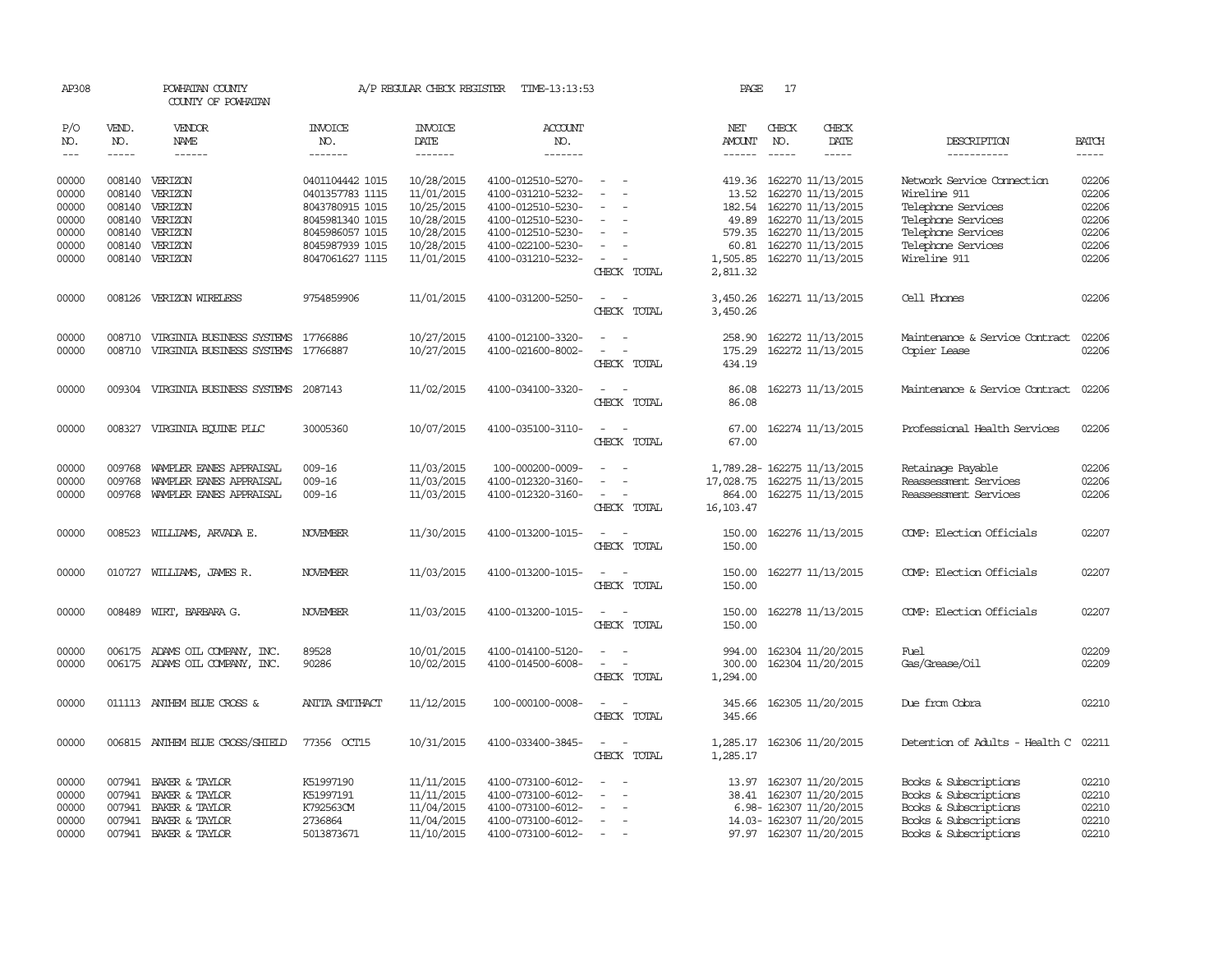| AP308          |                  | POWHATAN COUNTY<br>COUNTY OF POWHATAN                     |                                    | A/P REGULAR CHECK REGISTER | TIME-13:13:53                          |                                                                                                                             | PAGE                  | 17            |                                                 |                                                |                |
|----------------|------------------|-----------------------------------------------------------|------------------------------------|----------------------------|----------------------------------------|-----------------------------------------------------------------------------------------------------------------------------|-----------------------|---------------|-------------------------------------------------|------------------------------------------------|----------------|
| P/O<br>NO.     | VEND.<br>NO.     | <b>VENDOR</b><br><b>NAME</b>                              | <b>INVOICE</b><br>NO.              | <b>INVOICE</b><br>DATE     | <b>ACCOUNT</b><br>NO.                  |                                                                                                                             | NET<br>AMOUNT         | CHECK<br>NO.  | CHECK<br>DATE                                   | DESCRIPTION                                    | <b>BATCH</b>   |
| $---$          | $- - - - -$      | $- - - - - -$                                             | --------                           | --------                   | -------                                |                                                                                                                             |                       | $\frac{1}{2}$ | $- - - - -$                                     | -----------                                    | $- - - - -$    |
| 00000<br>00000 | 008140           | 008140 VERIZON<br>VERIZON                                 | 0401104442 1015<br>0401357783 1115 | 10/28/2015<br>11/01/2015   | 4100-012510-5270-<br>4100-031210-5232- | $\sim$ 10 $\sim$ 10 $\sim$                                                                                                  | 13.52                 |               | 419.36 162270 11/13/2015<br>162270 11/13/2015   | Network Service Connection<br>Wireline 911     | 02206<br>02206 |
| 00000<br>00000 | 008140           | VERIZON<br>008140 VERIZON                                 | 8043780915 1015<br>8045981340 1015 | 10/25/2015<br>10/28/2015   | 4100-012510-5230-<br>4100-012510-5230- | $\sim$                                                                                                                      | 182.54                |               | 162270 11/13/2015<br>49.89 162270 11/13/2015    | Telephone Services<br>Telephone Services       | 02206<br>02206 |
| 00000          |                  | 008140 VERIZON                                            | 8045986057 1015                    | 10/28/2015                 | 4100-012510-5230-                      | $\sim$                                                                                                                      | 579.35                |               | 162270 11/13/2015                               | Telephone Services                             | 02206          |
| 00000<br>00000 | 008140           | VERIZON<br>008140 VERIZON                                 | 8045987939 1015<br>8047061627 1115 | 10/28/2015<br>11/01/2015   | 4100-022100-5230-<br>4100-031210-5232- | $\sim$<br>CHECK TOTAL                                                                                                       | 60.81<br>2,811.32     |               | 162270 11/13/2015<br>1,505.85 162270 11/13/2015 | Telephone Services<br>Wireline 911             | 02206<br>02206 |
| 00000          |                  | 008126 VERIZON WIRELESS                                   | 9754859906                         | 11/01/2015                 | 4100-031200-5250-                      | $\sim$ $ \sim$<br>CHECK TOTAL                                                                                               | 3,450.26              |               | 3,450.26 162271 11/13/2015                      | Cell Phones                                    | 02206          |
| 00000          | 008710           | VIRGINIA BUSINESS SYSTEMS 17766886                        |                                    | 10/27/2015                 | 4100-012100-3320-                      |                                                                                                                             | 258.90                |               | 162272 11/13/2015                               | Maintenance & Service Contract                 | 02206          |
| 00000          | 008710           | VIRGINIA BUSINESS SYSTEMS 17766887                        |                                    | 10/27/2015                 | 4100-021600-8002-                      | $\equiv$<br>CHECK TOTAL                                                                                                     | 175.29<br>434.19      |               | 162272 11/13/2015                               | Copier Lease                                   | 02206          |
| 00000          |                  | 009304 VIRGINIA BUSINESS SYSTEMS 2087143                  |                                    | 11/02/2015                 | 4100-034100-3320-                      | $ -$<br>CHECK TOTAL                                                                                                         | 86.08<br>86.08        |               | 162273 11/13/2015                               | Maintenance & Service Contract                 | 02206          |
| 00000          |                  | 008327 VIRGINIA EQUINE PLLC                               | 30005360                           | 10/07/2015                 | 4100-035100-3110-                      | CHECK TOTAL                                                                                                                 | 67.00<br>67.00        |               | 162274 11/13/2015                               | Professional Health Services                   | 02206          |
| 00000<br>00000 | 009768<br>009768 | WAMPLER EANES APPRAISAL<br>WAMPLER EANES APPRAISAL        | 009-16<br>009-16                   | 11/03/2015<br>11/03/2015   | 100-000200-0009-<br>4100-012320-3160-  | $\equiv$                                                                                                                    | 17,028.75             |               | 1,789.28-162275 11/13/2015<br>162275 11/13/2015 | Retainage Payable<br>Reassessment Services     | 02206<br>02206 |
| 00000          |                  | 009768 WAMPLER EANES APPRAISAL                            | $009 - 16$                         | 11/03/2015                 | 4100-012320-3160-                      | $\equiv$<br>CHECK TOTAL                                                                                                     | 864.00<br>16, 103. 47 |               | 162275 11/13/2015                               | Reassessment Services                          | 02206          |
| 00000          |                  | 008523 WILLIAMS, ARVADA E.                                | <b>NOVEMBER</b>                    | 11/30/2015                 | 4100-013200-1015-                      | $\sim$ 100 $\mu$<br>CHECK TOTAL                                                                                             | 150.00<br>150.00      |               | 162276 11/13/2015                               | COMP: Election Officials                       | 02207          |
| 00000          |                  | 010727 WILLIAMS, JAMES R.                                 | <b>NOVEMBER</b>                    | 11/03/2015                 | 4100-013200-1015-                      | CHECK TOTAL                                                                                                                 | 150.00<br>150.00      |               | 162277 11/13/2015                               | COMP: Election Officials                       | 02207          |
| 00000          |                  | 008489 WIRT, BARBARA G.                                   | <b>NOVEMBER</b>                    | 11/03/2015                 | 4100-013200-1015-                      | $\sim$ $  -$<br>CHECK TOTAL                                                                                                 | 150.00<br>150.00      |               | 162278 11/13/2015                               | COMP: Election Officials                       | 02207          |
| 00000<br>00000 | 006175           | ADAMS OIL COMPANY, INC.<br>006175 ADAMS OIL COMPANY, INC. | 89528<br>90286                     | 10/01/2015<br>10/02/2015   | 4100-014100-5120-<br>4100-014500-6008- | $\sim$<br>$\sim$                                                                                                            | 994.00<br>300.00      |               | 162304 11/20/2015<br>162304 11/20/2015          | Fuel<br>Gas/Grease/Oil                         | 02209<br>02209 |
|                |                  |                                                           |                                    |                            |                                        | CHECK TOTAL                                                                                                                 | 1,294.00              |               |                                                 |                                                |                |
| 00000          |                  | 011113 ANTHEM BLUE CROSS &                                | <b>ANITA SMITHACT</b>              | 11/12/2015                 | 100-000100-0008-                       | $\frac{1}{2} \left( \frac{1}{2} \right) \left( \frac{1}{2} \right) = \frac{1}{2} \left( \frac{1}{2} \right)$<br>CHECK TOTAL | 345.66<br>345.66      |               | 162305 11/20/2015                               | Due from Cobra                                 | 02210          |
| 00000          |                  | 006815 ANTHEM BLUE CROSS/SHIELD                           | 77356 OCT15                        | 10/31/2015                 | 4100-033400-3845-                      | $\sim$ $\sim$<br>CHECK TOTAL                                                                                                | 1,285.17              |               | 1,285.17 162306 11/20/2015                      | Detention of Adults - Health C                 | 02211          |
| 00000<br>00000 | 007941           | 007941 BAKER & TAYLOR<br>BAKER & TAYLOR                   | K51997190<br>K51997191             | 11/11/2015<br>11/11/2015   | 4100-073100-6012-<br>4100-073100-6012- |                                                                                                                             | 13.97<br>38.41        |               | 162307 11/20/2015<br>162307 11/20/2015          | Books & Subscriptions<br>Books & Subscriptions | 02210<br>02210 |
| 00000          |                  | 007941 BAKER & TAYLOR                                     | K792563CM                          | 11/04/2015                 | 4100-073100-6012-                      |                                                                                                                             |                       |               | 6.98-162307 11/20/2015                          | Books & Subscriptions                          | 02210          |
| 00000          |                  | 007941 BAKER & TAYLOR                                     | 2736864                            | 11/04/2015                 | 4100-073100-6012-                      | $\overline{\phantom{a}}$                                                                                                    |                       |               | 14.03-162307 11/20/2015                         | Books & Subscriptions                          | 02210          |
| 00000          |                  | 007941 BAKER & TAYLOR                                     | 5013873671                         | 11/10/2015                 | 4100-073100-6012-                      | $\sim$                                                                                                                      |                       |               | 97.97 162307 11/20/2015                         | Books & Subscriptions                          | 02210          |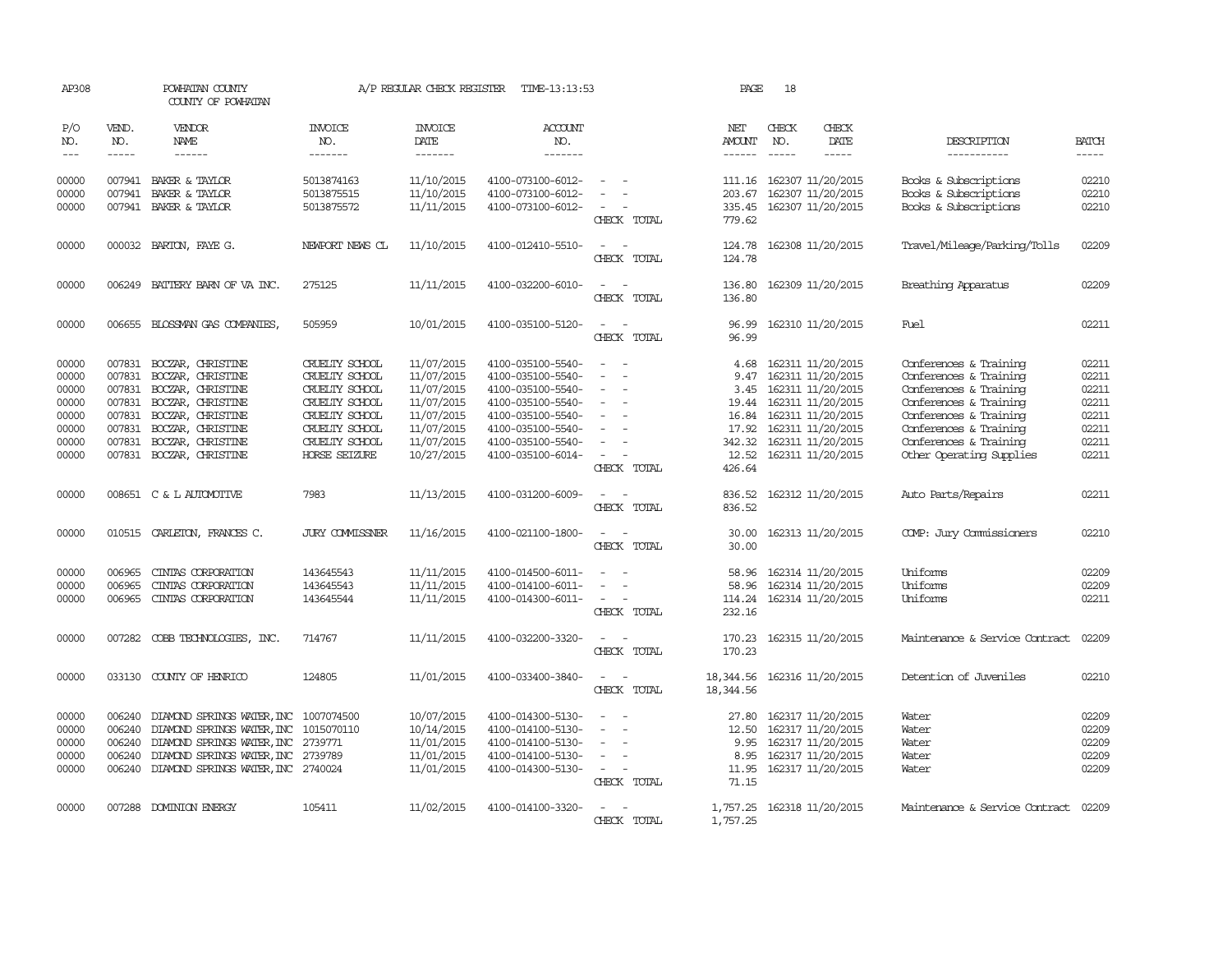| AP308                                                                |                                                                              | POWHATAN COUNTY<br>COUNTY OF POWHATAN                                                                                                                                                        |                                                                                                                                             | A/P REGULAR CHECK REGISTER                                                                                   | TIME-13:13:53                                                                                                                                                        |                                                   | PAGE                                                                         | 18           |                                                                                                                                                                      |                                                                                                                                                                                                                |                                                                      |
|----------------------------------------------------------------------|------------------------------------------------------------------------------|----------------------------------------------------------------------------------------------------------------------------------------------------------------------------------------------|---------------------------------------------------------------------------------------------------------------------------------------------|--------------------------------------------------------------------------------------------------------------|----------------------------------------------------------------------------------------------------------------------------------------------------------------------|---------------------------------------------------|------------------------------------------------------------------------------|--------------|----------------------------------------------------------------------------------------------------------------------------------------------------------------------|----------------------------------------------------------------------------------------------------------------------------------------------------------------------------------------------------------------|----------------------------------------------------------------------|
| P/O<br>NO.<br>$\frac{1}{2}$                                          | VEND.<br>NO.<br>$- - - - -$                                                  | VENDOR<br><b>NAME</b><br>------                                                                                                                                                              | <b>INVOICE</b><br>NO.<br>-------                                                                                                            | <b>INVOICE</b><br>DATE<br>-------                                                                            | <b>ACCOUNT</b><br>NO.<br>-------                                                                                                                                     |                                                   | NET<br>AMOUNT<br>$- - - - - -$                                               | CHECK<br>NO. | CHECK<br><b>DATE</b><br>-----                                                                                                                                        | DESCRIPTION<br>-----------                                                                                                                                                                                     | <b>BATCH</b><br>-----                                                |
| 00000<br>00000<br>00000                                              | 007941                                                                       | 007941 BAKER & TAYLOR<br>BAKER & TAYLOR<br>007941 BAKER & TAYLOR                                                                                                                             | 5013874163<br>5013875515<br>5013875572                                                                                                      | 11/10/2015<br>11/10/2015<br>11/11/2015                                                                       | 4100-073100-6012-<br>4100-073100-6012-<br>4100-073100-6012-                                                                                                          | CHECK TOTAL                                       | 111.16<br>203.67<br>335.45<br>779.62                                         |              | 162307 11/20/2015<br>162307 11/20/2015<br>162307 11/20/2015                                                                                                          | Books & Subscriptions<br>Books & Subscriptions<br>Books & Subscriptions                                                                                                                                        | 02210<br>02210<br>02210                                              |
| 00000                                                                |                                                                              | 000032 BARTON, FAYE G.                                                                                                                                                                       | NEWPORT NEWS CL                                                                                                                             | 11/10/2015                                                                                                   | 4100-012410-5510-                                                                                                                                                    | CHECK TOTAL                                       | 124.78<br>124.78                                                             |              | 162308 11/20/2015                                                                                                                                                    | Travel/Mileage/Parking/Tolls                                                                                                                                                                                   | 02209                                                                |
| 00000                                                                |                                                                              | 006249 BATTERY BARN OF VA INC.                                                                                                                                                               | 275125                                                                                                                                      | 11/11/2015                                                                                                   | 4100-032200-6010-                                                                                                                                                    | CHECK TOTAL                                       | 136.80<br>136.80                                                             |              | 162309 11/20/2015                                                                                                                                                    | Breathing Apparatus                                                                                                                                                                                            | 02209                                                                |
| 00000                                                                | 006655                                                                       | BLOSSMAN GAS COMPANIES,                                                                                                                                                                      | 505959                                                                                                                                      | 10/01/2015                                                                                                   | 4100-035100-5120-                                                                                                                                                    | CHECK TOTAL                                       | 96.99<br>96.99                                                               |              | 162310 11/20/2015                                                                                                                                                    | Fuel                                                                                                                                                                                                           | 02211                                                                |
| 00000<br>00000<br>00000<br>00000<br>00000<br>00000<br>00000<br>00000 | 007831<br>007831<br>007831<br>007831<br>007831<br>007831<br>007831<br>007831 | BOCZAR, CHRISTINE<br>BOCZAR, CHRISTINE<br>BOCZAR, CHRISTINE<br>BOCZAR, CHRISTINE<br>BOCZAR, CHRISTINE<br>BOCZAR, CHRISTINE<br>BOCZAR, CHRISTINE<br>BOCZAR, CHRISTINE                         | CRUELTY SCHOOL<br>CRUELTY SCHOOL<br>CRUELTY SCHOOL<br>CRUELTY SCHOOL<br>CRUELTY SCHOOL<br>CRUELTY SCHOOL<br>CRUELTY SCHOOL<br>HORSE SEIZURE | 11/07/2015<br>11/07/2015<br>11/07/2015<br>11/07/2015<br>11/07/2015<br>11/07/2015<br>11/07/2015<br>10/27/2015 | 4100-035100-5540-<br>4100-035100-5540-<br>4100-035100-5540-<br>4100-035100-5540-<br>4100-035100-5540-<br>4100-035100-5540-<br>4100-035100-5540-<br>4100-035100-6014- | $\overline{\phantom{a}}$<br>$\sim$<br>CHECK TOTAL | 4.68<br>9.47<br>3.45<br>19.44<br>16.84<br>17.92<br>342.32<br>12.52<br>426.64 |              | 162311 11/20/2015<br>162311 11/20/2015<br>162311 11/20/2015<br>162311 11/20/2015<br>162311 11/20/2015<br>162311 11/20/2015<br>162311 11/20/2015<br>162311 11/20/2015 | Conferences & Training<br>Conferences & Training<br>Conferences & Training<br>Conferences & Training<br>Conferences & Training<br>Conferences & Training<br>Conferences & Training<br>Other Operating Supplies | 02211<br>02211<br>02211<br>02211<br>02211<br>02211<br>02211<br>02211 |
| 00000                                                                |                                                                              | 008651 C & L AUTOMOTIVE                                                                                                                                                                      | 7983                                                                                                                                        | 11/13/2015                                                                                                   | 4100-031200-6009-                                                                                                                                                    | CHECK TOTAL                                       | 836.52<br>836.52                                                             |              | 162312 11/20/2015                                                                                                                                                    | Auto Parts/Repairs                                                                                                                                                                                             | 02211                                                                |
| 00000                                                                |                                                                              | 010515 CARLETON, FRANCES C.                                                                                                                                                                  | <b>JURY COMMISSNER</b>                                                                                                                      | 11/16/2015                                                                                                   | 4100-021100-1800-                                                                                                                                                    | CHECK TOTAL                                       | 30.00<br>30.00                                                               |              | 162313 11/20/2015                                                                                                                                                    | COMP: Jury Commissioners                                                                                                                                                                                       | 02210                                                                |
| 00000<br>00000<br>00000                                              | 006965<br>006965<br>006965                                                   | CINIAS CORPORATION<br>CINIAS CORPORATION<br>CINIAS CORPORATION                                                                                                                               | 143645543<br>143645543<br>143645544                                                                                                         | 11/11/2015<br>11/11/2015<br>11/11/2015                                                                       | 4100-014500-6011-<br>4100-014100-6011-<br>4100-014300-6011-                                                                                                          | CHECK TOTAL                                       | 58.96<br>58.96<br>114.24<br>232.16                                           |              | 162314 11/20/2015<br>162314 11/20/2015<br>162314 11/20/2015                                                                                                          | Uniforms<br>Uniforms<br>Uniforms                                                                                                                                                                               | 02209<br>02209<br>02211                                              |
| 00000                                                                |                                                                              | 007282 COBB TECHNOLOGIES, INC.                                                                                                                                                               | 714767                                                                                                                                      | 11/11/2015                                                                                                   | 4100-032200-3320-                                                                                                                                                    | $\sim$ $\sim$<br>CHECK TOTAL                      | 170.23<br>170.23                                                             |              | 162315 11/20/2015                                                                                                                                                    | Maintenance & Service Contract                                                                                                                                                                                 | 02209                                                                |
| 00000                                                                |                                                                              | 033130 COUNTY OF HENRICO                                                                                                                                                                     | 124805                                                                                                                                      | 11/01/2015                                                                                                   | 4100-033400-3840-                                                                                                                                                    | CHECK TOTAL                                       | 18,344.56<br>18,344.56                                                       |              | 162316 11/20/2015                                                                                                                                                    | Detention of Juveniles                                                                                                                                                                                         | 02210                                                                |
| 00000<br>00000<br>00000<br>00000<br>00000                            | 006240<br>006240<br>006240<br>006240                                         | DIAMOND SPRINGS WATER, INC 1007074500<br>DIAMOND SPRINGS WATER, INC<br>DIAMOND SPRINGS WATER, INC 2739771<br>DIAMOND SPRINGS WATER, INC 2739789<br>006240 DIAMOND SPRINGS WATER, INC 2740024 | 1015070110                                                                                                                                  | 10/07/2015<br>10/14/2015<br>11/01/2015<br>11/01/2015<br>11/01/2015                                           | 4100-014300-5130-<br>4100-014100-5130-<br>4100-014100-5130-<br>4100-014100-5130-<br>4100-014300-5130-                                                                | CHECK TOTAL                                       | 27.80<br>12.50<br>9.95<br>8.95<br>11.95<br>71.15                             |              | 162317 11/20/2015<br>162317 11/20/2015<br>162317 11/20/2015<br>162317 11/20/2015<br>162317 11/20/2015                                                                | Water<br>Water<br>Water<br>Water<br>Water                                                                                                                                                                      | 02209<br>02209<br>02209<br>02209<br>02209                            |
| 00000                                                                |                                                                              | 007288 DOMINION ENERGY                                                                                                                                                                       | 105411                                                                                                                                      | 11/02/2015                                                                                                   | 4100-014100-3320-                                                                                                                                                    | CHECK TOTAL                                       | 1,757.25<br>1,757.25                                                         |              | 162318 11/20/2015                                                                                                                                                    | Maintenance & Service Contract                                                                                                                                                                                 | 02209                                                                |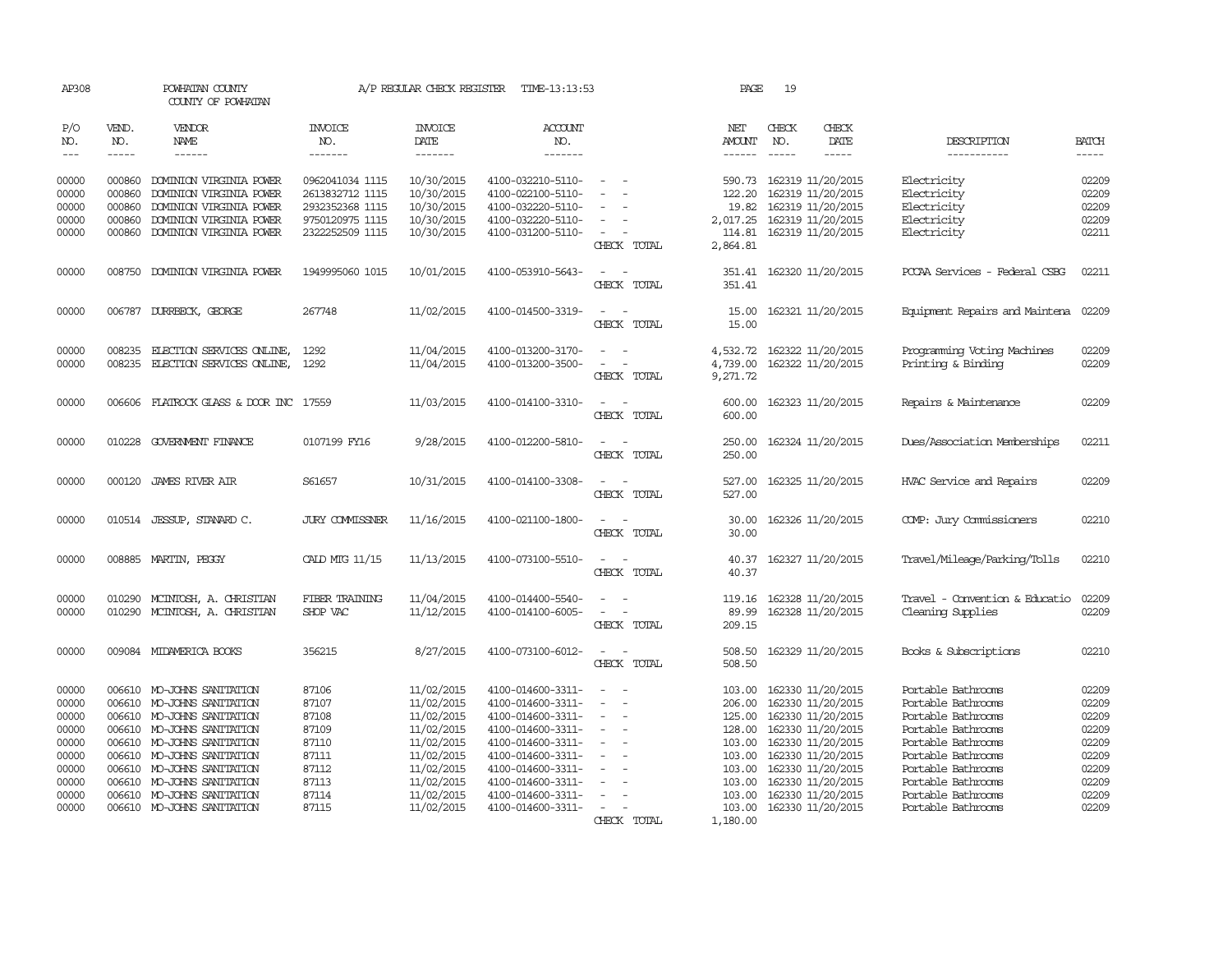| AP308                                                                                  |                                                | POWHATAN COUNTY<br>COUNTY OF POWHATAN                                                                                                                                                                                                                                        |                                                                                             | A/P REGULAR CHECK REGISTER                                                                                                               | TIME-13:13:53                                                                                                                                                                                                  |                                                                                                            | PAGE                                                                                             | 19                                                                                                                                                                                                             |                        |                                                                                                                                                                                                                          |                                                                                        |
|----------------------------------------------------------------------------------------|------------------------------------------------|------------------------------------------------------------------------------------------------------------------------------------------------------------------------------------------------------------------------------------------------------------------------------|---------------------------------------------------------------------------------------------|------------------------------------------------------------------------------------------------------------------------------------------|----------------------------------------------------------------------------------------------------------------------------------------------------------------------------------------------------------------|------------------------------------------------------------------------------------------------------------|--------------------------------------------------------------------------------------------------|----------------------------------------------------------------------------------------------------------------------------------------------------------------------------------------------------------------|------------------------|--------------------------------------------------------------------------------------------------------------------------------------------------------------------------------------------------------------------------|----------------------------------------------------------------------------------------|
| P/O<br>NO.<br>$\frac{1}{2}$                                                            | VEND.<br>NO.<br>$- - - - -$                    | VENDOR<br>NAME<br>------                                                                                                                                                                                                                                                     | <b>INVOICE</b><br>NO.<br>-------                                                            | <b>INVOICE</b><br>DATE<br>$- - - - - - -$                                                                                                | <b>ACCOUNT</b><br>NO.<br>-------                                                                                                                                                                               |                                                                                                            | NET<br>AMOUNT<br>$- - - - - -$                                                                   | CHECK<br>NO.                                                                                                                                                                                                   | CHECK<br>DATE<br>----- | DESCRIPTION<br>-----------                                                                                                                                                                                               | <b>BATCH</b><br>$- - - - -$                                                            |
| 00000<br>00000<br>00000<br>00000<br>00000                                              | 000860<br>000860<br>000860<br>000860<br>000860 | DOMINION VIRGINIA POWER<br>DOMINION VIRGINIA POWER<br>DOMINION VIRGINIA POWER<br>DOMINION VIRGINIA POWER<br>DOMINION VIRGINIA POWER                                                                                                                                          | 0962041034 1115<br>2613832712 1115<br>2932352368 1115<br>9750120975 1115<br>2322252509 1115 | 10/30/2015<br>10/30/2015<br>10/30/2015<br>10/30/2015<br>10/30/2015                                                                       | 4100-032210-5110-<br>4100-022100-5110-<br>4100-032220-5110-<br>4100-032220-5110-<br>4100-031200-5110-                                                                                                          | $\sim$<br>$\overline{\phantom{a}}$                                                                         | 590.73<br>122.20<br>19.82<br>2,017.25<br>114.81                                                  | 162319 11/20/2015<br>162319 11/20/2015<br>162319 11/20/2015<br>162319 11/20/2015<br>162319 11/20/2015                                                                                                          |                        | Electricity<br>Electricity<br>Electricity<br>Electricity<br>Electricity                                                                                                                                                  | 02209<br>02209<br>02209<br>02209<br>02211                                              |
| 00000                                                                                  | 008750                                         | DOMINION VIRGINIA POWER                                                                                                                                                                                                                                                      | 1949995060 1015                                                                             | 10/01/2015                                                                                                                               | 4100-053910-5643-                                                                                                                                                                                              | CHECK TOTAL<br>$\sim$<br>CHECK TOTAL                                                                       | 2,864.81<br>351.41                                                                               | 351.41 162320 11/20/2015                                                                                                                                                                                       |                        | PCCAA Services - Federal CSBG                                                                                                                                                                                            | 02211                                                                                  |
| 00000                                                                                  |                                                | 006787 DURRBECK, GEORGE                                                                                                                                                                                                                                                      | 267748                                                                                      | 11/02/2015                                                                                                                               | 4100-014500-3319-                                                                                                                                                                                              | $\sim$<br>CHECK TOTAL                                                                                      | 15.00<br>15.00                                                                                   | 162321 11/20/2015                                                                                                                                                                                              |                        | Equipment Repairs and Maintena                                                                                                                                                                                           | 02209                                                                                  |
| 00000<br>00000                                                                         | 008235<br>008235                               | ELECTION SERVICES ONLINE,<br>ELECTION SERVICES ONLINE,                                                                                                                                                                                                                       | 1292<br>1292                                                                                | 11/04/2015<br>11/04/2015                                                                                                                 | 4100-013200-3170-<br>4100-013200-3500-                                                                                                                                                                         | CHECK TOTAL                                                                                                | 4,532.72<br>4,739.00<br>9,271.72                                                                 | 162322 11/20/2015<br>162322 11/20/2015                                                                                                                                                                         |                        | Programming Voting Machines<br>Printing & Binding                                                                                                                                                                        | 02209<br>02209                                                                         |
| 00000                                                                                  |                                                | 006606 FLATROCK GLASS & DOOR INC 17559                                                                                                                                                                                                                                       |                                                                                             | 11/03/2015                                                                                                                               | 4100-014100-3310-                                                                                                                                                                                              | CHECK TOTAL                                                                                                | 600.00<br>600.00                                                                                 | 162323 11/20/2015                                                                                                                                                                                              |                        | Repairs & Maintenance                                                                                                                                                                                                    | 02209                                                                                  |
| 00000                                                                                  | 010228                                         | GOVERNMENT FINANCE                                                                                                                                                                                                                                                           | 0107199 FY16                                                                                | 9/28/2015                                                                                                                                | 4100-012200-5810-                                                                                                                                                                                              | CHECK TOTAL                                                                                                | 250.00<br>250.00                                                                                 | 162324 11/20/2015                                                                                                                                                                                              |                        | Dues/Association Memberships                                                                                                                                                                                             | 02211                                                                                  |
| 00000                                                                                  | 000120                                         | <b>JAMES RIVER AIR</b>                                                                                                                                                                                                                                                       | S61657                                                                                      | 10/31/2015                                                                                                                               | 4100-014100-3308-                                                                                                                                                                                              | CHECK TOTAL                                                                                                | 527.00<br>527.00                                                                                 | 162325 11/20/2015                                                                                                                                                                                              |                        | HVAC Service and Repairs                                                                                                                                                                                                 | 02209                                                                                  |
| 00000                                                                                  |                                                | 010514 JESSUP, STANARD C.                                                                                                                                                                                                                                                    | <b>JURY COMMISSNER</b>                                                                      | 11/16/2015                                                                                                                               | 4100-021100-1800-                                                                                                                                                                                              | CHECK TOTAL                                                                                                | 30.00<br>30.00                                                                                   | 162326 11/20/2015                                                                                                                                                                                              |                        | COMP: Jury Commissioners                                                                                                                                                                                                 | 02210                                                                                  |
| 00000                                                                                  |                                                | 008885 MARTIN, PEGGY                                                                                                                                                                                                                                                         | CALD MTG 11/15                                                                              | 11/13/2015                                                                                                                               | 4100-073100-5510-                                                                                                                                                                                              | CHECK TOTAL                                                                                                | 40.37<br>40.37                                                                                   | 162327 11/20/2015                                                                                                                                                                                              |                        | Travel/Mileage/Parking/Tolls                                                                                                                                                                                             | 02210                                                                                  |
| 00000<br>00000                                                                         | 010290                                         | MCINTOSH, A. CHRISTIAN<br>010290 MCINTOSH, A. CHRISTIAN                                                                                                                                                                                                                      | FIBER TRAINING<br>SHOP VAC                                                                  | 11/04/2015<br>11/12/2015                                                                                                                 | 4100-014400-5540-<br>4100-014100-6005-                                                                                                                                                                         | $\overline{\phantom{a}}$<br>$\overline{\phantom{a}}$<br>CHECK TOTAL                                        | 119.16<br>89.99<br>209.15                                                                        | 162328 11/20/2015<br>162328 11/20/2015                                                                                                                                                                         |                        | Travel - Convention & Educatio<br>Cleaning Supplies                                                                                                                                                                      | 02209<br>02209                                                                         |
| 00000                                                                                  |                                                | 009084 MIDAMERICA BOOKS                                                                                                                                                                                                                                                      | 356215                                                                                      | 8/27/2015                                                                                                                                | 4100-073100-6012-                                                                                                                                                                                              | $\sim$<br>$\sim$<br>CHECK TOTAL                                                                            | 508.50<br>508.50                                                                                 | 162329 11/20/2015                                                                                                                                                                                              |                        | Books & Subscriptions                                                                                                                                                                                                    | 02210                                                                                  |
| 00000<br>00000<br>00000<br>00000<br>00000<br>00000<br>00000<br>00000<br>00000<br>00000 | 006610<br>006610<br>006610<br>006610           | MO-JOHNS SANITATION<br>MO-JOHNS SANITATION<br>006610 MO-JOHNS SANITATION<br>006610 MO-JOHNS SANITATION<br>MO-JOHNS SANITATION<br>006610 MO-JOHNS SANITATION<br>006610 MO-JOHNS SANITATION<br>006610 MO-JOHNS SANITATION<br>MO-JOHNS SANITATION<br>006610 MO-JOHNS SANITATION | 87106<br>87107<br>87108<br>87109<br>87110<br>87111<br>87112<br>87113<br>87114<br>87115      | 11/02/2015<br>11/02/2015<br>11/02/2015<br>11/02/2015<br>11/02/2015<br>11/02/2015<br>11/02/2015<br>11/02/2015<br>11/02/2015<br>11/02/2015 | 4100-014600-3311-<br>4100-014600-3311-<br>4100-014600-3311-<br>4100-014600-3311-<br>4100-014600-3311-<br>4100-014600-3311-<br>4100-014600-3311-<br>4100-014600-3311-<br>4100-014600-3311-<br>4100-014600-3311- | $\equiv$<br>$\sim$<br>$\equiv$<br>$\overline{\phantom{a}}$<br>$\overline{\phantom{a}}$<br>$\sim$<br>$\sim$ | 103.00<br>206.00<br>125.00<br>128.00<br>103.00<br>103.00<br>103.00<br>103.00<br>103.00<br>103.00 | 162330 11/20/2015<br>162330 11/20/2015<br>162330 11/20/2015<br>162330 11/20/2015<br>162330 11/20/2015<br>162330 11/20/2015<br>162330 11/20/2015<br>162330 11/20/2015<br>162330 11/20/2015<br>162330 11/20/2015 |                        | Portable Bathrooms<br>Portable Bathrooms<br>Portable Bathrooms<br>Portable Bathrooms<br>Portable Bathrooms<br>Portable Bathrooms<br>Portable Bathrooms<br>Portable Bathrooms<br>Portable Bathrooms<br>Portable Bathrooms | 02209<br>02209<br>02209<br>02209<br>02209<br>02209<br>02209<br>02209<br>02209<br>02209 |
|                                                                                        |                                                |                                                                                                                                                                                                                                                                              |                                                                                             |                                                                                                                                          |                                                                                                                                                                                                                | CHECK TOTAL                                                                                                | 1,180.00                                                                                         |                                                                                                                                                                                                                |                        |                                                                                                                                                                                                                          |                                                                                        |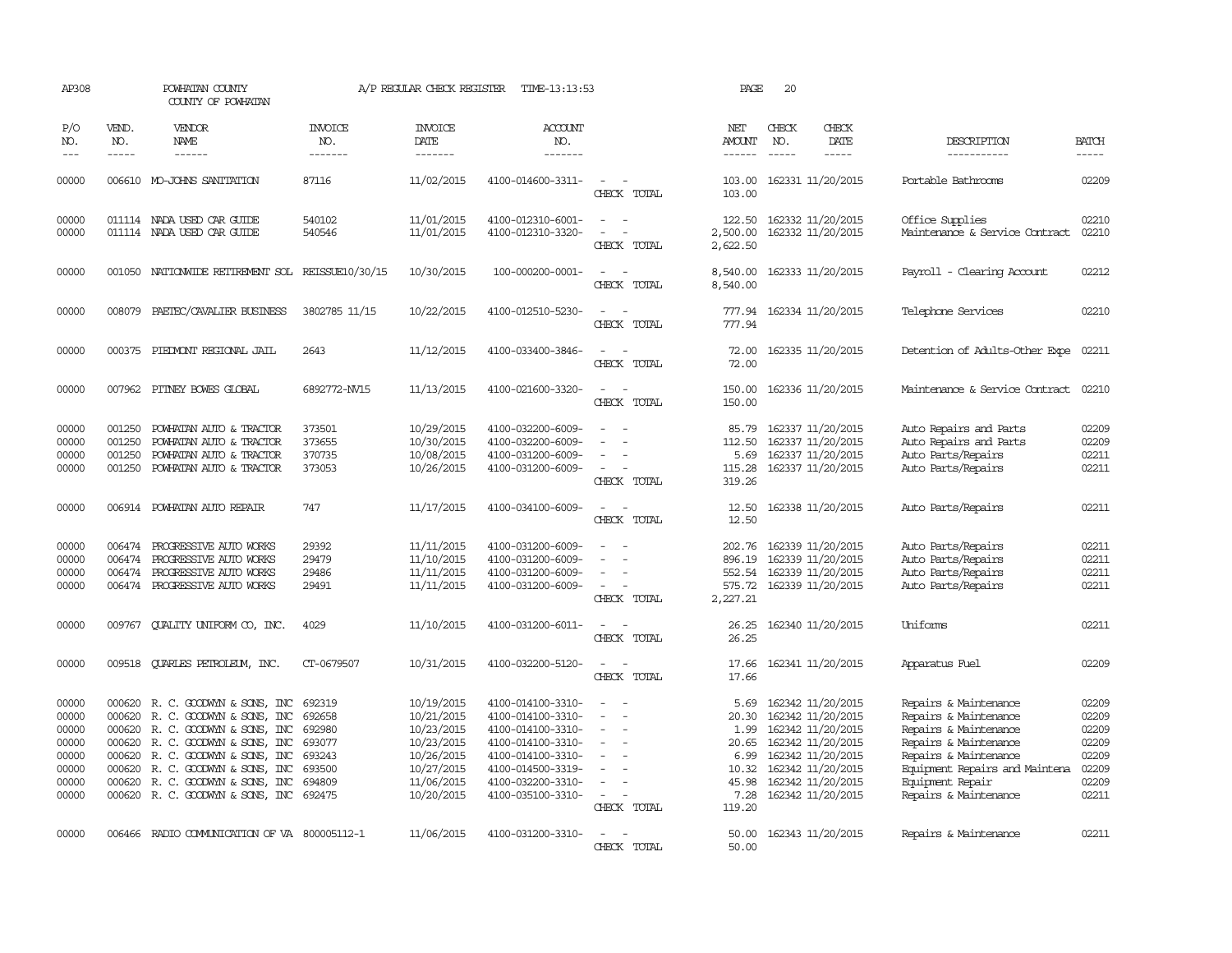| AP308                                                                |                                                          | POWHATAN COUNTY<br>COUNTY OF POWHATAN                                                                                                                                                                                                                     |                                                                    | A/P REGULAR CHECK REGISTER                                                                                   | TIME-13:13:53                                                                                                                                                        |                                                     | PAGE                                                              | 20           |                                                                                                                                                                            |                                                                                                                                                                                                          |                                                                      |
|----------------------------------------------------------------------|----------------------------------------------------------|-----------------------------------------------------------------------------------------------------------------------------------------------------------------------------------------------------------------------------------------------------------|--------------------------------------------------------------------|--------------------------------------------------------------------------------------------------------------|----------------------------------------------------------------------------------------------------------------------------------------------------------------------|-----------------------------------------------------|-------------------------------------------------------------------|--------------|----------------------------------------------------------------------------------------------------------------------------------------------------------------------------|----------------------------------------------------------------------------------------------------------------------------------------------------------------------------------------------------------|----------------------------------------------------------------------|
| P/O<br>NO.<br>$\frac{1}{2}$                                          | VEND.<br>NO.<br>$- - - - -$                              | VENDOR<br>NAME<br>$- - - - - -$                                                                                                                                                                                                                           | <b>INVOICE</b><br>NO.<br>-------                                   | <b>INVOICE</b><br>DATE<br>-------                                                                            | <b>ACCOUNT</b><br>NO.<br>-------                                                                                                                                     |                                                     | NET<br><b>AMOUNT</b><br>$- - - - - -$                             | CHECK<br>NO. | CHECK<br>DATE<br>$- - - - -$                                                                                                                                               | DESCRIPTION<br>-----------                                                                                                                                                                               | <b>BATCH</b><br>-----                                                |
| 00000                                                                |                                                          | 006610 MO-JOHNS SANITATION                                                                                                                                                                                                                                | 87116                                                              | 11/02/2015                                                                                                   | 4100-014600-3311-                                                                                                                                                    | $\sim$<br>CHECK TOTAL                               | 103.00                                                            |              | 103.00 162331 11/20/2015                                                                                                                                                   | Portable Bathrooms                                                                                                                                                                                       | 02209                                                                |
| 00000<br>00000                                                       |                                                          | 011114 NADA USED CAR GUIDE<br>011114 NADA USED CAR GUIDE                                                                                                                                                                                                  | 540102<br>540546                                                   | 11/01/2015<br>11/01/2015                                                                                     | 4100-012310-6001-<br>4100-012310-3320-                                                                                                                               | $\equiv$<br>CHECK TOTAL                             | 122.50<br>2,500.00<br>2,622.50                                    |              | 162332 11/20/2015<br>162332 11/20/2015                                                                                                                                     | Office Supplies<br>Maintenance & Service Contract                                                                                                                                                        | 02210<br>02210                                                       |
| 00000                                                                |                                                          | 001050 NATIONWIDE RETIREMENT SOL REISSUE10/30/15                                                                                                                                                                                                          |                                                                    | 10/30/2015                                                                                                   | 100-000200-0001-                                                                                                                                                     | CHECK TOTAL                                         | 8,540.00<br>8,540.00                                              |              | 162333 11/20/2015                                                                                                                                                          | Payroll - Clearing Account                                                                                                                                                                               | 02212                                                                |
| 00000                                                                | 008079                                                   | PAETEC/CAVALIER BUSINESS                                                                                                                                                                                                                                  | 3802785 11/15                                                      | 10/22/2015                                                                                                   | 4100-012510-5230-                                                                                                                                                    | CHECK TOTAL                                         | 777.94<br>777.94                                                  |              | 162334 11/20/2015                                                                                                                                                          | Telephone Services                                                                                                                                                                                       | 02210                                                                |
| 00000                                                                |                                                          | 000375 PIEDMONT REGIONAL JAIL                                                                                                                                                                                                                             | 2643                                                               | 11/12/2015                                                                                                   | 4100-033400-3846-                                                                                                                                                    | CHECK TOTAL                                         | 72.00<br>72.00                                                    |              | 162335 11/20/2015                                                                                                                                                          | Detention of Adults-Other Expe                                                                                                                                                                           | 02211                                                                |
| 00000                                                                | 007962                                                   | PITNEY BOWES GLOBAL                                                                                                                                                                                                                                       | 6892772-NV15                                                       | 11/13/2015                                                                                                   | 4100-021600-3320-                                                                                                                                                    | CHECK TOTAL                                         | 150.00<br>150.00                                                  |              | 162336 11/20/2015                                                                                                                                                          | Maintenance & Service Contract                                                                                                                                                                           | 02210                                                                |
| 00000<br>00000<br>00000<br>00000                                     | 001250<br>001250<br>001250<br>001250                     | POWHATAN AUTO & TRACTOR<br>POWHATAN AUTO & TRACTOR<br>POWHATAN AUTO & TRACTOR<br>POWHATAN AUTO & TRACTOR                                                                                                                                                  | 373501<br>373655<br>370735<br>373053                               | 10/29/2015<br>10/30/2015<br>10/08/2015<br>10/26/2015                                                         | 4100-032200-6009-<br>4100-032200-6009-<br>4100-031200-6009-<br>4100-031200-6009-                                                                                     | $\equiv$<br>CHECK TOTAL                             | 85.79<br>112.50<br>115.28<br>319.26                               |              | 162337 11/20/2015<br>162337 11/20/2015<br>5.69 162337 11/20/2015<br>162337 11/20/2015                                                                                      | Auto Repairs and Parts<br>Auto Repairs and Parts<br>Auto Parts/Repairs<br>Auto Parts/Repairs                                                                                                             | 02209<br>02209<br>02211<br>02211                                     |
| 00000                                                                |                                                          | 006914 POWHATAN AUTO REPAIR                                                                                                                                                                                                                               | 747                                                                | 11/17/2015                                                                                                   | 4100-034100-6009-                                                                                                                                                    | $ -$<br>CHECK TOTAL                                 | 12.50<br>12.50                                                    |              | 162338 11/20/2015                                                                                                                                                          | Auto Parts/Repairs                                                                                                                                                                                       | 02211                                                                |
| 00000<br>00000<br>00000<br>00000                                     | 006474<br>006474<br>006474                               | PROGRESSIVE AUTO WORKS<br>PROGRESSIVE AUTO WORKS<br>PROGRESSIVE AUTO WORKS<br>006474 PROGRESSIVE AUTO WORKS                                                                                                                                               | 29392<br>29479<br>29486<br>29491                                   | 11/11/2015<br>11/10/2015<br>11/11/2015<br>11/11/2015                                                         | 4100-031200-6009-<br>4100-031200-6009-<br>4100-031200-6009-<br>4100-031200-6009-                                                                                     | $\equiv$<br>$\overline{\phantom{a}}$<br>CHECK TOTAL | 896.19<br>575.72<br>2,227.21                                      |              | 202.76 162339 11/20/2015<br>162339 11/20/2015<br>552.54 162339 11/20/2015<br>162339 11/20/2015                                                                             | Auto Parts/Repairs<br>Auto Parts/Repairs<br>Auto Parts/Repairs<br>Auto Parts/Repairs                                                                                                                     | 02211<br>02211<br>02211<br>02211                                     |
| 00000                                                                |                                                          | 009767 CUALITY UNIFORM CO, INC.                                                                                                                                                                                                                           | 4029                                                               | 11/10/2015                                                                                                   | 4100-031200-6011-                                                                                                                                                    | $\overline{\phantom{a}}$<br>CHECK TOTAL             | 26.25<br>26.25                                                    |              | 162340 11/20/2015                                                                                                                                                          | Uniforms                                                                                                                                                                                                 | 02211                                                                |
| 00000                                                                |                                                          | 009518 QUARLES PETROLEUM, INC.                                                                                                                                                                                                                            | CT-0679507                                                         | 10/31/2015                                                                                                   | 4100-032200-5120-                                                                                                                                                    | CHECK TOTAL                                         | 17.66<br>17.66                                                    |              | 162341 11/20/2015                                                                                                                                                          | Apparatus Fuel                                                                                                                                                                                           | 02209                                                                |
| 00000<br>00000<br>00000<br>00000<br>00000<br>00000<br>00000<br>00000 | 000620<br>000620<br>000620<br>000620<br>000620<br>000620 | R. C. GOODWYN & SONS, INC<br>000620 R. C. GOODWYN & SONS, INC<br>R. C. GOODWYN & SONS, INC<br>R. C. GOODWYN & SONS, INC<br>R. C. GOODWYN & SONS, INC<br>R. C. GOODWYN & SONS, INC<br>R. C. GOODWYN & SONS, INC<br>000620 R. C. GOODWYN & SONS, INC 692475 | 692319<br>692658<br>692980<br>693077<br>693243<br>693500<br>694809 | 10/19/2015<br>10/21/2015<br>10/23/2015<br>10/23/2015<br>10/26/2015<br>10/27/2015<br>11/06/2015<br>10/20/2015 | 4100-014100-3310-<br>4100-014100-3310-<br>4100-014100-3310-<br>4100-014100-3310-<br>4100-014100-3310-<br>4100-014500-3319-<br>4100-032200-3310-<br>4100-035100-3310- | $\equiv$<br>$\sim$<br>CHECK TOTAL                   | 5.69<br>20.30<br>1.99<br>6.99<br>10.32<br>45.98<br>7.28<br>119.20 |              | 162342 11/20/2015<br>162342 11/20/2015<br>162342 11/20/2015<br>20.65 162342 11/20/2015<br>162342 11/20/2015<br>162342 11/20/2015<br>162342 11/20/2015<br>162342 11/20/2015 | Repairs & Maintenance<br>Repairs & Maintenance<br>Repairs & Maintenance<br>Repairs & Maintenance<br>Repairs & Maintenance<br>Equipment Repairs and Maintena<br>Equipment Repair<br>Repairs & Maintenance | 02209<br>02209<br>02209<br>02209<br>02209<br>02209<br>02209<br>02211 |
| 00000                                                                | 006466                                                   | RADIO COMMUNICATION OF VA 800005112-1                                                                                                                                                                                                                     |                                                                    | 11/06/2015                                                                                                   | 4100-031200-3310-                                                                                                                                                    | CHECK TOTAL                                         | 50.00<br>50.00                                                    |              | 162343 11/20/2015                                                                                                                                                          | Repairs & Maintenance                                                                                                                                                                                    | 02211                                                                |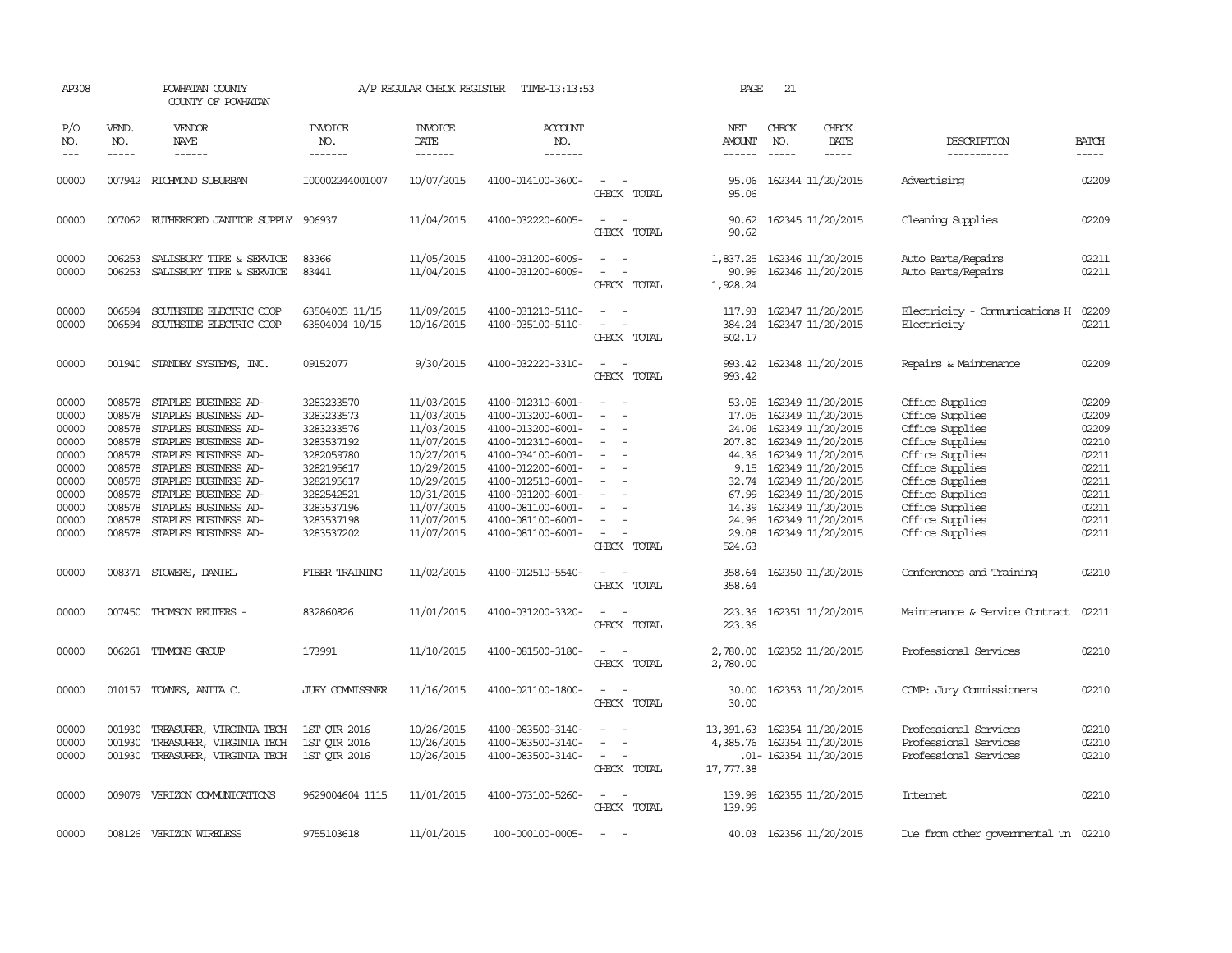| AP308                                                                                           |                                                                                        | POWHATAN COUNTY<br>COUNTY OF POWHATAN                                                                                                                                                                                                                                              |                                                                                                                                                        | A/P REGULAR CHECK REGISTER                                                                                                                             | TIME-13:13:53                                                                                                                                                                                                                       |                                                                     | PAGE                                                                                              | 21                            |                                                                                                                                                                                                                                          |                                                                                                                                                                                                               |                                                                                                 |
|-------------------------------------------------------------------------------------------------|----------------------------------------------------------------------------------------|------------------------------------------------------------------------------------------------------------------------------------------------------------------------------------------------------------------------------------------------------------------------------------|--------------------------------------------------------------------------------------------------------------------------------------------------------|--------------------------------------------------------------------------------------------------------------------------------------------------------|-------------------------------------------------------------------------------------------------------------------------------------------------------------------------------------------------------------------------------------|---------------------------------------------------------------------|---------------------------------------------------------------------------------------------------|-------------------------------|------------------------------------------------------------------------------------------------------------------------------------------------------------------------------------------------------------------------------------------|---------------------------------------------------------------------------------------------------------------------------------------------------------------------------------------------------------------|-------------------------------------------------------------------------------------------------|
| P/O<br>NO.<br>$---$                                                                             | VEND.<br>NO.<br>$- - - - -$                                                            | VENDOR<br>NAME                                                                                                                                                                                                                                                                     | <b>INVOICE</b><br>NO.<br>-------                                                                                                                       | <b>INVOICE</b><br>DATE<br>-------                                                                                                                      | <b>ACCOUNT</b><br>NO.<br>-------                                                                                                                                                                                                    |                                                                     | NET<br><b>AMOUNT</b><br>------                                                                    | CHECK<br>NO.<br>$\frac{1}{2}$ | CHECK<br>DATE<br>$- - - - -$                                                                                                                                                                                                             | DESCRIPTION<br>-----------                                                                                                                                                                                    | <b>BATCH</b><br>-----                                                                           |
| 00000                                                                                           |                                                                                        | 007942 RICHMOND SUBURBAN                                                                                                                                                                                                                                                           | I00002244001007                                                                                                                                        | 10/07/2015                                                                                                                                             | 4100-014100-3600-                                                                                                                                                                                                                   | $\sim$<br>CHECK TOTAL                                               | 95.06<br>95.06                                                                                    |                               | 162344 11/20/2015                                                                                                                                                                                                                        | Advertising                                                                                                                                                                                                   | 02209                                                                                           |
| 00000                                                                                           |                                                                                        | 007062 RUIHERFORD JANITOR SUPPLY 906937                                                                                                                                                                                                                                            |                                                                                                                                                        | 11/04/2015                                                                                                                                             | 4100-032220-6005-                                                                                                                                                                                                                   | $\overline{\phantom{a}}$<br>$\overline{\phantom{a}}$<br>CHECK TOTAL | 90.62<br>90.62                                                                                    |                               | 162345 11/20/2015                                                                                                                                                                                                                        | Cleaning Supplies                                                                                                                                                                                             | 02209                                                                                           |
| 00000<br>00000                                                                                  | 006253                                                                                 | 006253 SALISBURY TIRE & SERVICE<br>SALISBURY TIRE & SERVICE                                                                                                                                                                                                                        | 83366<br>83441                                                                                                                                         | 11/05/2015<br>11/04/2015                                                                                                                               | 4100-031200-6009-<br>4100-031200-6009-                                                                                                                                                                                              | $\equiv$<br>$\sim$<br>CHECK TOTAL                                   | 90.99<br>1,928.24                                                                                 |                               | 1,837.25 162346 11/20/2015<br>162346 11/20/2015                                                                                                                                                                                          | Auto Parts/Repairs<br>Auto Parts/Repairs                                                                                                                                                                      | 02211<br>02211                                                                                  |
| 00000<br>00000                                                                                  | 006594<br>006594                                                                       | SOUTHSIDE ELECTRIC COOP<br>SOUTHSIDE ELECTRIC COOP                                                                                                                                                                                                                                 | 63504005 11/15<br>63504004 10/15                                                                                                                       | 11/09/2015<br>10/16/2015                                                                                                                               | 4100-031210-5110-<br>4100-035100-5110-                                                                                                                                                                                              | CHECK TOTAL                                                         | 117.93<br>384.24<br>502.17                                                                        |                               | 162347 11/20/2015<br>162347 11/20/2015                                                                                                                                                                                                   | Electricity - Comunications H<br>Electricity                                                                                                                                                                  | 02209<br>02211                                                                                  |
| 00000                                                                                           |                                                                                        | 001940 STANDBY SYSTEMS, INC.                                                                                                                                                                                                                                                       | 09152077                                                                                                                                               | 9/30/2015                                                                                                                                              | 4100-032220-3310-                                                                                                                                                                                                                   | $\sim$<br>CHECK TOTAL                                               | 993.42<br>993.42                                                                                  |                               | 162348 11/20/2015                                                                                                                                                                                                                        | Repairs & Maintenance                                                                                                                                                                                         | 02209                                                                                           |
| 00000<br>00000<br>00000<br>00000<br>00000<br>00000<br>00000<br>00000<br>00000<br>00000<br>00000 | 008578<br>008578<br>008578<br>008578<br>008578<br>008578<br>008578<br>008578<br>008578 | STAPLES BUSINESS AD-<br>STAPLES BUSINESS AD-<br>STAPLES BUSINESS AD-<br>STAPLES BUSINESS AD-<br>008578 STAPLES BUSINESS AD-<br>STAPLES BUSINESS AD-<br>STAPLES BUSINESS AD-<br>STAPLES BUSINESS AD-<br>STAPLES BUSINESS AD-<br>STAPLES BUSINESS AD-<br>008578 STAPLES BUSINESS AD- | 3283233570<br>3283233573<br>3283233576<br>3283537192<br>3282059780<br>3282195617<br>3282195617<br>3282542521<br>3283537196<br>3283537198<br>3283537202 | 11/03/2015<br>11/03/2015<br>11/03/2015<br>11/07/2015<br>10/27/2015<br>10/29/2015<br>10/29/2015<br>10/31/2015<br>11/07/2015<br>11/07/2015<br>11/07/2015 | 4100-012310-6001-<br>4100-013200-6001-<br>4100-013200-6001-<br>4100-012310-6001-<br>4100-034100-6001-<br>4100-012200-6001-<br>4100-012510-6001-<br>4100-031200-6001-<br>4100-081100-6001-<br>4100-081100-6001-<br>4100-081100-6001- | $\sim$<br>$\overline{\phantom{a}}$<br>$\sim$<br>CHECK TOTAL         | 53.05<br>17.05<br>24.06<br>207.80<br>44.36<br>32.74<br>67.99<br>14.39<br>24.96<br>29.08<br>524.63 |                               | 162349 11/20/2015<br>162349 11/20/2015<br>162349 11/20/2015<br>162349 11/20/2015<br>162349 11/20/2015<br>9.15 162349 11/20/2015<br>162349 11/20/2015<br>162349 11/20/2015<br>162349 11/20/2015<br>162349 11/20/2015<br>162349 11/20/2015 | Office Supplies<br>Office Supplies<br>Office Supplies<br>Office Supplies<br>Office Supplies<br>Office Supplies<br>Office Supplies<br>Office Supplies<br>Office Supplies<br>Office Supplies<br>Office Supplies | 02209<br>02209<br>02209<br>02210<br>02211<br>02211<br>02211<br>02211<br>02211<br>02211<br>02211 |
| 00000                                                                                           |                                                                                        | 008371 STOWERS, DANIEL                                                                                                                                                                                                                                                             | FIBER TRAINING                                                                                                                                         | 11/02/2015                                                                                                                                             | 4100-012510-5540-                                                                                                                                                                                                                   | CHECK TOTAL                                                         | 358.64<br>358.64                                                                                  |                               | 162350 11/20/2015                                                                                                                                                                                                                        | Conferences and Training                                                                                                                                                                                      | 02210                                                                                           |
| 00000                                                                                           |                                                                                        | 007450 THOMSON REUTERS -                                                                                                                                                                                                                                                           | 832860826                                                                                                                                              | 11/01/2015                                                                                                                                             | 4100-031200-3320-                                                                                                                                                                                                                   | CHECK TOTAL                                                         | 223.36<br>223.36                                                                                  |                               | 162351 11/20/2015                                                                                                                                                                                                                        | Maintenance & Service Contract                                                                                                                                                                                | 02211                                                                                           |
| 00000                                                                                           | 006261                                                                                 | TIMMONS GROUP                                                                                                                                                                                                                                                                      | 173991                                                                                                                                                 | 11/10/2015                                                                                                                                             | 4100-081500-3180-                                                                                                                                                                                                                   | CHECK TOTAL                                                         | 2,780.00<br>2,780.00                                                                              |                               | 162352 11/20/2015                                                                                                                                                                                                                        | Professional Services                                                                                                                                                                                         | 02210                                                                                           |
| 00000                                                                                           | 010157                                                                                 | TOWNES, ANITA C.                                                                                                                                                                                                                                                                   | <b>JURY COMMISSNER</b>                                                                                                                                 | 11/16/2015                                                                                                                                             | 4100-021100-1800-                                                                                                                                                                                                                   | CHECK TOTAL                                                         | 30.00<br>30.00                                                                                    |                               | 162353 11/20/2015                                                                                                                                                                                                                        | COMP: Jury Commissioners                                                                                                                                                                                      | 02210                                                                                           |
| 00000<br>00000<br>00000                                                                         | 001930<br>001930                                                                       | TREASURER, VIRGINIA TECH<br>TREASURER, VIRGINIA TECH<br>001930 TREASURER, VIRGINIA TECH                                                                                                                                                                                            | 1ST QTR 2016<br>1ST QTR 2016<br>1ST QTR 2016                                                                                                           | 10/26/2015<br>10/26/2015<br>10/26/2015                                                                                                                 | 4100-083500-3140-<br>4100-083500-3140-<br>4100-083500-3140-                                                                                                                                                                         | $\sim$<br>CHECK TOTAL                                               | 13,391.63<br>4,385.76<br>17,777.38                                                                |                               | 162354 11/20/2015<br>162354 11/20/2015<br>.01- 162354 11/20/2015                                                                                                                                                                         | Professional Services<br>Professional Services<br>Professional Services                                                                                                                                       | 02210<br>02210<br>02210                                                                         |
| 00000                                                                                           | 009079                                                                                 | VERIZON COMMUNICATIONS                                                                                                                                                                                                                                                             | 9629004604 1115                                                                                                                                        | 11/01/2015                                                                                                                                             | 4100-073100-5260-                                                                                                                                                                                                                   | $\overline{\phantom{a}}$<br>CHECK TOTAL                             | 139.99<br>139.99                                                                                  |                               | 162355 11/20/2015                                                                                                                                                                                                                        | Intemet                                                                                                                                                                                                       | 02210                                                                                           |
| 00000                                                                                           |                                                                                        | 008126 VERIZON WIRELESS                                                                                                                                                                                                                                                            | 9755103618                                                                                                                                             | 11/01/2015                                                                                                                                             | 100-000100-0005-                                                                                                                                                                                                                    | $\equiv$                                                            |                                                                                                   |                               | 40.03 162356 11/20/2015                                                                                                                                                                                                                  | Due from other governmental un 02210                                                                                                                                                                          |                                                                                                 |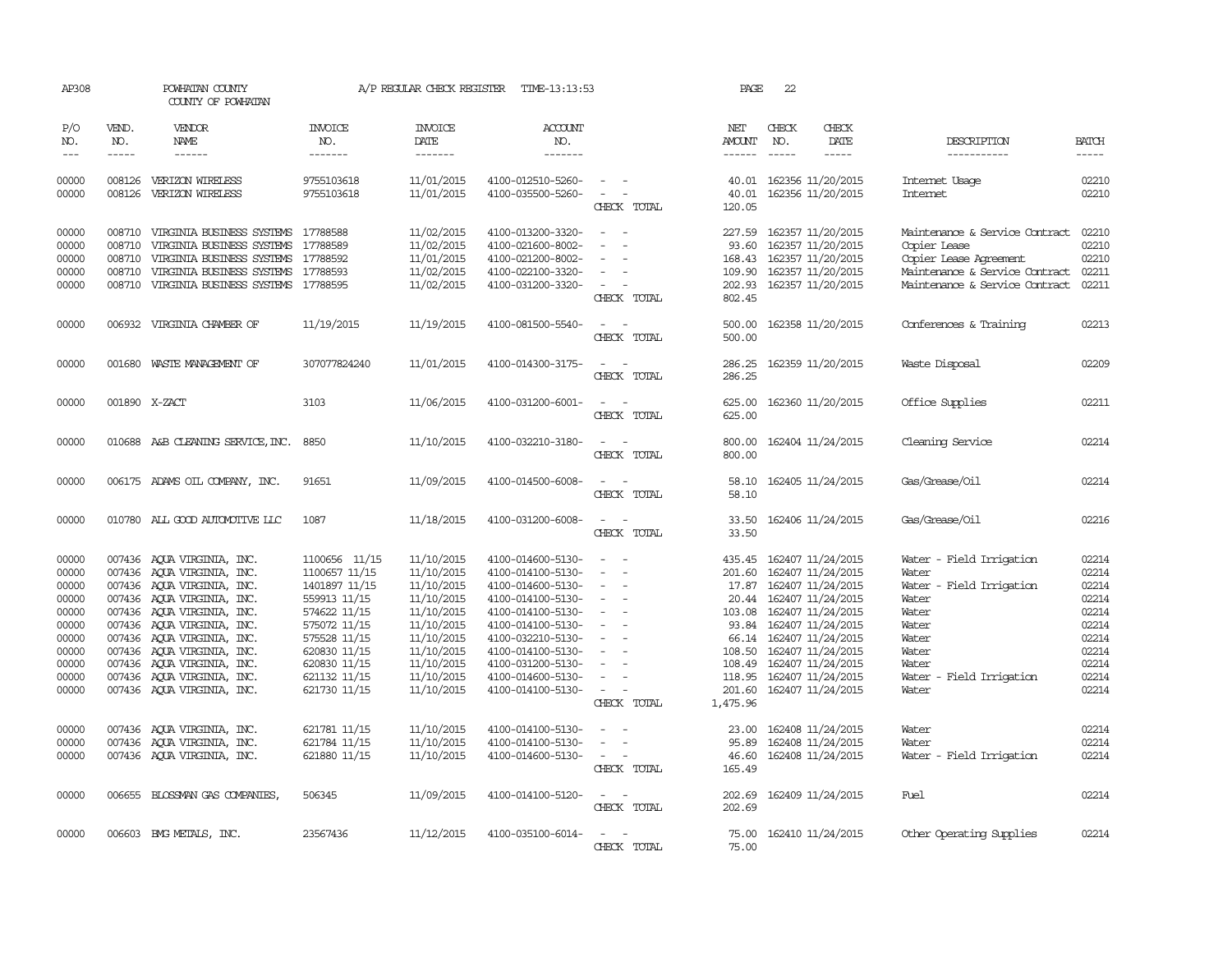| AP308                                                                                           |                             | POWHATAN COUNTY<br>COUNTY OF POWHATAN                                                                                                                                                                                                                                                                                                  |                                                                                                                                                                                 | A/P REGULAR CHECK REGISTER                                                                                                                             | TIME-13:13:53                                                                                                                                                                                                                       |                                                                                                                             | PAGE                                                                                                               | 22                          |                                                                                                                                                                                                                                     |                                                                                                                                                          |                                                                                                 |
|-------------------------------------------------------------------------------------------------|-----------------------------|----------------------------------------------------------------------------------------------------------------------------------------------------------------------------------------------------------------------------------------------------------------------------------------------------------------------------------------|---------------------------------------------------------------------------------------------------------------------------------------------------------------------------------|--------------------------------------------------------------------------------------------------------------------------------------------------------|-------------------------------------------------------------------------------------------------------------------------------------------------------------------------------------------------------------------------------------|-----------------------------------------------------------------------------------------------------------------------------|--------------------------------------------------------------------------------------------------------------------|-----------------------------|-------------------------------------------------------------------------------------------------------------------------------------------------------------------------------------------------------------------------------------|----------------------------------------------------------------------------------------------------------------------------------------------------------|-------------------------------------------------------------------------------------------------|
| P/O<br>NO.<br>$---$                                                                             | VEND.<br>NO.<br>$- - - - -$ | VENDOR<br><b>NAME</b><br>$- - - - - -$                                                                                                                                                                                                                                                                                                 | <b>INVOICE</b><br>NO.<br>-------                                                                                                                                                | <b>INVOICE</b><br>DATE<br>-------                                                                                                                      | <b>ACCOUNT</b><br>NO.<br>-------                                                                                                                                                                                                    |                                                                                                                             | NET<br>AMOUNT<br>$- - - - - -$                                                                                     | CHECK<br>NO.<br>$- - - - -$ | CHECK<br>DATE<br>-----                                                                                                                                                                                                              | DESCRIPTION<br>-----------                                                                                                                               | <b>BATCH</b><br>$- - - - -$                                                                     |
| 00000<br>00000                                                                                  | 008126                      | 008126 VERIZON WIRELESS<br>VERIZON WIRELESS                                                                                                                                                                                                                                                                                            | 9755103618<br>9755103618                                                                                                                                                        | 11/01/2015<br>11/01/2015                                                                                                                               | 4100-012510-5260-<br>4100-035500-5260-                                                                                                                                                                                              | CHECK TOTAL                                                                                                                 | 40.01<br>120.05                                                                                                    |                             | 40.01 162356 11/20/2015<br>162356 11/20/2015                                                                                                                                                                                        | Internet Usage<br>Internet                                                                                                                               | 02210<br>02210                                                                                  |
| 00000<br>00000<br>00000<br>00000<br>00000                                                       | 008710<br>008710            | 008710 VIRGINIA BUSINESS SYSTEMS 17788588<br>VIRGINIA BUSINESS SYSTEMS<br>008710 VIRGINIA BUSINESS SYSTEMS<br>VIRGINIA BUSINESS SYSTEMS<br>008710 VIRGINIA BUSINESS SYSTEMS 17788595                                                                                                                                                   | 17788589<br>17788592<br>17788593                                                                                                                                                | 11/02/2015<br>11/02/2015<br>11/01/2015<br>11/02/2015<br>11/02/2015                                                                                     | 4100-013200-3320-<br>4100-021600-8002-<br>4100-021200-8002-<br>4100-022100-3320-<br>4100-031200-3320-                                                                                                                               | $\sim$<br>$\sim$<br>$\equiv$<br>CHECK TOTAL                                                                                 | 227.59<br>93.60<br>168.43<br>109.90<br>202.93<br>802.45                                                            |                             | 162357 11/20/2015<br>162357 11/20/2015<br>162357 11/20/2015<br>162357 11/20/2015<br>162357 11/20/2015                                                                                                                               | Maintenance & Service Contract<br>Copier Lease<br>Copier Lease Agreement<br>Maintenance & Service Contract<br>Maintenance & Service Contract             | 02210<br>02210<br>02210<br>02211<br>02211                                                       |
| 00000                                                                                           |                             | 006932 VIRGINIA CHAMBER OF                                                                                                                                                                                                                                                                                                             | 11/19/2015                                                                                                                                                                      | 11/19/2015                                                                                                                                             | 4100-081500-5540-                                                                                                                                                                                                                   | $\frac{1}{2} \left( \frac{1}{2} \right) \left( \frac{1}{2} \right) = \frac{1}{2} \left( \frac{1}{2} \right)$<br>CHECK TOTAL | 500.00<br>500.00                                                                                                   |                             | 162358 11/20/2015                                                                                                                                                                                                                   | Conferences & Training                                                                                                                                   | 02213                                                                                           |
| 00000                                                                                           |                             | 001680 WASTE MANAGEMENT OF                                                                                                                                                                                                                                                                                                             | 307077824240                                                                                                                                                                    | 11/01/2015                                                                                                                                             | 4100-014300-3175-                                                                                                                                                                                                                   | $\sim$<br>$\overline{\phantom{a}}$<br>CHECK TOTAL                                                                           | 286.25<br>286.25                                                                                                   |                             | 162359 11/20/2015                                                                                                                                                                                                                   | Waste Disposal                                                                                                                                           | 02209                                                                                           |
| 00000                                                                                           |                             | 001890 X-ZACT                                                                                                                                                                                                                                                                                                                          | 3103                                                                                                                                                                            | 11/06/2015                                                                                                                                             | 4100-031200-6001-                                                                                                                                                                                                                   | CHECK TOTAL                                                                                                                 | 625.00<br>625.00                                                                                                   |                             | 162360 11/20/2015                                                                                                                                                                                                                   | Office Supplies                                                                                                                                          | 02211                                                                                           |
| 00000                                                                                           |                             | 010688 A&B CLEANING SERVICE, INC.                                                                                                                                                                                                                                                                                                      | 8850                                                                                                                                                                            | 11/10/2015                                                                                                                                             | 4100-032210-3180-                                                                                                                                                                                                                   | CHECK TOTAL                                                                                                                 | 800.00<br>800.00                                                                                                   |                             | 162404 11/24/2015                                                                                                                                                                                                                   | Cleaning Service                                                                                                                                         | 02214                                                                                           |
| 00000                                                                                           |                             | 006175 ADAMS OIL COMPANY, INC.                                                                                                                                                                                                                                                                                                         | 91651                                                                                                                                                                           | 11/09/2015                                                                                                                                             | 4100-014500-6008-                                                                                                                                                                                                                   | CHECK TOTAL                                                                                                                 | 58.10<br>58.10                                                                                                     |                             | 162405 11/24/2015                                                                                                                                                                                                                   | Gas/Grease/0il                                                                                                                                           | 02214                                                                                           |
| 00000                                                                                           |                             | 010780 ALL GOOD AUTOMOTTVE LLC                                                                                                                                                                                                                                                                                                         | 1087                                                                                                                                                                            | 11/18/2015                                                                                                                                             | 4100-031200-6008-                                                                                                                                                                                                                   | $\sim$ $ \sim$<br>CHECK TOTAL                                                                                               | 33.50<br>33.50                                                                                                     |                             | 162406 11/24/2015                                                                                                                                                                                                                   | Gas/Grease/Oil                                                                                                                                           | 02216                                                                                           |
| 00000<br>00000<br>00000<br>00000<br>00000<br>00000<br>00000<br>00000<br>00000<br>00000<br>00000 |                             | 007436 AQUA VIRGINIA, INC.<br>007436 AQUA VIRGINIA, INC.<br>007436 AQUA VIRGINIA, INC.<br>007436 AQUA VIRGINIA, INC.<br>007436 AOUA VIRGINIA, INC.<br>007436 AQUA VIRGINIA, INC.<br>007436 AQUA VIRGINIA, INC.<br>007436 AQUA VIRGINIA, INC.<br>007436 AOUA VIRGINIA, INC.<br>007436 AOUA VIRGINIA, INC.<br>007436 AQUA VIRGINIA, INC. | 1100656 11/15<br>1100657 11/15<br>1401897 11/15<br>559913 11/15<br>574622 11/15<br>575072 11/15<br>575528 11/15<br>620830 11/15<br>620830 11/15<br>621132 11/15<br>621730 11/15 | 11/10/2015<br>11/10/2015<br>11/10/2015<br>11/10/2015<br>11/10/2015<br>11/10/2015<br>11/10/2015<br>11/10/2015<br>11/10/2015<br>11/10/2015<br>11/10/2015 | 4100-014600-5130-<br>4100-014100-5130-<br>4100-014600-5130-<br>4100-014100-5130-<br>4100-014100-5130-<br>4100-014100-5130-<br>4100-032210-5130-<br>4100-014100-5130-<br>4100-031200-5130-<br>4100-014600-5130-<br>4100-014100-5130- | $\overline{\phantom{a}}$<br>$\sim$<br>$\overline{\phantom{a}}$<br>$\overline{\phantom{a}}$<br>CHECK TOTAL                   | 435.45<br>201.60<br>17.87<br>20.44<br>103.08<br>93.84<br>66.14<br>108.50<br>108.49<br>118.95<br>201.60<br>1,475.96 |                             | 162407 11/24/2015<br>162407 11/24/2015<br>162407 11/24/2015<br>162407 11/24/2015<br>162407 11/24/2015<br>162407 11/24/2015<br>162407 11/24/2015<br>162407 11/24/2015<br>162407 11/24/2015<br>162407 11/24/2015<br>162407 11/24/2015 | Water - Field Irrigation<br>Water<br>Water - Field Irrigation<br>Water<br>Water<br>Water<br>Water<br>Water<br>Water<br>Water - Field Irrigation<br>Water | 02214<br>02214<br>02214<br>02214<br>02214<br>02214<br>02214<br>02214<br>02214<br>02214<br>02214 |
| 00000<br>00000<br>00000                                                                         |                             | 007436 AOUA VIRGINIA, INC.<br>007436 AQUA VIRGINIA, INC.<br>007436 AQUA VIRGINIA, INC.                                                                                                                                                                                                                                                 | 621781 11/15<br>621784 11/15<br>621880 11/15                                                                                                                                    | 11/10/2015<br>11/10/2015<br>11/10/2015                                                                                                                 | 4100-014100-5130-<br>4100-014100-5130-<br>4100-014600-5130-                                                                                                                                                                         | $\equiv$<br>$\sim$<br>CHECK TOTAL                                                                                           | 23.00<br>95.89<br>46.60<br>165.49                                                                                  |                             | 162408 11/24/2015<br>162408 11/24/2015<br>162408 11/24/2015                                                                                                                                                                         | Water<br>Water<br>Water - Field Irrigation                                                                                                               | 02214<br>02214<br>02214                                                                         |
| 00000                                                                                           |                             | 006655 BLOSSMAN GAS COMPANIES                                                                                                                                                                                                                                                                                                          | 506345                                                                                                                                                                          | 11/09/2015                                                                                                                                             | 4100-014100-5120-                                                                                                                                                                                                                   | $\overline{a}$<br>CHECK TOTAL                                                                                               | 202.69<br>202.69                                                                                                   |                             | 162409 11/24/2015                                                                                                                                                                                                                   | Fuel                                                                                                                                                     | 02214                                                                                           |
| 00000                                                                                           |                             | 006603 BMG METALS, INC.                                                                                                                                                                                                                                                                                                                | 23567436                                                                                                                                                                        | 11/12/2015                                                                                                                                             | 4100-035100-6014-                                                                                                                                                                                                                   | CHECK TOTAL                                                                                                                 | 75.00<br>75.00                                                                                                     |                             | 162410 11/24/2015                                                                                                                                                                                                                   | Other Operating Supplies                                                                                                                                 | 02214                                                                                           |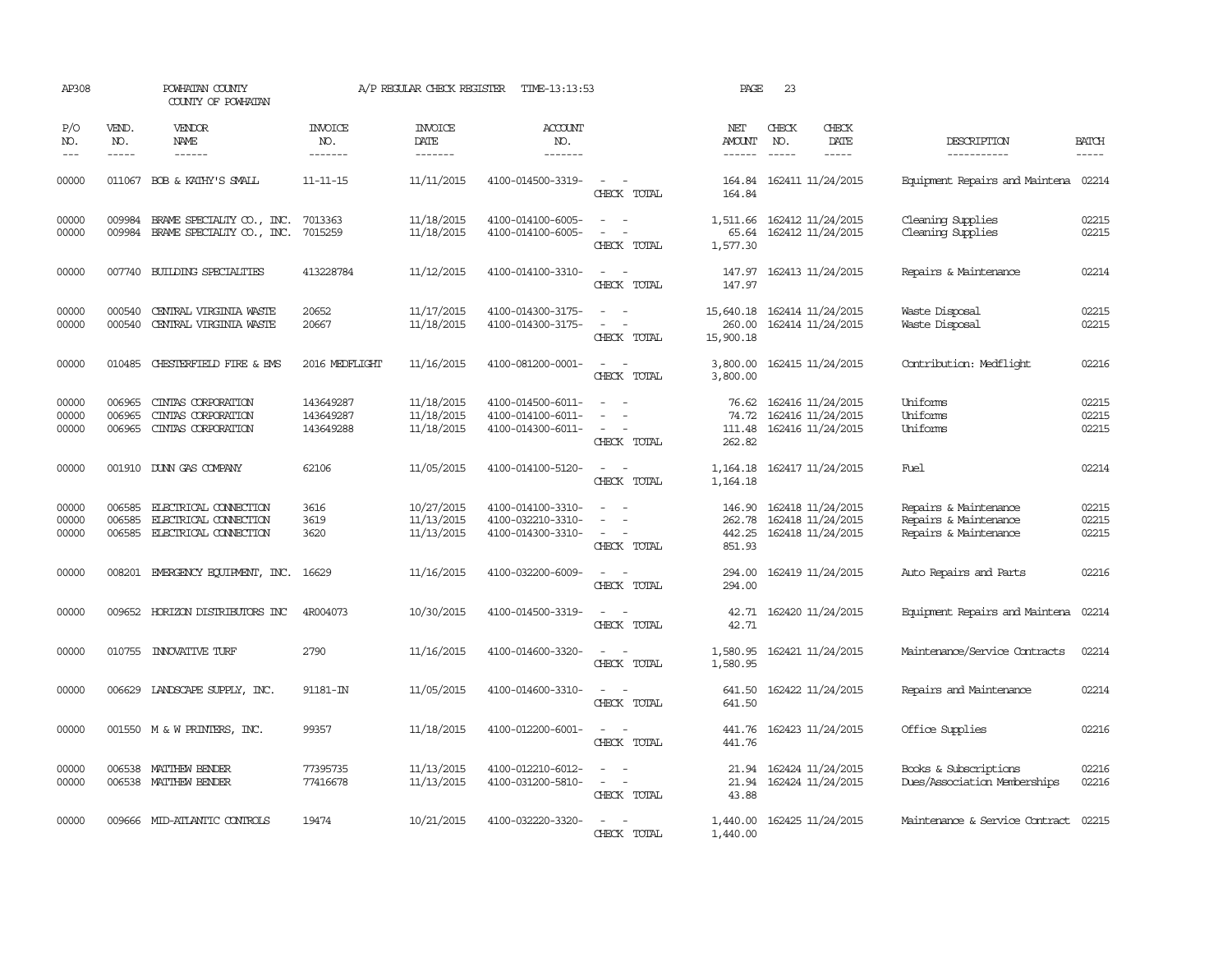| AP308                   |                             | POWHATAN COUNTY<br>COUNTY OF POWHATAN                                          |                                     | A/P REGULAR CHECK REGISTER             | TIME-13:13:53                                               |                                                                                                                             | PAGE                                 | 23                          |                                                             |                                                                         |                         |
|-------------------------|-----------------------------|--------------------------------------------------------------------------------|-------------------------------------|----------------------------------------|-------------------------------------------------------------|-----------------------------------------------------------------------------------------------------------------------------|--------------------------------------|-----------------------------|-------------------------------------------------------------|-------------------------------------------------------------------------|-------------------------|
| P/O<br>NO.<br>$---$     | VEND.<br>NO.<br>$- - - - -$ | <b>VENDOR</b><br>NAME<br>$- - - - - -$                                         | <b>INVOICE</b><br>NO.<br>-------    | <b>INVOICE</b><br>DATE<br>-------      | ACCOUNT<br>NO.<br>-------                                   |                                                                                                                             | NET<br>AMOUNT<br>------              | CHECK<br>NO.<br>$- - - - -$ | CHECK<br>DATE<br>-----                                      | DESCRIPTION<br>-----------                                              | <b>BATCH</b><br>-----   |
| 00000                   |                             | 011067 BOB & KATHY'S SMALL                                                     | $11 - 11 - 15$                      | 11/11/2015                             | 4100-014500-3319-                                           | $\sim$ $  -$<br>CHECK TOTAL                                                                                                 | 164.84                               |                             | 164.84 162411 11/24/2015                                    | Equipment Repairs and Maintena                                          | 02214                   |
| 00000<br>00000          | 009984<br>009984            | BRAME SPECIALITY CO., INC.<br>BRAME SPECIALITY CO., INC.                       | 7013363<br>7015259                  | 11/18/2015<br>11/18/2015               | 4100-014100-6005-<br>4100-014100-6005-                      | $\sim$<br>$\sim$<br>$\equiv$<br>CHECK TOTAL                                                                                 | 1,511.66<br>65.64<br>1,577.30        |                             | 162412 11/24/2015<br>162412 11/24/2015                      | Cleaning Supplies<br>Cleaning Supplies                                  | 02215<br>02215          |
| 00000                   |                             | 007740 BUILDING SPECIALITIES                                                   | 413228784                           | 11/12/2015                             | 4100-014100-3310-                                           | $\sim$ $ \sim$<br>CHECK TOTAL                                                                                               | 147.97<br>147.97                     |                             | 162413 11/24/2015                                           | Repairs & Maintenance                                                   | 02214                   |
| 00000<br>00000          | 000540<br>000540            | CENTRAL VIRGINIA WASTE<br>CENTRAL VIRGINIA WASTE                               | 20652<br>20667                      | 11/17/2015<br>11/18/2015               | 4100-014300-3175-<br>4100-014300-3175-                      | $\equiv$<br>$\sim$<br>$\overline{\phantom{a}}$<br>÷,<br>CHECK TOTAL                                                         | 15,640.18<br>260.00<br>15,900.18     |                             | 162414 11/24/2015<br>162414 11/24/2015                      | Waste Disposal<br>Waste Disposal                                        | 02215<br>02215          |
| 00000                   |                             | 010485 CHESTERFIELD FIRE & EMS                                                 | 2016 MEDFLIGHT                      | 11/16/2015                             | 4100-081200-0001-                                           | $\sim$ $ \sim$<br>CHECK TOTAL                                                                                               | 3,800.00<br>3,800.00                 |                             | 162415 11/24/2015                                           | Contribution: Medflight                                                 | 02216                   |
| 00000<br>00000<br>00000 | 006965<br>006965<br>006965  | CINIAS CORPORATION<br>CINIAS CORPORATION<br>CINIAS CORPORATION                 | 143649287<br>143649287<br>143649288 | 11/18/2015<br>11/18/2015<br>11/18/2015 | 4100-014500-6011-<br>4100-014100-6011-<br>4100-014300-6011- | $\equiv$<br>$\sim$<br>$\equiv$<br>$\overline{\phantom{a}}$<br>$\overline{\phantom{a}}$<br>CHECK TOTAL                       | 76.62<br>74.72<br>111.48<br>262.82   |                             | 162416 11/24/2015<br>162416 11/24/2015<br>162416 11/24/2015 | Uniforms<br>Uniforms<br>Uniforms                                        | 02215<br>02215<br>02215 |
| 00000                   |                             | 001910 DUNN GAS COMPANY                                                        | 62106                               | 11/05/2015                             | 4100-014100-5120-                                           | $\sim$<br>$\sim$<br>CHECK TOTAL                                                                                             | 1,164.18<br>1,164.18                 |                             | 162417 11/24/2015                                           | Fuel                                                                    | 02214                   |
| 00000<br>00000<br>00000 | 006585<br>006585            | ELECTRICAL CONNECTION<br>ELECTRICAL CONNECTION<br>006585 ELECTRICAL CONNECTION | 3616<br>3619<br>3620                | 10/27/2015<br>11/13/2015<br>11/13/2015 | 4100-014100-3310-<br>4100-032210-3310-<br>4100-014300-3310- | $\sim$<br>$\sim$<br>$\equiv$<br>CHECK TOTAL                                                                                 | 146.90<br>262.78<br>442.25<br>851.93 |                             | 162418 11/24/2015<br>162418 11/24/2015<br>162418 11/24/2015 | Repairs & Maintenance<br>Repairs & Maintenance<br>Repairs & Maintenance | 02215<br>02215<br>02215 |
| 00000                   |                             | 008201 EMERGENCY EQUIPMENT, INC. 16629                                         |                                     | 11/16/2015                             | 4100-032200-6009-                                           | CHECK TOTAL                                                                                                                 | 294.00<br>294.00                     |                             | 162419 11/24/2015                                           | Auto Repairs and Parts                                                  | 02216                   |
| 00000                   | 009652                      | HORIZON DISTRIBUTORS INC                                                       | 4R004073                            | 10/30/2015                             | 4100-014500-3319-                                           | CHECK TOTAL                                                                                                                 | 42.71<br>42.71                       |                             | 162420 11/24/2015                                           | Equipment Repairs and Maintena                                          | 02214                   |
| 00000                   |                             | 010755 INNOVATIVE TURF                                                         | 2790                                | 11/16/2015                             | 4100-014600-3320-                                           | $\overline{\phantom{a}}$<br>CHECK TOTAL                                                                                     | 1,580.95<br>1,580.95                 |                             | 162421 11/24/2015                                           | Maintenance/Service Contracts                                           | 02214                   |
| 00000                   |                             | 006629 LANDSCAPE SUPPLY, INC.                                                  | 91181-IN                            | 11/05/2015                             | 4100-014600-3310-                                           | CHECK TOTAL                                                                                                                 | 641.50<br>641.50                     |                             | 162422 11/24/2015                                           | Repairs and Maintenance                                                 | 02214                   |
| 00000                   |                             | 001550 M & W PRINTERS, INC.                                                    | 99357                               | 11/18/2015                             | 4100-012200-6001-                                           | $\frac{1}{2} \left( \frac{1}{2} \right) \left( \frac{1}{2} \right) = \frac{1}{2} \left( \frac{1}{2} \right)$<br>CHECK TOTAL | 441.76<br>441.76                     |                             | 162423 11/24/2015                                           | Office Supplies                                                         | 02216                   |
| 00000<br>00000          |                             | 006538 MATTHEW BENDER<br>006538 MATTHEW BENDER                                 | 77395735<br>77416678                | 11/13/2015<br>11/13/2015               | 4100-012210-6012-<br>4100-031200-5810-                      | $\overline{\phantom{a}}$<br>CHECK TOTAL                                                                                     | 21.94<br>21.94<br>43.88              |                             | 162424 11/24/2015<br>162424 11/24/2015                      | Books & Subscriptions<br>Dues/Association Memberships                   | 02216<br>02216          |
| 00000                   |                             | 009666 MID-ATLANTIC CONTROLS                                                   | 19474                               | 10/21/2015                             | 4100-032220-3320-                                           | CHECK TOTAL                                                                                                                 | 1,440.00<br>1,440.00                 |                             | 162425 11/24/2015                                           | Maintenance & Service Contract 02215                                    |                         |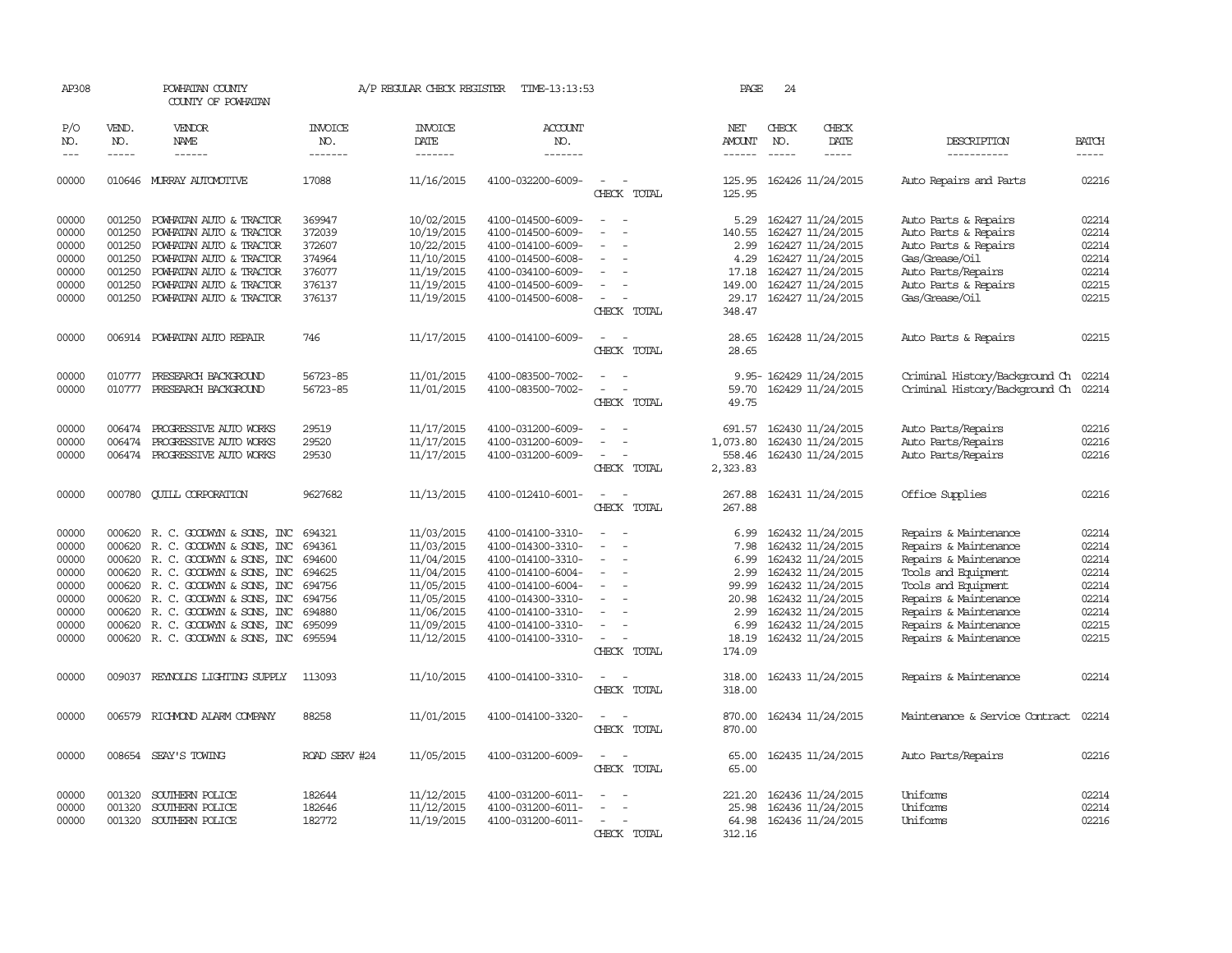| AP308                                                                         |                                                          | POWHATAN COUNTY<br>COUNTY OF POWHATAN                                                                                                                                                                                                                                                                                                   |                                                                              | A/P REGULAR CHECK REGISTER                                                                                                 | TIME-13:13:53                                                                                                                                                                             |                                                                                                                                                                       | PAGE                                                             | 24            |                                                                                                                                                                                                      |                                                                                                                                                                                                                           |                                                                               |
|-------------------------------------------------------------------------------|----------------------------------------------------------|-----------------------------------------------------------------------------------------------------------------------------------------------------------------------------------------------------------------------------------------------------------------------------------------------------------------------------------------|------------------------------------------------------------------------------|----------------------------------------------------------------------------------------------------------------------------|-------------------------------------------------------------------------------------------------------------------------------------------------------------------------------------------|-----------------------------------------------------------------------------------------------------------------------------------------------------------------------|------------------------------------------------------------------|---------------|------------------------------------------------------------------------------------------------------------------------------------------------------------------------------------------------------|---------------------------------------------------------------------------------------------------------------------------------------------------------------------------------------------------------------------------|-------------------------------------------------------------------------------|
| P/O<br>NO.                                                                    | VEND.<br>NO.                                             | <b>VENDOR</b><br>NAME                                                                                                                                                                                                                                                                                                                   | INVOICE<br>NO.                                                               | <b>INVOICE</b><br>DATE                                                                                                     | <b>ACCOUNT</b><br>NO.                                                                                                                                                                     |                                                                                                                                                                       | NET<br>AMOUNT                                                    | CHECK<br>NO.  | CHECK<br>DATE                                                                                                                                                                                        | DESCRIPTION                                                                                                                                                                                                               | <b>BATCH</b>                                                                  |
| $---$                                                                         | $\frac{1}{2}$                                            | ------                                                                                                                                                                                                                                                                                                                                  | -------                                                                      | --------                                                                                                                   | -------                                                                                                                                                                                   |                                                                                                                                                                       | $- - - - - -$                                                    | $\frac{1}{2}$ | $- - - - -$                                                                                                                                                                                          | -----------                                                                                                                                                                                                               | $- - - - -$                                                                   |
| 00000                                                                         |                                                          | 010646 MURRAY AUTOMOTIVE                                                                                                                                                                                                                                                                                                                | 17088                                                                        | 11/16/2015                                                                                                                 | 4100-032200-6009-                                                                                                                                                                         | CHECK TOTAL                                                                                                                                                           | 125.95<br>125.95                                                 |               | 162426 11/24/2015                                                                                                                                                                                    | Auto Repairs and Parts                                                                                                                                                                                                    | 02216                                                                         |
| 00000<br>00000<br>00000<br>00000<br>00000<br>00000<br>00000                   | 001250<br>001250<br>001250<br>001250<br>001250<br>001250 | POWHATAN AUTO & TRACTOR<br>POWHATAN AUTO & TRACTOR<br>POWHATAN AUTO & TRACTOR<br>POWHATAN AUTO & TRACTOR<br>POWHATAN AUTO & TRACTOR<br>POWHATAN AUTO & TRACTOR<br>001250 POWHATAN AUTO & TRACTOR                                                                                                                                        | 369947<br>372039<br>372607<br>374964<br>376077<br>376137<br>376137           | 10/02/2015<br>10/19/2015<br>10/22/2015<br>11/10/2015<br>11/19/2015<br>11/19/2015<br>11/19/2015                             | 4100-014500-6009-<br>4100-014500-6009-<br>4100-014100-6009-<br>4100-014500-6008-<br>4100-034100-6009-<br>4100-014500-6009-<br>4100-014500-6008-                                           | $\overline{a}$<br>$\sim$<br>$\overline{\phantom{a}}$<br>$\sim$<br>CHECK TOTAL                                                                                         | 140.55<br>2.99<br>4.29<br>17.18<br>149.00<br>348.47              |               | 5.29 162427 11/24/2015<br>162427 11/24/2015<br>162427 11/24/2015<br>162427 11/24/2015<br>162427 11/24/2015<br>162427 11/24/2015<br>29.17 162427 11/24/2015                                           | Auto Parts & Repairs<br>Auto Parts & Repairs<br>Auto Parts & Repairs<br>Gas/Grease/Oil<br>Auto Parts/Repairs<br>Auto Parts & Repairs<br>Gas/Grease/Oil                                                                    | 02214<br>02214<br>02214<br>02214<br>02214<br>02215<br>02215                   |
| 00000                                                                         |                                                          | 006914 POWHATAN AUTO REPAIR                                                                                                                                                                                                                                                                                                             | 746                                                                          | 11/17/2015                                                                                                                 | 4100-014100-6009-                                                                                                                                                                         | $\sim$<br>$\sim$<br>CHECK TOTAL                                                                                                                                       | 28.65                                                            |               | 28.65 162428 11/24/2015                                                                                                                                                                              | Auto Parts & Repairs                                                                                                                                                                                                      | 02215                                                                         |
| 00000<br>00000                                                                | 010777<br>010777                                         | PRESEARCH BACKGROUND<br>PRESEARCH BACKGROUND                                                                                                                                                                                                                                                                                            | 56723-85<br>56723-85                                                         | 11/01/2015<br>11/01/2015                                                                                                   | 4100-083500-7002-<br>4100-083500-7002-                                                                                                                                                    | $\overline{\phantom{a}}$<br>CHECK TOTAL                                                                                                                               | 59.70<br>49.75                                                   |               | 9.95- 162429 11/24/2015<br>162429 11/24/2015                                                                                                                                                         | Criminal History/Background Ch 02214<br>Criminal History/Background Ch 02214                                                                                                                                              |                                                                               |
| 00000<br>00000<br>00000                                                       | 006474<br>006474                                         | PROGRESSIVE AUTO WORKS<br>PROGRESSIVE AUTO WORKS<br>006474 PROGRESSIVE AUTO WORKS                                                                                                                                                                                                                                                       | 29519<br>29520<br>29530                                                      | 11/17/2015<br>11/17/2015<br>11/17/2015                                                                                     | 4100-031200-6009-<br>4100-031200-6009-<br>4100-031200-6009-                                                                                                                               | $\overline{\phantom{a}}$<br>$\sim$<br>$\sim$<br>$\sim$<br>CHECK TOTAL                                                                                                 | 691.57<br>1,073.80<br>558.46<br>2,323.83                         |               | 162430 11/24/2015<br>162430 11/24/2015<br>162430 11/24/2015                                                                                                                                          | Auto Parts/Repairs<br>Auto Parts/Repairs<br>Auto Parts/Repairs                                                                                                                                                            | 02216<br>02216<br>02216                                                       |
| 00000                                                                         |                                                          | 000780 QUILL CORPORATION                                                                                                                                                                                                                                                                                                                | 9627682                                                                      | 11/13/2015                                                                                                                 | 4100-012410-6001-                                                                                                                                                                         | $\sim$<br>$\sim$<br>CHECK TOTAL                                                                                                                                       | 267.88<br>267.88                                                 |               | 162431 11/24/2015                                                                                                                                                                                    | Office Supplies                                                                                                                                                                                                           | 02216                                                                         |
| 00000<br>00000<br>00000<br>00000<br>00000<br>00000<br>00000<br>00000<br>00000 |                                                          | 000620 R. C. GOODWYN & SONS, INC<br>000620 R. C. GOODWYN & SONS, INC<br>000620 R. C. GOODWYN & SONS, INC<br>000620 R. C. GOODWYN & SONS, INC<br>000620 R. C. GOODWYN & SONS, INC<br>000620 R. C. GOODWYN & SONS, INC<br>000620 R. C. GOODWYN & SONS, INC<br>000620 R. C. GOODWYN & SONS, INC<br>000620 R. C. GOODWYN & SONS, INC 695594 | 694321<br>694361<br>694600<br>694625<br>694756<br>694756<br>694880<br>695099 | 11/03/2015<br>11/03/2015<br>11/04/2015<br>11/04/2015<br>11/05/2015<br>11/05/2015<br>11/06/2015<br>11/09/2015<br>11/12/2015 | 4100-014100-3310-<br>4100-014300-3310-<br>4100-014100-3310-<br>4100-014100-6004-<br>4100-014100-6004-<br>4100-014300-3310-<br>4100-014100-3310-<br>4100-014100-3310-<br>4100-014100-3310- | $\overline{\phantom{a}}$<br>$\overline{\phantom{a}}$<br>$\overline{\phantom{a}}$<br>$\overline{\phantom{a}}$<br>$\equiv$<br>$\sim$<br>$\sim$<br>$\sim$<br>CHECK TOTAL | 6.99<br>7.98<br>6.99<br>99.99<br>20.98<br>2.99<br>6.99<br>174.09 |               | 162432 11/24/2015<br>162432 11/24/2015<br>162432 11/24/2015<br>2.99 162432 11/24/2015<br>162432 11/24/2015<br>162432 11/24/2015<br>162432 11/24/2015<br>162432 11/24/2015<br>18.19 162432 11/24/2015 | Repairs & Maintenance<br>Repairs & Maintenance<br>Repairs & Maintenance<br>Tools and Equipment<br>Tools and Equipment<br>Repairs & Maintenance<br>Repairs & Maintenance<br>Repairs & Maintenance<br>Repairs & Maintenance | 02214<br>02214<br>02214<br>02214<br>02214<br>02214<br>02214<br>02215<br>02215 |
| 00000                                                                         |                                                          | 009037 REYNOLDS LIGHTING SUPPLY                                                                                                                                                                                                                                                                                                         | 113093                                                                       | 11/10/2015                                                                                                                 | 4100-014100-3310-                                                                                                                                                                         | $\overline{\phantom{0}}$<br>CHECK TOTAL                                                                                                                               | 318.00<br>318.00                                                 |               | 162433 11/24/2015                                                                                                                                                                                    | Repairs & Maintenance                                                                                                                                                                                                     | 02214                                                                         |
| 00000                                                                         |                                                          | 006579 RICHMOND ALARM COMPANY                                                                                                                                                                                                                                                                                                           | 88258                                                                        | 11/01/2015                                                                                                                 | 4100-014100-3320-                                                                                                                                                                         | $\sim$<br>$\sim$<br>CHECK TOTAL                                                                                                                                       | 870.00<br>870.00                                                 |               | 162434 11/24/2015                                                                                                                                                                                    | Maintenance & Service Contract                                                                                                                                                                                            | 02214                                                                         |
| 00000                                                                         |                                                          | 008654 SEAY'S TOWING                                                                                                                                                                                                                                                                                                                    | ROAD SERV #24                                                                | 11/05/2015                                                                                                                 | 4100-031200-6009-                                                                                                                                                                         | $\sim$<br>CHECK TOTAL                                                                                                                                                 | 65.00<br>65.00                                                   |               | 162435 11/24/2015                                                                                                                                                                                    | Auto Parts/Repairs                                                                                                                                                                                                        | 02216                                                                         |
| 00000<br>00000<br>00000                                                       | 001320<br>001320                                         | SOUTHERN POLICE<br>SOUTHERN POLICE<br>001320 SOUTHERN POLICE                                                                                                                                                                                                                                                                            | 182644<br>182646<br>182772                                                   | 11/12/2015<br>11/12/2015<br>11/19/2015                                                                                     | 4100-031200-6011-<br>4100-031200-6011-<br>4100-031200-6011-                                                                                                                               | $\overline{\phantom{a}}$<br>$\overline{\phantom{a}}$<br>CHECK TOTAL                                                                                                   | 221.20<br>25.98<br>64.98<br>312.16                               |               | 162436 11/24/2015<br>162436 11/24/2015<br>162436 11/24/2015                                                                                                                                          | Uniforms<br>Uniforms<br>Uniforms                                                                                                                                                                                          | 02214<br>02214<br>02216                                                       |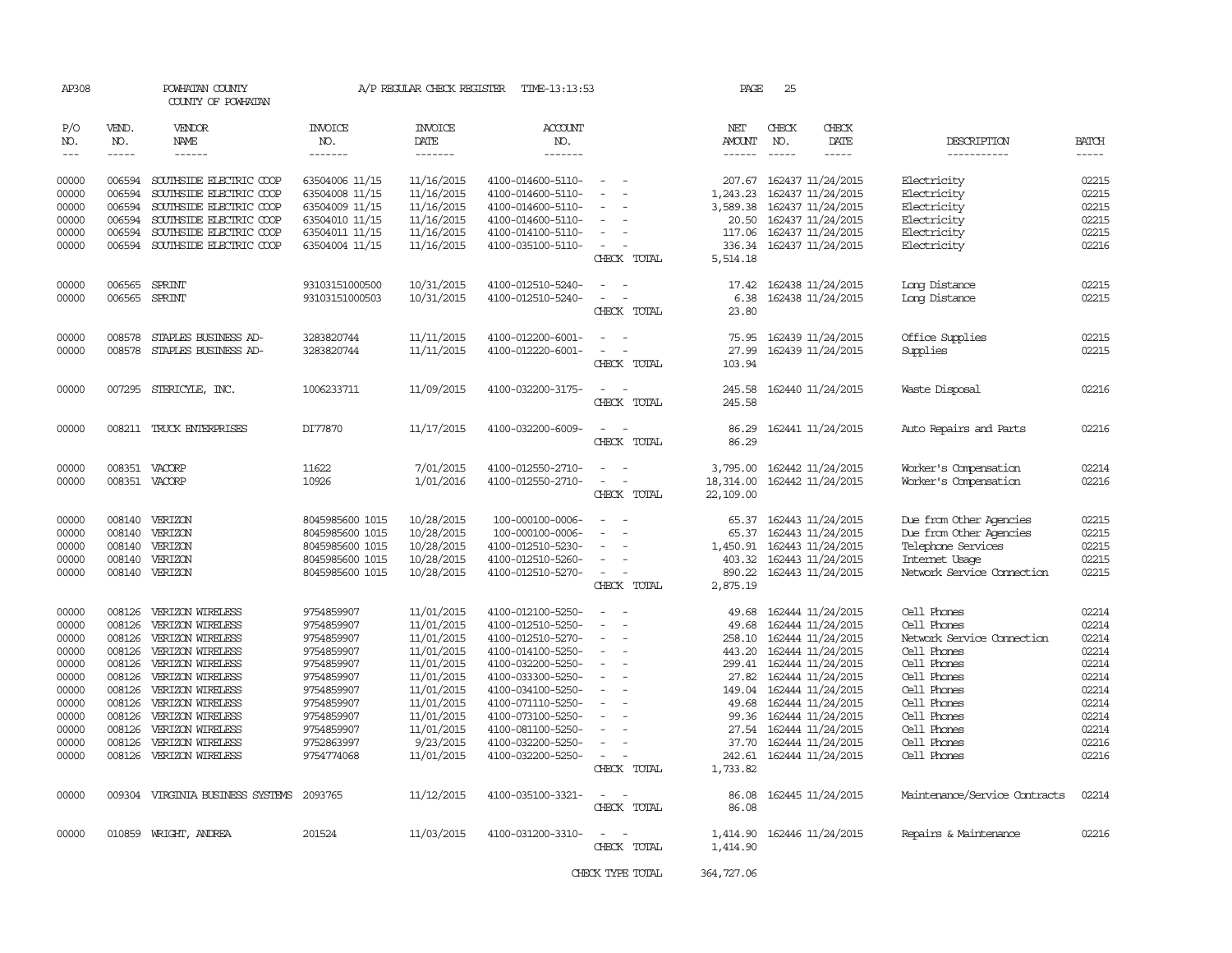| AP308 |             | POWHATAN COUNTY<br>COUNTY OF POWHATAN |                 | A/P REGULAR CHECK REGISTER | TIME-13:13:53     |                          | PAGE          | 25          |                         |                               |              |
|-------|-------------|---------------------------------------|-----------------|----------------------------|-------------------|--------------------------|---------------|-------------|-------------------------|-------------------------------|--------------|
| P/O   | VEND.       | <b>VENDOR</b>                         | <b>INVOICE</b>  | <b>INVOICE</b>             | ACCOUNT           |                          | NET           | CHECK       | CHECK                   |                               |              |
| NO.   | NO.         | NAME                                  | NO.             | DATE                       | NO.               |                          | AMOUNT        | NO.         | DATE                    | DESCRIPTION                   | <b>BATCH</b> |
| $---$ | $- - - - -$ | $- - - - - -$                         | -------         | -------                    | -------           |                          | $- - - - - -$ | $- - - - -$ | -----                   | -----------                   | -----        |
| 00000 | 006594      | SOUTHSIDE ELECTRIC COOP               | 63504006 11/15  | 11/16/2015                 | 4100-014600-5110- |                          | 207.67        |             | 162437 11/24/2015       | Electricity                   | 02215        |
| 00000 | 006594      | SOUTHSIDE ELECTRIC COOP               | 63504008 11/15  | 11/16/2015                 | 4100-014600-5110- |                          | 1,243.23      |             | 162437 11/24/2015       | Electricity                   | 02215        |
| 00000 | 006594      | SOUTHSIDE ELECTRIC COOP               | 63504009 11/15  | 11/16/2015                 | 4100-014600-5110- |                          | 3,589.38      |             | 162437 11/24/2015       | Electricity                   | 02215        |
| 00000 | 006594      | SOUTHSIDE ELECTRIC COOP               | 63504010 11/15  | 11/16/2015                 | 4100-014600-5110- |                          | 20.50         |             | 162437 11/24/2015       | Electricity                   | 02215        |
| 00000 | 006594      | SOUTHSIDE ELECTRIC COOP               | 63504011 11/15  | 11/16/2015                 | 4100-014100-5110- |                          | 117.06        |             | 162437 11/24/2015       | Electricity                   | 02215        |
| 00000 |             | 006594 SOUTHSIDE ELECTRIC COOP        | 63504004 11/15  | 11/16/2015                 | 4100-035100-5110- | $\sim$                   | 336.34        |             | 162437 11/24/2015       | Electricity                   | 02216        |
|       |             |                                       |                 |                            |                   | CHECK TOTAL              | 5,514.18      |             |                         |                               |              |
|       |             |                                       |                 |                            |                   |                          |               |             |                         |                               |              |
| 00000 | 006565      | SPRINT                                | 93103151000500  | 10/31/2015                 | 4100-012510-5240- |                          | 17.42         |             | 162438 11/24/2015       | Long Distance                 | 02215        |
| 00000 | 006565      | SPRINT                                | 93103151000503  | 10/31/2015                 | 4100-012510-5240- |                          | 6.38          |             | 162438 11/24/2015       | Long Distance                 | 02215        |
|       |             |                                       |                 |                            |                   | CHECK TOTAL              | 23.80         |             |                         |                               |              |
| 00000 | 008578      | STAPLES BUSINESS AD-                  | 3283820744      | 11/11/2015                 | 4100-012200-6001- | $\equiv$                 | 75.95         |             | 162439 11/24/2015       | Office Supplies               | 02215        |
| 00000 | 008578      | STAPLES BUSINESS AD-                  | 3283820744      | 11/11/2015                 | 4100-012220-6001- | $\equiv$                 | 27.99         |             | 162439 11/24/2015       | Supplies                      | 02215        |
|       |             |                                       |                 |                            |                   | CHECK TOTAL              | 103.94        |             |                         |                               |              |
| 00000 | 007295      | STERICYLE, INC.                       | 1006233711      | 11/09/2015                 | 4100-032200-3175- | $\sim$                   | 245.58        |             | 162440 11/24/2015       | Waste Disposal                | 02216        |
|       |             |                                       |                 |                            |                   | CHECK TOTAL              | 245.58        |             |                         |                               |              |
| 00000 |             | 008211 TRUCK ENTERPRISES              | DI77870         | 11/17/2015                 | 4100-032200-6009- | $\equiv$                 | 86.29         |             | 162441 11/24/2015       | Auto Repairs and Parts        | 02216        |
|       |             |                                       |                 |                            |                   | CHECK TOTAL              | 86.29         |             |                         |                               |              |
|       |             |                                       |                 |                            |                   |                          |               |             |                         |                               |              |
| 00000 |             | 008351 VACORP                         | 11622           | 7/01/2015                  | 4100-012550-2710- | $\sim$                   | 3,795.00      |             | 162442 11/24/2015       | Worker's Compensation         | 02214        |
| 00000 |             | 008351 VACORP                         | 10926           | 1/01/2016                  | 4100-012550-2710- |                          | 18,314.00     |             | 162442 11/24/2015       | Worker's Compensation         | 02216        |
|       |             |                                       |                 |                            |                   | CHECK TOTAL              | 22,109.00     |             |                         |                               |              |
| 00000 |             | 008140 VERIZON                        | 8045985600 1015 | 10/28/2015                 | 100-000100-0006-  |                          | 65.37         |             | 162443 11/24/2015       | Due from Other Agencies       | 02215        |
| 00000 | 008140      | VERIZON                               | 8045985600 1015 | 10/28/2015                 | 100-000100-0006-  |                          | 65.37         |             | 162443 11/24/2015       | Due from Other Agencies       | 02215        |
| 00000 | 008140      | VERIZON                               | 8045985600 1015 | 10/28/2015                 | 4100-012510-5230- |                          | 1,450.91      |             | 162443 11/24/2015       | Telephone Services            | 02215        |
| 00000 | 008140      | VERIZON                               | 8045985600 1015 | 10/28/2015                 | 4100-012510-5260- |                          | 403.32        |             | 162443 11/24/2015       | Internet Usage                | 02215        |
| 00000 |             | 008140 VERIZON                        | 8045985600 1015 | 10/28/2015                 | 4100-012510-5270- | $\overline{\phantom{a}}$ | 890.22        |             | 162443 11/24/2015       | Network Service Cornection    | 02215        |
|       |             |                                       |                 |                            |                   | CHECK TOTAL              | 2,875.19      |             |                         |                               |              |
| 00000 | 008126      | VERIZON WIRELESS                      | 9754859907      | 11/01/2015                 | 4100-012100-5250- |                          | 49.68         |             | 162444 11/24/2015       | Cell Phones                   | 02214        |
| 00000 | 008126      | VERIZON WIRELESS                      | 9754859907      | 11/01/2015                 | 4100-012510-5250- |                          | 49.68         |             | 162444 11/24/2015       | Cell Phones                   | 02214        |
| 00000 | 008126      | VERIZON WIRELESS                      | 9754859907      | 11/01/2015                 | 4100-012510-5270- |                          | 258.10        |             | 162444 11/24/2015       | Network Service Cornection    | 02214        |
| 00000 | 008126      | VERIZON WIRELESS                      | 9754859907      | 11/01/2015                 | 4100-014100-5250- |                          | 443.20        |             | 162444 11/24/2015       | Cell Phones                   | 02214        |
| 00000 | 008126      | VERIZON WIRELESS                      | 9754859907      | 11/01/2015                 | 4100-032200-5250- |                          | 299.41        |             | 162444 11/24/2015       | Cell Phones                   | 02214        |
| 00000 | 008126      | VERIZON WIRELESS                      | 9754859907      | 11/01/2015                 | 4100-033300-5250- |                          | 27.82         |             | 162444 11/24/2015       | Cell Phones                   | 02214        |
| 00000 | 008126      | VERIZON WIRELESS                      | 9754859907      | 11/01/2015                 | 4100-034100-5250- |                          | 149.04        |             | 162444 11/24/2015       | Cell Phones                   | 02214        |
| 00000 | 008126      | VERIZON WIRELESS                      | 9754859907      | 11/01/2015                 | 4100-071110-5250- |                          | 49.68         |             | 162444 11/24/2015       | Cell Phones                   | 02214        |
| 00000 | 008126      | VERIZON WIRELESS                      | 9754859907      | 11/01/2015                 | 4100-073100-5250- |                          |               |             | 99.36 162444 11/24/2015 | Cell Phones                   | 02214        |
| 00000 | 008126      | VERIZON WIRELESS                      | 9754859907      | 11/01/2015                 | 4100-081100-5250- |                          | 27.54         |             | 162444 11/24/2015       | Cell Phones                   | 02214        |
| 00000 | 008126      | VERIZON WIRELESS                      | 9752863997      | 9/23/2015                  | 4100-032200-5250- |                          | 37.70         |             | 162444 11/24/2015       | Cell Phones                   | 02216        |
| 00000 | 008126      | VERIZON WIRELESS                      | 9754774068      | 11/01/2015                 | 4100-032200-5250- |                          | 242.61        |             | 162444 11/24/2015       | Cell Phones                   | 02216        |
|       |             |                                       |                 |                            |                   | CHECK TOTAL              | 1,733.82      |             |                         |                               |              |
| 00000 |             | 009304 VIRGINIA BUSINESS SYSTEMS      | 2093765         | 11/12/2015                 | 4100-035100-3321- | $\overline{\phantom{a}}$ | 86.08         |             | 162445 11/24/2015       | Maintenance/Service Contracts | 02214        |
|       |             |                                       |                 |                            |                   | CHECK TOTAL              | 86.08         |             |                         |                               |              |
| 00000 |             | 010859 WRIGHT, ANDREA                 | 201524          | 11/03/2015                 | 4100-031200-3310- | $\sim$<br>$\sim$         | 1,414.90      |             | 162446 11/24/2015       | Repairs & Maintenance         | 02216        |
|       |             |                                       |                 |                            |                   | CHECK TOTAL              | 1,414.90      |             |                         |                               |              |
|       |             |                                       |                 |                            |                   |                          |               |             |                         |                               |              |
|       |             |                                       |                 |                            |                   | CHECK TYPE TOTAL         | 364,727.06    |             |                         |                               |              |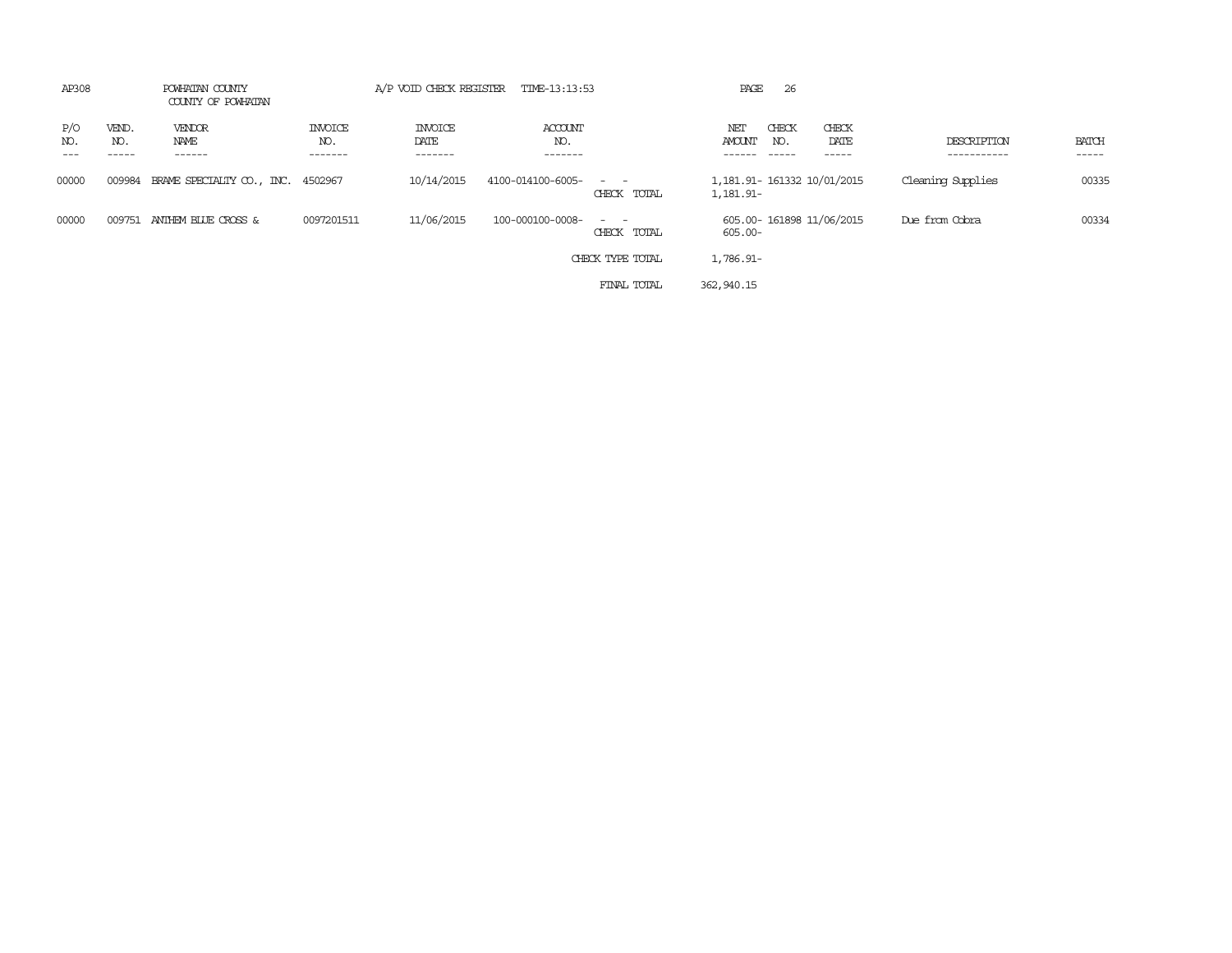| AP308                               | POWHATAN COUNTY<br>COUNTY OF POWHATAN |                                  | A/P VOID CHECK REGISTER           | TIME-13:13:53             |                               | PAGE<br>26                               |                         |                            |                       |
|-------------------------------------|---------------------------------------|----------------------------------|-----------------------------------|---------------------------|-------------------------------|------------------------------------------|-------------------------|----------------------------|-----------------------|
| P/O<br>VEND.<br>NO.<br>NO.<br>----- | <b>VENDOR</b><br>NAME<br>------       | <b>INVOICE</b><br>NO.<br>------- | <b>INVOICE</b><br>DATE<br>------- | ACCOUNT<br>NO.<br>------- |                               | CHECK<br>NET<br>AMOUNT<br>NO.            | CHECK<br>DATE<br>------ | DESCRIPTION<br>----------- | <b>BATCH</b><br>----- |
| 00000<br>009984                     | BRAME SPECIALIY CO., INC. 4502967     |                                  | 10/14/2015                        | 4100-014100-6005-         | $\sim$ $ \sim$<br>CHECK TOTAL | 1,181.91- 161332 10/01/2015<br>1,181.91- |                         | Cleaning Supplies          | 00335                 |
| 00000<br>009751                     | ANTHEM BLUE CROSS &                   | 0097201511                       | 11/06/2015                        | 100-000100-0008-          | CHECK TOTAL                   | 605.00-161898 11/06/2015<br>605.00-      |                         | Due from Cobra             | 00334                 |
|                                     |                                       |                                  |                                   |                           | CHECK TYPE TOTAL              | 1,786.91-                                |                         |                            |                       |
|                                     |                                       |                                  |                                   |                           | FINAL TOTAL                   | 362,940.15                               |                         |                            |                       |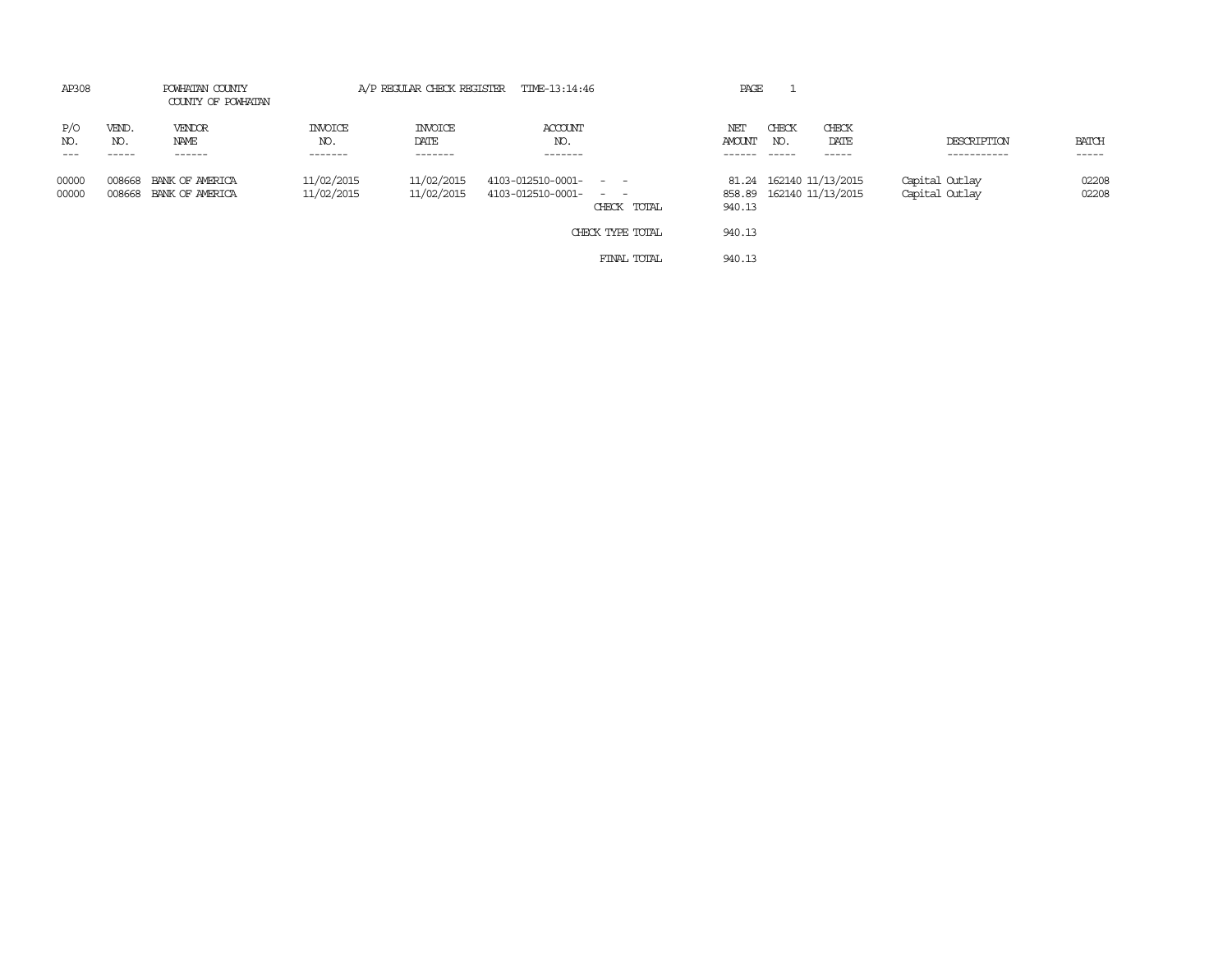| AP308               |                       | POWHATAN COUNTY<br>COUNTY OF POWHATAN     |                           |                                   | A/P REGULAR CHECK REGISTER TIME-13:14:46                             | PAGE          |                         |                                                     |                                  |                       |
|---------------------|-----------------------|-------------------------------------------|---------------------------|-----------------------------------|----------------------------------------------------------------------|---------------|-------------------------|-----------------------------------------------------|----------------------------------|-----------------------|
| P/O<br>NO.<br>$---$ | VEND.<br>NO.<br>----- | VENDOR<br>NAME<br>------                  | INVOICE<br>NO.<br>------- | <b>INVOICE</b><br>DATE<br>------- | ACCOUNT<br>NO.<br>-------                                            | NET<br>AMOUNT | CHECK<br>NO.<br>$-----$ | CHECK<br>DATE<br>------                             | DESCRIPTION<br>-----------       | <b>BATCH</b><br>----- |
| 00000<br>00000      | 008668                | BANK OF AMERICA<br>008668 BANK OF AMERICA | 11/02/2015<br>11/02/2015  | 11/02/2015<br>11/02/2015          | $4103 - 012510 - 0001 - - -$<br>4103-012510-0001- - -<br>CHECK TOTAL | 940.13        |                         | 81.24 162140 11/13/2015<br>858.89 162140 11/13/2015 | Capital Outlay<br>Capital Outlay | 02208<br>02208        |
|                     |                       |                                           |                           |                                   | CHECK TYPE TOTAL                                                     | 940.13        |                         |                                                     |                                  |                       |
|                     |                       |                                           |                           |                                   | FINAL TOTAL                                                          | 940.13        |                         |                                                     |                                  |                       |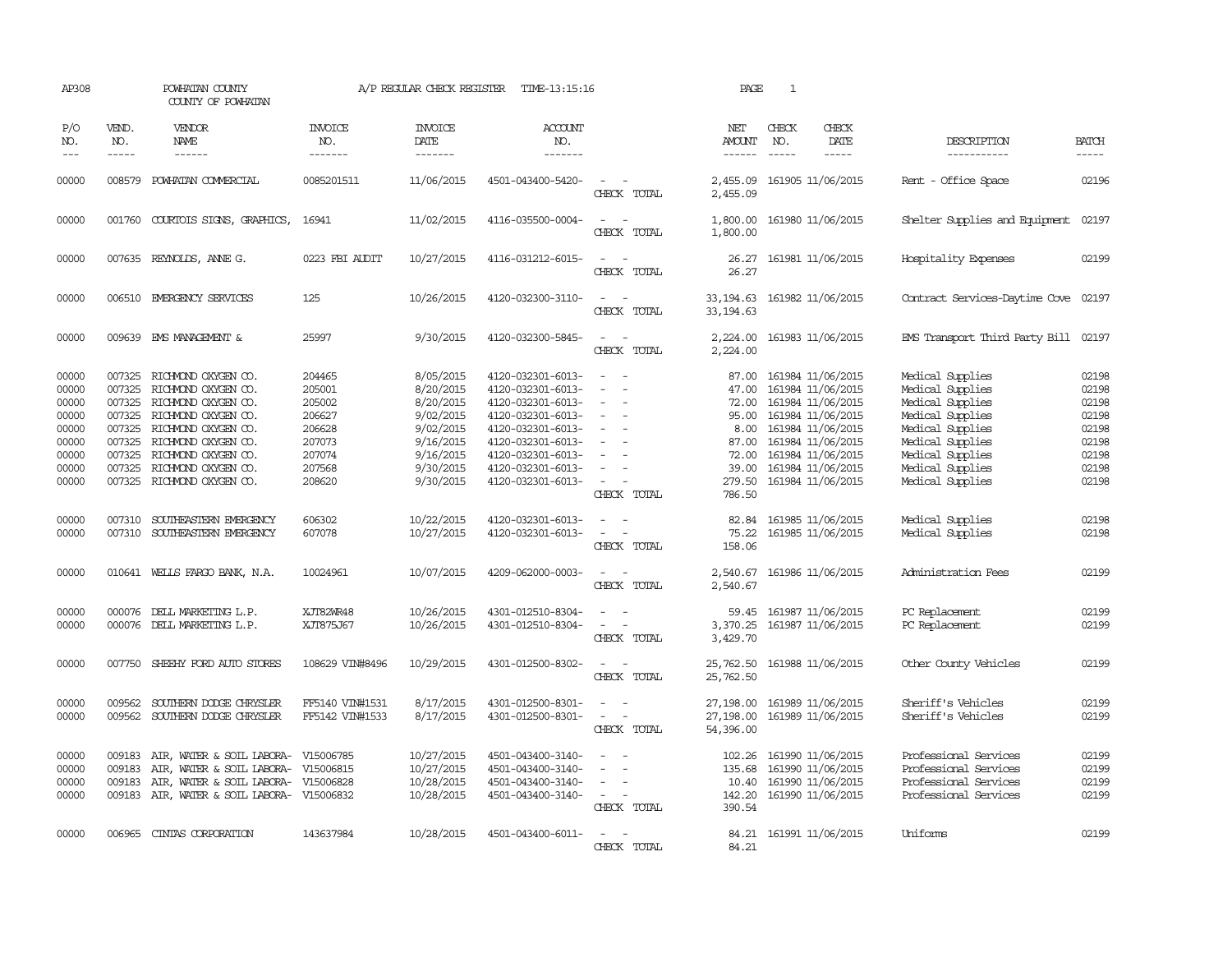| AP308                                                                         |                               | POWHATAN COUNTY<br>COUNTY OF POWHATAN                                                                                                                                                                                                                        |                                                                                        | A/P REGULAR CHECK REGISTER                                                                                        | TIME-13:15:16                                                                                                                                                                             |                                                                                                                                                                   | PAGE                                         | $\mathbf{1}$                  |                                                                                                                                                                                                                              |                                                                                                                                                                                  |                                                                               |
|-------------------------------------------------------------------------------|-------------------------------|--------------------------------------------------------------------------------------------------------------------------------------------------------------------------------------------------------------------------------------------------------------|----------------------------------------------------------------------------------------|-------------------------------------------------------------------------------------------------------------------|-------------------------------------------------------------------------------------------------------------------------------------------------------------------------------------------|-------------------------------------------------------------------------------------------------------------------------------------------------------------------|----------------------------------------------|-------------------------------|------------------------------------------------------------------------------------------------------------------------------------------------------------------------------------------------------------------------------|----------------------------------------------------------------------------------------------------------------------------------------------------------------------------------|-------------------------------------------------------------------------------|
| P/O<br>NO.<br>$---$                                                           | VEND.<br>NO.<br>$\frac{1}{2}$ | VENDOR<br>NAME<br>------                                                                                                                                                                                                                                     | <b>INVOICE</b><br>NO.<br>--------                                                      | <b>INVOICE</b><br>DATE<br>-------                                                                                 | <b>ACCOUNT</b><br>NO.<br>-------                                                                                                                                                          |                                                                                                                                                                   | NET<br>AMOUNT<br>$- - - - - -$               | CHECK<br>NO.<br>$\frac{1}{2}$ | CHECK<br>DATE<br>$- - - - -$                                                                                                                                                                                                 | DESCRIPTION<br>-----------                                                                                                                                                       | <b>BATCH</b><br>$- - - - -$                                                   |
| 00000                                                                         |                               | 008579 POWHATAN COMMERCIAL                                                                                                                                                                                                                                   | 0085201511                                                                             | 11/06/2015                                                                                                        | 4501-043400-5420-                                                                                                                                                                         | $\sim 100$<br>CHECK TOTAL                                                                                                                                         | 2,455.09                                     |                               | 2,455.09 161905 11/06/2015                                                                                                                                                                                                   | Rent - Office Space                                                                                                                                                              | 02196                                                                         |
| 00000                                                                         |                               | 001760 COURTOIS SIGNS, GRAPHICS,                                                                                                                                                                                                                             | 16941                                                                                  | 11/02/2015                                                                                                        | 4116-035500-0004-                                                                                                                                                                         | $\frac{1}{2} \left( \frac{1}{2} \right) \left( \frac{1}{2} \right) \left( \frac{1}{2} \right) \left( \frac{1}{2} \right)$<br>CHECK TOTAL                          | 1,800.00                                     |                               | 1,800.00 161980 11/06/2015                                                                                                                                                                                                   | Shelter Supplies and Equipment 02197                                                                                                                                             |                                                                               |
| 00000                                                                         |                               | 007635 REYNOLDS, ANNE G.                                                                                                                                                                                                                                     | 0223 FBI AUDIT                                                                         | 10/27/2015                                                                                                        | 4116-031212-6015-                                                                                                                                                                         | $\sim$ $\sim$<br>CHECK TOTAL                                                                                                                                      | 26.27                                        |                               | 26.27 161981 11/06/2015                                                                                                                                                                                                      | Hospitality Expenses                                                                                                                                                             | 02199                                                                         |
| 00000                                                                         |                               | 006510 EMERGENCY SERVICES                                                                                                                                                                                                                                    | 125                                                                                    | 10/26/2015                                                                                                        | 4120-032300-3110-                                                                                                                                                                         | $\sim$ $  -$<br>CHECK TOTAL                                                                                                                                       | 33, 194. 63 161982 11/06/2015<br>33, 194, 63 |                               |                                                                                                                                                                                                                              | Contract Services-Daytime Cove 02197                                                                                                                                             |                                                                               |
| 00000                                                                         |                               | 009639 EMS MANAGEMENT &                                                                                                                                                                                                                                      | 25997                                                                                  | 9/30/2015                                                                                                         | 4120-032300-5845-                                                                                                                                                                         | CHECK TOTAL                                                                                                                                                       | 2,224.00                                     |                               | 2, 224.00 161983 11/06/2015                                                                                                                                                                                                  | EMS Transport Third Party Bill 02197                                                                                                                                             |                                                                               |
| 00000<br>00000<br>00000<br>00000<br>00000<br>00000<br>00000<br>00000<br>00000 | 007325<br>007325              | 007325 RICHMOND OXYGEN CO.<br>007325 RICHMOND OXYGEN CO.<br>007325 RICHMOND OXYGEN CO.<br>007325 RICHMOND OXYGEN CO.<br>007325 RICHMOND OXYGEN CO.<br>RICHMOND OXYGEN CO.<br>RICHMOND OXYGEN CO.<br>007325 RICHMOND OXYGEN CO.<br>007325 RICHMOND OXYGEN CO. | 204465<br>205001<br>205002<br>206627<br>206628<br>207073<br>207074<br>207568<br>208620 | 8/05/2015<br>8/20/2015<br>8/20/2015<br>9/02/2015<br>9/02/2015<br>9/16/2015<br>9/16/2015<br>9/30/2015<br>9/30/2015 | 4120-032301-6013-<br>4120-032301-6013-<br>4120-032301-6013-<br>4120-032301-6013-<br>4120-032301-6013-<br>4120-032301-6013-<br>4120-032301-6013-<br>4120-032301-6013-<br>4120-032301-6013- | $\sim$<br>$\overline{\phantom{a}}$<br>$\equiv$<br>$\sim$<br>$\sim$<br>$\equiv$<br>$\overline{\phantom{a}}$<br>$\equiv$<br>$\sim$<br>CHECK TOTAL                   | 87.00<br>72.00<br>279.50<br>786.50           |                               | 161984 11/06/2015<br>47.00 161984 11/06/2015<br>72.00 161984 11/06/2015<br>95.00 161984 11/06/2015<br>8.00 161984 11/06/2015<br>87.00 161984 11/06/2015<br>161984 11/06/2015<br>39.00 161984 11/06/2015<br>161984 11/06/2015 | Medical Supplies<br>Medical Supplies<br>Medical Supplies<br>Medical Supplies<br>Medical Supplies<br>Medical Supplies<br>Medical Supplies<br>Medical Supplies<br>Medical Supplies | 02198<br>02198<br>02198<br>02198<br>02198<br>02198<br>02198<br>02198<br>02198 |
| 00000<br>00000                                                                | 007310                        | SOUTHEASTERN EMERGENCY<br>007310 SOUTHEASTERN EMERGENCY                                                                                                                                                                                                      | 606302<br>607078                                                                       | 10/22/2015<br>10/27/2015                                                                                          | 4120-032301-6013-<br>4120-032301-6013-                                                                                                                                                    | $\overline{\phantom{a}}$<br>$\sim$ 10 $\sim$<br>CHECK TOTAL                                                                                                       | 75.22<br>158.06                              |                               | 82.84 161985 11/06/2015<br>161985 11/06/2015                                                                                                                                                                                 | Medical Supplies<br>Medical Supplies                                                                                                                                             | 02198<br>02198                                                                |
| 00000                                                                         |                               | 010641 WELLS FARGO BANK, N.A.                                                                                                                                                                                                                                | 10024961                                                                               | 10/07/2015                                                                                                        | 4209-062000-0003-                                                                                                                                                                         | $\overline{\phantom{a}}$<br>CHECK TOTAL                                                                                                                           | 2,540.67<br>2,540.67                         |                               | 161986 11/06/2015                                                                                                                                                                                                            | Administration Fees                                                                                                                                                              | 02199                                                                         |
| 00000<br>00000                                                                |                               | 000076 DELL MARKETING L.P.<br>000076 DELL MARKETING L.P.                                                                                                                                                                                                     | XJT82WR48<br>XJT875J67                                                                 | 10/26/2015<br>10/26/2015                                                                                          | 4301-012510-8304-<br>4301-012510-8304-                                                                                                                                                    | $\frac{1}{2} \left( \frac{1}{2} \right) \left( \frac{1}{2} \right) = \frac{1}{2} \left( \frac{1}{2} \right)$<br>$\sim$<br>$\overline{\phantom{a}}$<br>CHECK TOTAL | 59.45<br>3,370.25<br>3,429.70                |                               | 161987 11/06/2015<br>161987 11/06/2015                                                                                                                                                                                       | PC Replacement<br>PC Replacement                                                                                                                                                 | 02199<br>02199                                                                |
| 00000                                                                         | 007750                        | SHEEHY FORD AUTO STORES                                                                                                                                                                                                                                      | 108629 VIN#8496                                                                        | 10/29/2015                                                                                                        | 4301-012500-8302-                                                                                                                                                                         | $\overline{\phantom{a}}$<br>CHECK TOTAL                                                                                                                           | 25,762.50<br>25,762.50                       |                               | 161988 11/06/2015                                                                                                                                                                                                            | Other County Vehicles                                                                                                                                                            | 02199                                                                         |
| 00000<br>00000                                                                | 009562<br>009562              | SOUTHERN DODGE CHRYSLER<br>SOUTHERN DODGE CHRYSLER                                                                                                                                                                                                           | FF5140 VIN#1531<br>FF5142 VIN#1533                                                     | 8/17/2015<br>8/17/2015                                                                                            | 4301-012500-8301-<br>4301-012500-8301-                                                                                                                                                    | $\frac{1}{2} \left( \frac{1}{2} \right) \left( \frac{1}{2} \right) \left( \frac{1}{2} \right) \left( \frac{1}{2} \right)$<br>$\sim$<br>CHECK TOTAL                | 27,198.00<br>27,198.00<br>54,396.00          |                               | 161989 11/06/2015<br>161989 11/06/2015                                                                                                                                                                                       | Sheriff's Vehicles<br>Sheriff's Vehicles                                                                                                                                         | 02199<br>02199                                                                |
| 00000<br>00000<br>00000<br>00000                                              | 009183<br>009183              | 009183 AIR, WATER & SOIL LABORA- V15006785<br>AIR, WATER & SOIL LABORA- V15006815<br>AIR, WATER & SOIL LABORA- V15006828<br>009183 AIR, WATER & SOIL LABORA- V15006832                                                                                       |                                                                                        | 10/27/2015<br>10/27/2015<br>10/28/2015<br>10/28/2015                                                              | 4501-043400-3140-<br>4501-043400-3140-<br>4501-043400-3140-<br>4501-043400-3140-                                                                                                          | $\sim$ $ \sim$<br>$\overline{\phantom{a}}$<br>$\overline{\phantom{a}}$<br>$\sim$ $ -$<br>CHECK TOTAL                                                              | 135.68<br>390.54                             |                               | 102.26 161990 11/06/2015<br>161990 11/06/2015<br>10.40 161990 11/06/2015<br>142.20 161990 11/06/2015                                                                                                                         | Professional Services<br>Professional Services<br>Professional Services<br>Professional Services                                                                                 | 02199<br>02199<br>02199<br>02199                                              |
| 00000                                                                         |                               | 006965 CINIAS CORPORATION                                                                                                                                                                                                                                    | 143637984                                                                              | 10/28/2015                                                                                                        | 4501-043400-6011-                                                                                                                                                                         | $\sim$ $\sim$<br>CHECK TOTAL                                                                                                                                      | 84.21                                        |                               | 84.21 161991 11/06/2015                                                                                                                                                                                                      | Uniforms                                                                                                                                                                         | 02199                                                                         |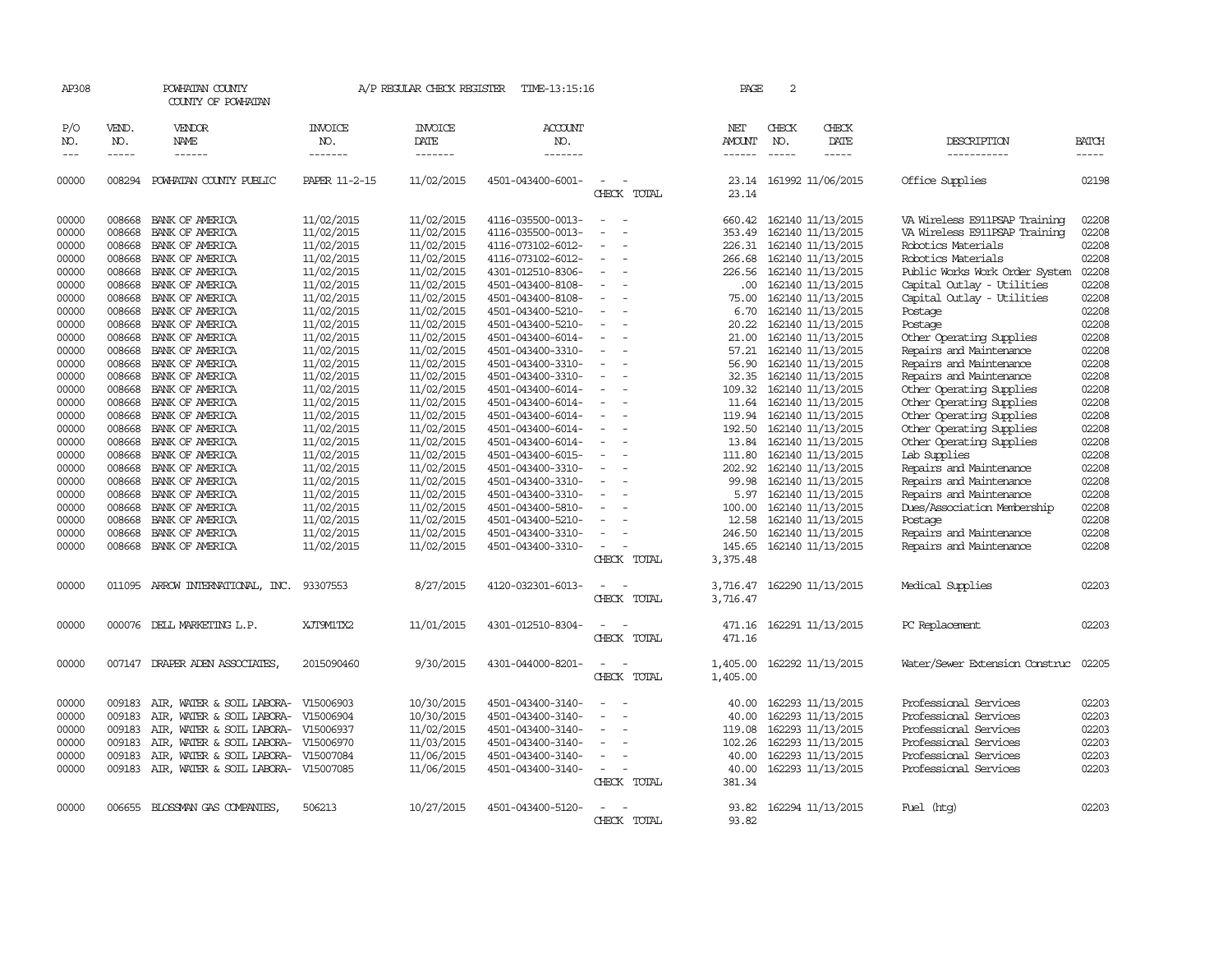| AP308          |                  | POWHATAN COUNTY<br>COUNTY OF POWHATAN                  |                        | A/P REGULAR CHECK REGISTER | TIME-13:15:16                          |                                                      | PAGE                 | 2             |                                        |                                                |                |
|----------------|------------------|--------------------------------------------------------|------------------------|----------------------------|----------------------------------------|------------------------------------------------------|----------------------|---------------|----------------------------------------|------------------------------------------------|----------------|
| P/O<br>NO.     | VEND.<br>NO.     | VENDOR<br><b>NAME</b>                                  | <b>INVOICE</b><br>NO.  | <b>INVOICE</b><br>DATE     | <b>ACCOUNT</b><br>NO.                  |                                                      | NET<br><b>AMOUNT</b> | CHECK<br>NO.  | CHECK<br>DATE                          | DESCRIPTION                                    | <b>BATCH</b>   |
| $---$          | $\frac{1}{2}$    |                                                        | -------                | -------                    | -------                                |                                                      | $- - - - - -$        | $\frac{1}{2}$ | -----                                  | -----------                                    | $- - - - -$    |
| 00000          |                  | 008294 POWHATAN COUNTY PUBLIC                          | PAPER 11-2-15          | 11/02/2015                 | 4501-043400-6001-                      | $\sim$<br>CHECK TOTAL                                | 23.14                |               | 23.14 161992 11/06/2015                | Office Supplies                                | 02198          |
| 00000          | 008668           | BANK OF AMERICA                                        | 11/02/2015             | 11/02/2015                 | 4116-035500-0013-                      | $\sim$<br>$\sim$                                     |                      |               | 660.42 162140 11/13/2015               | VA Wireless E911PSAP Training                  | 02208          |
| 00000          | 008668           | BANK OF AMERICA                                        | 11/02/2015             | 11/02/2015                 | 4116-035500-0013-                      | $\sim$                                               | 353.49               |               | 162140 11/13/2015                      | VA Wireless E911PSAP Training                  | 02208          |
| 00000          | 008668           | BANK OF AMERICA                                        | 11/02/2015             | 11/02/2015                 | 4116-073102-6012-                      |                                                      | 226.31               |               | 162140 11/13/2015                      | Robotics Materials                             | 02208          |
| 00000          | 008668           | BANK OF AMERICA                                        | 11/02/2015             | 11/02/2015                 | 4116-073102-6012-                      | $\overline{\phantom{a}}$                             | 266.68               |               | 162140 11/13/2015                      | Robotics Materials                             | 02208          |
| 00000          | 008668           | BANK OF AMERICA                                        | 11/02/2015             | 11/02/2015                 | 4301-012510-8306-                      |                                                      | 226.56               |               | 162140 11/13/2015                      | Public Works Work Order System                 | 02208          |
| 00000          | 008668           | BANK OF AMERICA                                        | 11/02/2015             | 11/02/2015                 | 4501-043400-8108-                      |                                                      | .00.                 |               | 162140 11/13/2015                      | Capital Outlay - Utilities                     | 02208          |
| 00000          | 008668           | BANK OF AMERICA                                        | 11/02/2015             | 11/02/2015                 | 4501-043400-8108-                      | $\equiv$                                             | 75.00                |               | 162140 11/13/2015                      | Capital Outlay - Utilities                     | 02208          |
| 00000          | 008668           | BANK OF AMERICA                                        | 11/02/2015             | 11/02/2015                 | 4501-043400-5210-                      |                                                      | 6.70                 |               | 162140 11/13/2015                      | Postage                                        | 02208          |
| 00000          | 008668           | BANK OF AMERICA                                        | 11/02/2015             | 11/02/2015                 | 4501-043400-5210-                      |                                                      | 20.22                |               | 162140 11/13/2015                      | Postage                                        | 02208          |
| 00000          | 008668           | BANK OF AMERICA                                        | 11/02/2015             | 11/02/2015                 | 4501-043400-6014-                      |                                                      | 21.00                |               | 162140 11/13/2015                      | Other Operating Supplies                       | 02208          |
| 00000          | 008668           | BANK OF AMERICA                                        | 11/02/2015             | 11/02/2015                 | 4501-043400-3310-                      | $\overline{\phantom{a}}$                             | 57.21                |               | 162140 11/13/2015                      | Repairs and Maintenance                        | 02208          |
| 00000          | 008668           | BANK OF AMERICA                                        | 11/02/2015             | 11/02/2015                 | 4501-043400-3310-                      |                                                      | 56.90                |               | 162140 11/13/2015                      | Repairs and Maintenance                        | 02208          |
| 00000          | 008668           | BANK OF AMERICA                                        | 11/02/2015             | 11/02/2015                 | 4501-043400-3310-                      |                                                      | 32.35                |               | 162140 11/13/2015                      | Repairs and Maintenance                        | 02208          |
| 00000          | 008668           | BANK OF AMERICA                                        | 11/02/2015             | 11/02/2015                 | 4501-043400-6014-                      | $\overline{\phantom{a}}$                             | 109.32               |               | 162140 11/13/2015                      | Other Operating Supplies                       | 02208          |
| 00000          | 008668           | BANK OF AMERICA                                        | 11/02/2015             | 11/02/2015                 | 4501-043400-6014-                      | $\equiv$                                             | 11.64                |               | 162140 11/13/2015                      | Other Operating Supplies                       | 02208          |
| 00000          | 008668           | BANK OF AMERICA                                        | 11/02/2015             | 11/02/2015                 | 4501-043400-6014-                      |                                                      | 119.94               |               | 162140 11/13/2015                      | Other Operating Supplies                       | 02208          |
| 00000          | 008668           | BANK OF AMERICA                                        | 11/02/2015             | 11/02/2015                 | 4501-043400-6014-                      | $\overline{\phantom{a}}$<br>$\sim$                   | 192.50               |               | 162140 11/13/2015                      | Other Operating Supplies                       | 02208          |
| 00000          | 008668           | BANK OF AMERICA                                        | 11/02/2015             | 11/02/2015                 | 4501-043400-6014-                      | $\equiv$                                             | 13.84                |               | 162140 11/13/2015                      | Other Operating Supplies                       | 02208          |
| 00000          | 008668           | BANK OF AMERICA                                        | 11/02/2015             | 11/02/2015                 | 4501-043400-6015-                      |                                                      | 111.80               |               | 162140 11/13/2015                      | Lab Supplies                                   | 02208          |
| 00000          | 008668           | BANK OF AMERICA                                        | 11/02/2015             | 11/02/2015                 | 4501-043400-3310-                      | $\overline{\phantom{a}}$<br>$\overline{\phantom{a}}$ | 202.92               |               | 162140 11/13/2015                      | Repairs and Maintenance                        | 02208          |
| 00000          | 008668           | BANK OF AMERICA                                        | 11/02/2015             | 11/02/2015                 | 4501-043400-3310-                      | $\sim$                                               | 99.98                |               | 162140 11/13/2015                      | Repairs and Maintenance                        | 02208          |
| 00000          | 008668           | BANK OF AMERICA                                        | 11/02/2015             | 11/02/2015                 | 4501-043400-3310-                      |                                                      | 5.97                 |               | 162140 11/13/2015                      | Repairs and Maintenance                        | 02208          |
| 00000          | 008668           | BANK OF AMERICA                                        | 11/02/2015             | 11/02/2015                 | 4501-043400-5810-                      |                                                      | 100.00               |               | 162140 11/13/2015                      | Dues/Association Membership                    | 02208          |
| 00000          | 008668           | BANK OF AMERICA                                        | 11/02/2015             | 11/02/2015                 | 4501-043400-5210-                      |                                                      | 12.58                |               | 162140 11/13/2015                      | Postage                                        | 02208          |
| 00000          | 008668           | BANK OF AMERICA                                        | 11/02/2015             | 11/02/2015                 | 4501-043400-3310-                      |                                                      | 246.50               |               | 162140 11/13/2015                      | Repairs and Maintenance                        | 02208          |
| 00000          | 008668           | BANK OF AMERICA                                        | 11/02/2015             | 11/02/2015                 | 4501-043400-3310-                      |                                                      | 145.65               |               | 162140 11/13/2015                      | Repairs and Maintenance                        | 02208          |
|                |                  |                                                        |                        |                            |                                        | CHECK TOTAL                                          | 3,375.48             |               |                                        |                                                |                |
| 00000          |                  | 011095 ARROW INTERNATIONAL, INC.                       | 93307553               | 8/27/2015                  | 4120-032301-6013-                      |                                                      | 3,716.47             |               | 162290 11/13/2015                      | Medical Supplies                               | 02203          |
|                |                  |                                                        |                        |                            |                                        | CHECK TOTAL                                          | 3,716.47             |               |                                        |                                                |                |
|                |                  |                                                        |                        |                            |                                        |                                                      |                      |               |                                        |                                                |                |
| 00000          |                  | 000076 DELL MARKETING L.P.                             | XJT9M1TX2              | 11/01/2015                 | 4301-012510-8304-                      |                                                      |                      |               | 471.16 162291 11/13/2015               | PC Replacement                                 | 02203          |
|                |                  |                                                        |                        |                            |                                        | CHECK TOTAL                                          | 471.16               |               |                                        |                                                |                |
| 00000          |                  | 007147 DRAPER ADEN ASSOCIATES,                         | 2015090460             | 9/30/2015                  | 4301-044000-8201-                      |                                                      | 1,405.00             |               | 162292 11/13/2015                      | Water/Sewer Extension Construc                 | 02205          |
|                |                  |                                                        |                        |                            |                                        | CHECK TOTAL                                          | 1,405.00             |               |                                        |                                                |                |
|                |                  |                                                        |                        |                            |                                        |                                                      |                      |               |                                        |                                                |                |
| 00000<br>00000 | 009183<br>009183 | AIR, WATER & SOIL LABORA-<br>AIR, WATER & SOIL LABORA- | V15006903<br>V15006904 | 10/30/2015<br>10/30/2015   | 4501-043400-3140-<br>4501-043400-3140- |                                                      | 40.00<br>40.00       |               | 162293 11/13/2015<br>162293 11/13/2015 | Professional Services<br>Professional Services | 02203<br>02203 |
|                |                  |                                                        |                        |                            |                                        |                                                      |                      |               |                                        |                                                |                |
| 00000          | 009183<br>009183 | AIR, WATER & SOIL LABORA-                              | V15006937              | 11/02/2015                 | 4501-043400-3140-                      |                                                      | 119.08               |               | 162293 11/13/2015                      | Professional Services<br>Professional Services | 02203<br>02203 |
| 00000          |                  | AIR, WATER & SOIL LABORA-                              | V15006970              | 11/03/2015                 | 4501-043400-3140-                      |                                                      | 102.26               |               | 162293 11/13/2015                      |                                                |                |
| 00000          | 009183           | AIR, WATER & SOIL LABORA-                              | V15007084              | 11/06/2015                 | 4501-043400-3140-                      |                                                      | 40.00                |               | 162293 11/13/2015                      | Professional Services                          | 02203          |
| 00000          |                  | 009183 AIR, WATER & SOIL LABORA-                       | V15007085              | 11/06/2015                 | 4501-043400-3140-                      | $\equiv$<br>CHECK TOTAL                              | 40.00<br>381.34      |               | 162293 11/13/2015                      | Professional Services                          | 02203          |
|                |                  |                                                        |                        |                            |                                        |                                                      |                      |               |                                        |                                                |                |
| 00000          |                  | 006655 BLOSSMAN GAS COMPANIES                          | 506213                 | 10/27/2015                 | 4501-043400-5120-                      |                                                      | 93.82                |               | 162294 11/13/2015                      | Fuel (htg)                                     | 02203          |
|                |                  |                                                        |                        |                            |                                        | CHECK TOTAL                                          | 93.82                |               |                                        |                                                |                |
|                |                  |                                                        |                        |                            |                                        |                                                      |                      |               |                                        |                                                |                |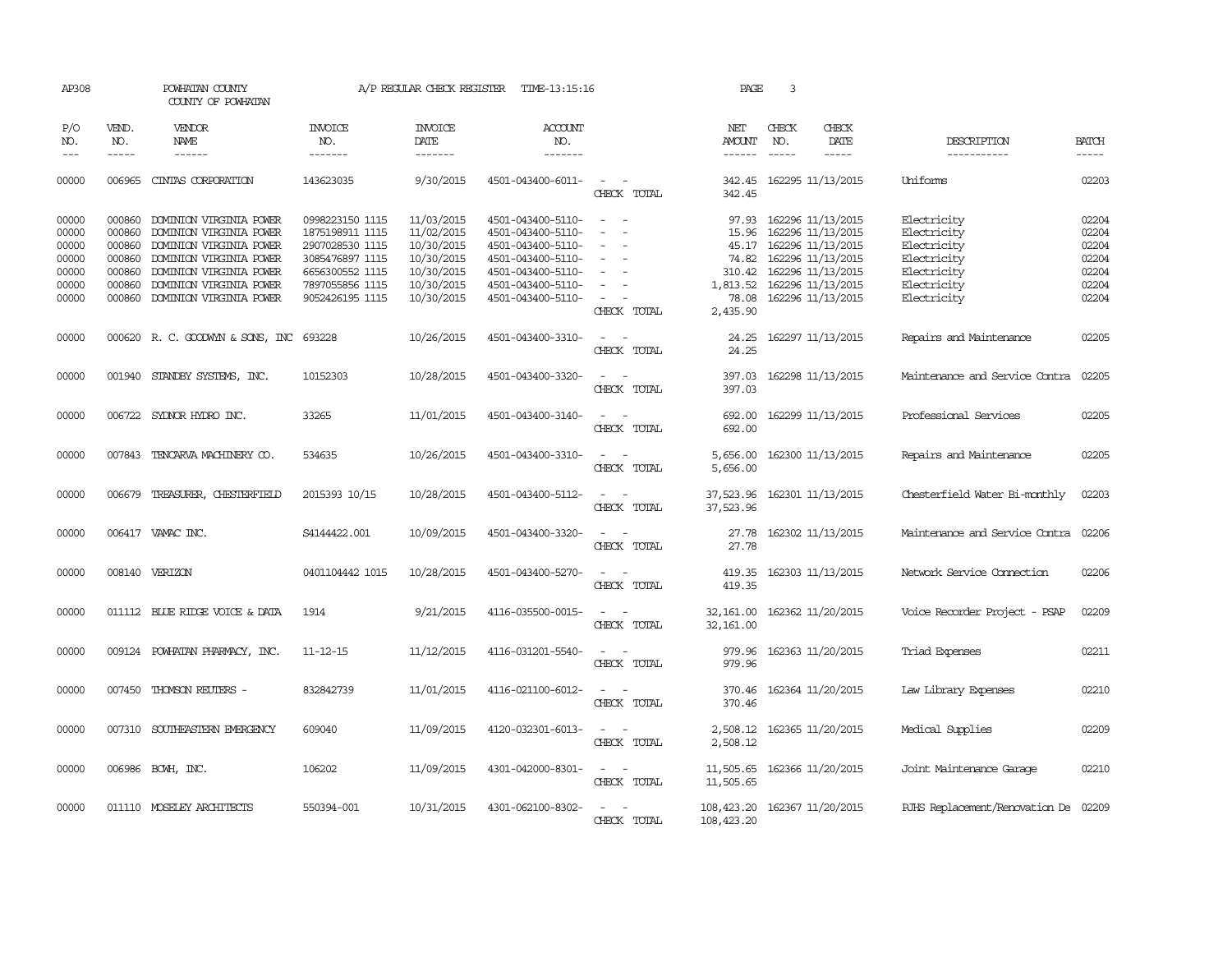| AP308                                                       |                                                          | POWHATAN COUNTY<br>COUNTY OF POWHATAN                                                                                                                                                            |                                                                                                                                   | A/P REGULAR CHECK REGISTER                                                                     | TIME-13:15:16                                                                                                                                   |                                                                                                                                            | PAGE                                          | 3                           |                                                                                                                                                             |                                                                                                       |                                                             |
|-------------------------------------------------------------|----------------------------------------------------------|--------------------------------------------------------------------------------------------------------------------------------------------------------------------------------------------------|-----------------------------------------------------------------------------------------------------------------------------------|------------------------------------------------------------------------------------------------|-------------------------------------------------------------------------------------------------------------------------------------------------|--------------------------------------------------------------------------------------------------------------------------------------------|-----------------------------------------------|-----------------------------|-------------------------------------------------------------------------------------------------------------------------------------------------------------|-------------------------------------------------------------------------------------------------------|-------------------------------------------------------------|
| P/O<br>NO.<br>$\frac{1}{2}$                                 | VEND.<br>NO.<br>-----                                    | <b>VENDOR</b><br>NAME<br>$- - - - - -$                                                                                                                                                           | <b>INVOICE</b><br>NO.<br>-------                                                                                                  | <b>INVOICE</b><br>DATE<br>-------                                                              | <b>ACCOUNT</b><br>NO.<br>-------                                                                                                                |                                                                                                                                            | NET<br>AMOUNT<br>$- - - - - -$                | CHECK<br>NO.<br>$- - - - -$ | CHECK<br>DATE<br>-----                                                                                                                                      | DESCRIPTION<br>-----------                                                                            | <b>BATCH</b><br>-----                                       |
| 00000                                                       | 006965                                                   | CINTAS CORPORATION                                                                                                                                                                               | 143623035                                                                                                                         | 9/30/2015                                                                                      | 4501-043400-6011-                                                                                                                               | $\sim$<br>CHECK TOTAL                                                                                                                      | 342.45                                        |                             | 342.45 162295 11/13/2015                                                                                                                                    | Uniforms                                                                                              | 02203                                                       |
| 00000<br>00000<br>00000<br>00000<br>00000<br>00000<br>00000 | 000860<br>000860<br>000860<br>000860<br>000860<br>000860 | DOMINION VIRGINIA POWER<br>DOMINION VIRGINIA POWER<br>DOMINION VIRGINIA POWER<br>DOMINION VIRGINIA POWER<br>DOMINION VIRGINIA POWER<br>DOMINION VIRGINIA POWER<br>000860 DOMINION VIRGINIA POWER | 0998223150 1115<br>1875198911 1115<br>2907028530 1115<br>3085476897 1115<br>6656300552 1115<br>7897055856 1115<br>9052426195 1115 | 11/03/2015<br>11/02/2015<br>10/30/2015<br>10/30/2015<br>10/30/2015<br>10/30/2015<br>10/30/2015 | 4501-043400-5110-<br>4501-043400-5110-<br>4501-043400-5110-<br>4501-043400-5110-<br>4501-043400-5110-<br>4501-043400-5110-<br>4501-043400-5110- | $\overline{\phantom{a}}$<br>$\sim$<br>$\overline{\phantom{a}}$<br>$\sim$<br>$\overline{\phantom{a}}$                                       | 15.96<br>45.17<br>310.42<br>1,813.52<br>78.08 |                             | 97.93 162296 11/13/2015<br>162296 11/13/2015<br>162296 11/13/2015<br>74.82 162296 11/13/2015<br>162296 11/13/2015<br>162296 11/13/2015<br>162296 11/13/2015 | Electricity<br>Electricity<br>Electricity<br>Electricity<br>Electricity<br>Electricity<br>Electricity | 02204<br>02204<br>02204<br>02204<br>02204<br>02204<br>02204 |
| 00000                                                       |                                                          | 000620 R.C. GOODWYN & SONS, INC 693228                                                                                                                                                           |                                                                                                                                   | 10/26/2015                                                                                     | 4501-043400-3310-                                                                                                                               | CHECK TOTAL                                                                                                                                | 2,435.90<br>24.25                             |                             | 162297 11/13/2015                                                                                                                                           | Repairs and Maintenance                                                                               | 02205                                                       |
| 00000                                                       |                                                          | 001940 STANDBY SYSTEMS, INC.                                                                                                                                                                     | 10152303                                                                                                                          | 10/28/2015                                                                                     | 4501-043400-3320-                                                                                                                               | CHECK TOTAL<br>$\frac{1}{2} \left( \frac{1}{2} \right) \left( \frac{1}{2} \right) = \frac{1}{2} \left( \frac{1}{2} \right)$<br>CHECK TOTAL | 24.25<br>397.03<br>397.03                     |                             | 162298 11/13/2015                                                                                                                                           | Maintenance and Service Contra                                                                        | 02205                                                       |
| 00000                                                       |                                                          | 006722 SYDNOR HYDRO INC.                                                                                                                                                                         | 33265                                                                                                                             | 11/01/2015                                                                                     | 4501-043400-3140-                                                                                                                               | $\omega_{\rm{max}}$ and $\omega_{\rm{max}}$<br>CHECK TOTAL                                                                                 | 692.00<br>692.00                              |                             | 162299 11/13/2015                                                                                                                                           | Professional Services                                                                                 | 02205                                                       |
| 00000                                                       |                                                          | 007843 TENCARVA MACHINERY CO.                                                                                                                                                                    | 534635                                                                                                                            | 10/26/2015                                                                                     | 4501-043400-3310-                                                                                                                               | $\sim$<br>$\sim$<br>CHECK TOTAL                                                                                                            | 5,656.00<br>5,656.00                          |                             | 162300 11/13/2015                                                                                                                                           | Repairs and Maintenance                                                                               | 02205                                                       |
| 00000                                                       |                                                          | 006679 TREASURER, CHESTERFIELD                                                                                                                                                                   | 2015393 10/15                                                                                                                     | 10/28/2015                                                                                     | 4501-043400-5112-                                                                                                                               | $\sim$ $\sim$<br>CHECK TOTAL                                                                                                               | 37,523.96 162301 11/13/2015<br>37,523.96      |                             |                                                                                                                                                             | Chesterfield Water Bi-monthly                                                                         | 02203                                                       |
| 00000                                                       |                                                          | 006417 VAMAC INC.                                                                                                                                                                                | S4144422.001                                                                                                                      | 10/09/2015                                                                                     | 4501-043400-3320-                                                                                                                               | $\sim$<br>CHECK TOTAL                                                                                                                      | 27.78                                         |                             | 27.78 162302 11/13/2015                                                                                                                                     | Maintenance and Service Contra 02206                                                                  |                                                             |
| 00000                                                       |                                                          | 008140 VERIZON                                                                                                                                                                                   | 0401104442 1015                                                                                                                   | 10/28/2015                                                                                     | 4501-043400-5270-                                                                                                                               | CHECK TOTAL                                                                                                                                | 419.35<br>419.35                              |                             | 162303 11/13/2015                                                                                                                                           | Network Service Connection                                                                            | 02206                                                       |
| 00000                                                       |                                                          | 011112 BLUE RIDGE VOICE & DATA                                                                                                                                                                   | 1914                                                                                                                              | 9/21/2015                                                                                      | 4116-035500-0015-                                                                                                                               | $\overline{\phantom{a}}$<br>$\sim$<br>CHECK TOTAL                                                                                          | 32, 161.00<br>32, 161.00                      |                             | 162362 11/20/2015                                                                                                                                           | Voice Recorder Project - PSAP                                                                         | 02209                                                       |
| 00000                                                       |                                                          | 009124 POWHATAN PHARMACY, INC.                                                                                                                                                                   | $11 - 12 - 15$                                                                                                                    | 11/12/2015                                                                                     | 4116-031201-5540-                                                                                                                               | $\sim$<br>CHECK TOTAL                                                                                                                      | 979.96<br>979.96                              |                             | 162363 11/20/2015                                                                                                                                           | Triad Expenses                                                                                        | 02211                                                       |
| 00000                                                       |                                                          | 007450 THOMSON REUTERS -                                                                                                                                                                         | 832842739                                                                                                                         | 11/01/2015                                                                                     | 4116-021100-6012-                                                                                                                               | $\overline{\phantom{a}}$<br>$\sim$<br>CHECK TOTAL                                                                                          | 370.46<br>370.46                              |                             | 162364 11/20/2015                                                                                                                                           | Law Library Expenses                                                                                  | 02210                                                       |
| 00000                                                       |                                                          | 007310 SOUTHEASTERN EMERGENCY                                                                                                                                                                    | 609040                                                                                                                            | 11/09/2015                                                                                     | 4120-032301-6013-                                                                                                                               | $\sim$ $ \sim$<br>CHECK TOTAL                                                                                                              | 2,508.12<br>2,508.12                          |                             | 162365 11/20/2015                                                                                                                                           | Medical Supplies                                                                                      | 02209                                                       |
| 00000                                                       |                                                          | 006986 BCWH, INC.                                                                                                                                                                                | 106202                                                                                                                            | 11/09/2015                                                                                     | 4301-042000-8301-                                                                                                                               | $\sim$ $ \sim$<br>CHECK TOTAL                                                                                                              | 11,505.65<br>11,505.65                        |                             | 162366 11/20/2015                                                                                                                                           | Joint Maintenance Garage                                                                              | 02210                                                       |
| 00000                                                       |                                                          | 011110 MOSELEY ARCHITECTS                                                                                                                                                                        | 550394-001                                                                                                                        | 10/31/2015                                                                                     | 4301-062100-8302-                                                                                                                               | CHECK TOTAL                                                                                                                                | 108, 423.20 162367 11/20/2015<br>108, 423.20  |                             |                                                                                                                                                             | RJHS Replacement/Renovation De 02209                                                                  |                                                             |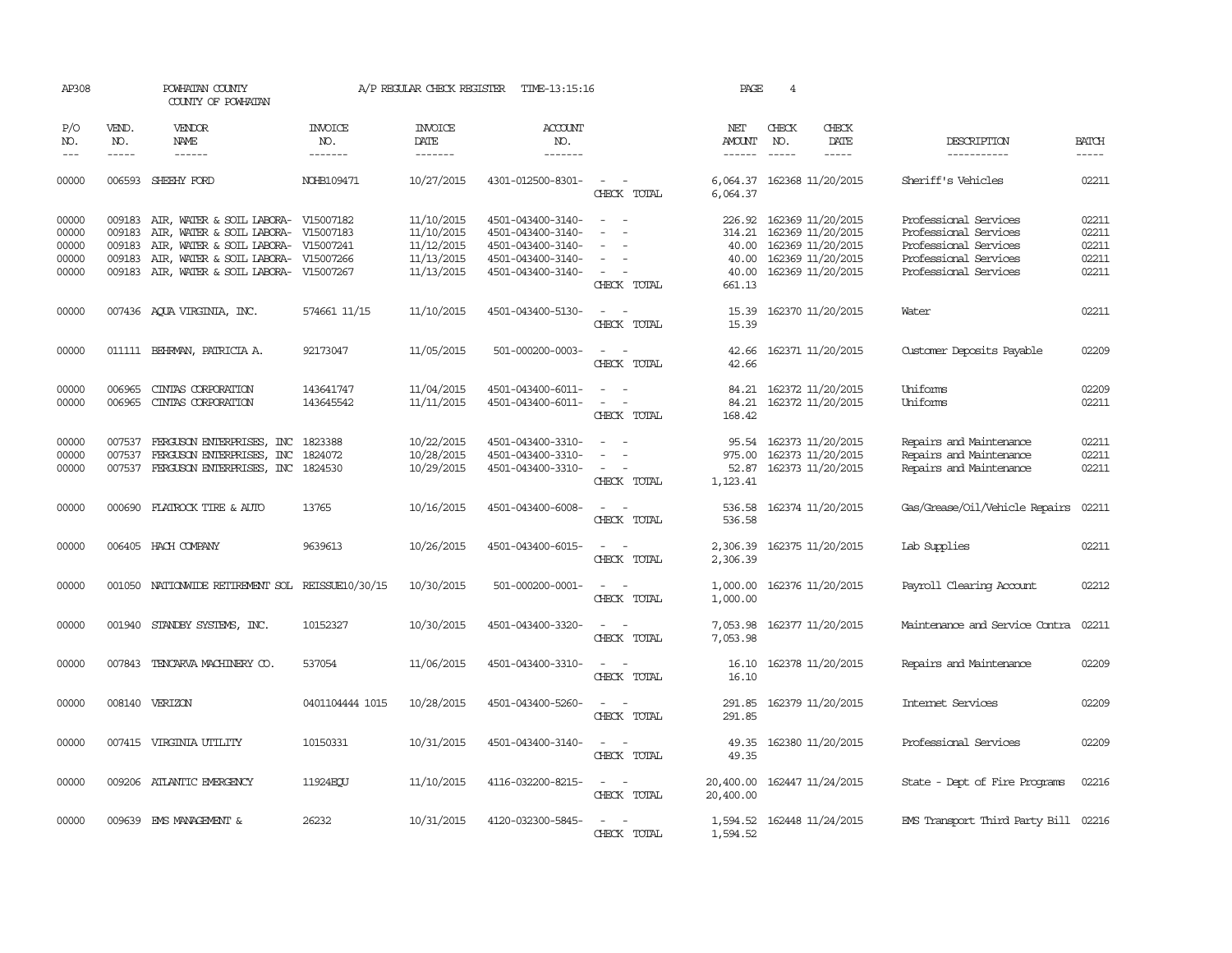| AP308                   |                            | POWHATAN COUNTY<br>COUNTY OF POWHATAN                                                                             |                               | A/P REGULAR CHECK REGISTER             | TIME-13:15:16                                               |                                                                                           | PAGE                       | 4             |                                                                    |                                                                               |                         |
|-------------------------|----------------------------|-------------------------------------------------------------------------------------------------------------------|-------------------------------|----------------------------------------|-------------------------------------------------------------|-------------------------------------------------------------------------------------------|----------------------------|---------------|--------------------------------------------------------------------|-------------------------------------------------------------------------------|-------------------------|
| P/O<br>NO.              | VEND.<br>NO.               | <b>VENDOR</b><br>NAME                                                                                             | <b>INVOICE</b><br>NO.         | <b>INVOICE</b><br>DATE                 | <b>ACCOUNT</b><br>NO.                                       |                                                                                           | NET<br>AMOUNT              | CHECK<br>NO.  | CHECK<br>DATE                                                      | DESCRIPTION                                                                   | <b>BATCH</b>            |
| $- - -$                 | $\frac{1}{2}$              | ------                                                                                                            | -------                       | --------                               | -------                                                     |                                                                                           | $- - - - - -$              | $\frac{1}{2}$ | $\frac{1}{2}$                                                      | -----------                                                                   | $\frac{1}{2}$           |
| 00000                   | 006593                     | SHEEHY FORD                                                                                                       | NOHB109471                    | 10/27/2015                             | 4301-012500-8301-                                           | $\sim$<br>CHECK TOTAL                                                                     | 6,064.37                   |               | 6,064.37 162368 11/20/2015                                         | Sheriff's Vehicles                                                            | 02211                   |
| 00000<br>00000<br>00000 | 009183<br>009183<br>009183 | AIR, WATER & SOIL LABORA- V15007182<br>AIR, WATER & SOIL LABORA- V15007183<br>AIR, WATER & SOIL LABORA- V15007241 |                               | 11/10/2015<br>11/10/2015<br>11/12/2015 | 4501-043400-3140-<br>4501-043400-3140-<br>4501-043400-3140- | $\sim$<br>$\sim$<br>$\equiv$<br>$\sim$                                                    | 314.21<br>40.00            |               | 226.92 162369 11/20/2015<br>162369 11/20/2015<br>162369 11/20/2015 | Professional Services<br>Professional Services<br>Professional Services       | 02211<br>02211<br>02211 |
| 00000<br>00000          | 009183<br>009183           | AIR, WATER & SOIL LABORA-<br>AIR, WATER & SOIL LABORA-                                                            | V15007266<br>V15007267        | 11/13/2015<br>11/13/2015               | 4501-043400-3140-<br>4501-043400-3140-                      | $\equiv$<br>$\sim$<br>CHECK TOTAL                                                         | 40.00<br>40.00<br>661.13   |               | 162369 11/20/2015<br>162369 11/20/2015                             | Professional Services<br>Professional Services                                | 02211<br>02211          |
| 00000                   |                            | 007436 AQUA VIRGINIA, INC.                                                                                        | 574661 11/15                  | 11/10/2015                             | 4501-043400-5130-                                           | $\sim$<br>$\sim$<br>CHECK TOTAL                                                           | 15.39                      |               | 15.39 162370 11/20/2015                                            | Water                                                                         | 02211                   |
| 00000                   |                            | 011111 BEHRMAN, PATRICIA A.                                                                                       | 92173047                      | 11/05/2015                             | 501-000200-0003-                                            | $\sim$<br>$\sim$<br>CHECK TOTAL                                                           | 42.66<br>42.66             |               | 162371 11/20/2015                                                  | Customer Deposits Payable                                                     | 02209                   |
| 00000<br>00000          | 006965                     | CINTAS CORPORATION<br>006965 CINTAS CORPORATION                                                                   | 143641747<br>143645542        | 11/04/2015<br>11/11/2015               | 4501-043400-6011-<br>4501-043400-6011-                      | $\sim$<br>$\sim$<br>$\sim$<br>$\sim$ $-$<br>CHECK TOTAL                                   | 84.21<br>84.21<br>168.42   |               | 162372 11/20/2015<br>162372 11/20/2015                             | Uniforms<br>Uniforms                                                          | 02209<br>02211          |
| 00000<br>00000<br>00000 | 007537<br>007537<br>007537 | FERGUSON ENTERPRISES, INC<br>FERGUSON ENTERPRISES, INC<br>FERGUSON ENTERPRISES, INC                               | 1823388<br>1824072<br>1824530 | 10/22/2015<br>10/28/2015<br>10/29/2015 | 4501-043400-3310-<br>4501-043400-3310-<br>4501-043400-3310- | $\sim$<br>$\equiv$<br>$\overline{\phantom{a}}$<br>$\overline{\phantom{a}}$<br>CHECK TOTAL | 95.54<br>52.87<br>1,123.41 |               | 162373 11/20/2015<br>975.00 162373 11/20/2015<br>162373 11/20/2015 | Repairs and Maintenance<br>Repairs and Maintenance<br>Repairs and Maintenance | 02211<br>02211<br>02211 |
| 00000                   |                            | 000690 FLATROCK TIRE & AUTO                                                                                       | 13765                         | 10/16/2015                             | 4501-043400-6008-                                           | CHECK TOTAL                                                                               | 536.58<br>536.58           |               | 162374 11/20/2015                                                  | Gas/Grease/Oil/Vehicle Repairs                                                | 02211                   |
| 00000                   |                            | 006405 HACH COMPANY                                                                                               | 9639613                       | 10/26/2015                             | 4501-043400-6015-                                           | $\sim$<br>$\sim$<br>CHECK TOTAL                                                           | 2,306.39<br>2,306.39       |               | 162375 11/20/2015                                                  | Lab Supplies                                                                  | 02211                   |
| 00000                   |                            | 001050 NATIONWIDE RETIREMENT SOL REISSUE10/30/15                                                                  |                               | 10/30/2015                             | 501-000200-0001-                                            | $\sim$<br>$\overline{\phantom{a}}$<br>CHECK TOTAL                                         | 1,000.00<br>1,000.00       |               | 162376 11/20/2015                                                  | Payroll Clearing Account                                                      | 02212                   |
| 00000                   |                            | 001940 STANDBY SYSTEMS, INC.                                                                                      | 10152327                      | 10/30/2015                             | 4501-043400-3320-                                           | $\sim$ $ \sim$<br>CHECK TOTAL                                                             | 7,053.98<br>7,053.98       |               | 162377 11/20/2015                                                  | Maintenance and Service Contra                                                | 02211                   |
| 00000                   |                            | 007843 TENCARVA MACHINERY CO.                                                                                     | 537054                        | 11/06/2015                             | 4501-043400-3310-                                           | $\sim$ $ \sim$<br>CHECK TOTAL                                                             | 16.10<br>16.10             |               | 162378 11/20/2015                                                  | Repairs and Maintenance                                                       | 02209                   |
| 00000                   |                            | 008140 VERIZON                                                                                                    | 0401104444 1015               | 10/28/2015                             | 4501-043400-5260-                                           | $\sim$<br>CHECK TOTAL                                                                     | 291.85<br>291.85           |               | 162379 11/20/2015                                                  | Internet Services                                                             | 02209                   |
| 00000                   |                            | 007415 VIRGINIA UTILITY                                                                                           | 10150331                      | 10/31/2015                             | 4501-043400-3140-                                           | $\sim$<br>$\sim$<br>CHECK TOTAL                                                           | 49.35<br>49.35             |               | 162380 11/20/2015                                                  | Professional Services                                                         | 02209                   |
| 00000                   |                            | 009206 ATLANTIC EMERGENCY                                                                                         | 11924EOU                      | 11/10/2015                             | 4116-032200-8215-                                           | $\sim$<br>$\sim$<br>CHECK TOTAL                                                           | 20,400.00<br>20,400.00     |               | 162447 11/24/2015                                                  | State - Dept of Fire Programs                                                 | 02216                   |
| 00000                   |                            | 009639 EMS MANAGEMENT &                                                                                           | 26232                         | 10/31/2015                             | 4120-032300-5845-                                           | $\sim$<br>CHECK TOTAL                                                                     | 1,594.52                   |               | 1,594.52 162448 11/24/2015                                         | EMS Transport Third Party Bill 02216                                          |                         |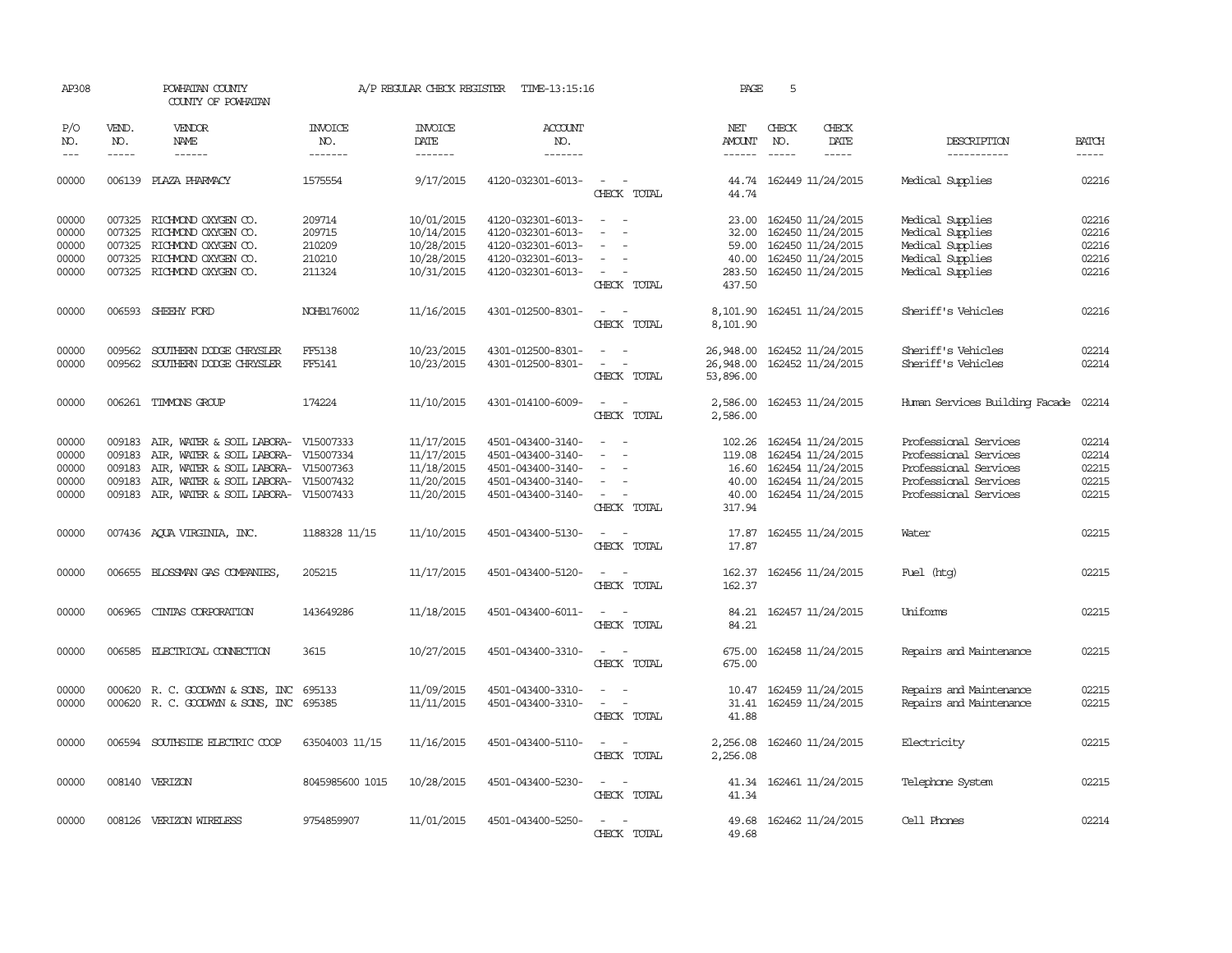| AP308                                     |                                      | POWHATAN COUNTY<br>COUNTY OF POWHATAN                                                                                                                                                                                                                                                                                                                                                                                                                                                        |                                  | A/P REGULAR CHECK REGISTER                                         | TIME-13:15:16                                                                                         |                                                                                 | PAGE                                                  | 5                             |                                                                                                       |                                                                                                                           |                                           |
|-------------------------------------------|--------------------------------------|----------------------------------------------------------------------------------------------------------------------------------------------------------------------------------------------------------------------------------------------------------------------------------------------------------------------------------------------------------------------------------------------------------------------------------------------------------------------------------------------|----------------------------------|--------------------------------------------------------------------|-------------------------------------------------------------------------------------------------------|---------------------------------------------------------------------------------|-------------------------------------------------------|-------------------------------|-------------------------------------------------------------------------------------------------------|---------------------------------------------------------------------------------------------------------------------------|-------------------------------------------|
| P/O<br>NO.<br>$---$                       | VEND.<br>NO.<br>$\frac{1}{2}$        | VENDOR<br>NAME<br>$\frac{1}{2} \left( \frac{1}{2} \right) \left( \frac{1}{2} \right) \left( \frac{1}{2} \right) \left( \frac{1}{2} \right) \left( \frac{1}{2} \right) \left( \frac{1}{2} \right) \left( \frac{1}{2} \right) \left( \frac{1}{2} \right) \left( \frac{1}{2} \right) \left( \frac{1}{2} \right) \left( \frac{1}{2} \right) \left( \frac{1}{2} \right) \left( \frac{1}{2} \right) \left( \frac{1}{2} \right) \left( \frac{1}{2} \right) \left( \frac{1}{2} \right) \left( \frac$ | <b>INVOICE</b><br>NO.<br>------- | <b>INVOICE</b><br>DATE<br>-------                                  | <b>ACCOUNT</b><br>NO.<br>-------                                                                      |                                                                                 | NET<br>AMOUNT<br>$- - - - - -$                        | CHECK<br>NO.<br>$\frac{1}{2}$ | CHECK<br>DATE<br>-----                                                                                | DESCRIPTION<br>------------                                                                                               | <b>BATCH</b><br>$\frac{1}{2}$             |
| 00000                                     |                                      | 006139 PLAZA PHARMACY                                                                                                                                                                                                                                                                                                                                                                                                                                                                        | 1575554                          | 9/17/2015                                                          | 4120-032301-6013-                                                                                     | $\overline{a}$<br>$\sim$<br>CHECK TOTAL                                         | 44.74                                                 |                               | 44.74 162449 11/24/2015                                                                               | Medical Supplies                                                                                                          | 02216                                     |
| 00000<br>00000                            | 007325                               | 007325 RICHMOND OXYGEN CO.<br>RICHMOND OXYGEN CO.                                                                                                                                                                                                                                                                                                                                                                                                                                            | 209714<br>209715                 | 10/01/2015<br>10/14/2015                                           | 4120-032301-6013-<br>4120-032301-6013-                                                                | $\sim$<br>$\sim$<br>$\sim$<br>$\overline{\phantom{a}}$                          | 23.00<br>32.00                                        |                               | 162450 11/24/2015<br>162450 11/24/2015                                                                | Medical Supplies<br>Medical Supplies                                                                                      | 02216<br>02216                            |
| 00000<br>00000<br>00000                   |                                      | 007325 RICHMOND OXYGEN CO.<br>007325 RICHMOND OXYGEN CO.<br>007325 RICHMOND OXYGEN CO.                                                                                                                                                                                                                                                                                                                                                                                                       | 210209<br>210210<br>211324       | 10/28/2015<br>10/28/2015<br>10/31/2015                             | 4120-032301-6013-<br>4120-032301-6013-<br>4120-032301-6013-                                           | $\equiv$<br>$\sim$                                                              | 59.00<br>40.00<br>283.50                              |                               | 162450 11/24/2015<br>162450 11/24/2015<br>162450 11/24/2015                                           | Medical Supplies<br>Medical Supplies<br>Medical Supplies                                                                  | 02216<br>02216<br>02216                   |
| 00000                                     |                                      | 006593 SHEEHY FORD                                                                                                                                                                                                                                                                                                                                                                                                                                                                           | NOHB176002                       | 11/16/2015                                                         | 4301-012500-8301-                                                                                     | CHECK TOTAL<br>$\sim$<br>$\overline{\phantom{a}}$                               | 437.50<br>8,101.90                                    |                               | 162451 11/24/2015                                                                                     | Sheriff's Vehicles                                                                                                        | 02216                                     |
| 00000                                     | 009562                               | SOUTHERN DODGE CHRYSLER                                                                                                                                                                                                                                                                                                                                                                                                                                                                      | FF5138                           | 10/23/2015                                                         | 4301-012500-8301-                                                                                     | CHECK TOTAL<br>$\equiv$<br>$\sim$                                               | 8,101.90<br>26,948.00                                 |                               | 162452 11/24/2015                                                                                     | Sheriff's Vehicles                                                                                                        | 02214                                     |
| 00000                                     |                                      | 009562 SOUTHERN DODGE CHRYSLER                                                                                                                                                                                                                                                                                                                                                                                                                                                               | FF5141                           | 10/23/2015                                                         | 4301-012500-8301-                                                                                     | $\sim$<br>$\sim$<br>CHECK TOTAL                                                 | 26,948.00<br>53,896.00                                |                               | 162452 11/24/2015                                                                                     | Sheriff's Vehicles                                                                                                        | 02214                                     |
| 00000                                     |                                      | 006261 TIMMONS GROUP                                                                                                                                                                                                                                                                                                                                                                                                                                                                         | 174224                           | 11/10/2015                                                         | 4301-014100-6009-                                                                                     | $\sim$<br>$\sim$<br>CHECK TOTAL                                                 | 2,586.00<br>2,586.00                                  |                               | 162453 11/24/2015                                                                                     | Human Services Building Facade                                                                                            | 02214                                     |
| 00000<br>00000<br>00000<br>00000<br>00000 | 009183<br>009183<br>009183<br>009183 | AIR, WATER & SOIL LABORA- V15007333<br>AIR, WATER & SOIL LABORA- V15007334<br>AIR, WATER & SOIL LABORA- V15007363<br>AIR, WATER & SOIL LABORA-<br>009183 AIR, WATER & SOIL LABORA-                                                                                                                                                                                                                                                                                                           | V15007432<br>V15007433           | 11/17/2015<br>11/17/2015<br>11/18/2015<br>11/20/2015<br>11/20/2015 | 4501-043400-3140-<br>4501-043400-3140-<br>4501-043400-3140-<br>4501-043400-3140-<br>4501-043400-3140- | $\equiv$<br>$\sim$<br>$\sim$<br>$\sim$<br>CHECK TOTAL                           | 102.26<br>119.08<br>16.60<br>40.00<br>40.00<br>317.94 |                               | 162454 11/24/2015<br>162454 11/24/2015<br>162454 11/24/2015<br>162454 11/24/2015<br>162454 11/24/2015 | Professional Services<br>Professional Services<br>Professional Services<br>Professional Services<br>Professional Services | 02214<br>02214<br>02215<br>02215<br>02215 |
| 00000                                     |                                      | 007436 AQUA VIRGINIA, INC.                                                                                                                                                                                                                                                                                                                                                                                                                                                                   | 1188328 11/15                    | 11/10/2015                                                         | 4501-043400-5130-                                                                                     | CHECK TOTAL                                                                     | 17.87<br>17.87                                        |                               | 162455 11/24/2015                                                                                     | Water                                                                                                                     | 02215                                     |
| 00000                                     |                                      | 006655 BLOSSMAN GAS COMPANIES                                                                                                                                                                                                                                                                                                                                                                                                                                                                | 205215                           | 11/17/2015                                                         | 4501-043400-5120-                                                                                     | CHECK TOTAL                                                                     | 162.37<br>162.37                                      |                               | 162456 11/24/2015                                                                                     | Fuel (htg)                                                                                                                | 02215                                     |
| 00000                                     | 006965                               | CINIAS CORPORATION                                                                                                                                                                                                                                                                                                                                                                                                                                                                           | 143649286                        | 11/18/2015                                                         | 4501-043400-6011-                                                                                     | CHECK TOTAL                                                                     | 84.21<br>84.21                                        |                               | 162457 11/24/2015                                                                                     | Uniforms                                                                                                                  | 02215                                     |
| 00000                                     | 006585                               | ELECTRICAL CONNECTION                                                                                                                                                                                                                                                                                                                                                                                                                                                                        | 3615                             | 10/27/2015                                                         | 4501-043400-3310-                                                                                     | $\equiv$<br>$\sim$<br>CHECK TOTAL                                               | 675.00<br>675.00                                      |                               | 162458 11/24/2015                                                                                     | Repairs and Maintenance                                                                                                   | 02215                                     |
| 00000<br>00000                            |                                      | 000620 R. C. GOODWYN & SONS, INC<br>000620 R. C. GOODWYN & SONS, INC 695385                                                                                                                                                                                                                                                                                                                                                                                                                  | 695133                           | 11/09/2015<br>11/11/2015                                           | 4501-043400-3310-<br>4501-043400-3310-                                                                | $\sim$ 10 $\sim$ 10 $\sim$<br>$\overline{\phantom{a}}$<br>$\sim$<br>CHECK TOTAL | 31.41<br>41.88                                        |                               | 10.47 162459 11/24/2015<br>162459 11/24/2015                                                          | Repairs and Maintenance<br>Repairs and Maintenance                                                                        | 02215<br>02215                            |
| 00000                                     |                                      | 006594 SOUTHSIDE ELECTRIC COOP                                                                                                                                                                                                                                                                                                                                                                                                                                                               | 63504003 11/15                   | 11/16/2015                                                         | 4501-043400-5110-                                                                                     | $\sim$<br>$\sim$<br>CHECK TOTAL                                                 | 2,256.08<br>2,256.08                                  |                               | 162460 11/24/2015                                                                                     | Electricity                                                                                                               | 02215                                     |
| 00000                                     |                                      | 008140 VERIZON                                                                                                                                                                                                                                                                                                                                                                                                                                                                               | 8045985600 1015                  | 10/28/2015                                                         | 4501-043400-5230-                                                                                     | $\sim$ $\sim$<br>CHECK TOTAL                                                    | 41.34                                                 |                               | 41.34 162461 11/24/2015                                                                               | Telephone System                                                                                                          | 02215                                     |
| 00000                                     |                                      | 008126 VERIZON WIRELESS                                                                                                                                                                                                                                                                                                                                                                                                                                                                      | 9754859907                       | 11/01/2015                                                         | 4501-043400-5250-                                                                                     | $\sim$<br>CHECK TOTAL                                                           | 49.68<br>49.68                                        |                               | 162462 11/24/2015                                                                                     | Cell Phones                                                                                                               | 02214                                     |